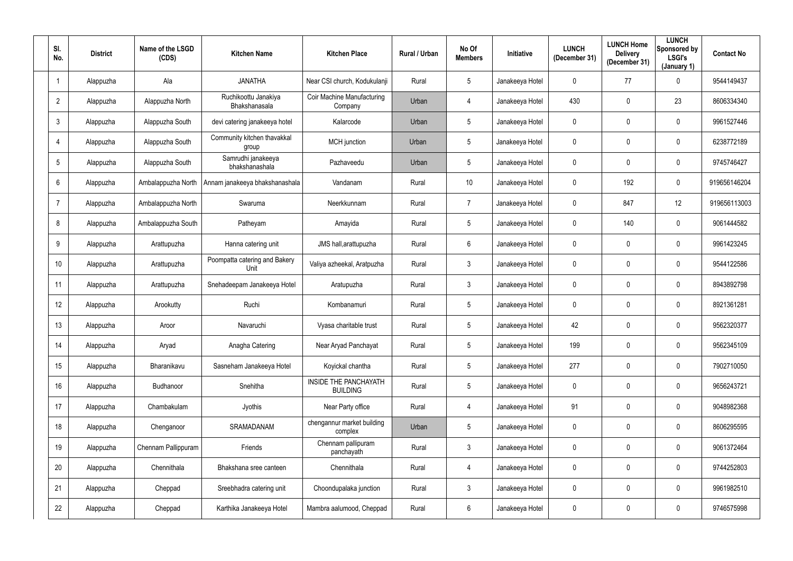| SI.<br>No.     | <b>District</b> | Name of the LSGD<br>(CDS) | <b>Kitchen Name</b>                   | <b>Kitchen Place</b>                            | Rural / Urban | No Of<br><b>Members</b> | Initiative      | <b>LUNCH</b><br>(December 31) | <b>LUNCH Home</b><br><b>Delivery</b><br>(December 31) | <b>LUNCH</b><br>Sponsored by<br><b>LSGI's</b><br>(January 1) | <b>Contact No</b> |
|----------------|-----------------|---------------------------|---------------------------------------|-------------------------------------------------|---------------|-------------------------|-----------------|-------------------------------|-------------------------------------------------------|--------------------------------------------------------------|-------------------|
|                | Alappuzha       | Ala                       | <b>JANATHA</b>                        | Near CSI church, Kodukulanji                    | Rural         | $5\phantom{.0}$         | Janakeeya Hotel | $\mathbf 0$                   | 77                                                    | $\mathbf 0$                                                  | 9544149437        |
| $\overline{2}$ | Alappuzha       | Alappuzha North           | Ruchikoottu Janakiya<br>Bhakshanasala | Coir Machine Manufacturing<br>Company           | Urban         | 4                       | Janakeeya Hotel | 430                           | $\mathbf 0$                                           | 23                                                           | 8606334340        |
| $\mathbf{3}$   | Alappuzha       | Alappuzha South           | devi catering janakeeya hotel         | Kalarcode                                       | Urban         | 5                       | Janakeeya Hotel | $\mathbf 0$                   | $\mathbf 0$                                           | $\mathbf 0$                                                  | 9961527446        |
| 4              | Alappuzha       | Alappuzha South           | Community kitchen thavakkal<br>group  | MCH junction                                    | Urban         | 5                       | Janakeeya Hotel | $\mathbf{0}$                  | $\mathbf 0$                                           | $\mathbf 0$                                                  | 6238772189        |
| 5              | Alappuzha       | Alappuzha South           | Samrudhi janakeeya<br>bhakshanashala  | Pazhaveedu                                      | Urban         | $5\phantom{.0}$         | Janakeeya Hotel | $\mathbf 0$                   | $\mathbf 0$                                           | $\mathbf 0$                                                  | 9745746427        |
| 6              | Alappuzha       | Ambalappuzha North        | Annam janakeeya bhakshanashala        | Vandanam                                        | Rural         | 10                      | Janakeeya Hotel | $\mathbf 0$                   | 192                                                   | $\mathbf 0$                                                  | 919656146204      |
| $\overline{7}$ | Alappuzha       | Ambalappuzha North        | Swaruma                               | Neerkkunnam                                     | Rural         | $\overline{7}$          | Janakeeya Hotel | $\mathbf 0$                   | 847                                                   | 12                                                           | 919656113003      |
| 8              | Alappuzha       | Ambalappuzha South        | Patheyam                              | Amayida                                         | Rural         | $5\phantom{.0}$         | Janakeeya Hotel | $\mathbf 0$                   | 140                                                   | $\overline{0}$                                               | 9061444582        |
| 9              | Alappuzha       | Arattupuzha               | Hanna catering unit                   | JMS hall, arattupuzha                           | Rural         | $6\phantom{.}$          | Janakeeya Hotel | $\mathbf 0$                   | $\mathbf 0$                                           | $\mathbf 0$                                                  | 9961423245        |
| 10             | Alappuzha       | Arattupuzha               | Poompatta catering and Bakery<br>Unit | Valiya azheekal, Aratpuzha                      | Rural         | $\mathbf{3}$            | Janakeeya Hotel | $\mathbf 0$                   | $\mathbf 0$                                           | $\mathbf 0$                                                  | 9544122586        |
| 11             | Alappuzha       | Arattupuzha               | Snehadeepam Janakeeya Hotel           | Aratupuzha                                      | Rural         | 3                       | Janakeeya Hotel | $\mathbf 0$                   | $\mathbf 0$                                           | $\mathbf 0$                                                  | 8943892798        |
| 12             | Alappuzha       | Arookutty                 | Ruchi                                 | Kombanamuri                                     | Rural         | $5\phantom{.0}$         | Janakeeya Hotel | $\mathbf 0$                   | $\mathbf 0$                                           | $\bf{0}$                                                     | 8921361281        |
| 13             | Alappuzha       | Aroor                     | Navaruchi                             | Vyasa charitable trust                          | Rural         | 5                       | Janakeeya Hotel | 42                            | $\mathbf 0$                                           | $\mathbf 0$                                                  | 9562320377        |
| 14             | Alappuzha       | Aryad                     | Anagha Catering                       | Near Aryad Panchayat                            | Rural         | $5\phantom{.0}$         | Janakeeya Hotel | 199                           | $\mathbf 0$                                           | $\mathbf 0$                                                  | 9562345109        |
| 15             | Alappuzha       | Bharanikavu               | Sasneham Janakeeya Hotel              | Koyickal chantha                                | Rural         | $5\phantom{.0}$         | Janakeeya Hotel | 277                           | $\pmb{0}$                                             | $\overline{0}$                                               | 7902710050        |
| 16             | Alappuzha       | Budhanoor                 | Snehitha                              | <b>INSIDE THE PANCHAYATH</b><br><b>BUILDING</b> | Rural         | $5\overline{)}$         | Janakeeya Hotel | $\mathbf 0$                   | $\mathbf 0$                                           | $\overline{0}$                                               | 9656243721        |
| 17             | Alappuzha       | Chambakulam               | Jyothis                               | Near Party office                               | Rural         | $\overline{4}$          | Janakeeya Hotel | 91                            | $\mathbf 0$                                           | $\overline{0}$                                               | 9048982368        |
| 18             | Alappuzha       | Chenganoor                | SRAMADANAM                            | chengannur market building<br>complex           | Urban         | $5\overline{)}$         | Janakeeya Hotel | $\mathbf 0$                   | $\pmb{0}$                                             | $\overline{0}$                                               | 8606295595        |
| 19             | Alappuzha       | Chennam Pallippuram       | Friends                               | Chennam pallipuram<br>panchayath                | Rural         | 3 <sup>1</sup>          | Janakeeya Hotel | $\mathbf 0$                   | $\mathbf 0$                                           | $\overline{0}$                                               | 9061372464        |
| 20             | Alappuzha       | Chennithala               | Bhakshana sree canteen                | Chennithala                                     | Rural         | $\overline{4}$          | Janakeeya Hotel | $\mathbf 0$                   | $\pmb{0}$                                             | $\overline{0}$                                               | 9744252803        |
| 21             | Alappuzha       | Cheppad                   | Sreebhadra catering unit              | Choondupalaka junction                          | Rural         | $\mathbf{3}$            | Janakeeya Hotel | $\mathbf 0$                   | 0                                                     | $\overline{0}$                                               | 9961982510        |
| 22             | Alappuzha       | Cheppad                   | Karthika Janakeeya Hotel              | Mambra aalumood, Cheppad                        | Rural         | 6                       | Janakeeya Hotel | $\mathbf 0$                   | 0                                                     | $\overline{0}$                                               | 9746575998        |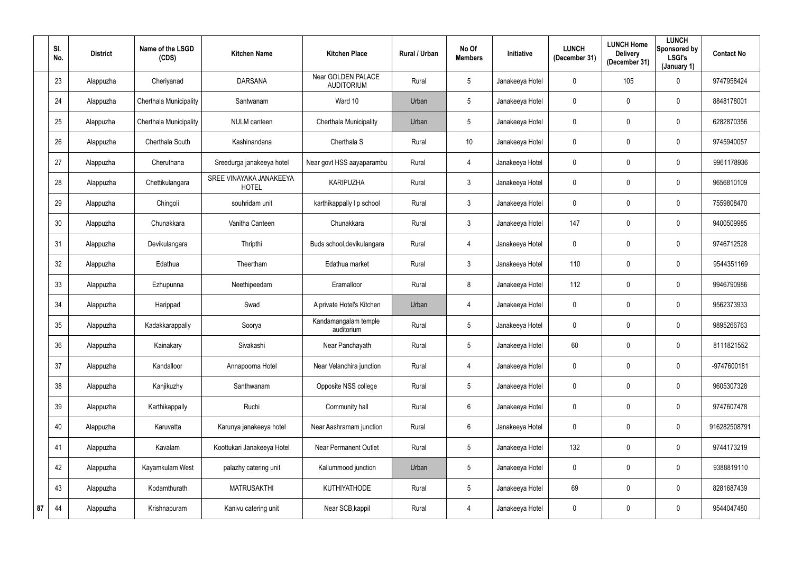|    | SI.<br>No. | <b>District</b> | Name of the LSGD<br>(CDS)     | <b>Kitchen Name</b>                     | <b>Kitchen Place</b>                    | Rural / Urban | No Of<br><b>Members</b> | <b>Initiative</b> | <b>LUNCH</b><br>(December 31) | <b>LUNCH Home</b><br><b>Delivery</b><br>(December 31) | <b>LUNCH</b><br>Sponsored by<br>LSGI's<br>(January 1) | <b>Contact No</b> |
|----|------------|-----------------|-------------------------------|-----------------------------------------|-----------------------------------------|---------------|-------------------------|-------------------|-------------------------------|-------------------------------------------------------|-------------------------------------------------------|-------------------|
|    | 23         | Alappuzha       | Cheriyanad                    | <b>DARSANA</b>                          | Near GOLDEN PALACE<br><b>AUDITORIUM</b> | Rural         | 5                       | Janakeeya Hotel   | $\mathbf 0$                   | 105                                                   | $\overline{0}$                                        | 9747958424        |
|    | 24         | Alappuzha       | <b>Cherthala Municipality</b> | Santwanam                               | Ward 10                                 | Urban         | 5                       | Janakeeya Hotel   | $\mathbf 0$                   | $\mathbf 0$                                           | $\overline{0}$                                        | 8848178001        |
|    | 25         | Alappuzha       | Cherthala Municipality        | <b>NULM</b> canteen                     | Cherthala Municipality                  | Urban         | 5                       | Janakeeya Hotel   | $\mathbf 0$                   | $\mathbf 0$                                           | $\mathbf 0$                                           | 6282870356        |
|    | 26         | Alappuzha       | Cherthala South               | Kashinandana                            | Cherthala <sub>S</sub>                  | Rural         | 10 <sup>°</sup>         | Janakeeya Hotel   | $\overline{0}$                | $\mathbf 0$                                           | $\overline{0}$                                        | 9745940057        |
|    | 27         | Alappuzha       | Cheruthana                    | Sreedurga janakeeya hotel               | Near govt HSS aayaparambu               | Rural         | 4                       | Janakeeya Hotel   | $\overline{0}$                | $\mathbf 0$                                           | $\mathbf 0$                                           | 9961178936        |
|    | 28         | Alappuzha       | Chettikulangara               | SREE VINAYAKA JANAKEEYA<br><b>HOTEL</b> | <b>KARIPUZHA</b>                        | Rural         | $\mathbf{3}$            | Janakeeya Hotel   | $\overline{0}$                | $\mathbf 0$                                           | $\mathbf 0$                                           | 9656810109        |
|    | 29         | Alappuzha       | Chingoli                      | souhridam unit                          | karthikappally I p school               | Rural         | $\mathbf{3}$            | Janakeeya Hotel   | $\overline{0}$                | $\mathbf 0$                                           | $\mathbf 0$                                           | 7559808470        |
|    | 30         | Alappuzha       | Chunakkara                    | Vanitha Canteen                         | Chunakkara                              | Rural         | $\mathbf{3}$            | Janakeeya Hotel   | 147                           | 0                                                     | $\mathbf 0$                                           | 9400509985        |
|    | 31         | Alappuzha       | Devikulangara                 | Thripthi                                | Buds school, devikulangara              | Rural         | 4                       | Janakeeya Hotel   | $\mathbf 0$                   | 0                                                     | $\mathbf 0$                                           | 9746712528        |
|    | 32         | Alappuzha       | Edathua                       | Theertham                               | Edathua market                          | Rural         | 3                       | Janakeeya Hotel   | 110                           | $\mathbf 0$                                           | $\mathbf 0$                                           | 9544351169        |
|    | 33         | Alappuzha       | Ezhupunna                     | Neethipeedam                            | Eramalloor                              | Rural         | 8                       | Janakeeya Hotel   | 112                           | $\mathbf 0$                                           | $\mathbf 0$                                           | 9946790986        |
|    | 34         | Alappuzha       | Harippad                      | Swad                                    | A private Hotel's Kitchen               | Urban         | 4                       | Janakeeya Hotel   | $\overline{0}$                | $\mathbf 0$                                           | $\mathbf 0$                                           | 9562373933        |
|    | 35         | Alappuzha       | Kadakkarappally               | Soorya                                  | Kandamangalam temple<br>auditorium      | Rural         | 5                       | Janakeeya Hotel   | $\overline{0}$                | $\mathbf 0$                                           | $\mathbf 0$                                           | 9895266763        |
|    | 36         | Alappuzha       | Kainakary                     | Sivakashi                               | Near Panchayath                         | Rural         | 5                       | Janakeeya Hotel   | 60                            | 0                                                     | $\mathbf 0$                                           | 8111821552        |
|    | 37         | Alappuzha       | Kandalloor                    | Annapoorna Hotel                        | Near Velanchira junction                | Rural         | $\overline{4}$          | Janakeeya Hotel   | $\mathbf 0$                   | 0                                                     | $\mathbf 0$                                           | -9747600181       |
|    | 38         | Alappuzha       | Kanjikuzhy                    | Santhwanam                              | Opposite NSS college                    | Rural         | $5\phantom{.0}$         | Janakeeya Hotel   | $\mathbf 0$                   | $\pmb{0}$                                             | $\mathbf 0$                                           | 9605307328        |
|    | 39         | Alappuzha       | Karthikappally                | Ruchi                                   | Community hall                          | Rural         | $6\phantom{.}6$         | Janakeeya Hotel   | $\mathbf 0$                   | $\mathbf 0$                                           | $\mathbf 0$                                           | 9747607478        |
|    | 40         | Alappuzha       | Karuvatta                     | Karunya janakeeya hotel                 | Near Aashramam junction                 | Rural         | $6\phantom{.0}$         | Janakeeya Hotel   | $\mathbf 0$                   | 0                                                     | $\overline{0}$                                        | 916282508791      |
|    | 41         | Alappuzha       | Kavalam                       | Koottukari Janakeeya Hotel              | <b>Near Permanent Outlet</b>            | Rural         | $5\phantom{.0}$         | Janakeeya Hotel   | 132                           | $\pmb{0}$                                             | $\mathbf 0$                                           | 9744173219        |
|    | 42         | Alappuzha       | Kayamkulam West               | palazhy catering unit                   | Kallummood junction                     | Urban         | $5\phantom{.0}$         | Janakeeya Hotel   | $\mathbf 0$                   | $\pmb{0}$                                             | $\overline{0}$                                        | 9388819110        |
|    | 43         | Alappuzha       | Kodamthurath                  | <b>MATRUSAKTHI</b>                      | KUTHIYATHODE                            | Rural         | $5\phantom{.0}$         | Janakeeya Hotel   | 69                            | $\pmb{0}$                                             | $\mathbf 0$                                           | 8281687439        |
| 87 | 44         | Alappuzha       | Krishnapuram                  | Kanivu catering unit                    | Near SCB, kappil                        | Rural         | $\overline{4}$          | Janakeeya Hotel   | $\mathbf 0$                   | $\boldsymbol{0}$                                      | $\overline{0}$                                        | 9544047480        |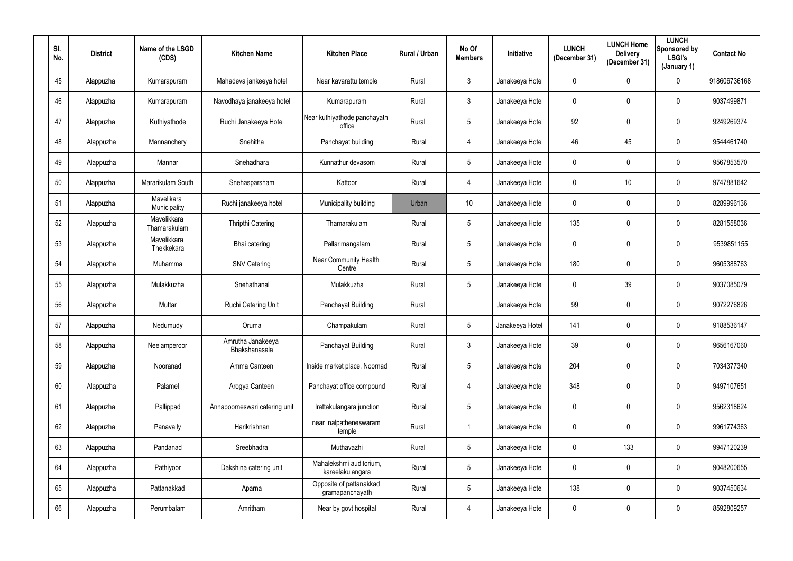| SI.<br>No. | <b>District</b> | Name of the LSGD<br>(CDS)   | <b>Kitchen Name</b>                | <b>Kitchen Place</b>                        | Rural / Urban | No Of<br><b>Members</b> | Initiative      | <b>LUNCH</b><br>(December 31) | <b>LUNCH Home</b><br><b>Delivery</b><br>(December 31) | <b>LUNCH</b><br>Sponsored by<br>LSGI's<br>(January 1) | <b>Contact No</b> |
|------------|-----------------|-----------------------------|------------------------------------|---------------------------------------------|---------------|-------------------------|-----------------|-------------------------------|-------------------------------------------------------|-------------------------------------------------------|-------------------|
| 45         | Alappuzha       | Kumarapuram                 | Mahadeva jankeeya hotel            | Near kavarattu temple                       | Rural         | $\mathbf{3}$            | Janakeeya Hotel | $\mathbf 0$                   | 0                                                     | $\mathbf 0$                                           | 918606736168      |
| 46         | Alappuzha       | Kumarapuram                 | Navodhaya janakeeya hotel          | Kumarapuram                                 | Rural         | $\mathbf{3}$            | Janakeeya Hotel | $\mathbf 0$                   | 0                                                     | $\overline{0}$                                        | 9037499871        |
| 47         | Alappuzha       | Kuthiyathode                | Ruchi Janakeeya Hotel              | Near kuthiyathode panchayath<br>office      | Rural         | $5\overline{)}$         | Janakeeya Hotel | 92                            | 0                                                     | $\overline{0}$                                        | 9249269374        |
| 48         | Alappuzha       | Mannanchery                 | Snehitha                           | Panchayat building                          | Rural         | 4                       | Janakeeya Hotel | 46                            | 45                                                    | $\overline{0}$                                        | 9544461740        |
| 49         | Alappuzha       | Mannar                      | Snehadhara                         | Kunnathur devasom                           | Rural         | $5\overline{)}$         | Janakeeya Hotel | $\mathbf 0$                   | 0                                                     | $\mathbf 0$                                           | 9567853570        |
| 50         | Alappuzha       | Mararikulam South           | Snehasparsham                      | Kattoor                                     | Rural         | 4                       | Janakeeya Hotel | $\mathbf 0$                   | 10                                                    | $\mathbf 0$                                           | 9747881642        |
| 51         | Alappuzha       | Mavelikara<br>Municipality  | Ruchi janakeeya hotel              | Municipality building                       | Urban         | 10                      | Janakeeya Hotel | $\mathbf 0$                   | 0                                                     | $\overline{0}$                                        | 8289996136        |
| 52         | Alappuzha       | Mavelikkara<br>Thamarakulam | Thripthi Catering                  | Thamarakulam                                | Rural         | $5\phantom{.0}$         | Janakeeya Hotel | 135                           | 0                                                     | $\overline{0}$                                        | 8281558036        |
| 53         | Alappuzha       | Mavelikkara<br>Thekkekara   | Bhai catering                      | Pallarimangalam                             | Rural         | $5\overline{)}$         | Janakeeya Hotel | $\mathbf 0$                   | 0                                                     | $\overline{0}$                                        | 9539851155        |
| 54         | Alappuzha       | Muhamma                     | <b>SNV Catering</b>                | <b>Near Community Health</b><br>Centre      | Rural         | $5\overline{)}$         | Janakeeya Hotel | 180                           | 0                                                     | $\mathbf 0$                                           | 9605388763        |
| 55         | Alappuzha       | Mulakkuzha                  | Snehathanal                        | Mulakkuzha                                  | Rural         | $5\overline{)}$         | Janakeeya Hotel | $\overline{0}$                | 39                                                    | $\mathbf 0$                                           | 9037085079        |
| 56         | Alappuzha       | Muttar                      | Ruchi Catering Unit                | Panchayat Building                          | Rural         |                         | Janakeeya Hotel | 99                            | 0                                                     | $\overline{0}$                                        | 9072276826        |
| 57         | Alappuzha       | Nedumudy                    | Oruma                              | Champakulam                                 | Rural         | $5\phantom{.0}$         | Janakeeya Hotel | 141                           | 0                                                     | $\mathbf 0$                                           | 9188536147        |
| 58         | Alappuzha       | Neelamperoor                | Amrutha Janakeeya<br>Bhakshanasala | Panchayat Building                          | Rural         | $\mathbf{3}$            | Janakeeya Hotel | 39                            | $\mathbf 0$                                           | $\mathbf 0$                                           | 9656167060        |
| 59         | Alappuzha       | Nooranad                    | Amma Canteen                       | Inside market place, Noornad                | Rural         | $5\overline{)}$         | Janakeeya Hotel | 204                           | 0                                                     | $\mathbf 0$                                           | 7034377340        |
| 60         | Alappuzha       | Palamel                     | Arogya Canteen                     | Panchayat office compound                   | Rural         | $\overline{4}$          | Janakeeya Hotel | 348                           | 0                                                     | $\mathbf 0$                                           | 9497107651        |
| 61         | Alappuzha       | Pallippad                   | Annapoorneswari catering unit      | Irattakulangara junction                    | Rural         | $5\overline{)}$         | Janakeeya Hotel | $\mathbf 0$                   | $\mathbf 0$                                           | $\mathbf 0$                                           | 9562318624        |
| 62         | Alappuzha       | Panavally                   | Harikrishnan                       | near nalpatheneswaram<br>temple             | Rural         |                         | Janakeeya Hotel | $\mathbf 0$                   | $\mathbf 0$                                           | $\mathbf 0$                                           | 9961774363        |
| 63         | Alappuzha       | Pandanad                    | Sreebhadra                         | Muthavazhi                                  | Rural         | $5\phantom{.0}$         | Janakeeya Hotel | $\mathbf 0$                   | 133                                                   | $\mathbf 0$                                           | 9947120239        |
| 64         | Alappuzha       | Pathiyoor                   | Dakshina catering unit             | Mahalekshmi auditorium,<br>kareelakulangara | Rural         | $5\overline{)}$         | Janakeeya Hotel | $\mathbf 0$                   | 0                                                     | $\mathbf 0$                                           | 9048200655        |
| 65         | Alappuzha       | Pattanakkad                 | Aparna                             | Opposite of pattanakkad<br>gramapanchayath  | Rural         | $5\overline{)}$         | Janakeeya Hotel | 138                           | 0                                                     | $\mathbf 0$                                           | 9037450634        |
| 66         | Alappuzha       | Perumbalam                  | Amritham                           | Near by govt hospital                       | Rural         | 4                       | Janakeeya Hotel | $\boldsymbol{0}$              | 0                                                     | $\mathbf 0$                                           | 8592809257        |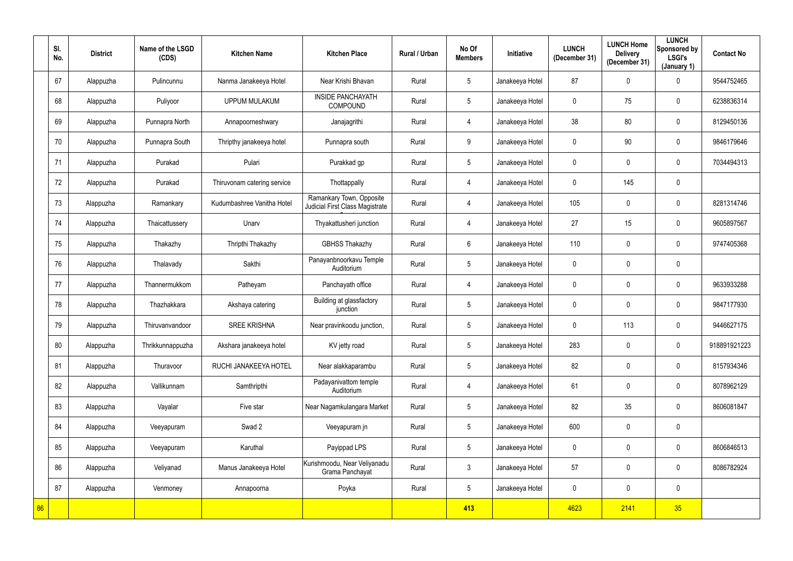|    | SI.<br>No. | <b>District</b> | Name of the LSGD<br>(CDS) | <b>Kitchen Name</b>         | <b>Kitchen Place</b>                                        | Rural / Urban | No Of<br><b>Members</b> | Initiative      | <b>LUNCH</b><br>(December 31) | <b>LUNCH Home</b><br><b>Delivery</b><br>(December 31) | <b>LUNCH</b><br>Sponsored by<br><b>LSGI's</b><br>(January 1) | <b>Contact No</b> |
|----|------------|-----------------|---------------------------|-----------------------------|-------------------------------------------------------------|---------------|-------------------------|-----------------|-------------------------------|-------------------------------------------------------|--------------------------------------------------------------|-------------------|
|    | 67         | Alappuzha       | Pulincunnu                | Nanma Janakeeya Hotel       | Near Krishi Bhavan                                          | Rural         | $5\phantom{.0}$         | Janakeeya Hotel | 87                            | $\mathbf 0$                                           | $\mathbf 0$                                                  | 9544752465        |
|    | 68         | Alappuzha       | Puliyoor                  | <b>UPPUM MULAKUM</b>        | <b>INSIDE PANCHAYATH</b><br>COMPOUND                        | Rural         | $5\phantom{.0}$         | Janakeeya Hotel | $\mathbf 0$                   | 75                                                    | $\overline{0}$                                               | 6238836314        |
|    | 69         | Alappuzha       | Punnapra North            | Annapoorneshwary            | Janajagrithi                                                | Rural         | 4                       | Janakeeya Hotel | 38                            | 80                                                    | $\mathbf 0$                                                  | 8129450136        |
|    | 70         | Alappuzha       | Punnapra South            | Thripthy janakeeya hotel    | Punnapra south                                              | Rural         | 9                       | Janakeeya Hotel | $\mathbf 0$                   | 90                                                    | $\overline{0}$                                               | 9846179646        |
|    | 71         | Alappuzha       | Purakad                   | Pulari                      | Purakkad gp                                                 | Rural         | $5\phantom{.0}$         | Janakeeya Hotel | $\overline{0}$                | $\mathbf 0$                                           | $\mathbf 0$                                                  | 7034494313        |
|    | 72         | Alappuzha       | Purakad                   | Thiruvonam catering service | Thottappally                                                | Rural         | 4                       | Janakeeya Hotel | $\overline{0}$                | 145                                                   | $\overline{0}$                                               |                   |
|    | 73         | Alappuzha       | Ramankary                 | Kudumbashree Vanitha Hotel  | Ramankary Town, Opposite<br>Judicial First Class Magistrate | Rural         | 4                       | Janakeeya Hotel | 105                           | $\mathbf 0$                                           | $\overline{0}$                                               | 8281314746        |
|    | 74         | Alappuzha       | Thaicattussery            | Unarv                       | Thyakattusheri junction                                     | Rural         | 4                       | Janakeeya Hotel | 27                            | 15                                                    | $\overline{0}$                                               | 9605897567        |
|    | 75         | Alappuzha       | Thakazhy                  | Thripthi Thakazhy           | <b>GBHSS Thakazhy</b>                                       | Rural         | $6\phantom{.}$          | Janakeeya Hotel | 110                           | $\mathbf 0$                                           | $\overline{0}$                                               | 9747405368        |
|    | 76         | Alappuzha       | Thalavady                 | Sakthi                      | Panayanbnoorkavu Temple<br>Auditorium                       | Rural         | $5\phantom{.0}$         | Janakeeya Hotel | $\overline{0}$                | $\mathbf 0$                                           | $\overline{0}$                                               |                   |
|    | 77         | Alappuzha       | Thannermukkom             | Patheyam                    | Panchayath office                                           | Rural         | 4                       | Janakeeya Hotel | $\overline{0}$                | $\mathbf 0$                                           | $\mathbf 0$                                                  | 9633933288        |
|    | 78         | Alappuzha       | Thazhakkara               | Akshaya catering            | Building at glassfactory<br>junction                        | Rural         | $5\phantom{.0}$         | Janakeeya Hotel | $\overline{0}$                | $\mathbf 0$                                           | $\overline{0}$                                               | 9847177930        |
|    | 79         | Alappuzha       | Thiruvanvandoor           | <b>SREE KRISHNA</b>         | Near pravinkoodu junction,                                  | Rural         | 5                       | Janakeeya Hotel | $\mathbf 0$                   | 113                                                   | $\mathbf 0$                                                  | 9446627175        |
|    | 80         | Alappuzha       | Thrikkunnappuzha          | Akshara janakeeya hotel     | KV jetty road                                               | Rural         | $5\overline{)}$         | Janakeeya Hotel | 283                           | $\mathbf 0$                                           | $\overline{0}$                                               | 918891921223      |
|    | 81         | Alappuzha       | Thuravoor                 | RUCHI JANAKEEYA HOTEL       | Near alakkaparambu                                          | Rural         | $5\phantom{.0}$         | Janakeeya Hotel | 82                            | $\mathbf 0$                                           | $\mathbf 0$                                                  | 8157934346        |
|    | 82         | Alappuzha       | Vallikunnam               | Samthripthi                 | Padayanivattom temple<br>Auditorium                         | Rural         | $\overline{4}$          | Janakeeya Hotel | 61                            | 0                                                     | $\mathbf 0$                                                  | 8078962129        |
|    | 83         | Alappuzha       | Vayalar                   | Five star                   | Near Nagamkulangara Market                                  | Rural         | $5\phantom{.0}$         | Janakeeya Hotel | 82                            | 35                                                    | $\mathbf 0$                                                  | 8606081847        |
|    | 84         | Alappuzha       | Veeyapuram                | Swad 2                      | Veeyapuram jn                                               | Rural         | $5\phantom{.0}$         | Janakeeya Hotel | 600                           | $\pmb{0}$                                             | $\overline{0}$                                               |                   |
|    | 85         | Alappuzha       | Veeyapuram                | Karuthal                    | Payippad LPS                                                | Rural         | $5\phantom{.0}$         | Janakeeya Hotel | $\overline{0}$                | 0                                                     | $\mathbf 0$                                                  | 8606846513        |
|    | 86         | Alappuzha       | Veliyanad                 | Manus Janakeeya Hotel       | Kurishmoodu, Near Veliyanadu<br>Grama Panchayat             | Rural         | $\mathfrak{Z}$          | Janakeeya Hotel | 57                            | $\pmb{0}$                                             | $\mathbf 0$                                                  | 8086782924        |
|    | 87         | Alappuzha       | Venmoney                  | Annapoorna                  | Poyka                                                       | Rural         | $5\phantom{.0}$         | Janakeeya Hotel | $\overline{0}$                | 0                                                     | $\mathbf 0$                                                  |                   |
| 86 |            |                 |                           |                             |                                                             |               | 413                     |                 | 4623                          | 2141                                                  | 35                                                           |                   |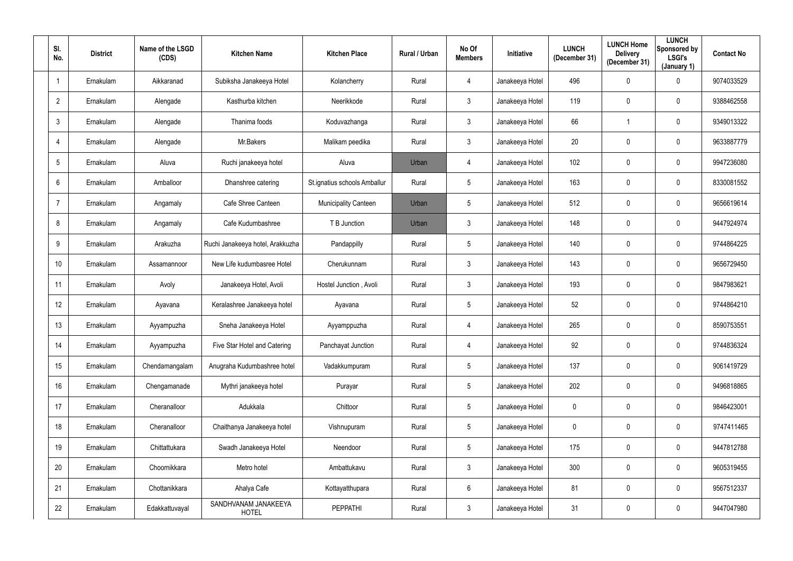| SI.<br>No.      | <b>District</b> | Name of the LSGD<br>(CDS) | <b>Kitchen Name</b>                  | <b>Kitchen Place</b>         | Rural / Urban | No Of<br><b>Members</b> | Initiative      | <b>LUNCH</b><br>(December 31) | <b>LUNCH Home</b><br><b>Delivery</b><br>(December 31) | <b>LUNCH</b><br>Sponsored by<br><b>LSGI's</b><br>(January 1) | <b>Contact No</b> |
|-----------------|-----------------|---------------------------|--------------------------------------|------------------------------|---------------|-------------------------|-----------------|-------------------------------|-------------------------------------------------------|--------------------------------------------------------------|-------------------|
|                 | Ernakulam       | Aikkaranad                | Subiksha Janakeeya Hotel             | Kolancherry                  | Rural         | 4                       | Janakeeya Hotel | 496                           | $\mathbf 0$                                           | $\overline{0}$                                               | 9074033529        |
| $\overline{2}$  | Ernakulam       | Alengade                  | Kasthurba kitchen                    | Neerikkode                   | Rural         | $\mathbf{3}$            | Janakeeya Hotel | 119                           | 0                                                     | $\overline{0}$                                               | 9388462558        |
| $\mathbf{3}$    | Ernakulam       | Alengade                  | Thanima foods                        | Koduvazhanga                 | Rural         | $\mathbf{3}$            | Janakeeya Hotel | 66                            |                                                       | $\overline{0}$                                               | 9349013322        |
| $\overline{4}$  | Ernakulam       | Alengade                  | Mr.Bakers                            | Malikam peedika              | Rural         | $\mathbf{3}$            | Janakeeya Hotel | 20                            | $\mathbf 0$                                           | $\mathbf 0$                                                  | 9633887779        |
| 5               | Ernakulam       | Aluva                     | Ruchi janakeeya hotel                | Aluva                        | Urban         | 4                       | Janakeeya Hotel | 102                           | $\mathbf 0$                                           | $\overline{0}$                                               | 9947236080        |
| 6               | Ernakulam       | Amballoor                 | Dhanshree catering                   | St.ignatius schools Amballur | Rural         | $5\phantom{.0}$         | Janakeeya Hotel | 163                           | $\mathbf 0$                                           | $\overline{0}$                                               | 8330081552        |
| $\overline{7}$  | Ernakulam       | Angamaly                  | Cafe Shree Canteen                   | <b>Municipality Canteen</b>  | Urban         | $5\phantom{.0}$         | Janakeeya Hotel | 512                           | $\mathbf 0$                                           | $\mathbf 0$                                                  | 9656619614        |
| 8               | Ernakulam       | Angamaly                  | Cafe Kudumbashree                    | T B Junction                 | Urban         | $\mathbf{3}$            | Janakeeya Hotel | 148                           | 0                                                     | $\mathbf 0$                                                  | 9447924974        |
| 9               | Ernakulam       | Arakuzha                  | Ruchi Janakeeya hotel, Arakkuzha     | Pandappilly                  | Rural         | $5\phantom{.0}$         | Janakeeya Hotel | 140                           | $\mathbf 0$                                           | $\mathbf 0$                                                  | 9744864225        |
| 10              | Ernakulam       | Assamannoor               | New Life kudumbasree Hotel           | Cherukunnam                  | Rural         | $\mathfrak{Z}$          | Janakeeya Hotel | 143                           | 0                                                     | $\overline{0}$                                               | 9656729450        |
| 11              | Ernakulam       | Avoly                     | Janakeeya Hotel, Avoli               | Hostel Junction, Avoli       | Rural         | $\mathbf{3}$            | Janakeeya Hotel | 193                           | 0                                                     | $\overline{0}$                                               | 9847983621        |
| 12 <sup>°</sup> | Ernakulam       | Ayavana                   | Keralashree Janakeeya hotel          | Ayavana                      | Rural         | $5\phantom{.0}$         | Janakeeya Hotel | 52                            | 0                                                     | $\mathbf 0$                                                  | 9744864210        |
| 13              | Ernakulam       | Ayyampuzha                | Sneha Janakeeya Hotel                | Ayyamppuzha                  | Rural         | 4                       | Janakeeya Hotel | 265                           | $\mathbf 0$                                           | $\overline{0}$                                               | 8590753551        |
| 14              | Ernakulam       | Ayyampuzha                | Five Star Hotel and Catering         | Panchayat Junction           | Rural         | $\overline{4}$          | Janakeeya Hotel | 92                            | $\mathbf 0$                                           | $\mathbf 0$                                                  | 9744836324        |
| 15              | Ernakulam       | Chendamangalam            | Anugraha Kudumbashree hotel          | Vadakkumpuram                | Rural         | $5\phantom{.0}$         | Janakeeya Hotel | 137                           | $\pmb{0}$                                             | $\overline{0}$                                               | 9061419729        |
| 16              | Ernakulam       | Chengamanade              | Mythri janakeeya hotel               | Purayar                      | Rural         | $5\phantom{.0}$         | Janakeeya Hotel | 202                           | 0                                                     | $\mathbf 0$                                                  | 9496818865        |
| 17              | Ernakulam       | Cheranalloor              | Adukkala                             | Chittoor                     | Rural         | $5\phantom{.0}$         | Janakeeya Hotel | $\overline{0}$                | 0                                                     | $\mathbf 0$                                                  | 9846423001        |
| 18              | Ernakulam       | Cheranalloor              | Chaithanya Janakeeya hotel           | Vishnupuram                  | Rural         | $5\phantom{.0}$         | Janakeeya Hotel | $\overline{0}$                | 0                                                     | $\mathbf 0$                                                  | 9747411465        |
| 19              | Ernakulam       | Chittattukara             | Swadh Janakeeya Hotel                | Neendoor                     | Rural         | $5\phantom{.0}$         | Janakeeya Hotel | 175                           | 0                                                     | $\overline{0}$                                               | 9447812788        |
| 20              | Ernakulam       | Choornikkara              | Metro hotel                          | Ambattukavu                  | Rural         | 3 <sup>7</sup>          | Janakeeya Hotel | 300                           | 0                                                     | $\mathbf 0$                                                  | 9605319455        |
| 21              | Ernakulam       | Chottanikkara             | Ahalya Cafe                          | Kottayatthupara              | Rural         | $6\phantom{.0}$         | Janakeeya Hotel | 81                            | $\pmb{0}$                                             | $\overline{0}$                                               | 9567512337        |
| 22              | Ernakulam       | Edakkattuvayal            | SANDHVANAM JANAKEEYA<br><b>HOTEL</b> | <b>PEPPATHI</b>              | Rural         | $\mathbf{3}$            | Janakeeya Hotel | 31                            | 0                                                     | $\pmb{0}$                                                    | 9447047980        |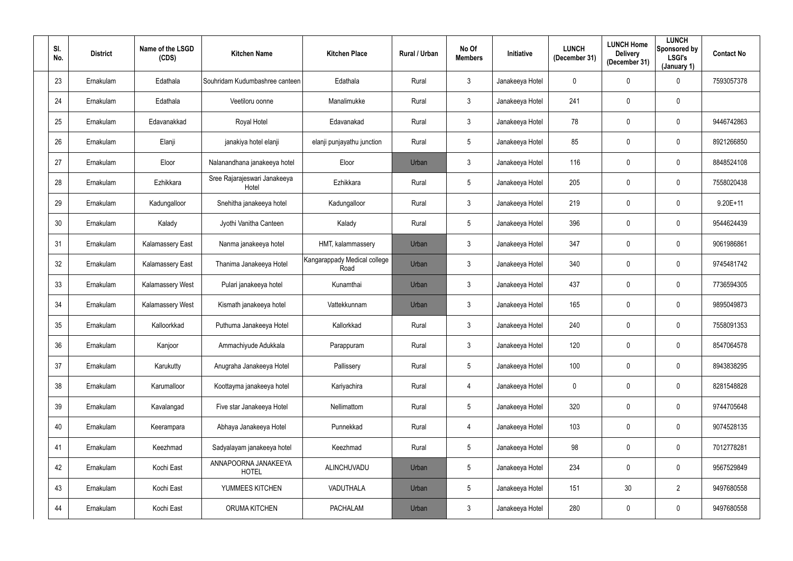| SI.<br>No.      | <b>District</b> | Name of the LSGD<br>(CDS) | <b>Kitchen Name</b>                   | <b>Kitchen Place</b>                 | Rural / Urban | No Of<br><b>Members</b> | <b>Initiative</b> | <b>LUNCH</b><br>(December 31) | <b>LUNCH Home</b><br><b>Delivery</b><br>(December 31) | <b>LUNCH</b><br>Sponsored by<br>LSGI's<br>(January 1) | <b>Contact No</b> |
|-----------------|-----------------|---------------------------|---------------------------------------|--------------------------------------|---------------|-------------------------|-------------------|-------------------------------|-------------------------------------------------------|-------------------------------------------------------|-------------------|
| 23              | Ernakulam       | Edathala                  | Souhridam Kudumbashree canteen        | Edathala                             | Rural         | $\mathbf{3}$            | Janakeeya Hotel   | $\mathbf 0$                   | $\mathbf 0$                                           | $\mathbf 0$                                           | 7593057378        |
| 24              | Ernakulam       | Edathala                  | Veetiloru oonne                       | Manalimukke                          | Rural         | $\mathbf{3}$            | Janakeeya Hotel   | 241                           | 0                                                     | $\mathbf 0$                                           |                   |
| 25              | Ernakulam       | Edavanakkad               | Royal Hotel                           | Edavanakad                           | Rural         | $\mathbf{3}$            | Janakeeya Hotel   | 78                            | 0                                                     | $\mathbf 0$                                           | 9446742863        |
| 26              | Ernakulam       | Elanji                    | janakiya hotel elanji                 | elanji punjayathu junction           | Rural         | $5\phantom{.0}$         | Janakeeya Hotel   | 85                            | 0                                                     | $\mathbf 0$                                           | 8921266850        |
| 27              | Ernakulam       | Eloor                     | Nalanandhana janakeeya hotel          | Eloor                                | Urban         | $\mathbf{3}$            | Janakeeya Hotel   | 116                           | 0                                                     | $\mathbf 0$                                           | 8848524108        |
| 28              | Ernakulam       | Ezhikkara                 | Sree Rajarajeswari Janakeeya<br>Hotel | Ezhikkara                            | Rural         | $5\overline{)}$         | Janakeeya Hotel   | 205                           | 0                                                     | $\mathbf 0$                                           | 7558020438        |
| 29              | Ernakulam       | Kadungalloor              | Snehitha janakeeya hotel              | Kadungalloor                         | Rural         | $\mathbf{3}$            | Janakeeya Hotel   | 219                           | 0                                                     | $\mathbf 0$                                           | $9.20E + 11$      |
| 30 <sup>°</sup> | Ernakulam       | Kalady                    | Jyothi Vanitha Canteen                | Kalady                               | Rural         | $5\phantom{.0}$         | Janakeeya Hotel   | 396                           | 0                                                     | $\mathbf 0$                                           | 9544624439        |
| 31              | Ernakulam       | <b>Kalamassery East</b>   | Nanma janakeeya hotel                 | HMT, kalammassery                    | Urban         | 3 <sup>1</sup>          | Janakeeya Hotel   | 347                           | 0                                                     | $\overline{0}$                                        | 9061986861        |
| 32              | Ernakulam       | <b>Kalamassery East</b>   | Thanima Janakeeya Hotel               | Kangarappady Medical college<br>Road | Urban         | $\mathbf{3}$            | Janakeeya Hotel   | 340                           | 0                                                     | $\mathbf 0$                                           | 9745481742        |
| 33              | Ernakulam       | Kalamassery West          | Pulari janakeeya hotel                | Kunamthai                            | Urban         | $\mathbf{3}$            | Janakeeya Hotel   | 437                           | 0                                                     | $\mathbf 0$                                           | 7736594305        |
| 34              | Ernakulam       | Kalamassery West          | Kismath janakeeya hotel               | Vattekkunnam                         | Urban         | 3 <sup>1</sup>          | Janakeeya Hotel   | 165                           | 0                                                     | $\mathbf 0$                                           | 9895049873        |
| 35              | Ernakulam       | Kalloorkkad               | Puthuma Janakeeya Hotel               | Kallorkkad                           | Rural         | $\mathbf{3}$            | Janakeeya Hotel   | 240                           | 0                                                     | $\mathbf 0$                                           | 7558091353        |
| 36              | Ernakulam       | Kanjoor                   | Ammachiyude Adukkala                  | Parappuram                           | Rural         | $\mathbf{3}$            | Janakeeya Hotel   | 120                           | 0                                                     | $\mathbf 0$                                           | 8547064578        |
| 37              | Ernakulam       | Karukutty                 | Anugraha Janakeeya Hotel              | Pallissery                           | Rural         | 5 <sub>5</sub>          | Janakeeya Hotel   | 100                           | 0                                                     | $\mathbf 0$                                           | 8943838295        |
| 38              | Ernakulam       | Karumalloor               | Koottayma janakeeya hotel             | Kariyachira                          | Rural         | 4                       | Janakeeya Hotel   | $\mathbf 0$                   | 0                                                     | $\mathbf 0$                                           | 8281548828        |
| 39              | Ernakulam       | Kavalangad                | Five star Janakeeya Hotel             | Nellimattom                          | Rural         | $5\phantom{.0}$         | Janakeeya Hotel   | 320                           | 0                                                     | $\mathbf 0$                                           | 9744705648        |
| 40              | Ernakulam       | Keerampara                | Abhaya Janakeeya Hotel                | Punnekkad                            | Rural         | $\overline{4}$          | Janakeeya Hotel   | 103                           | 0                                                     | $\mathbf 0$                                           | 9074528135        |
| 41              | Ernakulam       | Keezhmad                  | Sadyalayam janakeeya hotel            | Keezhmad                             | Rural         | $5\phantom{.0}$         | Janakeeya Hotel   | 98                            | 0                                                     | $\mathbf 0$                                           | 7012778281        |
| 42              | Ernakulam       | Kochi East                | ANNAPOORNA JANAKEEYA<br><b>HOTEL</b>  | ALINCHUVADU                          | Urban         | $5\phantom{.0}$         | Janakeeya Hotel   | 234                           | 0                                                     | $\mathbf 0$                                           | 9567529849        |
| 43              | Ernakulam       | Kochi East                | YUMMEES KITCHEN                       | VADUTHALA                            | Urban         | $5\overline{)}$         | Janakeeya Hotel   | 151                           | 30 <sub>2</sub>                                       | $\overline{2}$                                        | 9497680558        |
| 44              | Ernakulam       | Kochi East                | ORUMA KITCHEN                         | <b>PACHALAM</b>                      | Urban         | $\mathfrak{Z}$          | Janakeeya Hotel   | 280                           | 0                                                     | $\overline{0}$                                        | 9497680558        |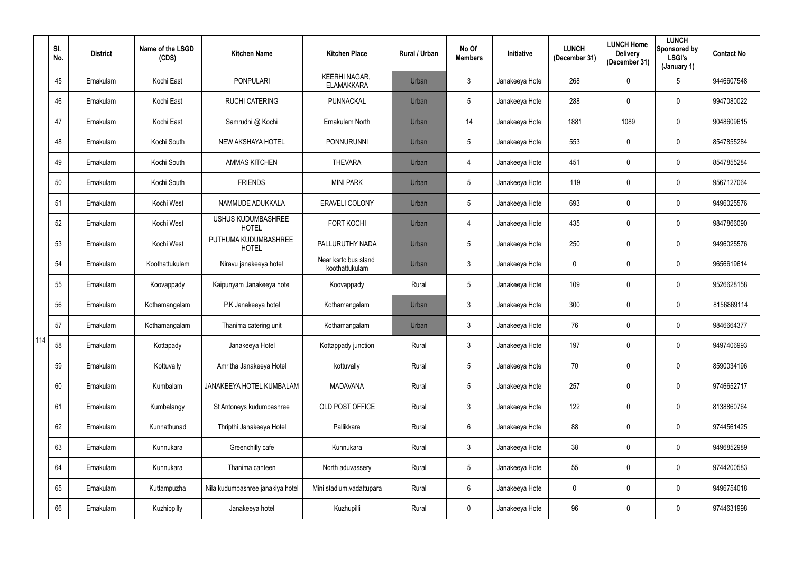|     | SI.<br>No. | <b>District</b> | Name of the LSGD<br>(CDS) | <b>Kitchen Name</b>                       | <b>Kitchen Place</b>                      | Rural / Urban | No Of<br><b>Members</b> | <b>Initiative</b> | <b>LUNCH</b><br>(December 31) | <b>LUNCH Home</b><br><b>Delivery</b><br>(December 31) | <b>LUNCH</b><br>Sponsored by<br><b>LSGI's</b><br>(January 1) | <b>Contact No</b> |
|-----|------------|-----------------|---------------------------|-------------------------------------------|-------------------------------------------|---------------|-------------------------|-------------------|-------------------------------|-------------------------------------------------------|--------------------------------------------------------------|-------------------|
|     | 45         | Ernakulam       | Kochi East                | <b>PONPULARI</b>                          | <b>KEERHI NAGAR,</b><br><b>ELAMAKKARA</b> | Urban         | $\mathfrak{Z}$          | Janakeeya Hotel   | 268                           | $\mathbf 0$                                           | $5\phantom{.0}$                                              | 9446607548        |
|     | 46         | Ernakulam       | Kochi East                | <b>RUCHI CATERING</b>                     | <b>PUNNACKAL</b>                          | Urban         | $5\phantom{.0}$         | Janakeeya Hotel   | 288                           | $\mathbf 0$                                           | $\mathbf 0$                                                  | 9947080022        |
|     | 47         | Ernakulam       | Kochi East                | Samrudhi @ Kochi                          | Ernakulam North                           | Urban         | 14                      | Janakeeya Hotel   | 1881                          | 1089                                                  | $\bf{0}$                                                     | 9048609615        |
|     | 48         | Ernakulam       | Kochi South               | <b>NEW AKSHAYA HOTEL</b>                  | <b>PONNURUNNI</b>                         | Urban         | 5                       | Janakeeya Hotel   | 553                           | $\mathbf 0$                                           | $\mathbf 0$                                                  | 8547855284        |
|     | 49         | Ernakulam       | Kochi South               | <b>AMMAS KITCHEN</b>                      | <b>THEVARA</b>                            | Urban         | $\overline{4}$          | Janakeeya Hotel   | 451                           | $\mathbf 0$                                           | $\mathbf 0$                                                  | 8547855284        |
|     | 50         | Ernakulam       | Kochi South               | <b>FRIENDS</b>                            | <b>MINI PARK</b>                          | Urban         | $5\phantom{.0}$         | Janakeeya Hotel   | 119                           | $\mathbf 0$                                           | $\mathbf 0$                                                  | 9567127064        |
|     | 51         | Ernakulam       | Kochi West                | NAMMUDE ADUKKALA                          | ERAVELI COLONY                            | Urban         | $5\phantom{.0}$         | Janakeeya Hotel   | 693                           | $\mathbf 0$                                           | $\mathbf 0$                                                  | 9496025576        |
|     | 52         | Ernakulam       | Kochi West                | <b>USHUS KUDUMBASHREE</b><br><b>HOTEL</b> | <b>FORT KOCHI</b>                         | Urban         | 4                       | Janakeeya Hotel   | 435                           | $\mathbf 0$                                           | $\mathbf 0$                                                  | 9847866090        |
|     | 53         | Ernakulam       | Kochi West                | PUTHUMA KUDUMBASHREE<br><b>HOTEL</b>      | PALLURUTHY NADA                           | Urban         | 5                       | Janakeeya Hotel   | 250                           | $\mathbf 0$                                           | $\mathbf 0$                                                  | 9496025576        |
|     | 54         | Ernakulam       | Koothattukulam            | Niravu janakeeya hotel                    | Near ksrtc bus stand<br>koothattukulam    | Urban         | $\mathbf{3}$            | Janakeeya Hotel   | $\mathbf 0$                   | $\mathbf 0$                                           | $\mathbf 0$                                                  | 9656619614        |
|     | 55         | Ernakulam       | Koovappady                | Kaipunyam Janakeeya hotel                 | Koovappady                                | Rural         | 5 <sup>5</sup>          | Janakeeya Hotel   | 109                           | $\mathbf 0$                                           | $\mathbf 0$                                                  | 9526628158        |
|     | 56         | Ernakulam       | Kothamangalam             | P.K Janakeeya hotel                       | Kothamangalam                             | Urban         | $\mathfrak{Z}$          | Janakeeya Hotel   | 300                           | $\mathbf 0$                                           | $\bf{0}$                                                     | 8156869114        |
|     | 57         | Ernakulam       | Kothamangalam             | Thanima catering unit                     | Kothamangalam                             | Urban         | 3                       | Janakeeya Hotel   | 76                            | $\mathbf 0$                                           | $\mathbf 0$                                                  | 9846664377        |
| 114 | 58         | Ernakulam       | Kottapady                 | Janakeeya Hotel                           | Kottappady junction                       | Rural         | $\mathfrak{Z}$          | Janakeeya Hotel   | 197                           | $\mathbf 0$                                           | $\mathbf 0$                                                  | 9497406993        |
|     | 59         | Ernakulam       | Kottuvally                | Amritha Janakeeya Hotel                   | kottuvally                                | Rural         | $5\phantom{.0}$         | Janakeeya Hotel   | $70\,$                        | $\pmb{0}$                                             | $\overline{0}$                                               | 8590034196        |
|     | 60         | Ernakulam       | Kumbalam                  | JANAKEEYA HOTEL KUMBALAM                  | <b>MADAVANA</b>                           | Rural         | $5\overline{)}$         | Janakeeya Hotel   | 257                           | 0                                                     | $\overline{0}$                                               | 9746652717        |
|     | 61         | Ernakulam       | Kumbalangy                | St Antoneys kudumbashree                  | OLD POST OFFICE                           | Rural         | $\mathbf{3}$            | Janakeeya Hotel   | 122                           | $\mathbf 0$                                           | $\overline{0}$                                               | 8138860764        |
|     | 62         | Ernakulam       | Kunnathunad               | Thripthi Janakeeya Hotel                  | Pallikkara                                | Rural         | $6\phantom{.}6$         | Janakeeya Hotel   | 88                            | $\pmb{0}$                                             | $\overline{0}$                                               | 9744561425        |
|     | 63         | Ernakulam       | Kunnukara                 | Greenchilly cafe                          | Kunnukara                                 | Rural         | 3 <sup>1</sup>          | Janakeeya Hotel   | 38                            | 0                                                     | $\overline{0}$                                               | 9496852989        |
|     | 64         | Ernakulam       | Kunnukara                 | Thanima canteen                           | North aduvassery                          | Rural         | $5\overline{)}$         | Janakeeya Hotel   | 55                            | 0                                                     | $\overline{0}$                                               | 9744200583        |
|     | 65         | Ernakulam       | Kuttampuzha               | Nila kudumbashree janakiya hotel          | Mini stadium, vadattupara                 | Rural         | $6\overline{6}$         | Janakeeya Hotel   | $\mathbf 0$                   | 0                                                     | $\overline{0}$                                               | 9496754018        |
|     | 66         | Ernakulam       | Kuzhippilly               | Janakeeya hotel                           | Kuzhupilli                                | Rural         | $\mathbf{0}$            | Janakeeya Hotel   | 96                            | 0                                                     | $\overline{0}$                                               | 9744631998        |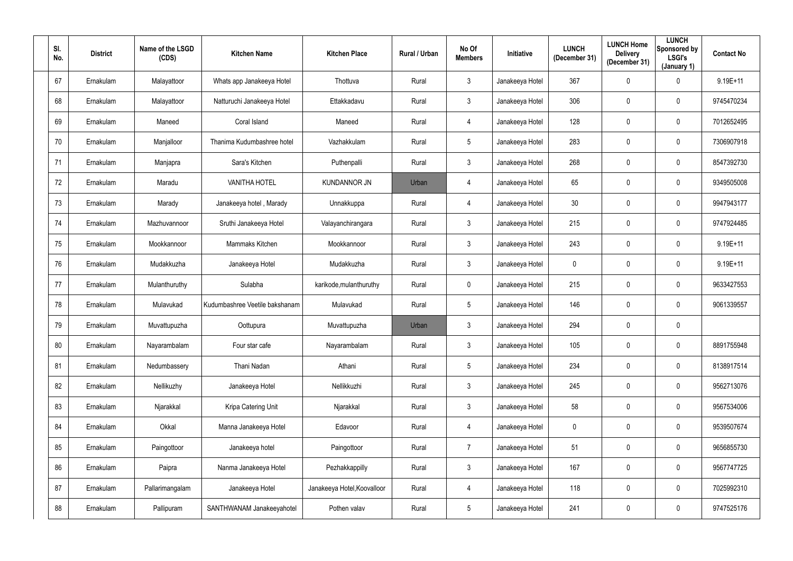| SI.<br>No. | <b>District</b> | Name of the LSGD<br>(CDS) | <b>Kitchen Name</b>            | <b>Kitchen Place</b>        | Rural / Urban | No Of<br><b>Members</b> | Initiative      | <b>LUNCH</b><br>(December 31) | <b>LUNCH Home</b><br><b>Delivery</b><br>(December 31) | <b>LUNCH</b><br>Sponsored by<br><b>LSGI's</b><br>(January 1) | <b>Contact No</b> |
|------------|-----------------|---------------------------|--------------------------------|-----------------------------|---------------|-------------------------|-----------------|-------------------------------|-------------------------------------------------------|--------------------------------------------------------------|-------------------|
| 67         | Ernakulam       | Malayattoor               | Whats app Janakeeya Hotel      | Thottuva                    | Rural         | $\mathbf{3}$            | Janakeeya Hotel | 367                           | $\mathbf 0$                                           | $\mathbf 0$                                                  | $9.19E+11$        |
| 68         | Ernakulam       | Malayattoor               | Natturuchi Janakeeya Hotel     | Ettakkadavu                 | Rural         | $\mathbf{3}$            | Janakeeya Hotel | 306                           | $\mathbf 0$                                           | $\mathbf 0$                                                  | 9745470234        |
| 69         | Ernakulam       | Maneed                    | Coral Island                   | Maneed                      | Rural         | $\overline{4}$          | Janakeeya Hotel | 128                           | $\mathbf 0$                                           | $\mathbf 0$                                                  | 7012652495        |
| 70         | Ernakulam       | Manjalloor                | Thanima Kudumbashree hotel     | Vazhakkulam                 | Rural         | $5\phantom{.0}$         | Janakeeya Hotel | 283                           | 0                                                     | $\mathbf 0$                                                  | 7306907918        |
| 71         | Ernakulam       | Manjapra                  | Sara's Kitchen                 | Puthenpalli                 | Rural         | $\mathbf{3}$            | Janakeeya Hotel | 268                           | $\mathbf 0$                                           | $\mathbf 0$                                                  | 8547392730        |
| 72         | Ernakulam       | Maradu                    | <b>VANITHA HOTEL</b>           | <b>KUNDANNOR JN</b>         | Urban         | $\overline{4}$          | Janakeeya Hotel | 65                            | $\mathbf 0$                                           | $\mathbf 0$                                                  | 9349505008        |
| 73         | Ernakulam       | Marady                    | Janakeeya hotel, Marady        | Unnakkuppa                  | Rural         | $\overline{4}$          | Janakeeya Hotel | 30                            | $\mathbf 0$                                           | $\mathbf 0$                                                  | 9947943177        |
| 74         | Ernakulam       | Mazhuvannoor              | Sruthi Janakeeya Hotel         | Valayanchirangara           | Rural         | $\mathbf{3}$            | Janakeeya Hotel | 215                           | $\pmb{0}$                                             | $\mathbf 0$                                                  | 9747924485        |
| 75         | Ernakulam       | Mookkannoor               | Mammaks Kitchen                | Mookkannoor                 | Rural         | $\mathbf{3}$            | Janakeeya Hotel | 243                           | 0                                                     | $\mathbf 0$                                                  | $9.19E + 11$      |
| 76         | Ernakulam       | Mudakkuzha                | Janakeeya Hotel                | Mudakkuzha                  | Rural         | $\mathbf{3}$            | Janakeeya Hotel | $\mathbf 0$                   | 0                                                     | $\mathbf 0$                                                  | $9.19E+11$        |
| 77         | Ernakulam       | Mulanthuruthy             | Sulabha                        | karikode, mulanthuruthy     | Rural         | $\mathbf 0$             | Janakeeya Hotel | 215                           | $\mathbf 0$                                           | $\mathbf 0$                                                  | 9633427553        |
| 78         | Ernakulam       | Mulavukad                 | Kudumbashree Veetile bakshanam | Mulavukad                   | Rural         | $5\overline{)}$         | Janakeeya Hotel | 146                           | $\mathbf 0$                                           | $\mathbf 0$                                                  | 9061339557        |
| 79         | Ernakulam       | Muvattupuzha              | Oottupura                      | Muvattupuzha                | Urban         | $\mathbf{3}$            | Janakeeya Hotel | 294                           | $\mathbf 0$                                           | $\mathbf 0$                                                  |                   |
| 80         | Ernakulam       | Nayarambalam              | Four star cafe                 | Nayarambalam                | Rural         | $\mathbf{3}$            | Janakeeya Hotel | 105                           | $\mathbf 0$                                           | $\mathbf 0$                                                  | 8891755948        |
| 81         | Ernakulam       | Nedumbassery              | Thani Nadan                    | Athani                      | Rural         | $5\phantom{.0}$         | Janakeeya Hotel | 234                           | $\mathbf 0$                                           | $\overline{0}$                                               | 8138917514        |
| 82         | Ernakulam       | Nellikuzhy                | Janakeeya Hotel                | Nellikkuzhi                 | Rural         | 3 <sup>1</sup>          | Janakeeya Hotel | 245                           | $\mathbf 0$                                           | $\overline{0}$                                               | 9562713076        |
| 83         | Ernakulam       | Njarakkal                 | Kripa Catering Unit            | Njarakkal                   | Rural         | 3 <sup>5</sup>          | Janakeeya Hotel | 58                            | $\mathbf 0$                                           | $\mathbf 0$                                                  | 9567534006        |
| 84         | Ernakulam       | Okkal                     | Manna Janakeeya Hotel          | Edavoor                     | Rural         | $\overline{4}$          | Janakeeya Hotel | $\pmb{0}$                     | $\mathbf 0$                                           | $\mathbf 0$                                                  | 9539507674        |
| 85         | Ernakulam       | Paingottoor               | Janakeeya hotel                | Paingottoor                 | Rural         | $\overline{7}$          | Janakeeya Hotel | 51                            | $\mathbf 0$                                           | $\mathbf 0$                                                  | 9656855730        |
| 86         | Ernakulam       | Paipra                    | Nanma Janakeeya Hotel          | Pezhakkappilly              | Rural         | $3\phantom{.0}$         | Janakeeya Hotel | 167                           | $\mathbf 0$                                           | $\mathbf 0$                                                  | 9567747725        |
| 87         | Ernakulam       | Pallarimangalam           | Janakeeya Hotel                | Janakeeya Hotel, Koovalloor | Rural         | $\overline{4}$          | Janakeeya Hotel | 118                           | $\mathbf 0$                                           | $\mathbf 0$                                                  | 7025992310        |
| 88         | Ernakulam       | Pallipuram                | SANTHWANAM Janakeeyahotel      | Pothen valav                | Rural         | $5\overline{)}$         | Janakeeya Hotel | 241                           | $\overline{0}$                                        | $\overline{0}$                                               | 9747525176        |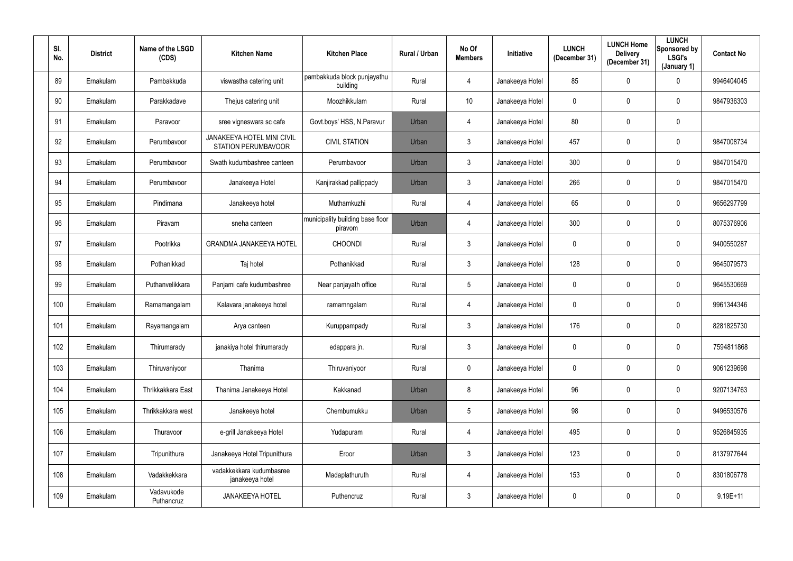| SI.<br>No. | <b>District</b> | Name of the LSGD<br>(CDS) | <b>Kitchen Name</b>                                      | <b>Kitchen Place</b>                        | Rural / Urban | No Of<br><b>Members</b> | Initiative      | <b>LUNCH</b><br>(December 31) | <b>LUNCH Home</b><br><b>Delivery</b><br>(December 31) | <b>LUNCH</b><br>Sponsored by<br><b>LSGI's</b><br>(January 1) | <b>Contact No</b> |
|------------|-----------------|---------------------------|----------------------------------------------------------|---------------------------------------------|---------------|-------------------------|-----------------|-------------------------------|-------------------------------------------------------|--------------------------------------------------------------|-------------------|
| 89         | Ernakulam       | Pambakkuda                | viswastha catering unit                                  | pambakkuda block punjayathu<br>building     | Rural         | 4                       | Janakeeya Hotel | 85                            | 0                                                     | $\mathbf 0$                                                  | 9946404045        |
| 90         | Ernakulam       | Parakkadave               | Thejus catering unit                                     | Moozhikkulam                                | Rural         | 10                      | Janakeeya Hotel | $\mathbf 0$                   | 0                                                     | $\overline{0}$                                               | 9847936303        |
| 91         | Ernakulam       | Paravoor                  | sree vigneswara sc cafe                                  | Govt.boys' HSS, N.Paravur                   | Urban         | 4                       | Janakeeya Hotel | 80                            | 0                                                     | $\mathbf 0$                                                  |                   |
| 92         | Ernakulam       | Perumbavoor               | JANAKEEYA HOTEL MINI CIVIL<br><b>STATION PERUMBAVOOR</b> | <b>CIVIL STATION</b>                        | Urban         | 3 <sup>1</sup>          | Janakeeya Hotel | 457                           | 0                                                     | $\overline{0}$                                               | 9847008734        |
| 93         | Ernakulam       | Perumbavoor               | Swath kudumbashree canteen                               | Perumbavoor                                 | Urban         | 3 <sup>1</sup>          | Janakeeya Hotel | 300                           | 0                                                     | $\mathbf 0$                                                  | 9847015470        |
| 94         | Ernakulam       | Perumbavoor               | Janakeeya Hotel                                          | Kanjirakkad pallippady                      | Urban         | 3 <sup>1</sup>          | Janakeeya Hotel | 266                           | 0                                                     | $\mathbf 0$                                                  | 9847015470        |
| 95         | Ernakulam       | Pindimana                 | Janakeeya hotel                                          | Muthamkuzhi                                 | Rural         | 4                       | Janakeeya Hotel | 65                            | 0                                                     | $\overline{0}$                                               | 9656297799        |
| 96         | Ernakulam       | Piravam                   | sneha canteen                                            | municipality building base floor<br>piravom | Urban         | 4                       | Janakeeya Hotel | 300                           | 0                                                     | $\overline{0}$                                               | 8075376906        |
| 97         | Ernakulam       | Pootrikka                 | <b>GRANDMA JANAKEEYA HOTEL</b>                           | <b>CHOONDI</b>                              | Rural         | $\mathfrak{Z}$          | Janakeeya Hotel | $\mathbf 0$                   | 0                                                     | $\overline{0}$                                               | 9400550287        |
| 98         | Ernakulam       | Pothanikkad               | Taj hotel                                                | Pothanikkad                                 | Rural         | $\mathbf{3}$            | Janakeeya Hotel | 128                           | 0                                                     | $\mathbf 0$                                                  | 9645079573        |
| 99         | Ernakulam       | Puthanvelikkara           | Panjami cafe kudumbashree                                | Near panjayath office                       | Rural         | 5 <sup>5</sup>          | Janakeeya Hotel | $\overline{0}$                | $\mathbf 0$                                           | $\mathbf 0$                                                  | 9645530669        |
| 100        | Ernakulam       | Ramamangalam              | Kalavara janakeeya hotel                                 | ramamngalam                                 | Rural         | 4                       | Janakeeya Hotel | $\mathbf 0$                   | 0                                                     | $\mathbf 0$                                                  | 9961344346        |
| 101        | Ernakulam       | Rayamangalam              | Arya canteen                                             | Kuruppampady                                | Rural         | 3 <sup>1</sup>          | Janakeeya Hotel | 176                           | $\mathbf 0$                                           | $\overline{0}$                                               | 8281825730        |
| 102        | Ernakulam       | Thirumarady               | janakiya hotel thirumarady                               | edappara jn.                                | Rural         | $\mathfrak{Z}$          | Janakeeya Hotel | $\mathbf 0$                   | 0                                                     | $\mathbf 0$                                                  | 7594811868        |
| 103        | Ernakulam       | Thiruvaniyoor             | Thanima                                                  | Thiruvaniyoor                               | Rural         | $\mathbf 0$             | Janakeeya Hotel | $\mathbf 0$                   | 0                                                     | $\mathbf 0$                                                  | 9061239698        |
| 104        | Ernakulam       | Thrikkakkara East         | Thanima Janakeeya Hotel                                  | Kakkanad                                    | Urban         | 8                       | Janakeeya Hotel | 96                            | 0                                                     | $\mathbf 0$                                                  | 9207134763        |
| 105        | Ernakulam       | Thrikkakkara west         | Janakeeya hotel                                          | Chembumukku                                 | Urban         | $5\phantom{.0}$         | Janakeeya Hotel | 98                            | 0                                                     | $\mathbf 0$                                                  | 9496530576        |
| 106        | Ernakulam       | Thuravoor                 | e-grill Janakeeya Hotel                                  | Yudapuram                                   | Rural         | $\overline{4}$          | Janakeeya Hotel | 495                           | 0                                                     | $\mathbf 0$                                                  | 9526845935        |
| 107        | Ernakulam       | Tripunithura              | Janakeeya Hotel Tripunithura                             | Eroor                                       | Urban         | $\mathbf{3}$            | Janakeeya Hotel | 123                           | 0                                                     | $\overline{0}$                                               | 8137977644        |
| 108        | Ernakulam       | Vadakkekkara              | vadakkekkara kudumbasree<br>janakeeya hotel              | Madaplathuruth                              | Rural         | $\overline{4}$          | Janakeeya Hotel | 153                           | 0                                                     | $\mathbf 0$                                                  | 8301806778        |
| 109        | Ernakulam       | Vadavukode<br>Puthancruz  | <b>JANAKEEYA HOTEL</b>                                   | Puthencruz                                  | Rural         | $\mathfrak{Z}$          | Janakeeya Hotel | $\boldsymbol{0}$              | 0                                                     | $\overline{0}$                                               | $9.19E + 11$      |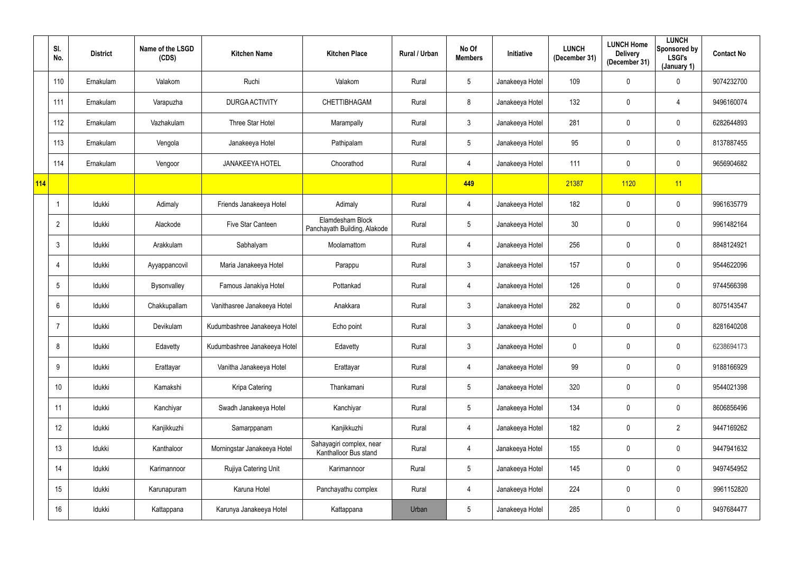|            | SI.<br>No.     | <b>District</b> | Name of the LSGD<br>(CDS) | <b>Kitchen Name</b>          | <b>Kitchen Place</b>                              | Rural / Urban | No Of<br><b>Members</b> | Initiative      | <b>LUNCH</b><br>(December 31) | <b>LUNCH Home</b><br><b>Delivery</b><br>(December 31) | <b>LUNCH</b><br>Sponsored by<br>LSGI's<br>(January 1) | <b>Contact No</b> |
|------------|----------------|-----------------|---------------------------|------------------------------|---------------------------------------------------|---------------|-------------------------|-----------------|-------------------------------|-------------------------------------------------------|-------------------------------------------------------|-------------------|
|            | 110            | Ernakulam       | Valakom                   | Ruchi                        | Valakom                                           | Rural         | $5\phantom{.0}$         | Janakeeya Hotel | 109                           | 0                                                     | $\overline{0}$                                        | 9074232700        |
|            | 111            | Ernakulam       | Varapuzha                 | <b>DURGA ACTIVITY</b>        | CHETTIBHAGAM                                      | Rural         | 8                       | Janakeeya Hotel | 132                           | 0                                                     | 4                                                     | 9496160074        |
|            | 112            | Ernakulam       | Vazhakulam                | Three Star Hotel             | Marampally                                        | Rural         | $\mathbf{3}$            | Janakeeya Hotel | 281                           | 0                                                     | $\mathbf 0$                                           | 6282644893        |
|            | 113            | Ernakulam       | Vengola                   | Janakeeya Hotel              | Pathipalam                                        | Rural         | $5\phantom{.0}$         | Janakeeya Hotel | 95                            | 0                                                     | $\mathbf 0$                                           | 8137887455        |
|            | 114            | Ernakulam       | Vengoor                   | <b>JANAKEEYA HOTEL</b>       | Choorathod                                        | Rural         | 4                       | Janakeeya Hotel | 111                           | 0                                                     | $\overline{0}$                                        | 9656904682        |
| <b>114</b> |                |                 |                           |                              |                                                   |               | 449                     |                 | 21387                         | 1120                                                  | 11                                                    |                   |
|            |                | Idukki          | Adimaly                   | Friends Janakeeya Hotel      | Adimaly                                           | Rural         | 4                       | Janakeeya Hotel | 182                           | 0                                                     | $\mathbf 0$                                           | 9961635779        |
|            | $\overline{2}$ | Idukki          | Alackode                  | Five Star Canteen            | Elamdesham Block<br>Panchayath Building, Alakode  | Rural         | $5\phantom{.0}$         | Janakeeya Hotel | 30                            | 0                                                     | $\mathbf 0$                                           | 9961482164        |
|            | 3              | Idukki          | Arakkulam                 | Sabhalyam                    | Moolamattom                                       | Rural         | 4                       | Janakeeya Hotel | 256                           | 0                                                     | $\mathbf 0$                                           | 8848124921        |
|            |                | Idukki          | Ayyappancovil             | Maria Janakeeya Hotel        | Parappu                                           | Rural         | $\mathbf{3}$            | Janakeeya Hotel | 157                           | 0                                                     | $\mathbf 0$                                           | 9544622096        |
|            | 5              | Idukki          | Bysonvalley               | Famous Janakiya Hotel        | Pottankad                                         | Rural         | 4                       | Janakeeya Hotel | 126                           | 0                                                     | $\mathbf 0$                                           | 9744566398        |
|            | 6              | Idukki          | Chakkupallam              | Vanithasree Janakeeya Hotel  | Anakkara                                          | Rural         | $\mathfrak{Z}$          | Janakeeya Hotel | 282                           | 0                                                     | $\mathbf 0$                                           | 8075143547        |
|            |                | Idukki          | Devikulam                 | Kudumbashree Janakeeya Hotel | Echo point                                        | Rural         | $\mathbf{3}$            | Janakeeya Hotel | $\mathbf 0$                   | 0                                                     | $\mathbf 0$                                           | 8281640208        |
|            | 8              | Idukki          | Edavetty                  | Kudumbashree Janakeeya Hotel | Edavetty                                          | Rural         | $\mathbf{3}$            | Janakeeya Hotel | $\mathbf 0$                   | 0                                                     | $\mathbf 0$                                           | 6238694173        |
|            | 9              | Idukki          | Erattayar                 | Vanitha Janakeeya Hotel      | Erattayar                                         | Rural         | $\overline{4}$          | Janakeeya Hotel | 99                            | $\mathbf 0$                                           | $\mathbf 0$                                           | 9188166929        |
|            | 10             | Idukki          | Kamakshi                  | Kripa Catering               | Thankamani                                        | Rural         | $5\phantom{.0}$         | Janakeeya Hotel | 320                           | $\pmb{0}$                                             | $\mathbf 0$                                           | 9544021398        |
|            | 11             | Idukki          | Kanchiyar                 | Swadh Janakeeya Hotel        | Kanchiyar                                         | Rural         | $5\phantom{.0}$         | Janakeeya Hotel | 134                           | 0                                                     | $\mathbf 0$                                           | 8606856496        |
|            | 12             | Idukki          | Kanjikkuzhi               | Samarppanam                  | Kanjikkuzhi                                       | Rural         | $\overline{4}$          | Janakeeya Hotel | 182                           | $\pmb{0}$                                             | $\overline{2}$                                        | 9447169262        |
|            | 13             | Idukki          | Kanthaloor                | Morningstar Janakeeya Hotel  | Sahayagiri complex, near<br>Kanthalloor Bus stand | Rural         | $\overline{4}$          | Janakeeya Hotel | 155                           | 0                                                     | $\mathbf 0$                                           | 9447941632        |
|            | 14             | Idukki          | Karimannoor               | Rujiya Catering Unit         | Karimannoor                                       | Rural         | $5\phantom{.0}$         | Janakeeya Hotel | 145                           | $\overline{0}$                                        | $\overline{0}$                                        | 9497454952        |
|            | 15             | Idukki          | Karunapuram               | Karuna Hotel                 | Panchayathu complex                               | Rural         | 4                       | Janakeeya Hotel | 224                           | $\pmb{0}$                                             | $\mathbf 0$                                           | 9961152820        |
|            | 16             | Idukki          | Kattappana                | Karunya Janakeeya Hotel      | Kattappana                                        | Urban         | $5\phantom{.0}$         | Janakeeya Hotel | 285                           | 0                                                     | $\mathbf 0$                                           | 9497684477        |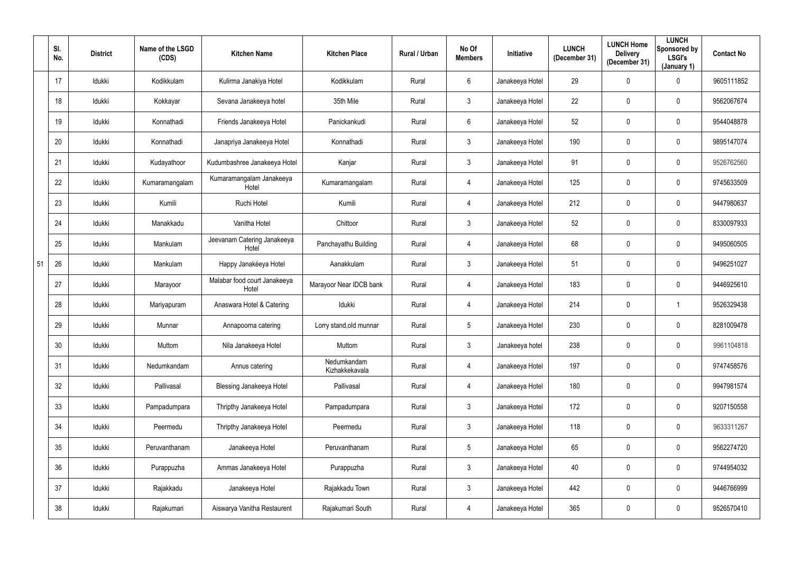|    | SI.<br>No. | <b>District</b> | Name of the LSGD<br>(CDS) | <b>Kitchen Name</b>                   | <b>Kitchen Place</b>          | Rural / Urban | No Of<br><b>Members</b> | Initiative      | <b>LUNCH</b><br>(December 31) | <b>LUNCH Home</b><br><b>Delivery</b><br>(December 31) | <b>LUNCH</b><br>Sponsored by<br><b>LSGI's</b><br>(January 1) | <b>Contact No</b> |
|----|------------|-----------------|---------------------------|---------------------------------------|-------------------------------|---------------|-------------------------|-----------------|-------------------------------|-------------------------------------------------------|--------------------------------------------------------------|-------------------|
|    | 17         | Idukki          | Kodikkulam                | Kulirma Janakiya Hotel                | Kodikkulam                    | Rural         | $6^{\circ}$             | Janakeeya Hotel | 29                            | 0                                                     | $\mathbf 0$                                                  | 9605111852        |
|    | 18         | Idukki          | Kokkayar                  | Sevana Janakeeya hotel                | 35th Mile                     | Rural         | $\mathbf{3}$            | Janakeeya Hotel | 22                            | 0                                                     | $\mathbf 0$                                                  | 9562067674        |
|    | 19         | Idukki          | Konnathadi                | Friends Janakeeya Hotel               | Panickankudi                  | Rural         | $6\overline{6}$         | Janakeeya Hotel | 52                            | 0                                                     | $\mathbf 0$                                                  | 9544048878        |
|    | 20         | Idukki          | Konnathadi                | Janapriya Janakeeya Hotel             | Konnathadi                    | Rural         | $\mathfrak{Z}$          | Janakeeya Hotel | 190                           | 0                                                     | $\mathbf 0$                                                  | 9895147074        |
|    | 21         | Idukki          | Kudayathoor               | Kudumbashree Janakeeya Hotel          | Kanjar                        | Rural         | $\mathbf{3}$            | Janakeeya Hotel | 91                            | 0                                                     | $\mathbf 0$                                                  | 9526762560        |
|    | 22         | Idukki          | Kumaramangalam            | Kumaramangalam Janakeeya<br>Hotel     | Kumaramangalam                | Rural         | 4                       | Janakeeya Hotel | 125                           | 0                                                     | $\mathbf 0$                                                  | 9745633509        |
|    | 23         | Idukki          | Kumili                    | Ruchi Hotel                           | Kumili                        | Rural         | 4                       | Janakeeya Hotel | 212                           | 0                                                     | $\mathbf 0$                                                  | 9447980637        |
|    | 24         | Idukki          | Manakkadu                 | Vanitha Hotel                         | Chittoor                      | Rural         | $3\phantom{.0}$         | Janakeeya Hotel | 52                            | 0                                                     | $\mathbf 0$                                                  | 8330097933        |
|    | 25         | Idukki          | Mankulam                  | Jeevanam Catering Janakeeya<br>Hotel  | Panchayathu Building          | Rural         | 4                       | Janakeeya Hotel | 68                            | 0                                                     | $\overline{0}$                                               | 9495060505        |
| 51 | 26         | Idukki          | Mankulam                  | Happy Janakéeya Hotel                 | Aanakkulam                    | Rural         | $\mathbf{3}$            | Janakeeya Hotel | 51                            | 0                                                     | $\mathbf 0$                                                  | 9496251027        |
|    | 27         | Idukki          | Marayoor                  | Malabar food court Janakeeya<br>Hotel | Marayoor Near IDCB bank       | Rural         | 4                       | Janakeeya Hotel | 183                           | 0                                                     | $\mathbf 0$                                                  | 9446925610        |
|    | 28         | Idukki          | Mariyapuram               | Anaswara Hotel & Catering             | Idukki                        | Rural         | 4                       | Janakeeya Hotel | 214                           | 0                                                     |                                                              | 9526329438        |
|    | 29         | Idukki          | Munnar                    | Annapoorna catering                   | Lorry stand, old munnar       | Rural         | $5\overline{)}$         | Janakeeya Hotel | 230                           | 0                                                     | $\overline{0}$                                               | 8281009478        |
|    | 30         | Idukki          | Muttom                    | Nila Janakeeya Hotel                  | Muttom                        | Rural         | $\mathfrak{Z}$          | Janakeeya hotel | 238                           | $\pmb{0}$                                             | $\mathbf 0$                                                  | 9961104818        |
|    | 31         | Idukki          | Nedumkandam               | Annus catering                        | Nedumkandam<br>Kizhakkekavala | Rural         | $\overline{4}$          | Janakeeya Hotel | 197                           | $\mathbf 0$                                           | $\mathbf 0$                                                  | 9747458576        |
|    | 32         | Idukki          | Pallivasal                | <b>Blessing Janakeeya Hotel</b>       | Pallivasal                    | Rural         | $\overline{4}$          | Janakeeya Hotel | 180                           | $\pmb{0}$                                             | $\mathbf 0$                                                  | 9947981574        |
|    | 33         | Idukki          | Pampadumpara              | Thripthy Janakeeya Hotel              | Pampadumpara                  | Rural         | 3 <sup>1</sup>          | Janakeeya Hotel | 172                           | $\overline{0}$                                        | $\mathbf 0$                                                  | 9207150558        |
|    | 34         | Idukki          | Peermedu                  | Thripthy Janakeeya Hotel              | Peermedu                      | Rural         | 3 <sup>1</sup>          | Janakeeya Hotel | 118                           | 0                                                     | $\mathbf 0$                                                  | 9633311267        |
|    | 35         | Idukki          | Peruvanthanam             | Janakeeya Hotel                       | Peruvanthanam                 | Rural         | $5\phantom{.0}$         | Janakeeya Hotel | 65                            | $\pmb{0}$                                             | $\mathbf 0$                                                  | 9562274720        |
|    | 36         | Idukki          | Purappuzha                | Ammas Janakeeya Hotel                 | Purappuzha                    | Rural         | 3 <sup>1</sup>          | Janakeeya Hotel | 40                            | 0                                                     | $\overline{0}$                                               | 9744954032        |
|    | 37         | Idukki          | Rajakkadu                 | Janakeeya Hotel                       | Rajakkadu Town                | Rural         | $3\phantom{.0}$         | Janakeeya Hotel | 442                           | $\mathbf 0$                                           | $\mathbf 0$                                                  | 9446766999        |
|    | 38         | Idukki          | Rajakumari                | Aiswarya Vanitha Restaurent           | Rajakumari South              | Rural         | 4                       | Janakeeya Hotel | 365                           | $\boldsymbol{0}$                                      | $\overline{0}$                                               | 9526570410        |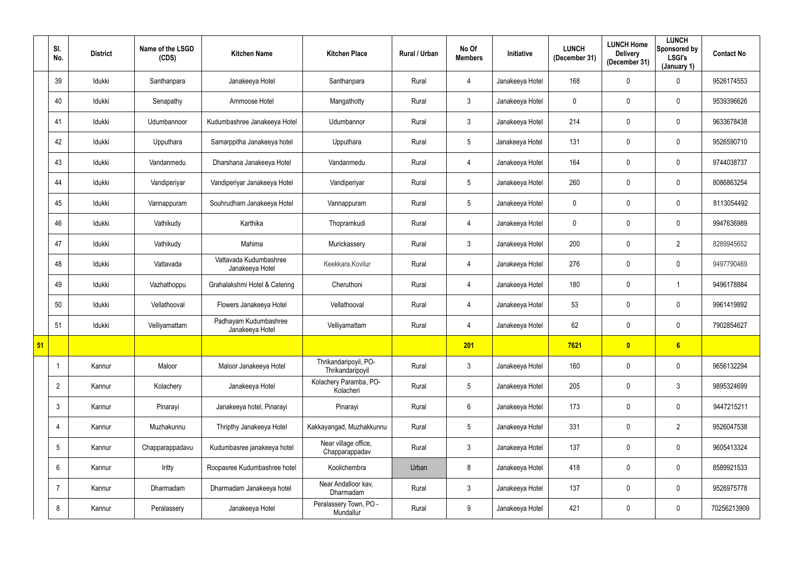|    | SI.<br>No.      | <b>District</b> | Name of the LSGD<br>(CDS) | <b>Kitchen Name</b>                       | <b>Kitchen Place</b>                      | Rural / Urban | No Of<br><b>Members</b> | <b>Initiative</b> | <b>LUNCH</b><br>(December 31) | <b>LUNCH Home</b><br><b>Delivery</b><br>(December 31) | <b>LUNCH</b><br>Sponsored by<br><b>LSGI's</b><br>(January 1) | <b>Contact No</b> |
|----|-----------------|-----------------|---------------------------|-------------------------------------------|-------------------------------------------|---------------|-------------------------|-------------------|-------------------------------|-------------------------------------------------------|--------------------------------------------------------------|-------------------|
|    | 39              | Idukki          | Santhanpara               | Janakeeya Hotel                           | Santhanpara                               | Rural         | 4                       | Janakeeya Hotel   | 168                           | 0                                                     | $\mathbf 0$                                                  | 9526174553        |
|    | 40              | Idukki          | Senapathy                 | Ammoose Hotel                             | Mangathotty                               | Rural         | $\mathfrak{Z}$          | Janakeeya Hotel   | $\mathbf 0$                   | 0                                                     | $\mathbf 0$                                                  | 9539396626        |
|    | 41              | Idukki          | Udumbannoor               | Kudumbashree Janakeeya Hotel              | Udumbannor                                | Rural         | $\mathfrak{Z}$          | Janakeeya Hotel   | 214                           | 0                                                     | $\pmb{0}$                                                    | 9633678438        |
|    | 42              | Idukki          | Upputhara                 | Samarppitha Janakeeya hotel               | Upputhara                                 | Rural         | $5\overline{)}$         | Janakeeya Hotel   | 131                           | $\mathbf 0$                                           | $\pmb{0}$                                                    | 9526590710        |
|    | 43              | Idukki          | Vandanmedu                | Dharshana Janakeeya Hotel                 | Vandanmedu                                | Rural         | 4                       | Janakeeya Hotel   | 164                           | 0                                                     | $\mathbf 0$                                                  | 9744038737        |
|    | 44              | Idukki          | Vandiperiyar              | Vandiperiyar Janakeeya Hotel              | Vandiperiyar                              | Rural         | $5\phantom{.0}$         | Janakeeya Hotel   | 260                           | $\mathbf 0$                                           | $\overline{0}$                                               | 8086863254        |
|    | 45              | Idukki          | Vannappuram               | Souhrudham Janakeeya Hotel                | Vannappuram                               | Rural         | $5\phantom{.0}$         | Janakeeya Hotel   | $\mathbf 0$                   | $\mathbf 0$                                           | $\mathbf 0$                                                  | 8113054492        |
|    | 46              | Idukki          | Vathikudy                 | Karthika                                  | Thopramkudi                               | Rural         | 4                       | Janakeeya Hotel   | $\mathbf 0$                   | 0                                                     | $\overline{0}$                                               | 9947636989        |
|    | 47              | Idukki          | Vathikudy                 | Mahima                                    | Murickassery                              | Rural         | 3                       | Janakeeya Hotel   | 200                           | $\mathbf 0$                                           | $\overline{2}$                                               | 8289945652        |
|    | 48              | Idukki          | Vattavada                 | Vattavada Kudumbashree<br>Janakeeya Hotel | Keekkara, Kovilur                         | Rural         | 4                       | Janakeeya Hotel   | 276                           | 0                                                     | $\mathbf 0$                                                  | 9497790469        |
|    | 49              | Idukki          | Vazhathoppu               | Grahalakshmi Hotel & Catering             | Cheruthoni                                | Rural         | 4                       | Janakeeya Hotel   | 180                           | $\mathbf 0$                                           | 1                                                            | 9496178884        |
|    | 50              | Idukki          | Vellathooval              | Flowers Janakeeya Hotel                   | Vellathooval                              | Rural         | 4                       | Janakeeya Hotel   | 53                            | $\mathbf 0$                                           | $\mathbf 0$                                                  | 9961419892        |
|    | 51              | Idukki          | Velliyamattam             | Padhayam Kudumbashree<br>Janakeeya Hotel  | Velliyamattam                             | Rural         | 4                       | Janakeeya Hotel   | 62                            | $\mathbf 0$                                           | $\mathbf 0$                                                  | 7902854627        |
| 51 |                 |                 |                           |                                           |                                           |               | 201                     |                   | 7621                          | $\bullet$                                             | 6                                                            |                   |
|    |                 | Kannur          | Maloor                    | Maloor Janakeeya Hotel                    | Thrikandaripoyil, PO-<br>Thrikandaripoyil | Rural         | $3\phantom{.0}$         | Janakeeya Hotel   | 160                           | $\mathbf 0$                                           | $\overline{0}$                                               | 9656132294        |
|    | $\overline{2}$  | Kannur          | Kolachery                 | Janakeeya Hotel                           | Kolachery Paramba, PO-<br>Kolacheri       | Rural         | $5\phantom{.0}$         | Janakeeya Hotel   | 205                           | 0                                                     | $\mathbf{3}$                                                 | 9895324699        |
|    | 3               | Kannur          | Pinarayi                  | Janakeeya hotel, Pinarayi                 | Pinarayi                                  | Rural         | $6\overline{6}$         | Janakeeya Hotel   | 173                           | 0                                                     | $\mathbf 0$                                                  | 9447215211        |
|    | $\overline{4}$  | Kannur          | Muzhakunnu                | Thripthy Janakeeya Hotel                  | Kakkayangad, Muzhakkunnu                  | Rural         | 5 <sup>5</sup>          | Janakeeya Hotel   | 331                           | 0                                                     | $\overline{2}$                                               | 9526047538        |
|    | $5\phantom{.0}$ | Kannur          | Chapparappadavu           | Kudumbasree janakeeya hotel               | Near village office,<br>Chapparappadav    | Rural         | $3\phantom{.0}$         | Janakeeya Hotel   | 137                           | $\pmb{0}$                                             | $\overline{0}$                                               | 9605413324        |
|    | $6^{\circ}$     | Kannur          | Iritty                    | Roopasree Kudumbashree hotel              | Koolichembra                              | Urban         | 8                       | Janakeeya Hotel   | 418                           | 0                                                     | $\overline{0}$                                               | 8589921533        |
|    | $\overline{7}$  | Kannur          | Dharmadam                 | Dharmadam Janakeeya hotel                 | Near Andalloor kav,<br>Dharmadam          | Rural         | $\mathbf{3}$            | Janakeeya Hotel   | 137                           | 0                                                     | $\overline{0}$                                               | 9526975778        |
|    | 8               | Kannur          | Peralassery               | Janakeeya Hotel                           | Peralassery Town, PO -<br>Mundallur       | Rural         | 9                       | Janakeeya Hotel   | 421                           | $\pmb{0}$                                             | $\pmb{0}$                                                    | 70256213909       |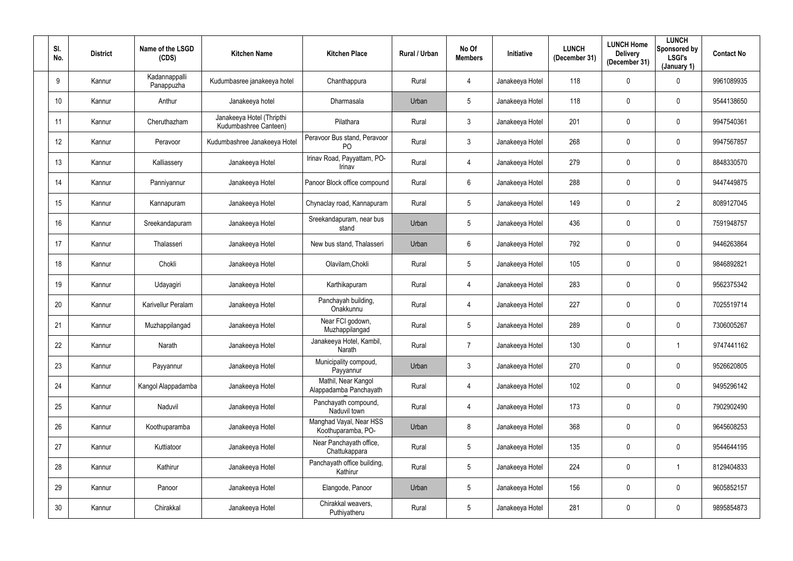| SI.<br>No. | <b>District</b> | Name of the LSGD<br>(CDS)   | <b>Kitchen Name</b>                                | <b>Kitchen Place</b>                           | Rural / Urban | No Of<br><b>Members</b> | Initiative      | <b>LUNCH</b><br>(December 31) | <b>LUNCH Home</b><br><b>Delivery</b><br>(December 31) | <b>LUNCH</b><br>Sponsored by<br>LSGI's<br>(January 1) | <b>Contact No</b> |
|------------|-----------------|-----------------------------|----------------------------------------------------|------------------------------------------------|---------------|-------------------------|-----------------|-------------------------------|-------------------------------------------------------|-------------------------------------------------------|-------------------|
| 9          | Kannur          | Kadannappalli<br>Panappuzha | Kudumbasree janakeeya hotel                        | Chanthappura                                   | Rural         | 4                       | Janakeeya Hotel | 118                           | 0                                                     | $\overline{0}$                                        | 9961089935        |
| 10         | Kannur          | Anthur                      | Janakeeya hotel                                    | Dharmasala                                     | Urban         | $5\overline{)}$         | Janakeeya Hotel | 118                           | 0                                                     | $\overline{0}$                                        | 9544138650        |
| 11         | Kannur          | Cheruthazham                | Janakeeya Hotel (Thripthi<br>Kudumbashree Canteen) | Pilathara                                      | Rural         | $\mathfrak{Z}$          | Janakeeya Hotel | 201                           | 0                                                     | $\mathbf 0$                                           | 9947540361        |
| 12         | Kannur          | Peravoor                    | Kudumbashree Janakeeya Hotel                       | Peravoor Bus stand, Peravoor<br>P <sub>O</sub> | Rural         | 3 <sup>1</sup>          | Janakeeya Hotel | 268                           | 0                                                     | $\mathbf 0$                                           | 9947567857        |
| 13         | Kannur          | Kalliassery                 | Janakeeya Hotel                                    | Irinav Road, Payyattam, PO-<br>Irinav          | Rural         | 4                       | Janakeeya Hotel | 279                           | $\mathbf 0$                                           | $\mathbf 0$                                           | 8848330570        |
| 14         | Kannur          | Panniyannur                 | Janakeeya Hotel                                    | Panoor Block office compound                   | Rural         | 6                       | Janakeeya Hotel | 288                           | 0                                                     | $\mathbf 0$                                           | 9447449875        |
| 15         | Kannur          | Kannapuram                  | Janakeeya Hotel                                    | Chynaclay road, Kannapuram                     | Rural         | 5 <sup>5</sup>          | Janakeeya Hotel | 149                           | 0                                                     | $\overline{2}$                                        | 8089127045        |
| 16         | Kannur          | Sreekandapuram              | Janakeeya Hotel                                    | Sreekandapuram, near bus<br>stand              | Urban         | 5 <sup>5</sup>          | Janakeeya Hotel | 436                           | 0                                                     | $\mathbf 0$                                           | 7591948757        |
| 17         | Kannur          | Thalasseri                  | Janakeeya Hotel                                    | New bus stand, Thalasseri                      | Urban         | 6                       | Janakeeya Hotel | 792                           | 0                                                     | $\mathbf 0$                                           | 9446263864        |
| 18         | Kannur          | Chokli                      | Janakeeya Hotel                                    | Olavilam, Chokli                               | Rural         | 5 <sup>5</sup>          | Janakeeya Hotel | 105                           | 0                                                     | $\mathbf 0$                                           | 9846892821        |
| 19         | Kannur          | Udayagiri                   | Janakeeya Hotel                                    | Karthikapuram                                  | Rural         | 4                       | Janakeeya Hotel | 283                           | $\mathbf 0$                                           | $\mathbf 0$                                           | 9562375342        |
| 20         | Kannur          | Karivellur Peralam          | Janakeeya Hotel                                    | Panchayah building,<br>Onakkunnu               | Rural         | 4                       | Janakeeya Hotel | 227                           | 0                                                     | $\mathbf 0$                                           | 7025519714        |
| 21         | Kannur          | Muzhappilangad              | Janakeeya Hotel                                    | Near FCI godown,<br>Muzhappilangad             | Rural         | $5\phantom{.0}$         | Janakeeya Hotel | 289                           | 0                                                     | $\mathbf 0$                                           | 7306005267        |
| 22         | Kannur          | Narath                      | Janakeeya Hotel                                    | Janakeeya Hotel, Kambil,<br>Narath             | Rural         | $\overline{7}$          | Janakeeya Hotel | 130                           | $\mathbf 0$                                           |                                                       | 9747441162        |
| 23         | Kannur          | Payyannur                   | Janakeeya Hotel                                    | Municipality compoud,<br>Payyannur             | Urban         | 3 <sup>1</sup>          | Janakeeya Hotel | 270                           | 0                                                     | $\mathbf 0$                                           | 9526620805        |
| 24         | Kannur          | Kangol Alappadamba          | Janakeeya Hotel                                    | Mathil, Near Kangol<br>Alappadamba Panchayath  | Rural         | $\overline{4}$          | Janakeeya Hotel | 102                           | 0                                                     | $\mathbf 0$                                           | 9495296142        |
| 25         | Kannur          | Naduvil                     | Janakeeya Hotel                                    | Panchayath compound,<br>Naduvil town           | Rural         | $\overline{4}$          | Janakeeya Hotel | 173                           | $\mathbf 0$                                           | $\mathbf 0$                                           | 7902902490        |
| 26         | Kannur          | Koothuparamba               | Janakeeya Hotel                                    | Manghad Vayal, Near HSS<br>Koothuparamba, PO-  | Urban         | 8                       | Janakeeya Hotel | 368                           | 0                                                     | $\mathbf 0$                                           | 9645608253        |
| 27         | Kannur          | Kuttiatoor                  | Janakeeya Hotel                                    | Near Panchayath office,<br>Chattukappara       | Rural         | $5\phantom{.0}$         | Janakeeya Hotel | 135                           | 0                                                     | $\mathbf 0$                                           | 9544644195        |
| 28         | Kannur          | Kathirur                    | Janakeeya Hotel                                    | Panchayath office building,<br>Kathirur        | Rural         | 5 <sub>5</sub>          | Janakeeya Hotel | 224                           | 0                                                     |                                                       | 8129404833        |
| 29         | Kannur          | Panoor                      | Janakeeya Hotel                                    | Elangode, Panoor                               | Urban         | 5 <sup>5</sup>          | Janakeeya Hotel | 156                           | 0                                                     | $\mathbf 0$                                           | 9605852157        |
| 30         | Kannur          | Chirakkal                   | Janakeeya Hotel                                    | Chirakkal weavers,<br>Puthiyatheru             | Rural         | 5 <sub>5</sub>          | Janakeeya Hotel | 281                           | 0                                                     | $\mathbf 0$                                           | 9895854873        |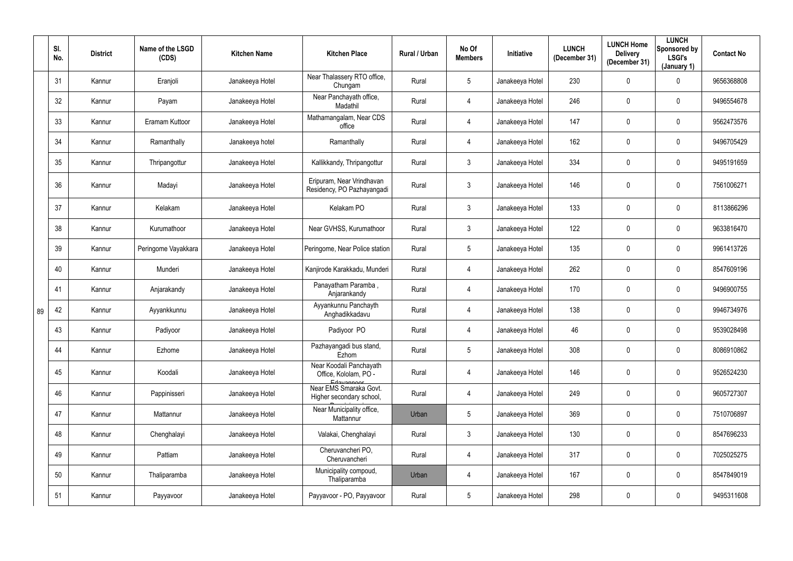|    | SI.<br>No. | <b>District</b> | Name of the LSGD<br>(CDS) | <b>Kitchen Name</b> | <b>Kitchen Place</b>                                                                     | Rural / Urban | No Of<br><b>Members</b> | <b>Initiative</b> | <b>LUNCH</b><br>(December 31) | <b>LUNCH Home</b><br><b>Delivery</b><br>(December 31) | <b>LUNCH</b><br>Sponsored by<br><b>LSGI's</b><br>(January 1) | <b>Contact No</b> |
|----|------------|-----------------|---------------------------|---------------------|------------------------------------------------------------------------------------------|---------------|-------------------------|-------------------|-------------------------------|-------------------------------------------------------|--------------------------------------------------------------|-------------------|
|    | 31         | Kannur          | Eranjoli                  | Janakeeya Hotel     | Near Thalassery RTO office,<br>Chungam                                                   | Rural         | $5\phantom{.0}$         | Janakeeya Hotel   | 230                           | $\mathbf 0$                                           | $\mathbf 0$                                                  | 9656368808        |
|    | 32         | Kannur          | Payam                     | Janakeeya Hotel     | Near Panchayath office,<br>Madathil                                                      | Rural         | 4                       | Janakeeya Hotel   | 246                           | 0                                                     | $\mathbf 0$                                                  | 9496554678        |
|    | 33         | Kannur          | Eramam Kuttoor            | Janakeeya Hotel     | Mathamangalam, Near CDS<br>office                                                        | Rural         | 4                       | Janakeeya Hotel   | 147                           | 0                                                     | $\overline{0}$                                               | 9562473576        |
|    | 34         | Kannur          | Ramanthally               | Janakeeya hotel     | Ramanthally                                                                              | Rural         | 4                       | Janakeeya Hotel   | 162                           | 0                                                     | $\mathbf 0$                                                  | 9496705429        |
|    | 35         | Kannur          | Thripangottur             | Janakeeya Hotel     | Kallikkandy, Thripangottur                                                               | Rural         | $\mathfrak{Z}$          | Janakeeya Hotel   | 334                           | 0                                                     | $\overline{0}$                                               | 9495191659        |
|    | 36         | Kannur          | Madayi                    | Janakeeya Hotel     | Eripuram, Near Vrindhavan<br>Residency, PO Pazhayangadi                                  | Rural         | $\mathfrak{Z}$          | Janakeeya Hotel   | 146                           | 0                                                     | $\mathbf 0$                                                  | 7561006271        |
|    | 37         | Kannur          | Kelakam                   | Janakeeya Hotel     | Kelakam PO                                                                               | Rural         | $\mathfrak{Z}$          | Janakeeya Hotel   | 133                           | 0                                                     | $\mathbf 0$                                                  | 8113866296        |
|    | 38         | Kannur          | Kurumathoor               | Janakeeya Hotel     | Near GVHSS, Kurumathoor                                                                  | Rural         | 3 <sup>1</sup>          | Janakeeya Hotel   | 122                           | 0                                                     | $\overline{0}$                                               | 9633816470        |
|    | 39         | Kannur          | Peringome Vayakkara       | Janakeeya Hotel     | Peringome, Near Police station                                                           | Rural         | $5\overline{)}$         | Janakeeya Hotel   | 135                           | $\mathbf 0$                                           | $\overline{0}$                                               | 9961413726        |
|    | 40         | Kannur          | Munderi                   | Janakeeya Hotel     | Kanjirode Karakkadu, Munderi                                                             | Rural         | 4                       | Janakeeya Hotel   | 262                           | 0                                                     | $\mathbf 0$                                                  | 8547609196        |
|    | 41         | Kannur          | Anjarakandy               | Janakeeya Hotel     | Panayatham Paramba,<br>Anjarankandy                                                      | Rural         | 4                       | Janakeeya Hotel   | 170                           | 0                                                     | $\overline{0}$                                               | 9496900755        |
| 89 | 42         | Kannur          | Ayyankkunnu               | Janakeeya Hotel     | Ayyankunnu Panchayth<br>Anghadikkadavu                                                   | Rural         | 4                       | Janakeeya Hotel   | 138                           | 0                                                     | $\mathbf 0$                                                  | 9946734976        |
|    | 43         | Kannur          | Padiyoor                  | Janakeeya Hotel     | Padiyoor PO                                                                              | Rural         |                         | Janakeeya Hotel   | 46                            | $\mathbf 0$                                           | $\boldsymbol{0}$                                             | 9539028498        |
|    | 44         | Kannur          | Ezhome                    | Janakeeya Hotel     | Pazhayangadi bus stand,<br>Ezhom                                                         | Rural         | $5\overline{)}$         | Janakeeya Hotel   | 308                           | 0                                                     | $\overline{0}$                                               | 8086910862        |
|    | 45         | Kannur          | Koodali                   | Janakeeya Hotel     | Near Koodali Panchayath<br>Office, Kololam, PO -<br>Edavannoor<br>Near EMS Smaraka Govt. | Rural         | $\overline{4}$          | Janakeeya Hotel   | 146                           | 0                                                     | $\overline{0}$                                               | 9526524230        |
|    | 46         | Kannur          | Pappinisseri              | Janakeeya Hotel     | Higher secondary school,                                                                 | Rural         | 4                       | Janakeeya Hotel   | 249                           | 0                                                     | $\overline{0}$                                               | 9605727307        |
|    | 47         | Kannur          | Mattannur                 | Janakeeya Hotel     | Near Municipality office,<br>Mattannur                                                   | Urban         | 5 <sup>5</sup>          | Janakeeya Hotel   | 369                           | $\pmb{0}$                                             | $\overline{0}$                                               | 7510706897        |
|    | 48         | Kannur          | Chenghalayi               | Janakeeya Hotel     | Valakai, Chenghalayi                                                                     | Rural         | 3 <sup>1</sup>          | Janakeeya Hotel   | 130                           | 0                                                     | $\overline{0}$                                               | 8547696233        |
|    | 49         | Kannur          | Pattiam                   | Janakeeya Hotel     | Cheruvancheri PO,<br>Cheruvancheri                                                       | Rural         | $\overline{4}$          | Janakeeya Hotel   | 317                           | 0                                                     | $\overline{0}$                                               | 7025025275        |
|    | 50         | Kannur          | Thaliparamba              | Janakeeya Hotel     | Municipality compoud,<br>Thaliparamba                                                    | Urban         | $\overline{4}$          | Janakeeya Hotel   | 167                           | 0                                                     | $\overline{0}$                                               | 8547849019        |
|    | 51         | Kannur          | Payyavoor                 | Janakeeya Hotel     | Payyavoor - PO, Payyavoor                                                                | Rural         | $5\phantom{.0}$         | Janakeeya Hotel   | 298                           | $\pmb{0}$                                             | $\boldsymbol{0}$                                             | 9495311608        |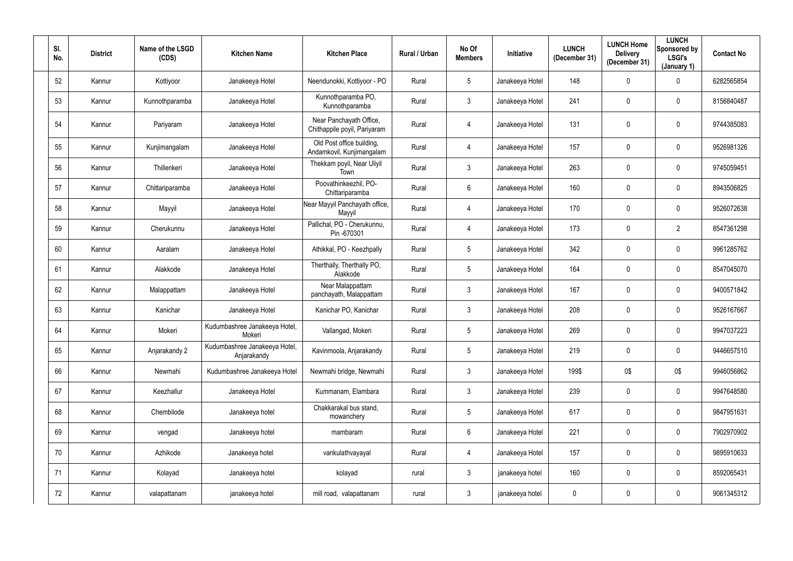| SI.<br>No. | <b>District</b> | Name of the LSGD<br>(CDS) | <b>Kitchen Name</b>                          | <b>Kitchen Place</b>                                    | Rural / Urban | No Of<br><b>Members</b> | Initiative      | <b>LUNCH</b><br>(December 31) | <b>LUNCH Home</b><br><b>Delivery</b><br>(December 31) | <b>LUNCH</b><br>Sponsored by<br><b>LSGI's</b><br>(January 1) | <b>Contact No</b> |
|------------|-----------------|---------------------------|----------------------------------------------|---------------------------------------------------------|---------------|-------------------------|-----------------|-------------------------------|-------------------------------------------------------|--------------------------------------------------------------|-------------------|
| 52         | Kannur          | Kottiyoor                 | Janakeeya Hotel                              | Neendunokki, Kottiyoor - PO                             | Rural         | 5                       | Janakeeya Hotel | 148                           | 0                                                     | $\mathbf 0$                                                  | 6282565854        |
| 53         | Kannur          | Kunnothparamba            | Janakeeya Hotel                              | Kunnothparamba PO,<br>Kunnothparamba                    | Rural         | $\mathbf{3}$            | Janakeeya Hotel | 241                           | 0                                                     | $\overline{0}$                                               | 8156840487        |
| 54         | Kannur          | Pariyaram                 | Janakeeya Hotel                              | Near Panchayath Office,<br>Chithappile poyil, Pariyaram | Rural         | 4                       | Janakeeya Hotel | 131                           | 0                                                     | $\mathbf 0$                                                  | 9744385083        |
| 55         | Kannur          | Kunjimangalam             | Janakeeya Hotel                              | Old Post office building,<br>Andamkovil, Kunjimangalam  | Rural         | 4                       | Janakeeya Hotel | 157                           | 0                                                     | $\overline{0}$                                               | 9526981326        |
| 56         | Kannur          | Thillenkeri               | Janakeeya Hotel                              | Thekkam poyil, Near Uliyil<br>Town                      | Rural         | $\mathfrak{Z}$          | Janakeeya Hotel | 263                           | $\mathbf 0$                                           | $\mathbf 0$                                                  | 9745059451        |
| 57         | Kannur          | Chittariparamba           | Janakeeya Hotel                              | Poovathinkeezhil, PO-<br>Chittariparamba                | Rural         | 6                       | Janakeeya Hotel | 160                           | 0                                                     | $\mathbf 0$                                                  | 8943506825        |
| 58         | Kannur          | Mayyil                    | Janakeeya Hotel                              | Near Mayyil Panchayath office,<br>Mayyil                | Rural         | 4                       | Janakeeya Hotel | 170                           | 0                                                     | $\mathbf 0$                                                  | 9526072638        |
| 59         | Kannur          | Cherukunnu                | Janakeeya Hotel                              | Pallichal, PO - Cherukunnu,<br>Pin -670301              | Rural         | 4                       | Janakeeya Hotel | 173                           | 0                                                     | $\overline{2}$                                               | 8547361298        |
| 60         | Kannur          | Aaralam                   | Janakeeya Hotel                              | Athikkal, PO - Keezhpally                               | Rural         | 5                       | Janakeeya Hotel | 342                           | 0                                                     | $\mathbf 0$                                                  | 9961285762        |
| 61         | Kannur          | Alakkode                  | Janakeeya Hotel                              | Therthally, Therthally PO,<br>Alakkode                  | Rural         | 5                       | Janakeeya Hotel | 164                           | 0                                                     | $\mathbf 0$                                                  | 8547045070        |
| 62         | Kannur          | Malappattam               | Janakeeya Hotel                              | Near Malappattam<br>panchayath, Malappattam             | Rural         | 3                       | Janakeeya Hotel | 167                           | $\mathbf 0$                                           | $\mathbf 0$                                                  | 9400571842        |
| 63         | Kannur          | Kanichar                  | Janakeeya Hotel                              | Kanichar PO, Kanichar                                   | Rural         | $\mathbf{3}$            | Janakeeya Hotel | 208                           | 0                                                     | $\mathbf 0$                                                  | 9526167667        |
| 64         | Kannur          | Mokeri                    | Kudumbashree Janakeeya Hotel,<br>Mokeri      | Vallangad, Mokeri                                       | Rural         | 5                       | Janakeeya Hotel | 269                           | 0                                                     | $\mathbf 0$                                                  | 9947037223        |
| 65         | Kannur          | Anjarakandy 2             | Kudumbashree Janakeeya Hotel,<br>Anjarakandy | Kavinmoola, Anjarakandy                                 | Rural         | $5\phantom{.0}$         | Janakeeya Hotel | 219                           | $\mathbf 0$                                           | $\mathbf 0$                                                  | 9446657510        |
| 66         | Kannur          | Newmahi                   | Kudumbashree Janakeeya Hotel                 | Newmahi bridge, Newmahi                                 | Rural         | $\mathfrak{Z}$          | Janakeeya Hotel | 199\$                         | 0\$                                                   | 0\$                                                          | 9946056862        |
| 67         | Kannur          | Keezhallur                | Janakeeya Hotel                              | Kummanam, Elambara                                      | Rural         | 3 <sup>1</sup>          | Janakeeya Hotel | 239                           | 0                                                     | $\overline{0}$                                               | 9947648580        |
| 68         | Kannur          | Chembilode                | Janakeeya hotel                              | Chakkarakal bus stand,<br>mowanchery                    | Rural         | $5\phantom{.0}$         | Janakeeya Hotel | 617                           | $\pmb{0}$                                             | $\overline{0}$                                               | 9847951631        |
| 69         | Kannur          | vengad                    | Janakeeya hotel                              | mambaram                                                | Rural         | $6\phantom{.}6$         | Janakeeya Hotel | 221                           | 0                                                     | $\overline{0}$                                               | 7902970902        |
| 70         | Kannur          | Azhikode                  | Janakeeya hotel                              | vankulathvayayal                                        | Rural         | $\overline{4}$          | Janakeeya Hotel | 157                           | $\mathbf 0$                                           | $\overline{0}$                                               | 9895910633        |
| 71         | Kannur          | Kolayad                   | Janakeeya hotel                              | kolayad                                                 | rural         | $\mathfrak{Z}$          | janakeeya hotel | 160                           | $\pmb{0}$                                             | $\overline{0}$                                               | 8592065431        |
| 72         | Kannur          | valapattanam              | janakeeya hotel                              | mill road, valapattanam                                 | rural         | $\mathfrak{Z}$          | janakeeya hotel | $\overline{0}$                | 0                                                     | $\overline{0}$                                               | 9061345312        |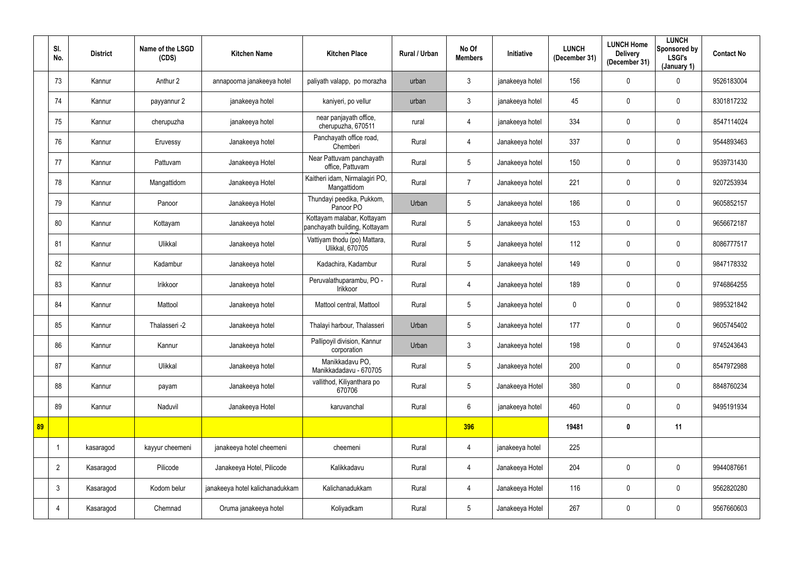|    | SI.<br>No.     | <b>District</b> | Name of the LSGD<br>(CDS) | <b>Kitchen Name</b>             | <b>Kitchen Place</b>                                        | Rural / Urban | No Of<br><b>Members</b> | <b>Initiative</b> | <b>LUNCH</b><br>(December 31) | <b>LUNCH Home</b><br><b>Delivery</b><br>(December 31) | <b>LUNCH</b><br>Sponsored by<br><b>LSGI's</b><br>(January 1) | <b>Contact No</b> |
|----|----------------|-----------------|---------------------------|---------------------------------|-------------------------------------------------------------|---------------|-------------------------|-------------------|-------------------------------|-------------------------------------------------------|--------------------------------------------------------------|-------------------|
|    | 73             | Kannur          | Anthur 2                  | annapoorna janakeeya hotel      | paliyath valapp, po morazha                                 | urban         | 3 <sup>1</sup>          | janakeeya hotel   | 156                           | $\mathbf 0$                                           | $\mathbf 0$                                                  | 9526183004        |
|    | 74             | Kannur          | payyannur 2               | janakeeya hotel                 | kaniyeri, po vellur                                         | urban         | $\mathbf{3}$            | janakeeya hotel   | 45                            | $\mathbf 0$                                           | $\overline{0}$                                               | 8301817232        |
|    | 75             | Kannur          | cherupuzha                | janakeeya hotel                 | near panjayath office,<br>cherupuzha, 670511                | rural         | 4                       | janakeeya hotel   | 334                           | 0                                                     | $\mathbf 0$                                                  | 8547114024        |
|    | 76             | Kannur          | Eruvessy                  | Janakeeya hotel                 | Panchayath office road,<br>Chemberi                         | Rural         | 4                       | Janakeeya hotel   | 337                           | 0                                                     | $\mathbf 0$                                                  | 9544893463        |
|    | 77             | Kannur          | Pattuvam                  | Janakeeya Hotel                 | Near Pattuvam panchayath<br>office, Pattuvam                | Rural         | 5                       | Janakeeya hotel   | 150                           | 0                                                     | $\mathbf 0$                                                  | 9539731430        |
|    | 78             | Kannur          | Mangattidom               | Janakeeya Hotel                 | Kaitheri idam, Nirmalagiri PO,<br>Mangattidom               | Rural         |                         | Janakeeya hotel   | 221                           | $\mathbf 0$                                           | $\mathbf 0$                                                  | 9207253934        |
|    | 79             | Kannur          | Panoor                    | Janakeeya Hotel                 | Thundayi peedika, Pukkom,<br>Panoor PO                      | Urban         | 5                       | Janakeeya hotel   | 186                           | 0                                                     | $\overline{0}$                                               | 9605852157        |
|    | 80             | Kannur          | Kottayam                  | Janakeeya hotel                 | Kottayam malabar, Kottayam<br>panchayath building, Kottayam | Rural         | 5                       | Janakeeya hotel   | 153                           | $\mathbf 0$                                           | $\mathbf 0$                                                  | 9656672187        |
|    | 81             | Kannur          | Ulikkal                   | Janakeeya hotel                 | Vattiyam thodu (po) Mattara,<br>Ulikkal, 670705             | Rural         | 5 <sup>1</sup>          | Janakeeya hotel   | 112                           | 0                                                     | $\mathbf 0$                                                  | 8086777517        |
|    | 82             | Kannur          | Kadambur                  | Janakeeya hotel                 | Kadachira, Kadambur                                         | Rural         | 5 <sub>5</sub>          | Janakeeya hotel   | 149                           | 0                                                     | $\overline{0}$                                               | 9847178332        |
|    | 83             | Kannur          | Irikkoor                  | Janakeeya hotel                 | Peruvalathuparambu, PO -<br>Irikkoor                        | Rural         | 4                       | Janakeeya hotel   | 189                           | $\mathbf 0$                                           | $\mathbf 0$                                                  | 9746864255        |
|    | 84             | Kannur          | Mattool                   | Janakeeya hotel                 | Mattool central, Mattool                                    | Rural         | 5 <sup>5</sup>          | Janakeeya hotel   | $\mathbf 0$                   | $\mathbf 0$                                           | $\overline{0}$                                               | 9895321842        |
|    | 85             | Kannur          | Thalasseri -2             | Janakeeya hotel                 | Thalayi harbour, Thalasseri                                 | Urban         | 5                       | Janakeeya hotel   | 177                           | 0                                                     | $\mathbf 0$                                                  | 9605745402        |
|    | 86             | Kannur          | Kannur                    | Janakeeya hotel                 | Pallipoyil division, Kannur<br>corporation                  | Urban         | $\mathbf{3}$            | Janakeeya hotel   | 198                           | $\mathbf 0$                                           | $\mathbf 0$                                                  | 9745243643        |
|    | 87             | Kannur          | Ulikkal                   | Janakeeya hotel                 | Manikkadavu PO,<br>Manikkadadavu - 670705                   | Rural         | 5 <sup>5</sup>          | Janakeeya hotel   | 200                           | 0                                                     | $\mathbf 0$                                                  | 8547972988        |
|    | 88             | Kannur          | payam                     | Janakeeya hotel                 | vallithod, Kiliyanthara po<br>670706                        | Rural         | 5 <sup>5</sup>          | Janakeeya Hotel   | 380                           | $\pmb{0}$                                             | $\mathbf 0$                                                  | 8848760234        |
|    | 89             | Kannur          | Naduvil                   | Janakeeya Hotel                 | karuvanchal                                                 | Rural         | $6\overline{6}$         | janakeeya hotel   | 460                           | $\pmb{0}$                                             | $\mathbf 0$                                                  | 9495191934        |
| 89 |                |                 |                           |                                 |                                                             |               | 396                     |                   | 19481                         | $\mathbf 0$                                           | 11                                                           |                   |
|    | $\overline{1}$ | kasaragod       | kayyur cheemeni           | janakeeya hotel cheemeni        | cheemeni                                                    | Rural         | 4                       | janakeeya hotel   | 225                           |                                                       |                                                              |                   |
|    | $\overline{2}$ | Kasaragod       | Pilicode                  | Janakeeya Hotel, Pilicode       | Kalikkadavu                                                 | Rural         | $\overline{4}$          | Janakeeya Hotel   | 204                           | $\pmb{0}$                                             | $\mathbf 0$                                                  | 9944087661        |
|    | $\mathfrak{Z}$ | Kasaragod       | Kodom belur               | janakeeya hotel kalichanadukkam | Kalichanadukkam                                             | Rural         | $\overline{4}$          | Janakeeya Hotel   | 116                           | 0                                                     | $\mathbf 0$                                                  | 9562820280        |
|    | 4              | Kasaragod       | Chemnad                   | Oruma janakeeya hotel           | Koliyadkam                                                  | Rural         | 5 <sub>5</sub>          | Janakeeya Hotel   | 267                           | $\pmb{0}$                                             | $\overline{0}$                                               | 9567660603        |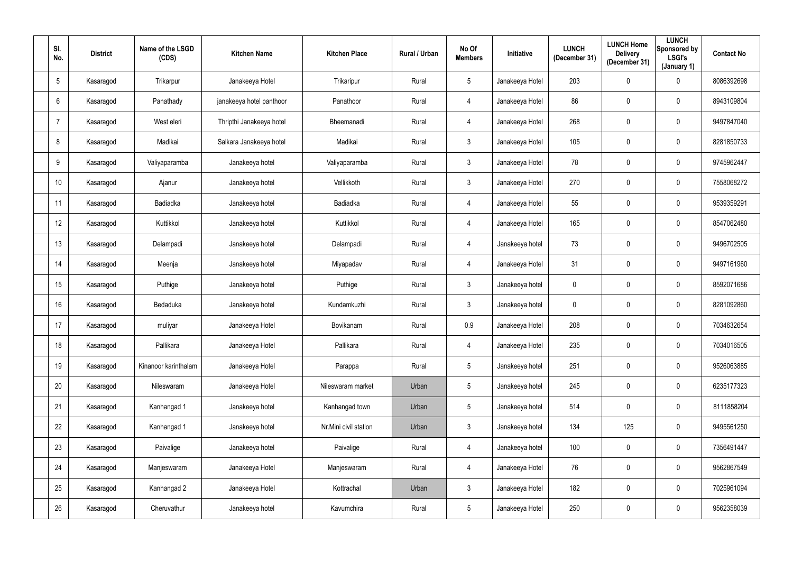| SI.<br>No.      | <b>District</b> | Name of the LSGD<br>(CDS) | <b>Kitchen Name</b>      | <b>Kitchen Place</b>  | Rural / Urban | No Of<br><b>Members</b> | <b>Initiative</b> | <b>LUNCH</b><br>(December 31) | <b>LUNCH Home</b><br><b>Delivery</b><br>(December 31) | <b>LUNCH</b><br>Sponsored by<br><b>LSGI's</b><br>(January 1) | <b>Contact No</b> |
|-----------------|-----------------|---------------------------|--------------------------|-----------------------|---------------|-------------------------|-------------------|-------------------------------|-------------------------------------------------------|--------------------------------------------------------------|-------------------|
| $5\phantom{.0}$ | Kasaragod       | Trikarpur                 | Janakeeya Hotel          | Trikaripur            | Rural         | 5 <sup>5</sup>          | Janakeeya Hotel   | 203                           | $\mathbf 0$                                           | $\mathbf 0$                                                  | 8086392698        |
| 6               | Kasaragod       | Panathady                 | janakeeya hotel panthoor | Panathoor             | Rural         | 4                       | Janakeeya Hotel   | 86                            | $\mathbf 0$                                           | $\overline{0}$                                               | 8943109804        |
|                 | Kasaragod       | West eleri                | Thripthi Janakeeya hotel | Bheemanadi            | Rural         | 4                       | Janakeeya Hotel   | 268                           | 0                                                     | $\mathbf 0$                                                  | 9497847040        |
| 8               | Kasaragod       | Madikai                   | Salkara Janakeeya hotel  | Madikai               | Rural         | 3 <sup>1</sup>          | Janakeeya Hotel   | 105                           | 0                                                     | $\mathbf 0$                                                  | 8281850733        |
| 9               | Kasaragod       | Valiyaparamba             | Janakeeya hotel          | Valiyaparamba         | Rural         | 3 <sup>1</sup>          | Janakeeya Hotel   | 78                            | 0                                                     | $\overline{0}$                                               | 9745962447        |
| 10              | Kasaragod       | Ajanur                    | Janakeeya hotel          | Vellikkoth            | Rural         | 3 <sup>1</sup>          | Janakeeya Hotel   | 270                           | $\mathbf 0$                                           | $\overline{0}$                                               | 7558068272        |
| 11              | Kasaragod       | Badiadka                  | Janakeeya hotel          | Badiadka              | Rural         | 4                       | Janakeeya Hotel   | 55                            | $\mathbf 0$                                           | $\mathbf 0$                                                  | 9539359291        |
| 12              | Kasaragod       | Kuttikkol                 | Janakeeya hotel          | Kuttikkol             | Rural         | 4                       | Janakeeya Hotel   | 165                           | $\pmb{0}$                                             | $\mathbf 0$                                                  | 8547062480        |
| 13              | Kasaragod       | Delampadi                 | Janakeeya hotel          | Delampadi             | Rural         | 4                       | Janakeeya hotel   | 73                            | $\boldsymbol{0}$                                      | $\mathbf 0$                                                  | 9496702505        |
| 14              | Kasaragod       | Meenja                    | Janakeeya hotel          | Miyapadav             | Rural         | 4                       | Janakeeya Hotel   | 31                            | $\mathbf 0$                                           | $\overline{0}$                                               | 9497161960        |
| 15              | Kasaragod       | Puthige                   | Janakeeya hotel          | Puthige               | Rural         | 3 <sup>1</sup>          | Janakeeya hotel   | $\mathbf 0$                   | $\mathbf 0$                                           | $\overline{0}$                                               | 8592071686        |
| 16              | Kasaragod       | Bedaduka                  | Janakeeya hotel          | Kundamkuzhi           | Rural         | 3 <sup>1</sup>          | Janakeeya hotel   | $\mathbf 0$                   | $\pmb{0}$                                             | $\overline{0}$                                               | 8281092860        |
| 17              | Kasaragod       | muliyar                   | Janakeeya Hotel          | Bovikanam             | Rural         | 0.9                     | Janakeeya Hotel   | 208                           | 0                                                     | $\mathbf 0$                                                  | 7034632654        |
| 18              | Kasaragod       | Pallikara                 | Janakeeya Hotel          | Pallikara             | Rural         |                         | Janakeeya Hotel   | 235                           | $\mathbf 0$                                           | $\mathbf 0$                                                  | 7034016505        |
| 19              | Kasaragod       | Kinanoor karinthalam      | Janakeeya Hotel          | Parappa               | Rural         | $5\phantom{.0}$         | Janakeeya hotel   | 251                           | 0                                                     | $\overline{0}$                                               | 9526063885        |
| $20\,$          | Kasaragod       | Nileswaram                | Janakeeya Hotel          | Nileswaram market     | Urban         | $5\overline{)}$         | Janakeeya hotel   | 245                           | $\pmb{0}$                                             | $\overline{0}$                                               | 6235177323        |
| 21              | Kasaragod       | Kanhangad 1               | Janakeeya hotel          | Kanhangad town        | Urban         | $5\phantom{.0}$         | Janakeeya hotel   | 514                           | $\pmb{0}$                                             | $\overline{0}$                                               | 8111858204        |
| 22              | Kasaragod       | Kanhangad 1               | Janakeeya hotel          | Nr.Mini civil station | Urban         | 3 <sup>1</sup>          | Janakeeya hotel   | 134                           | 125                                                   | $\overline{0}$                                               | 9495561250        |
| 23              | Kasaragod       | Paivalige                 | Janakeeya hotel          | Paivalige             | Rural         | $\overline{4}$          | Janakeeya hotel   | 100                           | $\boldsymbol{0}$                                      | $\overline{0}$                                               | 7356491447        |
| 24              | Kasaragod       | Manjeswaram               | Janakeeya Hotel          | Manjeswaram           | Rural         | $\overline{4}$          | Janakeeya Hotel   | 76                            | $\pmb{0}$                                             | $\overline{0}$                                               | 9562867549        |
| 25              | Kasaragod       | Kanhangad 2               | Janakeeya Hotel          | Kottrachal            | Urban         | 3 <sup>1</sup>          | Janakeeya Hotel   | 182                           | $\pmb{0}$                                             | $\overline{0}$                                               | 7025961094        |
| 26              | Kasaragod       | Cheruvathur               | Janakeeya hotel          | Kavumchira            | Rural         | $5\phantom{.0}$         | Janakeeya Hotel   | 250                           | $\boldsymbol{0}$                                      | $\overline{0}$                                               | 9562358039        |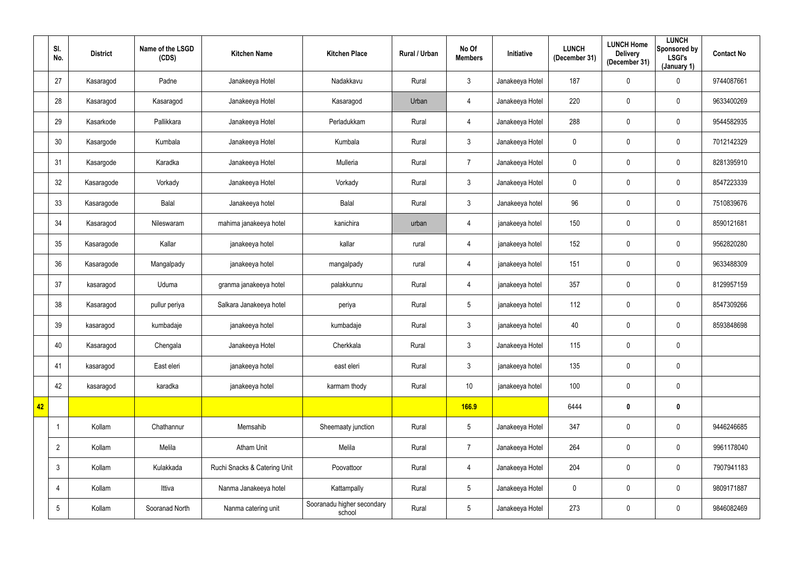|                 | SI.<br>No.      | <b>District</b> | Name of the LSGD<br>(CDS) | <b>Kitchen Name</b>          | <b>Kitchen Place</b>                 | Rural / Urban | No Of<br><b>Members</b> | <b>Initiative</b> | <b>LUNCH</b><br>(December 31) | <b>LUNCH Home</b><br><b>Delivery</b><br>(December 31) | <b>LUNCH</b><br><b>Sponsored by</b><br><b>LSGI's</b><br>(January 1) | <b>Contact No</b> |
|-----------------|-----------------|-----------------|---------------------------|------------------------------|--------------------------------------|---------------|-------------------------|-------------------|-------------------------------|-------------------------------------------------------|---------------------------------------------------------------------|-------------------|
|                 | 27              | Kasaragod       | Padne                     | Janakeeya Hotel              | Nadakkavu                            | Rural         | 3 <sup>1</sup>          | Janakeeya Hotel   | 187                           | $\mathbf 0$                                           | $\mathbf 0$                                                         | 9744087661        |
|                 | 28              | Kasaragod       | Kasaragod                 | Janakeeya Hotel              | Kasaragod                            | Urban         | $\overline{4}$          | Janakeeya Hotel   | 220                           | $\mathbf 0$                                           | $\overline{0}$                                                      | 9633400269        |
|                 | 29              | Kasarkode       | Pallikkara                | Janakeeya Hotel              | Perladukkam                          | Rural         | 4                       | Janakeeya Hotel   | 288                           | $\mathbf 0$                                           | $\mathbf 0$                                                         | 9544582935        |
|                 | 30              | Kasargode       | Kumbala                   | Janakeeya Hotel              | Kumbala                              | Rural         | 3 <sup>1</sup>          | Janakeeya Hotel   | $\mathbf 0$                   | $\mathbf 0$                                           | $\overline{0}$                                                      | 7012142329        |
|                 | 31              | Kasargode       | Karadka                   | Janakeeya Hotel              | Mulleria                             | Rural         | $\overline{7}$          | Janakeeya Hotel   | $\pmb{0}$                     | $\mathbf 0$                                           | $\overline{0}$                                                      | 8281395910        |
|                 | 32              | Kasaragode      | Vorkady                   | Janakeeya Hotel              | Vorkady                              | Rural         | 3 <sup>1</sup>          | Janakeeya Hotel   | $\mathbf 0$                   | $\mathbf 0$                                           | $\overline{0}$                                                      | 8547223339        |
|                 | 33              | Kasaragode      | Balal                     | Janakeeya hotel              | Balal                                | Rural         | 3 <sup>1</sup>          | Janakeeya hotel   | 96                            | $\mathbf 0$                                           | $\overline{0}$                                                      | 7510839676        |
|                 | 34              | Kasaragod       | Nileswaram                | mahima janakeeya hotel       | kanichira                            | urban         | 4                       | janakeeya hotel   | 150                           | $\pmb{0}$                                             | $\mathbf 0$                                                         | 8590121681        |
|                 | 35              | Kasaragode      | Kallar                    | janakeeya hotel              | kallar                               | rural         | 4                       | janakeeya hotel   | 152                           | $\boldsymbol{0}$                                      | $\overline{0}$                                                      | 9562820280        |
|                 | 36              | Kasaragode      | Mangalpady                | janakeeya hotel              | mangalpady                           | rural         | 4                       | janakeeya hotel   | 151                           | $\mathbf 0$                                           | $\overline{0}$                                                      | 9633488309        |
|                 | 37              | kasaragod       | Uduma                     | granma janakeeya hotel       | palakkunnu                           | Rural         | 4                       | janakeeya hotel   | 357                           | $\mathbf 0$                                           | $\overline{0}$                                                      | 8129957159        |
|                 | 38              | Kasaragod       | pullur periya             | Salkara Janakeeya hotel      | periya                               | Rural         | $5\phantom{.0}$         | janakeeya hotel   | 112                           | $\mathbf 0$                                           | $\overline{0}$                                                      | 8547309266        |
|                 | 39              | kasaragod       | kumbadaje                 | janakeeya hotel              | kumbadaje                            | Rural         | $\mathbf{3}$            | janakeeya hotel   | 40                            | $\mathbf 0$                                           | $\mathbf 0$                                                         | 8593848698        |
|                 | 40              | Kasaragod       | Chengala                  | Janakeeya Hotel              | Cherkkala                            | Rural         | 3 <sup>1</sup>          | Janakeeya Hotel   | 115                           | $\mathbf 0$                                           | $\mathbf 0$                                                         |                   |
|                 | 41              | kasaragod       | East eleri                | janakeeya hotel              | east eleri                           | Rural         | 3 <sup>1</sup>          | janakeeya hotel   | 135                           | $\mathbf 0$                                           | $\overline{0}$                                                      |                   |
|                 | 42              | kasaragod       | karadka                   | janakeeya hotel              | karmam thody                         | Rural         | 10 <sup>°</sup>         | janakeeya hotel   | 100                           | $\mathbf 0$                                           | $\overline{0}$                                                      |                   |
| 42 <sup>°</sup> |                 |                 |                           |                              |                                      |               | <b>166.9</b>            |                   | 6444                          | $\mathbf 0$                                           | $\boldsymbol{0}$                                                    |                   |
|                 |                 | Kollam          | Chathannur                | Memsahib                     | Sheemaaty junction                   | Rural         | $5\overline{)}$         | Janakeeya Hotel   | 347                           | $\mathbf 0$                                           | $\overline{0}$                                                      | 9446246685        |
|                 | $\overline{2}$  | Kollam          | Melila                    | Atham Unit                   | Melila                               | Rural         | $\overline{7}$          | Janakeeya Hotel   | 264                           | $\mathbf 0$                                           | $\overline{0}$                                                      | 9961178040        |
|                 | $\mathbf{3}$    | Kollam          | Kulakkada                 | Ruchi Snacks & Catering Unit | Poovattoor                           | Rural         | $\overline{4}$          | Janakeeya Hotel   | 204                           | $\mathbf 0$                                           | $\overline{0}$                                                      | 7907941183        |
|                 | $\overline{4}$  | Kollam          | Ittiva                    | Nanma Janakeeya hotel        | Kattampally                          | Rural         | $5\overline{)}$         | Janakeeya Hotel   | $\pmb{0}$                     | $\mathbf 0$                                           | $\overline{0}$                                                      | 9809171887        |
|                 | $5\phantom{.0}$ | Kollam          | Sooranad North            | Nanma catering unit          | Sooranadu higher secondary<br>school | Rural         | 5 <sub>5</sub>          | Janakeeya Hotel   | 273                           | $\boldsymbol{0}$                                      | $\overline{0}$                                                      | 9846082469        |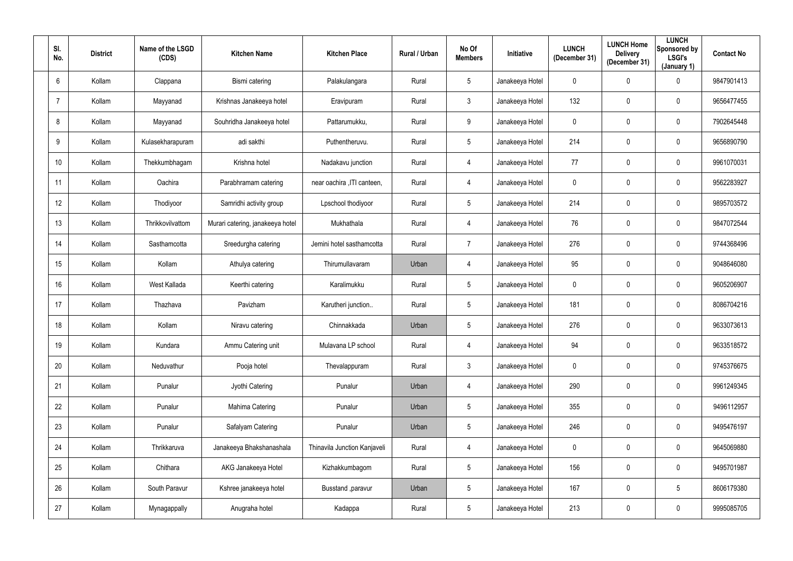| SI.<br>No.     | <b>District</b> | Name of the LSGD<br>(CDS) | <b>Kitchen Name</b>              | <b>Kitchen Place</b>         | Rural / Urban | No Of<br><b>Members</b> | Initiative      | <b>LUNCH</b><br>(December 31) | <b>LUNCH Home</b><br><b>Delivery</b><br>(December 31) | <b>LUNCH</b><br>Sponsored by<br><b>LSGI's</b><br>(January 1) | <b>Contact No</b> |
|----------------|-----------------|---------------------------|----------------------------------|------------------------------|---------------|-------------------------|-----------------|-------------------------------|-------------------------------------------------------|--------------------------------------------------------------|-------------------|
| 6              | Kollam          | Clappana                  | Bismi catering                   | Palakulangara                | Rural         | 5 <sup>5</sup>          | Janakeeya Hotel | $\mathbf 0$                   | $\mathbf 0$                                           | $\overline{0}$                                               | 9847901413        |
| $\overline{7}$ | Kollam          | Mayyanad                  | Krishnas Janakeeya hotel         | Eravipuram                   | Rural         | 3                       | Janakeeya Hotel | 132                           | 0                                                     | $\overline{0}$                                               | 9656477455        |
| 8              | Kollam          | Mayyanad                  | Souhridha Janakeeya hotel        | Pattarumukku,                | Rural         | 9                       | Janakeeya Hotel | $\mathbf 0$                   | 0                                                     | $\overline{0}$                                               | 7902645448        |
| 9              | Kollam          | Kulasekharapuram          | adi sakthi                       | Puthentheruvu.               | Rural         | 5 <sup>5</sup>          | Janakeeya Hotel | 214                           | 0                                                     | $\overline{0}$                                               | 9656890790        |
| 10             | Kollam          | Thekkumbhagam             | Krishna hotel                    | Nadakavu junction            | Rural         | 4                       | Janakeeya Hotel | 77                            | $\mathbf 0$                                           | $\mathbf 0$                                                  | 9961070031        |
| 11             | Kollam          | Oachira                   | Parabhramam catering             | near oachira , ITI canteen,  | Rural         | 4                       | Janakeeya Hotel | $\overline{0}$                | 0                                                     | $\mathbf 0$                                                  | 9562283927        |
| 12             | Kollam          | Thodiyoor                 | Samridhi activity group          | Lpschool thodiyoor           | Rural         | 5 <sub>5</sub>          | Janakeeya Hotel | 214                           | 0                                                     | $\overline{0}$                                               | 9895703572        |
| 13             | Kollam          | Thrikkovilvattom          | Murari catering, janakeeya hotel | Mukhathala                   | Rural         | 4                       | Janakeeya Hotel | 76                            | 0                                                     | $\overline{0}$                                               | 9847072544        |
| 14             | Kollam          | Sasthamcotta              | Sreedurgha catering              | Jemini hotel sasthamcotta    | Rural         | $\overline{7}$          | Janakeeya Hotel | 276                           | 0                                                     | $\overline{0}$                                               | 9744368496        |
| 15             | Kollam          | Kollam                    | Athulya catering                 | Thirumullavaram              | Urban         | 4                       | Janakeeya Hotel | 95                            | 0                                                     | $\overline{0}$                                               | 9048646080        |
| 16             | Kollam          | West Kallada              | Keerthi catering                 | Karalimukku                  | Rural         | 5 <sup>5</sup>          | Janakeeya Hotel | $\overline{0}$                | $\mathbf 0$                                           | $\mathbf 0$                                                  | 9605206907        |
| 17             | Kollam          | Thazhava                  | Pavizham                         | Karutheri junction           | Rural         | $5\phantom{.0}$         | Janakeeya Hotel | 181                           | 0                                                     | $\mathbf 0$                                                  | 8086704216        |
| 18             | Kollam          | Kollam                    | Niravu catering                  | Chinnakkada                  | Urban         | 5                       | Janakeeya Hotel | 276                           | 0                                                     | $\mathbf 0$                                                  | 9633073613        |
| 19             | Kollam          | Kundara                   | Ammu Catering unit               | Mulavana LP school           | Rural         | $\overline{4}$          | Janakeeya Hotel | 94                            | $\mathbf 0$                                           | $\mathbf 0$                                                  | 9633518572        |
| 20             | Kollam          | Neduvathur                | Pooja hotel                      | Thevalappuram                | Rural         | 3 <sup>1</sup>          | Janakeeya Hotel | $\pmb{0}$                     | 0                                                     | $\mathbf 0$                                                  | 9745376675        |
| 21             | Kollam          | Punalur                   | Jyothi Catering                  | Punalur                      | Urban         | $\overline{4}$          | Janakeeya Hotel | 290                           | 0                                                     | $\mathbf 0$                                                  | 9961249345        |
| 22             | Kollam          | Punalur                   | Mahima Catering                  | Punalur                      | Urban         | $5\phantom{.0}$         | Janakeeya Hotel | 355                           | $\mathbf 0$                                           | $\mathbf 0$                                                  | 9496112957        |
| 23             | Kollam          | Punalur                   | Safalyam Catering                | Punalur                      | Urban         | 5 <sub>5</sub>          | Janakeeya Hotel | 246                           | 0                                                     | $\mathbf 0$                                                  | 9495476197        |
| 24             | Kollam          | Thrikkaruva               | Janakeeya Bhakshanashala         | Thinavila Junction Kanjaveli | Rural         | $\overline{4}$          | Janakeeya Hotel | $\mathbf 0$                   | 0                                                     | $\mathbf 0$                                                  | 9645069880        |
| 25             | Kollam          | Chithara                  | AKG Janakeeya Hotel              | Kizhakkumbagom               | Rural         | 5 <sub>5</sub>          | Janakeeya Hotel | 156                           | 0                                                     | $\mathbf 0$                                                  | 9495701987        |
| 26             | Kollam          | South Paravur             | Kshree janakeeya hotel           | Busstand , paravur           | Urban         | 5 <sub>5</sub>          | Janakeeya Hotel | 167                           | 0                                                     | $5\overline{)}$                                              | 8606179380        |
| 27             | Kollam          | Mynagappally              | Anugraha hotel                   | Kadappa                      | Rural         | $5\phantom{.0}$         | Janakeeya Hotel | 213                           | 0                                                     | $\mathbf 0$                                                  | 9995085705        |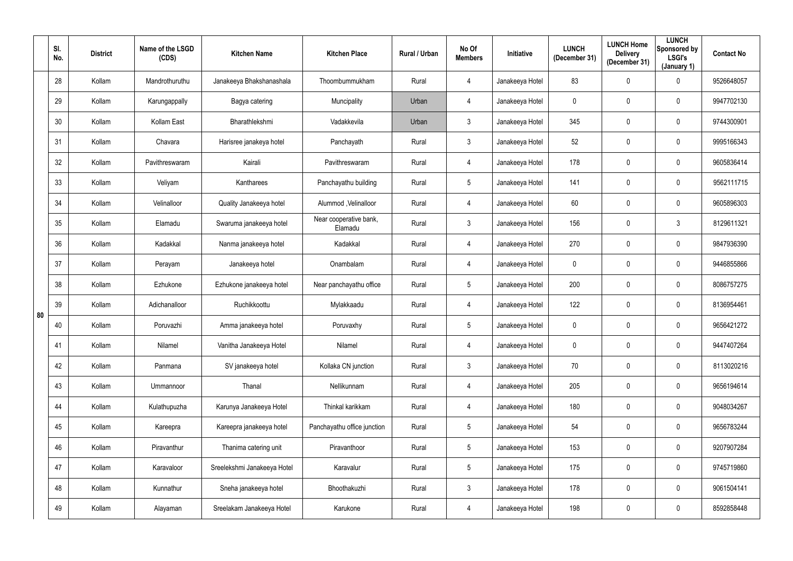|    | SI.<br>No.      | <b>District</b> | Name of the LSGD<br>(CDS) | <b>Kitchen Name</b>         | <b>Kitchen Place</b>              | Rural / Urban | No Of<br><b>Members</b> | Initiative      | <b>LUNCH</b><br>(December 31) | <b>LUNCH Home</b><br><b>Delivery</b><br>(December 31) | <b>LUNCH</b><br>Sponsored by<br><b>LSGI's</b><br>(January 1) | <b>Contact No</b> |
|----|-----------------|-----------------|---------------------------|-----------------------------|-----------------------------------|---------------|-------------------------|-----------------|-------------------------------|-------------------------------------------------------|--------------------------------------------------------------|-------------------|
|    | 28              | Kollam          | Mandrothuruthu            | Janakeeya Bhakshanashala    | Thoombummukham                    | Rural         | 4                       | Janakeeya Hotel | 83                            | $\mathbf 0$                                           | $\overline{0}$                                               | 9526648057        |
|    | 29              | Kollam          | Karungappally             | Bagya catering              | Muncipality                       | Urban         | 4                       | Janakeeya Hotel | $\overline{0}$                | $\mathbf 0$                                           | $\mathbf 0$                                                  | 9947702130        |
|    | 30 <sup>°</sup> | Kollam          | Kollam East               | Bharathlekshmi              | Vadakkevila                       | Urban         | $\mathbf{3}$            | Janakeeya Hotel | 345                           | $\mathbf 0$                                           | $\mathbf 0$                                                  | 9744300901        |
|    | 31              | Kollam          | Chavara                   | Harisree janakeya hotel     | Panchayath                        | Rural         | $\mathfrak{Z}$          | Janakeeya Hotel | 52                            | $\mathbf 0$                                           | $\mathbf 0$                                                  | 9995166343        |
|    | 32              | Kollam          | Pavithreswaram            | Kairali                     | Pavithreswaram                    | Rural         | 4                       | Janakeeya Hotel | 178                           | $\mathbf 0$                                           | $\mathbf 0$                                                  | 9605836414        |
|    | 33              | Kollam          | Veliyam                   | Kantharees                  | Panchayathu building              | Rural         | $5\phantom{.0}$         | Janakeeya Hotel | 141                           | 0                                                     | $\mathbf 0$                                                  | 9562111715        |
|    | 34              | Kollam          | Velinalloor               | Quality Janakeeya hotel     | Alummod , Velinalloor             | Rural         | 4                       | Janakeeya Hotel | 60                            | $\mathbf 0$                                           | $\mathbf 0$                                                  | 9605896303        |
|    | 35              | Kollam          | Elamadu                   | Swaruma janakeeya hotel     | Near cooperative bank,<br>Elamadu | Rural         | $\mathbf{3}$            | Janakeeya Hotel | 156                           | 0                                                     | $\mathbf{3}$                                                 | 8129611321        |
|    | 36              | Kollam          | Kadakkal                  | Nanma janakeeya hotel       | Kadakkal                          | Rural         | 4                       | Janakeeya Hotel | 270                           | 0                                                     | $\overline{0}$                                               | 9847936390        |
|    | 37              | Kollam          | Perayam                   | Janakeeya hotel             | Onambalam                         | Rural         | 4                       | Janakeeya Hotel | $\overline{0}$                | $\mathbf 0$                                           | $\mathbf 0$                                                  | 9446855866        |
|    | 38              | Kollam          | Ezhukone                  | Ezhukone janakeeya hotel    | Near panchayathu office           | Rural         | $5\overline{)}$         | Janakeeya Hotel | 200                           | $\mathbf 0$                                           | $\mathbf 0$                                                  | 8086757275        |
| 80 | 39              | Kollam          | Adichanalloor             | Ruchikkoottu                | Mylakkaadu                        | Rural         | 4                       | Janakeeya Hotel | 122                           | $\mathbf 0$                                           | $\mathbf 0$                                                  | 8136954461        |
|    | 40              | Kollam          | Poruvazhi                 | Amma janakeeya hotel        | Poruvaxhy                         | Rural         | $5\phantom{.0}$         | Janakeeya Hotel | $\overline{0}$                | $\mathbf 0$                                           | $\overline{0}$                                               | 9656421272        |
|    | 41              | Kollam          | Nilamel                   | Vanitha Janakeeya Hotel     | Nilamel                           | Rural         | $\overline{4}$          | Janakeeya Hotel | $\overline{0}$                | $\pmb{0}$                                             | $\mathbf 0$                                                  | 9447407264        |
|    | 42              | Kollam          | Panmana                   | SV janakeeya hotel          | Kollaka CN junction               | Rural         | $\mathfrak{Z}$          | Janakeeya Hotel | $70\,$                        | $\mathbf 0$                                           | $\mathbf 0$                                                  | 8113020216        |
|    | 43              | Kollam          | Ummannoor                 | Thanal                      | Nellikunnam                       | Rural         | 4                       | Janakeeya Hotel | 205                           | $\mathbf 0$                                           | $\mathbf 0$                                                  | 9656194614        |
|    | 44              | Kollam          | Kulathupuzha              | Karunya Janakeeya Hotel     | Thinkal karikkam                  | Rural         | $\overline{4}$          | Janakeeya Hotel | 180                           | $\mathbf 0$                                           | $\mathbf 0$                                                  | 9048034267        |
|    | 45              | Kollam          | Kareepra                  | Kareepra janakeeya hotel    | Panchayathu office junction       | Rural         | $5\phantom{.0}$         | Janakeeya Hotel | 54                            | $\mathbf 0$                                           | $\overline{0}$                                               | 9656783244        |
|    | 46              | Kollam          | Piravanthur               | Thanima catering unit       | Piravanthoor                      | Rural         | $5\phantom{.0}$         | Janakeeya Hotel | 153                           | $\pmb{0}$                                             | $\overline{0}$                                               | 9207907284        |
|    | 47              | Kollam          | Karavaloor                | Sreelekshmi Janakeeya Hotel | Karavalur                         | Rural         | $5\phantom{.0}$         | Janakeeya Hotel | 175                           | $\pmb{0}$                                             | $\overline{0}$                                               | 9745719860        |
|    | 48              | Kollam          | Kunnathur                 | Sneha janakeeya hotel       | Bhoothakuzhi                      | Rural         | $\mathbf{3}$            | Janakeeya Hotel | 178                           | $\pmb{0}$                                             | $\mathbf 0$                                                  | 9061504141        |
|    | 49              | Kollam          | Alayaman                  | Sreelakam Janakeeya Hotel   | Karukone                          | Rural         | $\overline{4}$          | Janakeeya Hotel | 198                           | $\boldsymbol{0}$                                      | $\overline{0}$                                               | 8592858448        |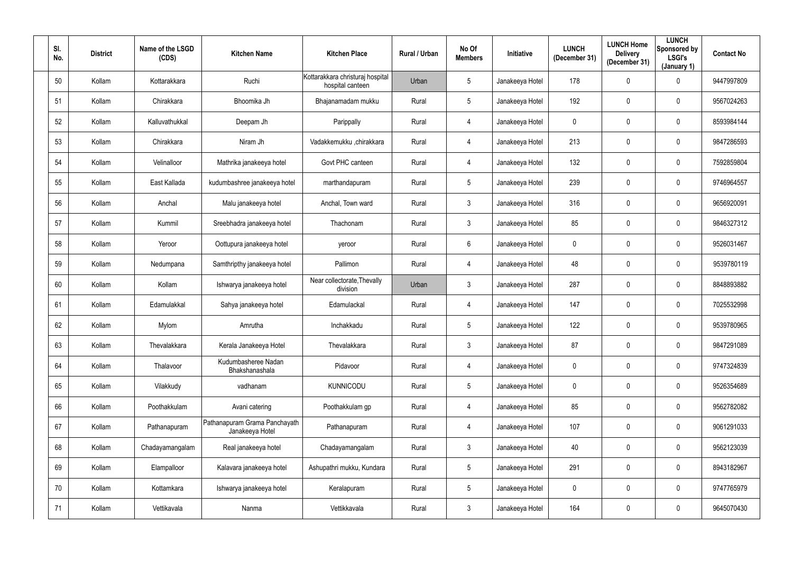| SI.<br>No. | <b>District</b> | Name of the LSGD<br>(CDS) | <b>Kitchen Name</b>                              | <b>Kitchen Place</b>                                 | Rural / Urban | No Of<br><b>Members</b> | Initiative      | <b>LUNCH</b><br>(December 31) | <b>LUNCH Home</b><br><b>Delivery</b><br>(December 31) | <b>LUNCH</b><br>Sponsored by<br><b>LSGI's</b><br>(January 1) | <b>Contact No</b> |
|------------|-----------------|---------------------------|--------------------------------------------------|------------------------------------------------------|---------------|-------------------------|-----------------|-------------------------------|-------------------------------------------------------|--------------------------------------------------------------|-------------------|
| 50         | Kollam          | Kottarakkara              | Ruchi                                            | Kottarakkara christuraj hospital<br>hospital canteen | Urban         | 5 <sup>5</sup>          | Janakeeya Hotel | 178                           | 0                                                     | $\mathbf 0$                                                  | 9447997809        |
| 51         | Kollam          | Chirakkara                | Bhoomika Jh                                      | Bhajanamadam mukku                                   | Rural         | 5 <sub>5</sub>          | Janakeeya Hotel | 192                           | 0                                                     | $\overline{0}$                                               | 9567024263        |
| 52         | Kollam          | Kalluvathukkal            | Deepam Jh                                        | Parippally                                           | Rural         | $\overline{4}$          | Janakeeya Hotel | $\mathbf 0$                   | 0                                                     | $\mathbf 0$                                                  | 8593984144        |
| 53         | Kollam          | Chirakkara                | Niram Jh                                         | Vadakkemukku ,chirakkara                             | Rural         | 4                       | Janakeeya Hotel | 213                           | 0                                                     | $\mathbf 0$                                                  | 9847286593        |
| 54         | Kollam          | Velinalloor               | Mathrika janakeeya hotel                         | Govt PHC canteen                                     | Rural         | 4                       | Janakeeya Hotel | 132                           | $\mathbf 0$                                           | $\mathbf 0$                                                  | 7592859804        |
| 55         | Kollam          | East Kallada              | kudumbashree janakeeya hotel                     | marthandapuram                                       | Rural         | 5 <sub>5</sub>          | Janakeeya Hotel | 239                           | 0                                                     | $\mathbf 0$                                                  | 9746964557        |
| 56         | Kollam          | Anchal                    | Malu janakeeya hotel                             | Anchal, Town ward                                    | Rural         | 3 <sup>1</sup>          | Janakeeya Hotel | 316                           | 0                                                     | $\mathbf 0$                                                  | 9656920091        |
| 57         | Kollam          | Kummil                    | Sreebhadra janakeeya hotel                       | Thachonam                                            | Rural         | 3 <sup>1</sup>          | Janakeeya Hotel | 85                            | 0                                                     | $\overline{0}$                                               | 9846327312        |
| 58         | Kollam          | Yeroor                    | Oottupura janakeeya hotel                        | yeroor                                               | Rural         | 6                       | Janakeeya Hotel | $\overline{0}$                | 0                                                     | $\overline{0}$                                               | 9526031467        |
| 59         | Kollam          | Nedumpana                 | Samthripthy janakeeya hotel                      | Pallimon                                             | Rural         | $\overline{4}$          | Janakeeya Hotel | 48                            | 0                                                     | $\mathbf 0$                                                  | 9539780119        |
| 60         | Kollam          | Kollam                    | Ishwarya janakeeya hotel                         | Near collectorate, Thevally<br>division              | Urban         | 3 <sup>1</sup>          | Janakeeya Hotel | 287                           | $\mathbf 0$                                           | $\mathbf 0$                                                  | 8848893882        |
| 61         | Kollam          | Edamulakkal               | Sahya janakeeya hotel                            | Edamulackal                                          | Rural         | 4                       | Janakeeya Hotel | 147                           | 0                                                     | $\mathbf 0$                                                  | 7025532998        |
| 62         | Kollam          | Mylom                     | Amrutha                                          | Inchakkadu                                           | Rural         | 5                       | Janakeeya Hotel | 122                           | 0                                                     | $\overline{0}$                                               | 9539780965        |
| 63         | Kollam          | Thevalakkara              | Kerala Janakeeya Hotel                           | Thevalakkara                                         | Rural         | $\mathfrak{Z}$          | Janakeeya Hotel | 87                            | $\mathbf 0$                                           | $\mathbf 0$                                                  | 9847291089        |
| 64         | Kollam          | Thalavoor                 | Kudumbasheree Nadan<br>Bhakshanashala            | Pidavoor                                             | Rural         | $\overline{4}$          | Janakeeya Hotel | $\pmb{0}$                     | 0                                                     | $\mathbf 0$                                                  | 9747324839        |
| 65         | Kollam          | Vilakkudy                 | vadhanam                                         | <b>KUNNICODU</b>                                     | Rural         | $5\overline{)}$         | Janakeeya Hotel | $\mathbf 0$                   | 0                                                     | $\mathbf 0$                                                  | 9526354689        |
| 66         | Kollam          | Poothakkulam              | Avani catering                                   | Poothakkulam gp                                      | Rural         | $\overline{4}$          | Janakeeya Hotel | 85                            | $\mathbf 0$                                           | $\mathbf 0$                                                  | 9562782082        |
| 67         | Kollam          | Pathanapuram              | Pathanapuram Grama Panchayath<br>Janakeeya Hotel | Pathanapuram                                         | Rural         | $\overline{4}$          | Janakeeya Hotel | 107                           | 0                                                     | $\mathbf 0$                                                  | 9061291033        |
| 68         | Kollam          | Chadayamangalam           | Real janakeeya hotel                             | Chadayamangalam                                      | Rural         | $\mathfrak{Z}$          | Janakeeya Hotel | 40                            | 0                                                     | $\mathbf 0$                                                  | 9562123039        |
| 69         | Kollam          | Elampalloor               | Kalavara janakeeya hotel                         | Ashupathri mukku, Kundara                            | Rural         | 5 <sub>5</sub>          | Janakeeya Hotel | 291                           | 0                                                     | $\mathbf 0$                                                  | 8943182967        |
| 70         | Kollam          | Kottamkara                | Ishwarya janakeeya hotel                         | Keralapuram                                          | Rural         | 5 <sub>5</sub>          | Janakeeya Hotel | $\mathbf 0$                   | 0                                                     | $\mathbf 0$                                                  | 9747765979        |
| 71         | Kollam          | Vettikavala               | Nanma                                            | Vettikkavala                                         | Rural         | $\mathfrak{Z}$          | Janakeeya Hotel | 164                           | 0                                                     | $\mathbf 0$                                                  | 9645070430        |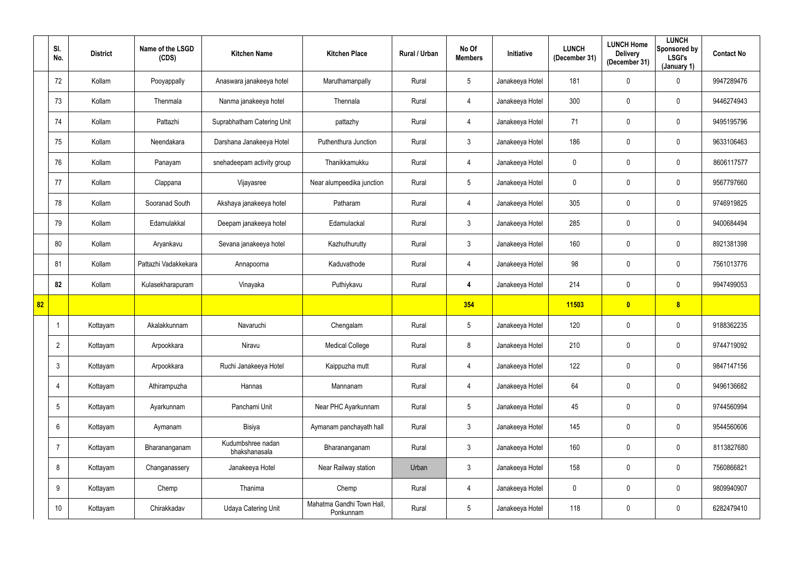|    | SI.<br>No.      | <b>District</b> | Name of the LSGD<br>(CDS) | <b>Kitchen Name</b>                | <b>Kitchen Place</b>                   | Rural / Urban | No Of<br><b>Members</b> | Initiative      | <b>LUNCH</b><br>(December 31) | <b>LUNCH Home</b><br><b>Delivery</b><br>(December 31) | <b>LUNCH</b><br>Sponsored by<br><b>LSGI's</b><br>(January 1) | <b>Contact No</b> |
|----|-----------------|-----------------|---------------------------|------------------------------------|----------------------------------------|---------------|-------------------------|-----------------|-------------------------------|-------------------------------------------------------|--------------------------------------------------------------|-------------------|
|    | 72              | Kollam          | Pooyappally               | Anaswara janakeeya hotel           | Maruthamanpally                        | Rural         | 5                       | Janakeeya Hotel | 181                           | $\overline{0}$                                        | $\mathbf 0$                                                  | 9947289476        |
|    | 73              | Kollam          | Thenmala                  | Nanma janakeeya hotel              | Thennala                               | Rural         | 4                       | Janakeeya Hotel | 300                           | $\mathbf 0$                                           | $\mathbf 0$                                                  | 9446274943        |
|    | 74              | Kollam          | Pattazhi                  | Suprabhatham Catering Unit         | pattazhy                               | Rural         | 4                       | Janakeeya Hotel | 71                            | $\mathbf 0$                                           | $\pmb{0}$                                                    | 9495195796        |
|    | 75              | Kollam          | Neendakara                | Darshana Janakeeya Hotel           | Puthenthura Junction                   | Rural         | 3                       | Janakeeya Hotel | 186                           | $\mathbf 0$                                           | $\pmb{0}$                                                    | 9633106463        |
|    | 76              | Kollam          | Panayam                   | snehadeepam activity group         | Thanikkamukku                          | Rural         | 4                       | Janakeeya Hotel | $\mathbf 0$                   | $\mathbf 0$                                           | $\overline{0}$                                               | 8606117577        |
|    | 77              | Kollam          | Clappana                  | Vijayasree                         | Near alumpeedika junction              | Rural         | 5                       | Janakeeya Hotel | $\mathbf 0$                   | $\overline{0}$                                        | $\mathbf 0$                                                  | 9567797660        |
|    | 78              | Kollam          | Sooranad South            | Akshaya janakeeya hotel            | Patharam                               | Rural         | 4                       | Janakeeya Hotel | 305                           | $\mathbf 0$                                           | $\overline{0}$                                               | 9746919825        |
|    | 79              | Kollam          | Edamulakkal               | Deepam janakeeya hotel             | Edamulackal                            | Rural         | $\mathbf{3}$            | Janakeeya Hotel | 285                           | $\mathbf 0$                                           | $\pmb{0}$                                                    | 9400684494        |
|    | 80              | Kollam          | Aryankavu                 | Sevana janakeeya hotel             | Kazhuthurutty                          | Rural         | $\mathbf{3}$            | Janakeeya Hotel | 160                           | $\overline{0}$                                        | $\pmb{0}$                                                    | 8921381398        |
|    | 81              | Kollam          | Pattazhi Vadakkekara      | Annapoorna                         | Kaduvathode                            | Rural         | 4                       | Janakeeya Hotel | 98                            | $\mathbf 0$                                           | $\pmb{0}$                                                    | 7561013776        |
|    | 82              | Kollam          | Kulasekharapuram          | Vinayaka                           | Puthiykavu                             | Rural         | 4                       | Janakeeya Hotel | 214                           | $\overline{0}$                                        | $\mathbf 0$                                                  | 9947499053        |
| 82 |                 |                 |                           |                                    |                                        |               | 354                     |                 | 11503                         | $\bullet$                                             | 8                                                            |                   |
|    |                 | Kottayam        | Akalakkunnam              | Navaruchi                          | Chengalam                              | Rural         | 5                       | Janakeeya Hotel | 120                           | $\overline{0}$                                        | $\pmb{0}$                                                    | 9188362235        |
|    | $\overline{2}$  | Kottayam        | Arpookkara                | Niravu                             | <b>Medical College</b>                 | Rural         | 8                       | Janakeeya Hotel | 210                           | $\mathbf 0$                                           | $\overline{0}$                                               | 9744719092        |
|    | $\mathbf{3}$    | Kottayam        | Arpookkara                | Ruchi Janakeeya Hotel              | Kaippuzha mutt                         | Rural         | 4                       | Janakeeya Hotel | 122                           | $\pmb{0}$                                             | $\overline{0}$                                               | 9847147156        |
|    | $\overline{4}$  | Kottayam        | Athirampuzha              | Hannas                             | Mannanam                               | Rural         | 4                       | Janakeeya Hotel | 64                            | $\mathbf 0$                                           | $\overline{0}$                                               | 9496136682        |
|    | 5               | Kottayam        | Ayarkunnam                | Panchami Unit                      | Near PHC Ayarkunnam                    | Rural         | $5\phantom{.0}$         | Janakeeya Hotel | 45                            | $\mathbf 0$                                           | $\overline{0}$                                               | 9744560994        |
|    | 6               | Kottayam        | Aymanam                   | Bisiya                             | Aymanam panchayath hall                | Rural         | 3 <sup>1</sup>          | Janakeeya Hotel | 145                           | $\pmb{0}$                                             | $\overline{0}$                                               | 9544560606        |
|    | $\overline{7}$  | Kottayam        | Bharananganam             | Kudumbshree nadan<br>bhakshanasala | Bharananganam                          | Rural         | $3\phantom{.0}$         | Janakeeya Hotel | 160                           | $\mathbf 0$                                           | $\overline{0}$                                               | 8113827680        |
|    | 8               | Kottayam        | Changanassery             | Janakeeya Hotel                    | Near Railway station                   | Urban         | 3 <sup>1</sup>          | Janakeeya Hotel | 158                           | $\pmb{0}$                                             | $\overline{0}$                                               | 7560866821        |
|    | 9               | Kottayam        | Chemp                     | Thanima                            | Chemp                                  | Rural         | 4                       | Janakeeya Hotel | $\mathbf 0$                   | $\mathbf 0$                                           | $\overline{0}$                                               | 9809940907        |
|    | 10 <sup>°</sup> | Kottayam        | Chirakkadav               | <b>Udaya Catering Unit</b>         | Mahatma Gandhi Town Hall,<br>Ponkunnam | Rural         | $5\phantom{.0}$         | Janakeeya Hotel | 118                           | $\pmb{0}$                                             | $\pmb{0}$                                                    | 6282479410        |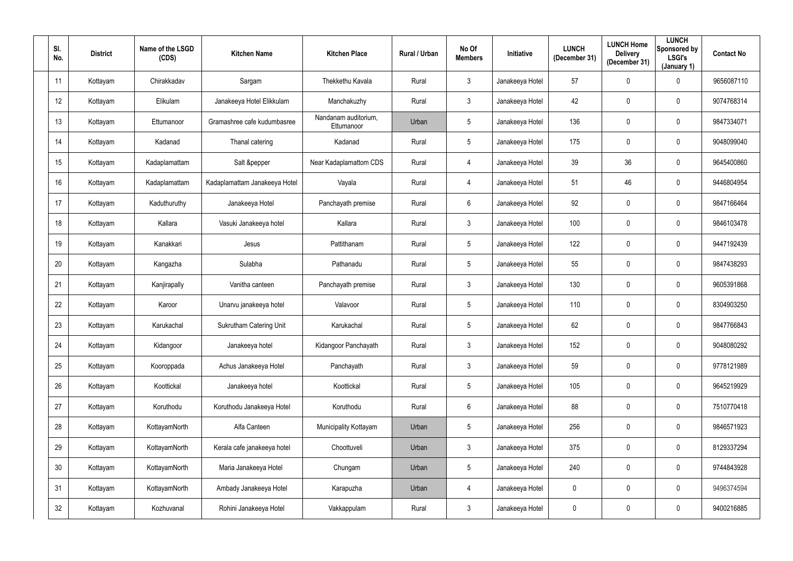| SI.<br>No.      | <b>District</b> | Name of the LSGD<br>(CDS) | <b>Kitchen Name</b>            | <b>Kitchen Place</b>               | Rural / Urban | No Of<br><b>Members</b> | <b>Initiative</b> | <b>LUNCH</b><br>(December 31) | <b>LUNCH Home</b><br><b>Delivery</b><br>(December 31) | <b>LUNCH</b><br>Sponsored by<br><b>LSGI's</b><br>(January 1) | <b>Contact No</b> |
|-----------------|-----------------|---------------------------|--------------------------------|------------------------------------|---------------|-------------------------|-------------------|-------------------------------|-------------------------------------------------------|--------------------------------------------------------------|-------------------|
| 11              | Kottayam        | Chirakkadav               | Sargam                         | Thekkethu Kavala                   | Rural         | $\mathbf{3}$            | Janakeeya Hotel   | 57                            | 0                                                     | $\mathbf 0$                                                  | 9656087110        |
| 12              | Kottayam        | Elikulam                  | Janakeeya Hotel Elikkulam      | Manchakuzhy                        | Rural         | $\mathbf{3}$            | Janakeeya Hotel   | 42                            | 0                                                     | $\mathbf 0$                                                  | 9074768314        |
| 13              | Kottayam        | Ettumanoor                | Gramashree cafe kudumbasree    | Nandanam auditorium,<br>Ettumanoor | Urban         | $5\phantom{.0}$         | Janakeeya Hotel   | 136                           | 0                                                     | $\mathbf 0$                                                  | 9847334071        |
| 14              | Kottayam        | Kadanad                   | Thanal catering                | Kadanad                            | Rural         | $5\phantom{.0}$         | Janakeeya Hotel   | 175                           | 0                                                     | $\overline{0}$                                               | 9048099040        |
| 15              | Kottayam        | Kadaplamattam             | Salt &pepper                   | Near Kadaplamattom CDS             | Rural         | 4                       | Janakeeya Hotel   | 39                            | 36                                                    | $\mathbf 0$                                                  | 9645400860        |
| 16              | Kottayam        | Kadaplamattam             | Kadaplamattam Janakeeya Hotel  | Vayala                             | Rural         | 4                       | Janakeeya Hotel   | 51                            | 46                                                    | $\mathbf 0$                                                  | 9446804954        |
| 17              | Kottayam        | Kaduthuruthy              | Janakeeya Hotel                | Panchayath premise                 | Rural         | $6\phantom{.}6$         | Janakeeya Hotel   | 92                            | 0                                                     | $\overline{0}$                                               | 9847166464        |
| 18              | Kottayam        | Kallara                   | Vasuki Janakeeya hotel         | Kallara                            | Rural         | $\mathbf{3}$            | Janakeeya Hotel   | 100                           | 0                                                     | $\overline{0}$                                               | 9846103478        |
| 19              | Kottayam        | Kanakkari                 | Jesus                          | Pattithanam                        | Rural         | $5\overline{)}$         | Janakeeya Hotel   | 122                           | 0                                                     | $\overline{0}$                                               | 9447192439        |
| 20              | Kottayam        | Kangazha                  | Sulabha                        | Pathanadu                          | Rural         | $5\overline{)}$         | Janakeeya Hotel   | 55                            | 0                                                     | $\overline{0}$                                               | 9847438293        |
| 21              | Kottayam        | Kanjirapally              | Vanitha canteen                | Panchayath premise                 | Rural         | $\mathbf{3}$            | Janakeeya Hotel   | 130                           | 0                                                     | $\mathbf 0$                                                  | 9605391868        |
| 22              | Kottayam        | Karoor                    | Unarvu janakeeya hotel         | Valavoor                           | Rural         | $5\overline{)}$         | Janakeeya Hotel   | 110                           | 0                                                     | $\mathbf 0$                                                  | 8304903250        |
| 23              | Kottayam        | Karukachal                | <b>Sukrutham Catering Unit</b> | Karukachal                         | Rural         | $5\phantom{.0}$         | Janakeeya Hotel   | 62                            | 0                                                     | $\overline{0}$                                               | 9847766843        |
| 24              | Kottayam        | Kidangoor                 | Janakeeya hotel                | Kidangoor Panchayath               | Rural         | $\mathfrak{Z}$          | Janakeeya Hotel   | 152                           | 0                                                     | $\mathbf 0$                                                  | 9048080292        |
| 25              | Kottayam        | Kooroppada                | Achus Janakeeya Hotel          | Panchayath                         | Rural         | $\mathbf{3}$            | Janakeeya Hotel   | 59                            | 0                                                     | $\mathbf 0$                                                  | 9778121989        |
| 26              | Kottayam        | Koottickal                | Janakeeya hotel                | Koottickal                         | Rural         | $5\overline{)}$         | Janakeeya Hotel   | 105                           | 0                                                     | $\mathbf 0$                                                  | 9645219929        |
| 27              | Kottayam        | Koruthodu                 | Koruthodu Janakeeya Hotel      | Koruthodu                          | Rural         | $6\phantom{.}6$         | Janakeeya Hotel   | 88                            | 0                                                     | $\mathbf 0$                                                  | 7510770418        |
| 28              | Kottayam        | KottayamNorth             | Alfa Canteen                   | Municipality Kottayam              | Urban         | $5\phantom{.0}$         | Janakeeya Hotel   | 256                           | 0                                                     | $\mathbf 0$                                                  | 9846571923        |
| 29              | Kottayam        | KottayamNorth             | Kerala cafe janakeeya hotel    | Choottuveli                        | Urban         | $\mathfrak{Z}$          | Janakeeya Hotel   | 375                           | 0                                                     | $\mathbf 0$                                                  | 8129337294        |
| 30 <sup>°</sup> | Kottayam        | KottayamNorth             | Maria Janakeeya Hotel          | Chungam                            | Urban         | $5\phantom{.0}$         | Janakeeya Hotel   | 240                           | 0                                                     | $\mathbf 0$                                                  | 9744843928        |
| 31              | Kottayam        | KottayamNorth             | Ambady Janakeeya Hotel         | Karapuzha                          | Urban         | 4                       | Janakeeya Hotel   | $\boldsymbol{0}$              | 0                                                     | $\mathbf 0$                                                  | 9496374594        |
| 32              | Kottayam        | Kozhuvanal                | Rohini Janakeeya Hotel         | Vakkappulam                        | Rural         | $\mathfrak{Z}$          | Janakeeya Hotel   | $\boldsymbol{0}$              | 0                                                     | $\overline{0}$                                               | 9400216885        |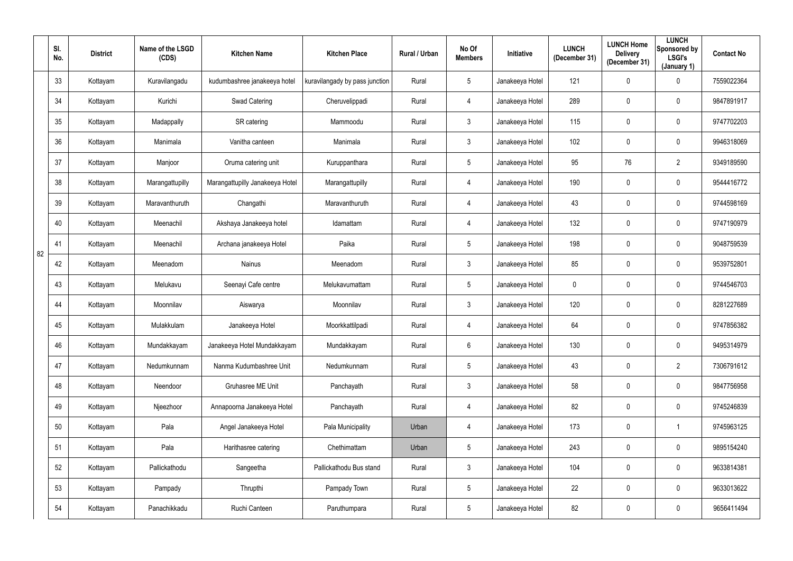|    | SI.<br>No. | <b>District</b> | Name of the LSGD<br>(CDS) | <b>Kitchen Name</b>             | <b>Kitchen Place</b>           | Rural / Urban | No Of<br><b>Members</b> | Initiative      | <b>LUNCH</b><br>(December 31) | <b>LUNCH Home</b><br><b>Delivery</b><br>(December 31) | <b>LUNCH</b><br>Sponsored by<br>LSGI's<br>(January 1) | <b>Contact No</b> |
|----|------------|-----------------|---------------------------|---------------------------------|--------------------------------|---------------|-------------------------|-----------------|-------------------------------|-------------------------------------------------------|-------------------------------------------------------|-------------------|
|    | 33         | Kottayam        | Kuravilangadu             | kudumbashree janakeeya hotel    | kuravilangady by pass junction | Rural         | $5\phantom{.0}$         | Janakeeya Hotel | 121                           | 0                                                     | $\mathbf 0$                                           | 7559022364        |
|    | 34         | Kottayam        | Kurichi                   | Swad Catering                   | Cheruvelippadi                 | Rural         | 4                       | Janakeeya Hotel | 289                           | 0                                                     | $\mathbf 0$                                           | 9847891917        |
|    | 35         | Kottayam        | Madappally                | SR catering                     | Mammoodu                       | Rural         | $\mathfrak{Z}$          | Janakeeya Hotel | 115                           | 0                                                     | $\mathbf 0$                                           | 9747702203        |
|    | 36         | Kottayam        | Manimala                  | Vanitha canteen                 | Manimala                       | Rural         | $\mathfrak{Z}$          | Janakeeya Hotel | 102                           | 0                                                     | $\overline{0}$                                        | 9946318069        |
|    | 37         | Kottayam        | Manjoor                   | Oruma catering unit             | Kuruppanthara                  | Rural         | $5\phantom{.0}$         | Janakeeya Hotel | 95                            | 76                                                    | $\overline{2}$                                        | 9349189590        |
|    | 38         | Kottayam        | Marangattupilly           | Marangattupilly Janakeeya Hotel | Marangattupilly                | Rural         | 4                       | Janakeeya Hotel | 190                           | 0                                                     | $\mathbf 0$                                           | 9544416772        |
|    | 39         | Kottayam        | Maravanthuruth            | Changathi                       | Maravanthuruth                 | Rural         | 4                       | Janakeeya Hotel | 43                            | 0                                                     | $\mathbf 0$                                           | 9744598169        |
|    | 40         | Kottayam        | Meenachil                 | Akshaya Janakeeya hotel         | Idamattam                      | Rural         | 4                       | Janakeeya Hotel | 132                           | 0                                                     | $\mathbf 0$                                           | 9747190979        |
| 82 | 41         | Kottayam        | Meenachil                 | Archana janakeeya Hotel         | Paika                          | Rural         | $5\overline{)}$         | Janakeeya Hotel | 198                           | 0                                                     | $\overline{0}$                                        | 9048759539        |
|    | 42         | Kottayam        | Meenadom                  | <b>Nainus</b>                   | Meenadom                       | Rural         | $\mathbf{3}$            | Janakeeya Hotel | 85                            | 0                                                     | $\mathbf 0$                                           | 9539752801        |
|    | 43         | Kottayam        | Melukavu                  | Seenayi Cafe centre             | Melukavumattam                 | Rural         | $5\phantom{.0}$         | Janakeeya Hotel | $\mathbf 0$                   | 0                                                     | $\mathbf 0$                                           | 9744546703        |
|    | 44         | Kottayam        | Moonnilav                 | Aiswarya                        | Moonnilav                      | Rural         | $\mathbf{3}$            | Janakeeya Hotel | 120                           | 0                                                     | $\mathbf 0$                                           | 8281227689        |
|    | 45         | Kottayam        | Mulakkulam                | Janakeeya Hotel                 | Moorkkattilpadi                | Rural         | 4                       | Janakeeya Hotel | 64                            | 0                                                     | $\mathbf 0$                                           | 9747856382        |
|    | 46         | Kottayam        | Mundakkayam               | Janakeeya Hotel Mundakkayam     | Mundakkayam                    | Rural         | $6\overline{6}$         | Janakeeya Hotel | 130                           | $\pmb{0}$                                             | $\mathbf 0$                                           | 9495314979        |
|    | 47         | Kottayam        | Nedumkunnam               | Nanma Kudumbashree Unit         | Nedumkunnam                    | Rural         | $5\phantom{.0}$         | Janakeeya Hotel | 43                            | 0                                                     | $\overline{2}$                                        | 7306791612        |
|    | 48         | Kottayam        | Neendoor                  | Gruhasree ME Unit               | Panchayath                     | Rural         | $\mathfrak{Z}$          | Janakeeya Hotel | 58                            | $\pmb{0}$                                             | $\mathbf 0$                                           | 9847756958        |
|    | 49         | Kottayam        | Njeezhoor                 | Annapoorna Janakeeya Hotel      | Panchayath                     | Rural         | $\overline{4}$          | Janakeeya Hotel | 82                            | $\mathbf 0$                                           | $\mathbf 0$                                           | 9745246839        |
|    | $50\,$     | Kottayam        | Pala                      | Angel Janakeeya Hotel           | Pala Municipality              | Urban         | $\overline{4}$          | Janakeeya Hotel | 173                           | $\pmb{0}$                                             |                                                       | 9745963125        |
|    | 51         | Kottayam        | Pala                      | Harithasree catering            | Chethimattam                   | Urban         | $5\phantom{.0}$         | Janakeeya Hotel | 243                           | $\pmb{0}$                                             | $\mathbf 0$                                           | 9895154240        |
|    | 52         | Kottayam        | Pallickathodu             | Sangeetha                       | Pallickathodu Bus stand        | Rural         | 3 <sup>1</sup>          | Janakeeya Hotel | 104                           | 0                                                     | $\overline{0}$                                        | 9633814381        |
|    | 53         | Kottayam        | Pampady                   | Thrupthi                        | Pampady Town                   | Rural         | $5\phantom{.0}$         | Janakeeya Hotel | 22                            | $\pmb{0}$                                             | $\mathbf 0$                                           | 9633013622        |
|    | 54         | Kottayam        | Panachikkadu              | Ruchi Canteen                   | Paruthumpara                   | Rural         | $5\phantom{.0}$         | Janakeeya Hotel | 82                            | $\boldsymbol{0}$                                      | $\overline{0}$                                        | 9656411494        |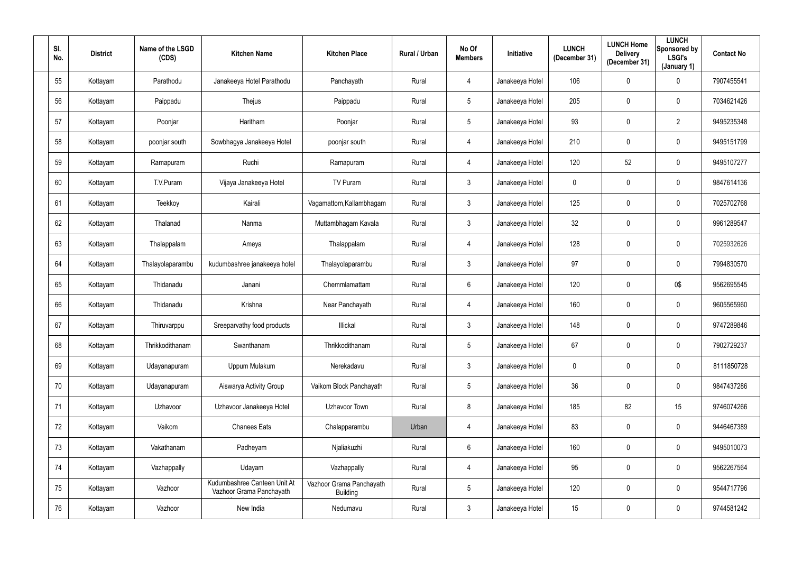| SI.<br>No. | <b>District</b> | Name of the LSGD<br>(CDS) | <b>Kitchen Name</b>                                      | <b>Kitchen Place</b>                        | Rural / Urban | No Of<br><b>Members</b> | <b>Initiative</b> | <b>LUNCH</b><br>(December 31) | <b>LUNCH Home</b><br><b>Delivery</b><br>(December 31) | <b>LUNCH</b><br>Sponsored by<br>LSGI's<br>(January 1) | <b>Contact No</b> |
|------------|-----------------|---------------------------|----------------------------------------------------------|---------------------------------------------|---------------|-------------------------|-------------------|-------------------------------|-------------------------------------------------------|-------------------------------------------------------|-------------------|
| 55         | Kottayam        | Parathodu                 | Janakeeya Hotel Parathodu                                | Panchayath                                  | Rural         | 4                       | Janakeeya Hotel   | 106                           | 0                                                     | $\mathbf 0$                                           | 7907455541        |
| 56         | Kottayam        | Paippadu                  | Thejus                                                   | Paippadu                                    | Rural         | 5 <sub>5</sub>          | Janakeeya Hotel   | 205                           | 0                                                     | $\mathbf 0$                                           | 7034621426        |
| 57         | Kottayam        | Poonjar                   | Haritham                                                 | Poonjar                                     | Rural         | $5\overline{)}$         | Janakeeya Hotel   | 93                            | 0                                                     | $\overline{2}$                                        | 9495235348        |
| 58         | Kottayam        | poonjar south             | Sowbhagya Janakeeya Hotel                                | poonjar south                               | Rural         | 4                       | Janakeeya Hotel   | 210                           | 0                                                     | $\overline{0}$                                        | 9495151799        |
| 59         | Kottayam        | Ramapuram                 | Ruchi                                                    | Ramapuram                                   | Rural         | 4                       | Janakeeya Hotel   | 120                           | 52                                                    | $\mathbf 0$                                           | 9495107277        |
| 60         | Kottayam        | T.V.Puram                 | Vijaya Janakeeya Hotel                                   | TV Puram                                    | Rural         | $\mathbf{3}$            | Janakeeya Hotel   | $\overline{0}$                | 0                                                     | $\mathbf 0$                                           | 9847614136        |
| 61         | Kottayam        | Teekkoy                   | Kairali                                                  | Vagamattom, Kallambhagam                    | Rural         | 3 <sup>1</sup>          | Janakeeya Hotel   | 125                           | 0                                                     | $\overline{0}$                                        | 7025702768        |
| 62         | Kottayam        | Thalanad                  | Nanma                                                    | Muttambhagam Kavala                         | Rural         | 3 <sup>1</sup>          | Janakeeya Hotel   | 32                            | 0                                                     | $\overline{0}$                                        | 9961289547        |
| 63         | Kottayam        | Thalappalam               | Ameya                                                    | Thalappalam                                 | Rural         | 4                       | Janakeeya Hotel   | 128                           | 0                                                     | $\overline{0}$                                        | 7025932626        |
| 64         | Kottayam        | Thalayolaparambu          | kudumbashree janakeeya hotel                             | Thalayolaparambu                            | Rural         | $\mathbf{3}$            | Janakeeya Hotel   | 97                            | 0                                                     | $\overline{0}$                                        | 7994830570        |
| 65         | Kottayam        | Thidanadu                 | Janani                                                   | Chemmlamattam                               | Rural         | $6\overline{6}$         | Janakeeya Hotel   | 120                           | 0                                                     | 0\$                                                   | 9562695545        |
| 66         | Kottayam        | Thidanadu                 | Krishna                                                  | Near Panchayath                             | Rural         | 4                       | Janakeeya Hotel   | 160                           | 0                                                     | $\mathbf 0$                                           | 9605565960        |
| 67         | Kottayam        | Thiruvarppu               | Sreeparvathy food products                               | Illickal                                    | Rural         | 3                       | Janakeeya Hotel   | 148                           | 0                                                     | $\overline{0}$                                        | 9747289846        |
| 68         | Kottayam        | Thrikkodithanam           | Swanthanam                                               | Thrikkodithanam                             | Rural         | $5\overline{)}$         | Janakeeya Hotel   | 67                            | 0                                                     | $\mathbf 0$                                           | 7902729237        |
| 69         | Kottayam        | Udayanapuram              | Uppum Mulakum                                            | Nerekadavu                                  | Rural         | $\mathbf{3}$            | Janakeeya Hotel   | $\pmb{0}$                     | 0                                                     | $\mathbf 0$                                           | 8111850728        |
| 70         | Kottayam        | Udayanapuram              | Aiswarya Activity Group                                  | Vaikom Block Panchayath                     | Rural         | $5\overline{)}$         | Janakeeya Hotel   | 36                            | 0                                                     | $\mathbf 0$                                           | 9847437286        |
| 71         | Kottayam        | Uzhavoor                  | Uzhavoor Janakeeya Hotel                                 | Uzhavoor Town                               | Rural         | 8                       | Janakeeya Hotel   | 185                           | 82                                                    | 15                                                    | 9746074266        |
| 72         | Kottayam        | Vaikom                    | <b>Chanees Eats</b>                                      | Chalapparambu                               | Urban         | $\overline{4}$          | Janakeeya Hotel   | 83                            | 0                                                     | $\mathbf 0$                                           | 9446467389        |
| 73         | Kottayam        | Vakathanam                | Padheyam                                                 | Njaliakuzhi                                 | Rural         | $6\overline{6}$         | Janakeeya Hotel   | 160                           | 0                                                     | $\mathbf 0$                                           | 9495010073        |
| 74         | Kottayam        | Vazhappally               | Udayam                                                   | Vazhappally                                 | Rural         | $\overline{4}$          | Janakeeya Hotel   | 95                            | 0                                                     | $\mathbf 0$                                           | 9562267564        |
| 75         | Kottayam        | Vazhoor                   | Kudumbashree Canteen Unit At<br>Vazhoor Grama Panchayath | Vazhoor Grama Panchayath<br><b>Building</b> | Rural         | 5 <sub>5</sub>          | Janakeeya Hotel   | 120                           | 0                                                     | $\mathbf 0$                                           | 9544717796        |
| 76         | Kottayam        | Vazhoor                   | New India                                                | Nedumavu                                    | Rural         | $\mathfrak{Z}$          | Janakeeya Hotel   | 15                            | 0                                                     | $\mathbf 0$                                           | 9744581242        |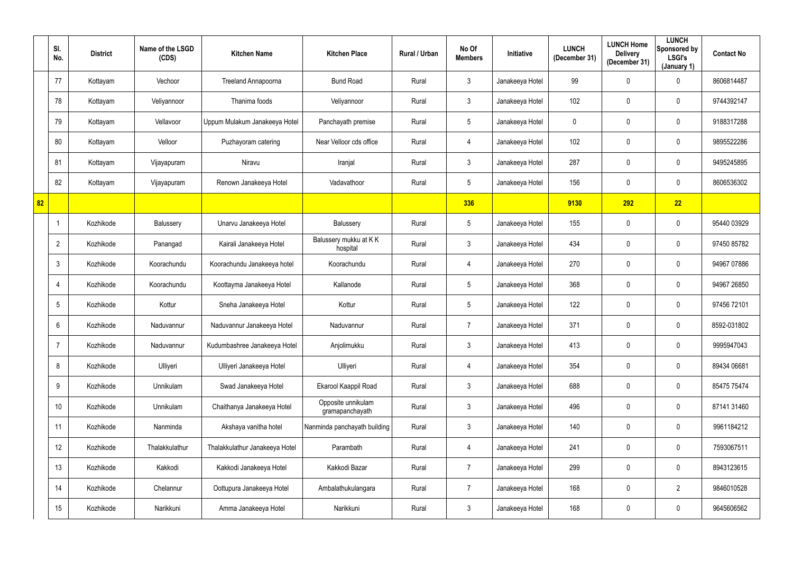|    | SI.<br>No.      | <b>District</b> | Name of the LSGD<br>(CDS) | <b>Kitchen Name</b>            | <b>Kitchen Place</b>                  | Rural / Urban | No Of<br><b>Members</b> | Initiative      | <b>LUNCH</b><br>(December 31) | <b>LUNCH Home</b><br><b>Delivery</b><br>(December 31) | <b>LUNCH</b><br>Sponsored by<br>LSGI's<br>(January 1) | <b>Contact No</b> |
|----|-----------------|-----------------|---------------------------|--------------------------------|---------------------------------------|---------------|-------------------------|-----------------|-------------------------------|-------------------------------------------------------|-------------------------------------------------------|-------------------|
|    | 77              | Kottayam        | Vechoor                   | Treeland Annapoorna            | <b>Bund Road</b>                      | Rural         | $\mathfrak{Z}$          | Janakeeya Hotel | 99                            | 0                                                     | $\mathbf 0$                                           | 8606814487        |
|    | 78              | Kottayam        | Veliyannoor               | Thanima foods                  | Veliyannoor                           | Rural         | $\mathbf{3}$            | Janakeeya Hotel | 102                           | 0                                                     | $\mathbf 0$                                           | 9744392147        |
|    | 79              | Kottayam        | Vellavoor                 | Uppum Mulakum Janakeeya Hotel  | Panchayath premise                    | Rural         | $5\phantom{.0}$         | Janakeeya Hotel | $\mathbf 0$                   | 0                                                     | $\mathbf 0$                                           | 9188317288        |
|    | 80              | Kottayam        | Velloor                   | Puzhayoram catering            | Near Velloor cds office               | Rural         | 4                       | Janakeeya Hotel | 102                           | 0                                                     | $\mathbf 0$                                           | 9895522286        |
|    | 81              | Kottayam        | Vijayapuram               | Niravu                         | Iranjal                               | Rural         | $\mathbf{3}$            | Janakeeya Hotel | 287                           | 0                                                     | $\mathbf 0$                                           | 9495245895        |
|    | 82              | Kottayam        | Vijayapuram               | Renown Janakeeya Hotel         | Vadavathoor                           | Rural         | $5\phantom{.0}$         | Janakeeya Hotel | 156                           | 0                                                     | $\mathbf 0$                                           | 8606536302        |
| 82 |                 |                 |                           |                                |                                       |               | 336                     |                 | 9130                          | 292                                                   | 22                                                    |                   |
|    |                 | Kozhikode       | Balussery                 | Unarvu Janakeeya Hotel         | Balussery                             | Rural         | $5\phantom{.0}$         | Janakeeya Hotel | 155                           | 0                                                     | $\mathbf 0$                                           | 95440 03929       |
|    | $\overline{2}$  | Kozhikode       | Panangad                  | Kairali Janakeeya Hotel        | Balussery mukku at KK<br>hospital     | Rural         | $\mathbf{3}$            | Janakeeya Hotel | 434                           | 0                                                     | $\overline{0}$                                        | 97450 85782       |
|    | $\mathbf{3}$    | Kozhikode       | Koorachundu               | Koorachundu Janakeeya hotel    | Koorachundu                           | Rural         | 4                       | Janakeeya Hotel | 270                           | 0                                                     | $\mathbf 0$                                           | 94967 07886       |
|    | 4               | Kozhikode       | Koorachundu               | Koottayma Janakeeya Hotel      | Kallanode                             | Rural         | $5\phantom{.0}$         | Janakeeya Hotel | 368                           | 0                                                     | $\mathbf 0$                                           | 94967 26850       |
|    | $5\overline{)}$ | Kozhikode       | Kottur                    | Sneha Janakeeya Hotel          | Kottur                                | Rural         | $5\phantom{.0}$         | Janakeeya Hotel | 122                           | 0                                                     | $\mathbf 0$                                           | 97456 72101       |
|    | 6               | Kozhikode       | Naduvannur                | Naduvannur Janakeeya Hotel     | Naduvannur                            | Rural         | $\overline{7}$          | Janakeeya Hotel | 371                           | 0                                                     | $\overline{0}$                                        | 8592-031802       |
|    | $\overline{7}$  | Kozhikode       | Naduvannur                | Kudumbashree Janakeeya Hotel   | Anjolimukku                           | Rural         | $\mathfrak{Z}$          | Janakeeya Hotel | 413                           | $\mathbf 0$                                           | $\mathbf 0$                                           | 9995947043        |
|    | 8               | Kozhikode       | Ulliyeri                  | Ulliyeri Janakeeya Hotel       | Ulliyeri                              | Rural         | 4                       | Janakeeya Hotel | 354                           | $\pmb{0}$                                             | $\mathbf 0$                                           | 89434 06681       |
|    | 9               | Kozhikode       | Unnikulam                 | Swad Janakeeya Hotel           | Ekarool Kaappil Road                  | Rural         | $\mathbf{3}$            | Janakeeya Hotel | 688                           | 0                                                     | $\mathbf 0$                                           | 85475 75474       |
|    | 10              | Kozhikode       | Unnikulam                 | Chaithanya Janakeeya Hotel     | Opposite unnikulam<br>gramapanchayath | Rural         | $\mathfrak{Z}$          | Janakeeya Hotel | 496                           | $\mathbf 0$                                           | $\mathbf 0$                                           | 87141 31460       |
|    | 11              | Kozhikode       | Nanminda                  | Akshaya vanitha hotel          | Nanminda panchayath building          | Rural         | $\mathfrak{Z}$          | Janakeeya Hotel | 140                           | $\pmb{0}$                                             | $\mathbf 0$                                           | 9961184212        |
|    | 12              | Kozhikode       | Thalakkulathur            | Thalakkulathur Janakeeya Hotel | Parambath                             | Rural         | 4                       | Janakeeya Hotel | 241                           | $\pmb{0}$                                             | $\mathbf 0$                                           | 7593067511        |
|    | 13              | Kozhikode       | Kakkodi                   | Kakkodi Janakeeya Hotel        | Kakkodi Bazar                         | Rural         | $\overline{7}$          | Janakeeya Hotel | 299                           | 0                                                     | $\mathbf 0$                                           | 8943123615        |
|    | 14              | Kozhikode       | Chelannur                 | Oottupura Janakeeya Hotel      | Ambalathukulangara                    | Rural         | $\overline{7}$          | Janakeeya Hotel | 168                           | 0                                                     | $\overline{2}$                                        | 9846010528        |
|    | 15              | Kozhikode       | Narikkuni                 | Amma Janakeeya Hotel           | Narikkuni                             | Rural         | $\mathfrak{Z}$          | Janakeeya Hotel | 168                           | 0                                                     | $\mathbf 0$                                           | 9645606562        |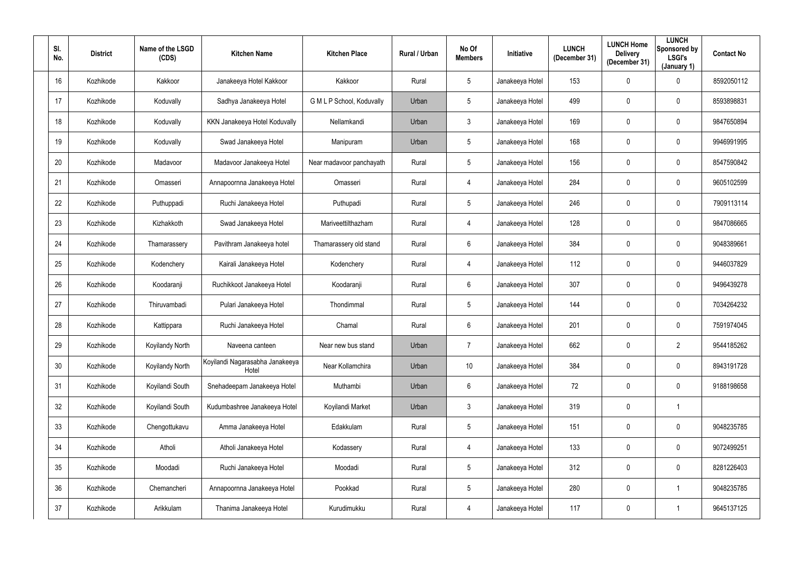| SI.<br>No. | <b>District</b> | Name of the LSGD<br>(CDS) | <b>Kitchen Name</b>                      | <b>Kitchen Place</b>      | Rural / Urban | No Of<br><b>Members</b> | <b>Initiative</b> | <b>LUNCH</b><br>(December 31) | <b>LUNCH Home</b><br><b>Delivery</b><br>(December 31) | <b>LUNCH</b><br>Sponsored by<br><b>LSGI's</b><br>(January 1) | <b>Contact No</b> |
|------------|-----------------|---------------------------|------------------------------------------|---------------------------|---------------|-------------------------|-------------------|-------------------------------|-------------------------------------------------------|--------------------------------------------------------------|-------------------|
| 16         | Kozhikode       | Kakkoor                   | Janakeeya Hotel Kakkoor                  | Kakkoor                   | Rural         | $5\overline{)}$         | Janakeeya Hotel   | 153                           | 0                                                     | $\mathbf 0$                                                  | 8592050112        |
| 17         | Kozhikode       | Koduvally                 | Sadhya Janakeeya Hotel                   | G M L P School, Koduvally | Urban         | $5\phantom{.0}$         | Janakeeya Hotel   | 499                           | 0                                                     | $\overline{0}$                                               | 8593898831        |
| 18         | Kozhikode       | Koduvally                 | KKN Janakeeya Hotel Koduvally            | Nellamkandi               | Urban         | $\mathbf{3}$            | Janakeeya Hotel   | 169                           | 0                                                     | $\mathbf 0$                                                  | 9847650894        |
| 19         | Kozhikode       | Koduvally                 | Swad Janakeeya Hotel                     | Manipuram                 | Urban         | $5\overline{)}$         | Janakeeya Hotel   | 168                           | 0                                                     | $\mathbf 0$                                                  | 9946991995        |
| 20         | Kozhikode       | Madavoor                  | Madavoor Janakeeya Hotel                 | Near madavoor panchayath  | Rural         | $5\overline{)}$         | Janakeeya Hotel   | 156                           | 0                                                     | $\mathbf 0$                                                  | 8547590842        |
| 21         | Kozhikode       | Omasseri                  | Annapoornna Janakeeya Hotel              | Omasseri                  | Rural         | 4                       | Janakeeya Hotel   | 284                           | 0                                                     | $\mathbf 0$                                                  | 9605102599        |
| 22         | Kozhikode       | Puthuppadi                | Ruchi Janakeeya Hotel                    | Puthupadi                 | Rural         | $5\phantom{.0}$         | Janakeeya Hotel   | 246                           | 0                                                     | $\mathbf 0$                                                  | 7909113114        |
| 23         | Kozhikode       | Kizhakkoth                | Swad Janakeeya Hotel                     | Mariveettilthazham        | Rural         | 4                       | Janakeeya Hotel   | 128                           | 0                                                     | $\overline{0}$                                               | 9847086665        |
| 24         | Kozhikode       | Thamarassery              | Pavithram Janakeeya hotel                | Thamarassery old stand    | Rural         | 6                       | Janakeeya Hotel   | 384                           | 0                                                     | $\overline{0}$                                               | 9048389661        |
| 25         | Kozhikode       | Kodenchery                | Kairali Janakeeya Hotel                  | Kodenchery                | Rural         | 4                       | Janakeeya Hotel   | 112                           | 0                                                     | $\mathbf 0$                                                  | 9446037829        |
| 26         | Kozhikode       | Koodaranji                | Ruchikkoot Janakeeya Hotel               | Koodaranji                | Rural         | $6^{\circ}$             | Janakeeya Hotel   | 307                           | $\mathbf 0$                                           | $\mathbf 0$                                                  | 9496439278        |
| 27         | Kozhikode       | Thiruvambadi              | Pulari Janakeeya Hotel                   | Thondimmal                | Rural         | $5\phantom{.0}$         | Janakeeya Hotel   | 144                           | 0                                                     | $\mathbf 0$                                                  | 7034264232        |
| 28         | Kozhikode       | Kattippara                | Ruchi Janakeeya Hotel                    | Chamal                    | Rural         | $6\phantom{.}$          | Janakeeya Hotel   | 201                           | 0                                                     | $\mathbf 0$                                                  | 7591974045        |
| 29         | Kozhikode       | Koyilandy North           | Naveena canteen                          | Near new bus stand        | Urban         | $\overline{7}$          | Janakeeya Hotel   | 662                           | $\mathbf 0$                                           | $\overline{2}$                                               | 9544185262        |
| 30         | Kozhikode       | Koyilandy North           | Koyilandi Nagarasabha Janakeeya<br>Hotel | Near Kollamchira          | Urban         | 10                      | Janakeeya Hotel   | 384                           | 0                                                     | $\mathbf 0$                                                  | 8943191728        |
| 31         | Kozhikode       | Koyilandi South           | Snehadeepam Janakeeya Hotel              | Muthambi                  | Urban         | 6                       | Janakeeya Hotel   | 72                            | 0                                                     | $\mathbf 0$                                                  | 9188198658        |
| 32         | Kozhikode       | Koyilandi South           | Kudumbashree Janakeeya Hotel             | Koyilandi Market          | Urban         | $\mathbf{3}$            | Janakeeya Hotel   | 319                           | $\mathbf 0$                                           |                                                              |                   |
| 33         | Kozhikode       | Chengottukavu             | Amma Janakeeya Hotel                     | Edakkulam                 | Rural         | $5\phantom{.0}$         | Janakeeya Hotel   | 151                           | 0                                                     | $\mathbf 0$                                                  | 9048235785        |
| 34         | Kozhikode       | Atholi                    | Atholi Janakeeya Hotel                   | Kodassery                 | Rural         | $\overline{4}$          | Janakeeya Hotel   | 133                           | 0                                                     | $\mathbf 0$                                                  | 9072499251        |
| 35         | Kozhikode       | Moodadi                   | Ruchi Janakeeya Hotel                    | Moodadi                   | Rural         | $5\overline{)}$         | Janakeeya Hotel   | 312                           | 0                                                     | $\mathbf 0$                                                  | 8281226403        |
| 36         | Kozhikode       | Chemancheri               | Annapoornna Janakeeya Hotel              | Pookkad                   | Rural         | 5 <sup>5</sup>          | Janakeeya Hotel   | 280                           | 0                                                     |                                                              | 9048235785        |
| 37         | Kozhikode       | Arikkulam                 | Thanima Janakeeya Hotel                  | Kurudimukku               | Rural         | 4                       | Janakeeya Hotel   | 117                           | 0                                                     |                                                              | 9645137125        |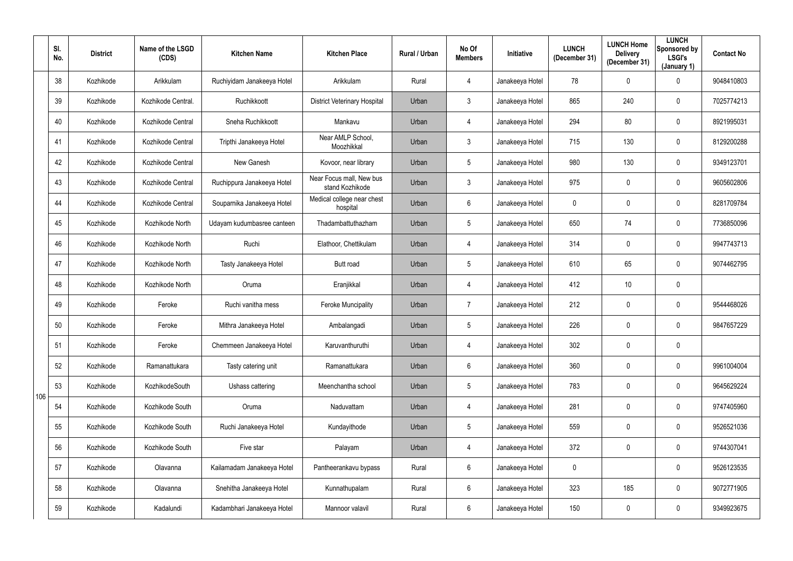|     | SI.<br>No. | <b>District</b> | Name of the LSGD<br>(CDS) | <b>Kitchen Name</b>        | <b>Kitchen Place</b>                        | Rural / Urban | No Of<br><b>Members</b> | Initiative      | <b>LUNCH</b><br>(December 31) | <b>LUNCH Home</b><br><b>Delivery</b><br>(December 31) | <b>LUNCH</b><br>Sponsored by<br><b>LSGI's</b><br>(January 1) | <b>Contact No</b> |
|-----|------------|-----------------|---------------------------|----------------------------|---------------------------------------------|---------------|-------------------------|-----------------|-------------------------------|-------------------------------------------------------|--------------------------------------------------------------|-------------------|
|     | 38         | Kozhikode       | Arikkulam                 | Ruchiyidam Janakeeya Hotel | Arikkulam                                   | Rural         | 4                       | Janakeeya Hotel | 78                            | $\mathbf 0$                                           | $\overline{0}$                                               | 9048410803        |
|     | 39         | Kozhikode       | Kozhikode Central.        | Ruchikkoott                | <b>District Veterinary Hospital</b>         | Urban         | 3                       | Janakeeya Hotel | 865                           | 240                                                   | $\overline{0}$                                               | 7025774213        |
|     | 40         | Kozhikode       | Kozhikode Central         | Sneha Ruchikkoott          | Mankavu                                     | Urban         | 4                       | Janakeeya Hotel | 294                           | 80                                                    | $\mathbf 0$                                                  | 8921995031        |
|     | 41         | Kozhikode       | Kozhikode Central         | Tripthi Janakeeya Hotel    | Near AMLP School,<br>Moozhikkal             | Urban         | $\mathfrak{Z}$          | Janakeeya Hotel | 715                           | 130                                                   | $\overline{0}$                                               | 8129200288        |
|     | 42         | Kozhikode       | Kozhikode Central         | New Ganesh                 | Kovoor, near library                        | Urban         | $5\phantom{.0}$         | Janakeeya Hotel | 980                           | 130                                                   | $\mathbf 0$                                                  | 9349123701        |
|     | 43         | Kozhikode       | Kozhikode Central         | Ruchippura Janakeeya Hotel | Near Focus mall, New bus<br>stand Kozhikode | Urban         | $\mathbf{3}$            | Janakeeya Hotel | 975                           | $\mathbf 0$                                           | $\mathbf 0$                                                  | 9605602806        |
|     | 44         | Kozhikode       | Kozhikode Central         | Souparnika Janakeeya Hotel | Medical college near chest<br>hospital      | Urban         | $6\phantom{.}$          | Janakeeya Hotel | $\overline{0}$                | $\mathbf 0$                                           | $\overline{0}$                                               | 8281709784        |
|     | 45         | Kozhikode       | Kozhikode North           | Udayam kudumbasree canteen | Thadambattuthazham                          | Urban         | $5\phantom{.0}$         | Janakeeya Hotel | 650                           | 74                                                    | $\mathbf 0$                                                  | 7736850096        |
|     | 46         | Kozhikode       | Kozhikode North           | Ruchi                      | Elathoor, Chettikulam                       | Urban         | 4                       | Janakeeya Hotel | 314                           | $\mathbf 0$                                           | $\overline{0}$                                               | 9947743713        |
|     | 47         | Kozhikode       | Kozhikode North           | Tasty Janakeeya Hotel      | Butt road                                   | Urban         | $5\phantom{.0}$         | Janakeeya Hotel | 610                           | 65                                                    | $\overline{0}$                                               | 9074462795        |
|     | 48         | Kozhikode       | Kozhikode North           | Oruma                      | Eranjikkal                                  | Urban         | 4                       | Janakeeya Hotel | 412                           | 10                                                    | $\mathbf 0$                                                  |                   |
|     | 49         | Kozhikode       | Feroke                    | Ruchi vanitha mess         | <b>Feroke Muncipality</b>                   | Urban         | $\overline{7}$          | Janakeeya Hotel | 212                           | 0                                                     | $\mathbf 0$                                                  | 9544468026        |
|     | 50         | Kozhikode       | Feroke                    | Mithra Janakeeya Hotel     | Ambalangadi                                 | Urban         | 5                       | Janakeeya Hotel | 226                           | $\mathbf 0$                                           | $\mathbf 0$                                                  | 9847657229        |
|     | 51         | Kozhikode       | Feroke                    | Chemmeen Janakeeya Hotel   | Karuvanthuruthi                             | Urban         | 4                       | Janakeeya Hotel | 302                           | $\mathbf 0$                                           | $\pmb{0}$                                                    |                   |
|     | 52         | Kozhikode       | Ramanattukara             | Tasty catering unit        | Ramanattukara                               | Urban         | $6\phantom{.0}$         | Janakeeya Hotel | 360                           | $\pmb{0}$                                             | $\mathbf 0$                                                  | 9961004004        |
| 106 | 53         | Kozhikode       | KozhikodeSouth            | Ushass cattering           | Meenchantha school                          | Urban         | $5\phantom{.0}$         | Janakeeya Hotel | 783                           | 0                                                     | $\mathbf 0$                                                  | 9645629224        |
|     | 54         | Kozhikode       | Kozhikode South           | Oruma                      | Naduvattam                                  | Urban         | 4                       | Janakeeya Hotel | 281                           | $\mathbf 0$                                           | $\mathbf 0$                                                  | 9747405960        |
|     | 55         | Kozhikode       | Kozhikode South           | Ruchi Janakeeya Hotel      | Kundayithode                                | Urban         | $5\phantom{.0}$         | Janakeeya Hotel | 559                           | $\pmb{0}$                                             | $\mathbf 0$                                                  | 9526521036        |
|     | 56         | Kozhikode       | Kozhikode South           | Five star                  | Palayam                                     | Urban         | 4                       | Janakeeya Hotel | 372                           | 0                                                     | $\mathbf 0$                                                  | 9744307041        |
|     | 57         | Kozhikode       | Olavanna                  | Kailamadam Janakeeya Hotel | Pantheerankavu bypass                       | Rural         | $6\overline{6}$         | Janakeeya Hotel | $\mathbf 0$                   |                                                       | $\mathbf 0$                                                  | 9526123535        |
|     | 58         | Kozhikode       | Olavanna                  | Snehitha Janakeeya Hotel   | Kunnathupalam                               | Rural         | $6\overline{6}$         | Janakeeya Hotel | 323                           | 185                                                   | $\mathbf 0$                                                  | 9072771905        |
|     | 59         | Kozhikode       | Kadalundi                 | Kadambhari Janakeeya Hotel | Mannoor valavil                             | Rural         | 6                       | Janakeeya Hotel | 150                           | $\overline{0}$                                        | $\overline{0}$                                               | 9349923675        |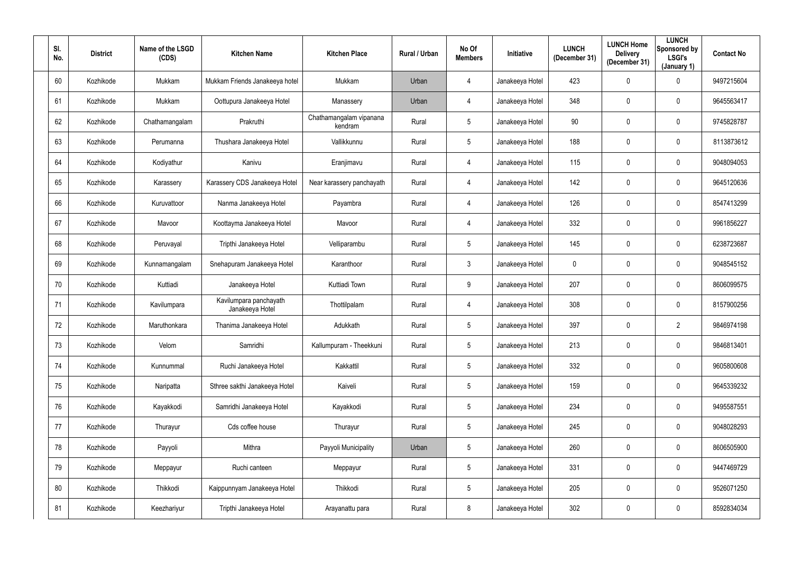| SI.<br>No. | <b>District</b> | Name of the LSGD<br>(CDS) | <b>Kitchen Name</b>                       | <b>Kitchen Place</b>               | Rural / Urban | No Of<br><b>Members</b> | Initiative      | <b>LUNCH</b><br>(December 31) | <b>LUNCH Home</b><br><b>Delivery</b><br>(December 31) | <b>LUNCH</b><br>Sponsored by<br><b>LSGI's</b><br>(January 1) | <b>Contact No</b> |
|------------|-----------------|---------------------------|-------------------------------------------|------------------------------------|---------------|-------------------------|-----------------|-------------------------------|-------------------------------------------------------|--------------------------------------------------------------|-------------------|
| 60         | Kozhikode       | Mukkam                    | Mukkam Friends Janakeeya hotel            | Mukkam                             | Urban         | 4                       | Janakeeya Hotel | 423                           | 0                                                     | $\mathbf 0$                                                  | 9497215604        |
| 61         | Kozhikode       | Mukkam                    | Oottupura Janakeeya Hotel                 | Manassery                          | Urban         | 4                       | Janakeeya Hotel | 348                           | 0                                                     | $\overline{0}$                                               | 9645563417        |
| 62         | Kozhikode       | Chathamangalam            | Prakruthi                                 | Chathamangalam vipanana<br>kendram | Rural         | 5 <sub>5</sub>          | Janakeeya Hotel | 90                            | 0                                                     | $\overline{0}$                                               | 9745828787        |
| 63         | Kozhikode       | Perumanna                 | Thushara Janakeeya Hotel                  | Vallikkunnu                        | Rural         | 5 <sup>5</sup>          | Janakeeya Hotel | 188                           | 0                                                     | $\mathbf 0$                                                  | 8113873612        |
| 64         | Kozhikode       | Kodiyathur                | Kanivu                                    | Eranjimavu                         | Rural         | 4                       | Janakeeya Hotel | 115                           | $\mathbf 0$                                           | $\mathbf 0$                                                  | 9048094053        |
| 65         | Kozhikode       | Karassery                 | Karassery CDS Janakeeya Hotel             | Near karassery panchayath          | Rural         | 4                       | Janakeeya Hotel | 142                           | 0                                                     | $\mathbf 0$                                                  | 9645120636        |
| 66         | Kozhikode       | Kuruvattoor               | Nanma Janakeeya Hotel                     | Payambra                           | Rural         | 4                       | Janakeeya Hotel | 126                           | 0                                                     | $\mathbf 0$                                                  | 8547413299        |
| 67         | Kozhikode       | Mavoor                    | Koottayma Janakeeya Hotel                 | Mavoor                             | Rural         | 4                       | Janakeeya Hotel | 332                           | 0                                                     | $\overline{0}$                                               | 9961856227        |
| 68         | Kozhikode       | Peruvayal                 | Tripthi Janakeeya Hotel                   | Velliparambu                       | Rural         | 5 <sup>5</sup>          | Janakeeya Hotel | 145                           | 0                                                     | $\overline{0}$                                               | 6238723687        |
| 69         | Kozhikode       | Kunnamangalam             | Snehapuram Janakeeya Hotel                | Karanthoor                         | Rural         | $\mathbf{3}$            | Janakeeya Hotel | $\mathbf 0$                   | 0                                                     | $\mathbf 0$                                                  | 9048545152        |
| 70         | Kozhikode       | Kuttiadi                  | Janakeeya Hotel                           | Kuttiadi Town                      | Rural         | 9                       | Janakeeya Hotel | 207                           | $\mathbf 0$                                           | $\mathbf 0$                                                  | 8606099575        |
| 71         | Kozhikode       | Kavilumpara               | Kavilumpara panchayath<br>Janakeeya Hotel | Thottilpalam                       | Rural         | 4                       | Janakeeya Hotel | 308                           | 0                                                     | $\mathbf 0$                                                  | 8157900256        |
| 72         | Kozhikode       | Maruthonkara              | Thanima Janakeeya Hotel                   | Adukkath                           | Rural         | $5\phantom{.0}$         | Janakeeya Hotel | 397                           | 0                                                     | $\overline{2}$                                               | 9846974198        |
| 73         | Kozhikode       | Velom                     | Samridhi                                  | Kallumpuram - Theekkuni            | Rural         | $5\overline{)}$         | Janakeeya Hotel | 213                           | $\mathbf 0$                                           | $\mathbf 0$                                                  | 9846813401        |
| 74         | Kozhikode       | Kunnummal                 | Ruchi Janakeeya Hotel                     | Kakkattil                          | Rural         | $5\overline{)}$         | Janakeeya Hotel | 332                           | 0                                                     | $\mathbf 0$                                                  | 9605800608        |
| 75         | Kozhikode       | Naripatta                 | Sthree sakthi Janakeeya Hotel             | Kaiveli                            | Rural         | 5 <sub>5</sub>          | Janakeeya Hotel | 159                           | 0                                                     | $\mathbf 0$                                                  | 9645339232        |
| 76         | Kozhikode       | Kayakkodi                 | Samridhi Janakeeya Hotel                  | Kayakkodi                          | Rural         | $5\overline{)}$         | Janakeeya Hotel | 234                           | $\mathbf 0$                                           | $\mathbf 0$                                                  | 9495587551        |
| 77         | Kozhikode       | Thurayur                  | Cds coffee house                          | Thurayur                           | Rural         | 5 <sub>5</sub>          | Janakeeya Hotel | 245                           | 0                                                     | $\mathbf 0$                                                  | 9048028293        |
| 78         | Kozhikode       | Payyoli                   | Mithra                                    | Payyoli Municipality               | Urban         | $5\phantom{.0}$         | Janakeeya Hotel | 260                           | 0                                                     | $\mathbf 0$                                                  | 8606505900        |
| 79         | Kozhikode       | Meppayur                  | Ruchi canteen                             | Meppayur                           | Rural         | 5 <sub>5</sub>          | Janakeeya Hotel | 331                           | $\pmb{0}$                                             | $\mathbf 0$                                                  | 9447469729        |
| 80         | Kozhikode       | Thikkodi                  | Kaippunnyam Janakeeya Hotel               | Thikkodi                           | Rural         | 5 <sub>5</sub>          | Janakeeya Hotel | 205                           | 0                                                     | $\mathbf 0$                                                  | 9526071250        |
| 81         | Kozhikode       | Keezhariyur               | Tripthi Janakeeya Hotel                   | Arayanattu para                    | Rural         | 8                       | Janakeeya Hotel | 302                           | 0                                                     | $\mathbf 0$                                                  | 8592834034        |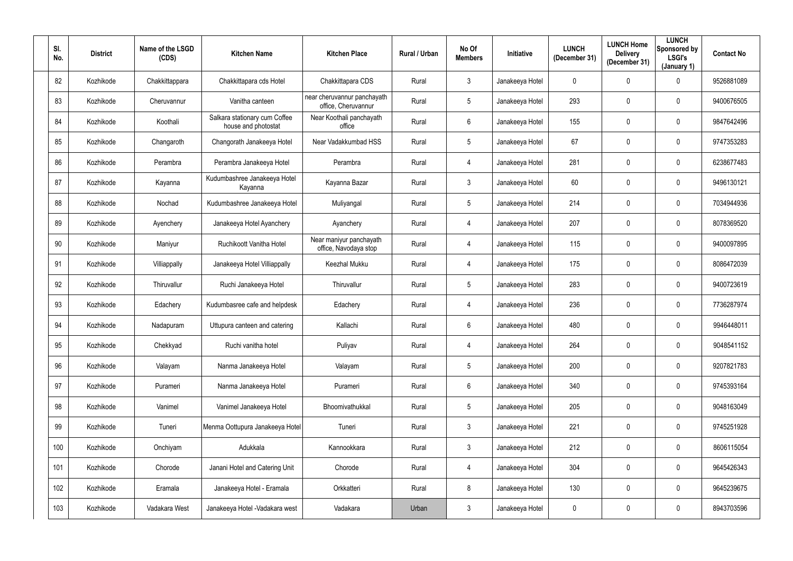| SI.<br>No. | <b>District</b> | Name of the LSGD<br>(CDS) | <b>Kitchen Name</b>                                  | <b>Kitchen Place</b>                               | Rural / Urban | No Of<br><b>Members</b> | Initiative      | <b>LUNCH</b><br>(December 31) | <b>LUNCH Home</b><br><b>Delivery</b><br>(December 31) | <b>LUNCH</b><br>Sponsored by<br><b>LSGI's</b><br>(January 1) | <b>Contact No</b> |
|------------|-----------------|---------------------------|------------------------------------------------------|----------------------------------------------------|---------------|-------------------------|-----------------|-------------------------------|-------------------------------------------------------|--------------------------------------------------------------|-------------------|
| 82         | Kozhikode       | Chakkittappara            | Chakkittapara cds Hotel                              | Chakkittapara CDS                                  | Rural         | $\mathfrak{Z}$          | Janakeeya Hotel | $\mathbf 0$                   | 0                                                     | $\mathbf 0$                                                  | 9526881089        |
| 83         | Kozhikode       | Cheruvannur               | Vanitha canteen                                      | near cheruvannur panchayath<br>office, Cheruvannur | Rural         | $5\phantom{.0}$         | Janakeeya Hotel | 293                           | 0                                                     | $\overline{0}$                                               | 9400676505        |
| 84         | Kozhikode       | Koothali                  | Salkara stationary cum Coffee<br>house and photostat | Near Koothali panchayath<br>office                 | Rural         | $6\overline{6}$         | Janakeeya Hotel | 155                           | 0                                                     | $\overline{0}$                                               | 9847642496        |
| 85         | Kozhikode       | Changaroth                | Changorath Janakeeya Hotel                           | Near Vadakkumbad HSS                               | Rural         | 5 <sup>5</sup>          | Janakeeya Hotel | 67                            | 0                                                     | $\mathbf 0$                                                  | 9747353283        |
| 86         | Kozhikode       | Perambra                  | Perambra Janakeeya Hotel                             | Perambra                                           | Rural         | 4                       | Janakeeya Hotel | 281                           | 0                                                     | $\mathbf 0$                                                  | 6238677483        |
| 87         | Kozhikode       | Kayanna                   | Kudumbashree Janakeeya Hotel<br>Kayanna              | Kayanna Bazar                                      | Rural         | 3 <sup>1</sup>          | Janakeeya Hotel | 60                            | 0                                                     | $\mathbf 0$                                                  | 9496130121        |
| 88         | Kozhikode       | Nochad                    | Kudumbashree Janakeeya Hotel                         | Muliyangal                                         | Rural         | 5 <sub>5</sub>          | Janakeeya Hotel | 214                           | 0                                                     | $\overline{0}$                                               | 7034944936        |
| 89         | Kozhikode       | Ayenchery                 | Janakeeya Hotel Ayanchery                            | Ayanchery                                          | Rural         | 4                       | Janakeeya Hotel | 207                           | 0                                                     | $\overline{0}$                                               | 8078369520        |
| 90         | Kozhikode       | Maniyur                   | Ruchikoott Vanitha Hotel                             | Near maniyur panchayath<br>office, Navodaya stop   | Rural         | 4                       | Janakeeya Hotel | 115                           | 0                                                     | $\overline{0}$                                               | 9400097895        |
| 91         | Kozhikode       | Villiappally              | Janakeeya Hotel Villiappally                         | <b>Keezhal Mukku</b>                               | Rural         | 4                       | Janakeeya Hotel | 175                           | 0                                                     | $\mathbf 0$                                                  | 8086472039        |
| 92         | Kozhikode       | Thiruvallur               | Ruchi Janakeeya Hotel                                | Thiruvallur                                        | Rural         | 5 <sup>5</sup>          | Janakeeya Hotel | 283                           | $\mathbf 0$                                           | $\mathbf 0$                                                  | 9400723619        |
| 93         | Kozhikode       | Edachery                  | Kudumbasree cafe and helpdesk                        | Edachery                                           | Rural         | 4                       | Janakeeya Hotel | 236                           | 0                                                     | $\mathbf 0$                                                  | 7736287974        |
| 94         | Kozhikode       | Nadapuram                 | Uttupura canteen and catering                        | Kallachi                                           | Rural         | 6                       | Janakeeya Hotel | 480                           | 0                                                     | $\mathbf 0$                                                  | 9946448011        |
| 95         | Kozhikode       | Chekkyad                  | Ruchi vanitha hotel                                  | Puliyav                                            | Rural         | 4                       | Janakeeya Hotel | 264                           | $\mathbf 0$                                           | $\mathbf 0$                                                  | 9048541152        |
| 96         | Kozhikode       | Valayam                   | Nanma Janakeeya Hotel                                | Valayam                                            | Rural         | $5\overline{)}$         | Janakeeya Hotel | 200                           | 0                                                     | $\mathbf 0$                                                  | 9207821783        |
| 97         | Kozhikode       | Purameri                  | Nanma Janakeeya Hotel                                | Purameri                                           | Rural         | $6\overline{6}$         | Janakeeya Hotel | 340                           | 0                                                     | $\mathbf 0$                                                  | 9745393164        |
| 98         | Kozhikode       | Vanimel                   | Vanimel Janakeeya Hotel                              | Bhoomivathukkal                                    | Rural         | $5\phantom{.0}$         | Janakeeya Hotel | 205                           | $\mathbf 0$                                           | $\mathbf 0$                                                  | 9048163049        |
| 99         | Kozhikode       | Tuneri                    | Menma Oottupura Janakeeya Hotel                      | Tuneri                                             | Rural         | 3 <sup>1</sup>          | Janakeeya Hotel | 221                           | 0                                                     | $\mathbf 0$                                                  | 9745251928        |
| 100        | Kozhikode       | Onchiyam                  | Adukkala                                             | Kannookkara                                        | Rural         | 3 <sup>1</sup>          | Janakeeya Hotel | 212                           | 0                                                     | $\mathbf 0$                                                  | 8606115054        |
| 101        | Kozhikode       | Chorode                   | Janani Hotel and Catering Unit                       | Chorode                                            | Rural         | $\overline{4}$          | Janakeeya Hotel | 304                           | 0                                                     | $\mathbf 0$                                                  | 9645426343        |
| 102        | Kozhikode       | Eramala                   | Janakeeya Hotel - Eramala                            | Orkkatteri                                         | Rural         | 8                       | Janakeeya Hotel | 130                           | 0                                                     | $\mathbf 0$                                                  | 9645239675        |
| 103        | Kozhikode       | Vadakara West             | Janakeeya Hotel - Vadakara west                      | Vadakara                                           | Urban         | 3 <sup>1</sup>          | Janakeeya Hotel | $\boldsymbol{0}$              | 0                                                     | $\mathbf 0$                                                  | 8943703596        |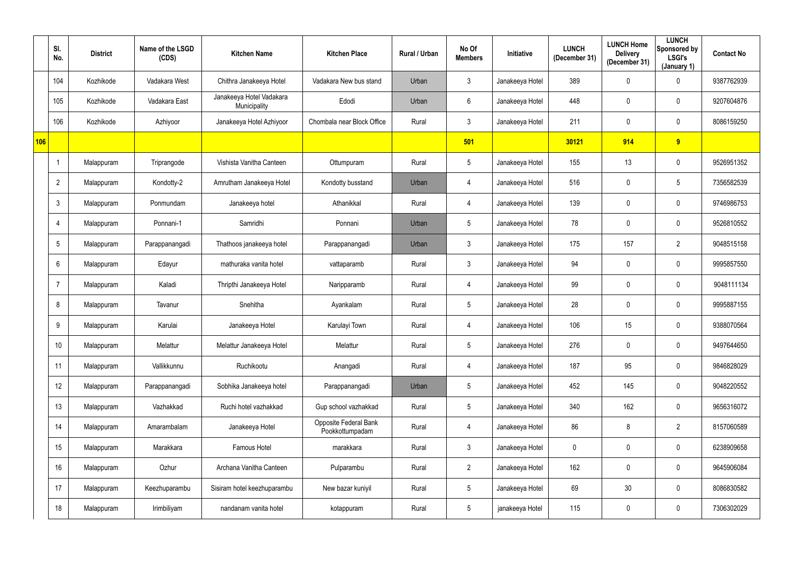|     | SI.<br>No.      | <b>District</b> | Name of the LSGD<br>(CDS) | <b>Kitchen Name</b>                      | <b>Kitchen Place</b>                     | <b>Rural / Urban</b> | No Of<br><b>Members</b> | Initiative      | <b>LUNCH</b><br>(December 31) | <b>LUNCH Home</b><br><b>Delivery</b><br>(December 31) | <b>LUNCH</b><br>Sponsored by<br><b>LSGI's</b><br>(January 1) | <b>Contact No</b> |
|-----|-----------------|-----------------|---------------------------|------------------------------------------|------------------------------------------|----------------------|-------------------------|-----------------|-------------------------------|-------------------------------------------------------|--------------------------------------------------------------|-------------------|
|     | 104             | Kozhikode       | Vadakara West             | Chithra Janakeeya Hotel                  | Vadakara New bus stand                   | Urban                | $\mathbf{3}$            | Janakeeya Hotel | 389                           | $\overline{0}$                                        | $\mathbf 0$                                                  | 9387762939        |
|     | 105             | Kozhikode       | Vadakara East             | Janakeeya Hotel Vadakara<br>Municipality | Edodi                                    | Urban                | 6                       | Janakeeya Hotel | 448                           | $\mathbf 0$                                           | $\mathbf 0$                                                  | 9207604876        |
|     | 106             | Kozhikode       | Azhiyoor                  | Janakeeya Hotel Azhiyoor                 | Chombala near Block Office               | Rural                | $\mathbf{3}$            | Janakeeya Hotel | 211                           | $\mathbf 0$                                           | $\pmb{0}$                                                    | 8086159250        |
| 106 |                 |                 |                           |                                          |                                          |                      | 501                     |                 | 30121                         | 914                                                   | 9                                                            |                   |
|     |                 | Malappuram      | Triprangode               | Vishista Vanitha Canteen                 | Ottumpuram                               | Rural                | $5\phantom{.0}$         | Janakeeya Hotel | 155                           | 13                                                    | $\overline{0}$                                               | 9526951352        |
|     | $\overline{2}$  | Malappuram      | Kondotty-2                | Amrutham Janakeeya Hotel                 | Kondotty busstand                        | Urban                | 4                       | Janakeeya Hotel | 516                           | $\overline{0}$                                        | $5\phantom{.0}$                                              | 7356582539        |
|     | $\mathbf{3}$    | Malappuram      | Ponmundam                 | Janakeeya hotel                          | Athanikkal                               | Rural                | $\overline{4}$          | Janakeeya Hotel | 139                           | $\mathbf 0$                                           | $\mathbf 0$                                                  | 9746986753        |
|     | 4               | Malappuram      | Ponnani-1                 | Samridhi                                 | Ponnani                                  | Urban                | $5\phantom{.0}$         | Janakeeya Hotel | 78                            | $\mathbf 0$                                           | $\pmb{0}$                                                    | 9526810552        |
|     | 5               | Malappuram      | Parappanangadi            | Thathoos janakeeya hotel                 | Parappanangadi                           | Urban                | $\mathbf{3}$            | Janakeeya Hotel | 175                           | 157                                                   | $\overline{2}$                                               | 9048515158        |
|     | 6               | Malappuram      | Edayur                    | mathuraka vanita hotel                   | vattaparamb                              | Rural                | 3 <sup>1</sup>          | Janakeeya Hotel | 94                            | $\mathbf 0$                                           | $\mathbf 0$                                                  | 9995857550        |
|     | 7               | Malappuram      | Kaladi                    | Thripthi Janakeeya Hotel                 | Naripparamb                              | Rural                | 4                       | Janakeeya Hotel | 99                            | $\overline{0}$                                        | $\mathbf 0$                                                  | 9048111134        |
|     | 8               | Malappuram      | Tavanur                   | Snehitha                                 | Ayankalam                                | Rural                | $5\phantom{.0}$         | Janakeeya Hotel | 28                            | $\mathbf 0$                                           | $\mathbf 0$                                                  | 9995887155        |
|     | 9               | Malappuram      | Karulai                   | Janakeeya Hotel                          | Karulayi Town                            | Rural                | 4                       | Janakeeya Hotel | 106                           | 15                                                    | $\pmb{0}$                                                    | 9388070564        |
|     | 10 <sup>°</sup> | Malappuram      | Melattur                  | Melattur Janakeeya Hotel                 | Melattur                                 | Rural                | $\overline{5}$          | Janakeeya Hotel | 276                           | $\mathbf 0$                                           | $\pmb{0}$                                                    | 9497644650        |
|     | 11              | Malappuram      | Vallikkunnu               | Ruchikootu                               | Anangadi                                 | Rural                | $\overline{4}$          | Janakeeya Hotel | 187                           | 95                                                    | $\overline{0}$                                               | 9846828029        |
|     | 12              | Malappuram      | Parappanangadi            | Sobhika Janakeeya hotel                  | Parappanangadi                           | Urban                | $5\overline{)}$         | Janakeeya Hotel | 452                           | 145                                                   | $\overline{0}$                                               | 9048220552        |
|     | 13              | Malappuram      | Vazhakkad                 | Ruchi hotel vazhakkad                    | Gup school vazhakkad                     | Rural                | $5\phantom{.0}$         | Janakeeya Hotel | 340                           | 162                                                   | $\overline{0}$                                               | 9656316072        |
|     | 14              | Malappuram      | Amarambalam               | Janakeeya Hotel                          | Opposite Federal Bank<br>Pookkottumpadam | Rural                | $\overline{4}$          | Janakeeya Hotel | 86                            | 8                                                     | $\overline{2}$                                               | 8157060589        |
|     | 15              | Malappuram      | Marakkara                 | Famous Hotel                             | marakkara                                | Rural                | $\mathbf{3}$            | Janakeeya Hotel | $\mathbf 0$                   | $\mathbf 0$                                           | $\mathbf 0$                                                  | 6238909658        |
|     | 16              | Malappuram      | Ozhur                     | Archana Vanitha Canteen                  | Pulparambu                               | Rural                | $2^{\circ}$             | Janakeeya Hotel | 162                           | $\pmb{0}$                                             | $\mathbf 0$                                                  | 9645906084        |
|     | 17              | Malappuram      | Keezhuparambu             | Sisiram hotel keezhuparambu              | New bazar kuniyil                        | Rural                | $5\phantom{.0}$         | Janakeeya Hotel | 69                            | 30                                                    | $\overline{0}$                                               | 8086830582        |
|     | 18              | Malappuram      | Irimbiliyam               | nandanam vanita hotel                    | kotappuram                               | Rural                | $5\phantom{.0}$         | janakeeya Hotel | 115                           | $\pmb{0}$                                             | $\pmb{0}$                                                    | 7306302029        |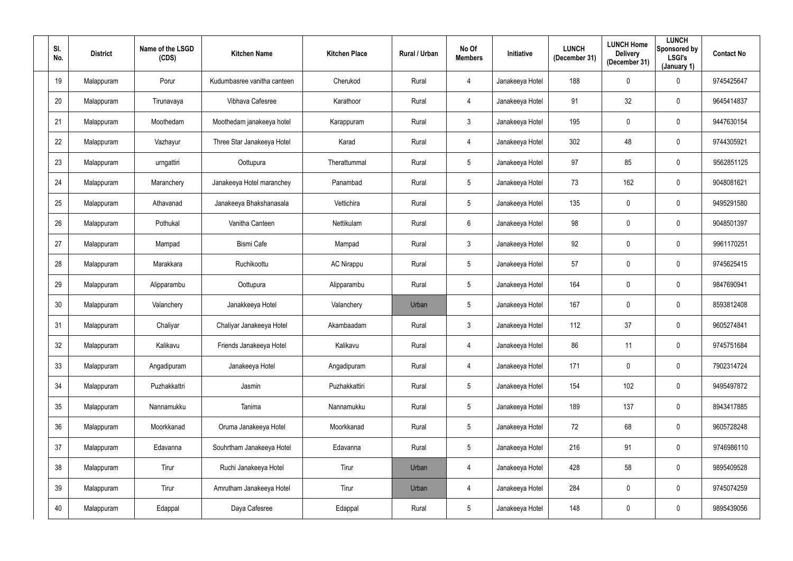| SI.<br>No. | <b>District</b> | Name of the LSGD<br>(CDS) | <b>Kitchen Name</b>         | <b>Kitchen Place</b> | Rural / Urban | No Of<br><b>Members</b> | Initiative      | <b>LUNCH</b><br>(December 31) | <b>LUNCH Home</b><br><b>Delivery</b><br>(December 31) | <b>LUNCH</b><br>Sponsored by<br>LSGI's<br>(January 1) | <b>Contact No</b> |
|------------|-----------------|---------------------------|-----------------------------|----------------------|---------------|-------------------------|-----------------|-------------------------------|-------------------------------------------------------|-------------------------------------------------------|-------------------|
| 19         | Malappuram      | Porur                     | Kudumbasree vanitha canteen | Cherukod             | Rural         | $\overline{4}$          | Janakeeya Hotel | 188                           | 0                                                     | $\mathbf 0$                                           | 9745425647        |
| 20         | Malappuram      | Tirunavaya                | Vibhava Cafesree            | Karathoor            | Rural         | $\overline{4}$          | Janakeeya Hotel | 91                            | 32                                                    | $\overline{0}$                                        | 9645414837        |
| 21         | Malappuram      | Moothedam                 | Moothedam janakeeya hotel   | Karappuram           | Rural         | 3                       | Janakeeya Hotel | 195                           | 0                                                     | $\mathbf 0$                                           | 9447630154        |
| 22         | Malappuram      | Vazhayur                  | Three Star Janakeeya Hotel  | Karad                | Rural         | 4                       | Janakeeya Hotel | 302                           | 48                                                    | $\mathbf 0$                                           | 9744305921        |
| 23         | Malappuram      | urngattiri                | Oottupura                   | Therattummal         | Rural         | $5\overline{)}$         | Janakeeya Hotel | 97                            | 85                                                    | $\mathbf 0$                                           | 9562851125        |
| 24         | Malappuram      | Maranchery                | Janakeeya Hotel maranchey   | Panambad             | Rural         | 5 <sub>5</sub>          | Janakeeya Hotel | 73                            | 162                                                   | $\mathbf 0$                                           | 9048081621        |
| 25         | Malappuram      | Athavanad                 | Janakeeya Bhakshanasala     | Vettichira           | Rural         | $5\phantom{.0}$         | Janakeeya Hotel | 135                           | 0                                                     | $\mathbf 0$                                           | 9495291580        |
| 26         | Malappuram      | Pothukal                  | Vanitha Canteen             | Nettikulam           | Rural         | $6\overline{6}$         | Janakeeya Hotel | 98                            | 0                                                     | $\mathbf 0$                                           | 9048501397        |
| 27         | Malappuram      | Mampad                    | <b>Bismi Cafe</b>           | Mampad               | Rural         | $\mathbf{3}$            | Janakeeya Hotel | 92                            | 0                                                     | $\overline{0}$                                        | 9961170251        |
| 28         | Malappuram      | Marakkara                 | Ruchikoottu                 | <b>AC Nirappu</b>    | Rural         | $5\overline{)}$         | Janakeeya Hotel | 57                            | 0                                                     | $\mathbf 0$                                           | 9745625415        |
| 29         | Malappuram      | Alipparambu               | Oottupura                   | Alipparambu          | Rural         | $5\overline{)}$         | Janakeeya Hotel | 164                           | $\mathbf 0$                                           | $\mathbf 0$                                           | 9847690941        |
| 30         | Malappuram      | Valanchery                | Janakkeeya Hotel            | Valanchery           | Urban         | $5\phantom{.0}$         | Janakeeya Hotel | 167                           | 0                                                     | $\mathbf 0$                                           | 8593812408        |
| 31         | Malappuram      | Chaliyar                  | Chaliyar Janakeeya Hotel    | Akambaadam           | Rural         | $\mathbf{3}$            | Janakeeya Hotel | 112                           | 37                                                    | $\overline{0}$                                        | 9605274841        |
| 32         | Malappuram      | Kalikavu                  | Friends Janakeeya Hotel     | Kalikavu             | Rural         | $\overline{4}$          | Janakeeya Hotel | 86                            | 11                                                    | $\mathbf 0$                                           | 9745751684        |
| 33         | Malappuram      | Angadipuram               | Janakeeya Hotel             | Angadipuram          | Rural         | $\overline{4}$          | Janakeeya Hotel | 171                           | $\mathbf 0$                                           | $\mathbf 0$                                           | 7902314724        |
| 34         | Malappuram      | Puzhakkattri              | Jasmin                      | Puzhakkattiri        | Rural         | $5\overline{)}$         | Janakeeya Hotel | 154                           | 102                                                   | $\mathbf 0$                                           | 9495497872        |
| 35         | Malappuram      | Nannamukku                | Tanima                      | Nannamukku           | Rural         | $5\phantom{.0}$         | Janakeeya Hotel | 189                           | 137                                                   | $\mathbf 0$                                           | 8943417885        |
| 36         | Malappuram      | Moorkkanad                | Oruma Janakeeya Hotel       | Moorkkanad           | Rural         | $5\overline{)}$         | Janakeeya Hotel | 72                            | 68                                                    | $\mathbf 0$                                           | 9605728248        |
| 37         | Malappuram      | Edavanna                  | Souhrtham Janakeeya Hotel   | Edavanna             | Rural         | $5\phantom{.0}$         | Janakeeya Hotel | 216                           | 91                                                    | $\mathbf 0$                                           | 9746986110        |
| 38         | Malappuram      | Tirur                     | Ruchi Janakeeya Hotel       | Tirur                | Urban         | $\overline{4}$          | Janakeeya Hotel | 428                           | 58                                                    | $\mathbf 0$                                           | 9895409528        |
| 39         | Malappuram      | Tirur                     | Amrutham Janakeeya Hotel    | Tirur                | Urban         | $\overline{4}$          | Janakeeya Hotel | 284                           | 0                                                     | $\mathbf 0$                                           | 9745074259        |
| 40         | Malappuram      | Edappal                   | Daya Cafesree               | Edappal              | Rural         | $5\phantom{.0}$         | Janakeeya Hotel | 148                           | $\pmb{0}$                                             | $\mathbf 0$                                           | 9895439056        |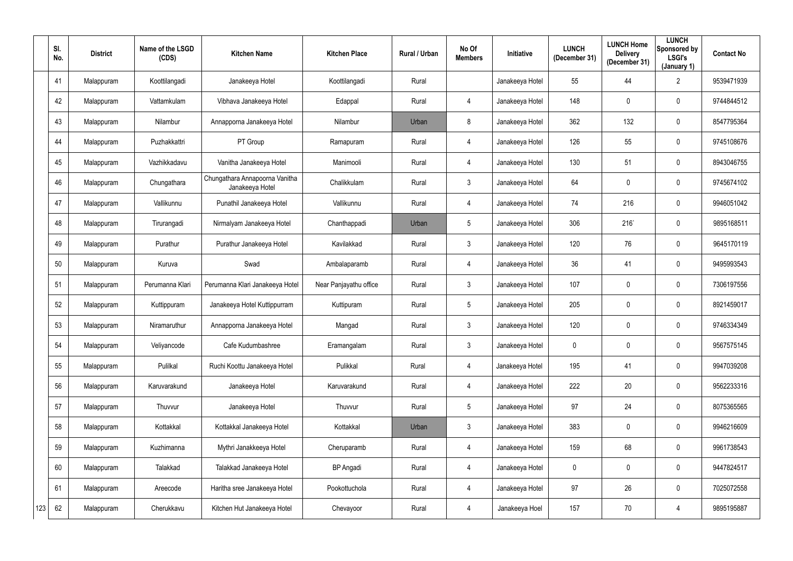|     | SI.<br>No. | <b>District</b> | Name of the LSGD<br>(CDS) | <b>Kitchen Name</b>                               | <b>Kitchen Place</b>   | <b>Rural / Urban</b> | No Of<br><b>Members</b> | Initiative      | <b>LUNCH</b><br>(December 31) | <b>LUNCH Home</b><br><b>Delivery</b><br>(December 31) | <b>LUNCH</b><br>Sponsored by<br><b>LSGI's</b><br>(January 1) | <b>Contact No</b> |
|-----|------------|-----------------|---------------------------|---------------------------------------------------|------------------------|----------------------|-------------------------|-----------------|-------------------------------|-------------------------------------------------------|--------------------------------------------------------------|-------------------|
|     | 41         | Malappuram      | Koottilangadi             | Janakeeya Hotel                                   | Koottilangadi          | Rural                |                         | Janakeeya Hotel | 55                            | 44                                                    | $\overline{2}$                                               | 9539471939        |
|     | 42         | Malappuram      | Vattamkulam               | Vibhava Janakeeya Hotel                           | Edappal                | Rural                | 4                       | Janakeeya Hotel | 148                           | 0                                                     | $\mathbf 0$                                                  | 9744844512        |
|     | 43         | Malappuram      | Nilambur                  | Annapporna Janakeeya Hotel                        | Nilambur               | Urban                | 8                       | Janakeeya Hotel | 362                           | 132                                                   | $\mathbf 0$                                                  | 8547795364        |
|     | 44         | Malappuram      | Puzhakkattri              | PT Group                                          | Ramapuram              | Rural                | 4                       | Janakeeya Hotel | 126                           | 55                                                    | $\mathbf 0$                                                  | 9745108676        |
|     | 45         | Malappuram      | Vazhikkadavu              | Vanitha Janakeeya Hotel                           | Manimooli              | Rural                | 4                       | Janakeeya Hotel | 130                           | 51                                                    | $\mathbf 0$                                                  | 8943046755        |
|     | 46         | Malappuram      | Chungathara               | Chungathara Annapoorna Vanitha<br>Janakeeya Hotel | Chalikkulam            | Rural                | $\mathbf{3}$            | Janakeeya Hotel | 64                            | 0                                                     | $\mathbf 0$                                                  | 9745674102        |
|     | 47         | Malappuram      | Vallikunnu                | Punathil Janakeeya Hotel                          | Vallikunnu             | Rural                | 4                       | Janakeeya Hotel | 74                            | 216                                                   | $\mathbf 0$                                                  | 9946051042        |
|     | 48         | Malappuram      | Tirurangadi               | Nirmalyam Janakeeya Hotel                         | Chanthappadi           | Urban                | $5\overline{)}$         | Janakeeya Hotel | 306                           | 216                                                   | $\mathbf 0$                                                  | 9895168511        |
|     | 49         | Malappuram      | Purathur                  | Purathur Janakeeya Hotel                          | Kavilakkad             | Rural                | $\mathbf{3}$            | Janakeeya Hotel | 120                           | 76                                                    | $\mathbf 0$                                                  | 9645170119        |
|     | 50         | Malappuram      | Kuruva                    | Swad                                              | Ambalaparamb           | Rural                | 4                       | Janakeeya Hotel | 36                            | 41                                                    | $\mathbf 0$                                                  | 9495993543        |
|     | 51         | Malappuram      | Perumanna Klari           | Perumanna Klari Janakeeya Hotel                   | Near Panjayathu office | Rural                | $\mathbf{3}$            | Janakeeya Hotel | 107                           | 0                                                     | $\mathbf 0$                                                  | 7306197556        |
|     | 52         | Malappuram      | Kuttippuram               | Janakeeya Hotel Kuttippurram                      | Kuttipuram             | Rural                | 5                       | Janakeeya Hotel | 205                           | 0                                                     | $\mathbf 0$                                                  | 8921459017        |
|     | 53         | Malappuram      | Niramaruthur              | Annapporna Janakeeya Hotel                        | Mangad                 | Rural                | $\mathfrak{Z}$          | Janakeeya Hotel | 120                           | 0                                                     | $\overline{0}$                                               | 9746334349        |
|     | 54         | Malappuram      | Veliyancode               | Cafe Kudumbashree                                 | Eramangalam            | Rural                | $\mathfrak{Z}$          | Janakeeya Hotel | $\mathbf 0$                   | $\mathbf 0$                                           | $\overline{0}$                                               | 9567575145        |
|     | 55         | Malappuram      | Pulilkal                  | Ruchi Koottu Janakeeya Hotel                      | Pulikkal               | Rural                | $\overline{4}$          | Janakeeya Hotel | 195                           | 41                                                    | $\mathbf 0$                                                  | 9947039208        |
|     | 56         | Malappuram      | Karuvarakund              | Janakeeya Hotel                                   | Karuvarakund           | Rural                | $\overline{4}$          | Janakeeya Hotel | 222                           | 20                                                    | $\mathbf 0$                                                  | 9562233316        |
|     | 57         | Malappuram      | Thuvvur                   | Janakeeya Hotel                                   | Thuvvur                | Rural                | $5\phantom{.0}$         | Janakeeya Hotel | 97                            | 24                                                    | $\mathbf 0$                                                  | 8075365565        |
|     | 58         | Malappuram      | Kottakkal                 | Kottakkal Janakeeya Hotel                         | Kottakkal              | Urban                | $\mathfrak{Z}$          | Janakeeya Hotel | 383                           | $\pmb{0}$                                             | $\mathbf 0$                                                  | 9946216609        |
|     | 59         | Malappuram      | Kuzhimanna                | Mythri Janakkeeya Hotel                           | Cheruparamb            | Rural                | 4                       | Janakeeya Hotel | 159                           | 68                                                    | $\mathbf 0$                                                  | 9961738543        |
|     | 60         | Malappuram      | Talakkad                  | Talakkad Janakeeya Hotel                          | <b>BP</b> Angadi       | Rural                | $\overline{4}$          | Janakeeya Hotel | $\mathbf 0$                   | $\pmb{0}$                                             | $\mathbf 0$                                                  | 9447824517        |
|     | 61         | Malappuram      | Areecode                  | Haritha sree Janakeeya Hotel                      | Pookottuchola          | Rural                | $\overline{4}$          | Janakeeya Hotel | 97                            | 26                                                    | $\mathbf 0$                                                  | 7025072558        |
| 123 | 62         | Malappuram      | Cherukkavu                | Kitchen Hut Janakeeya Hotel                       | Chevayoor              | Rural                | $\overline{4}$          | Janakeeya Hoel  | 157                           | 70                                                    | 4                                                            | 9895195887        |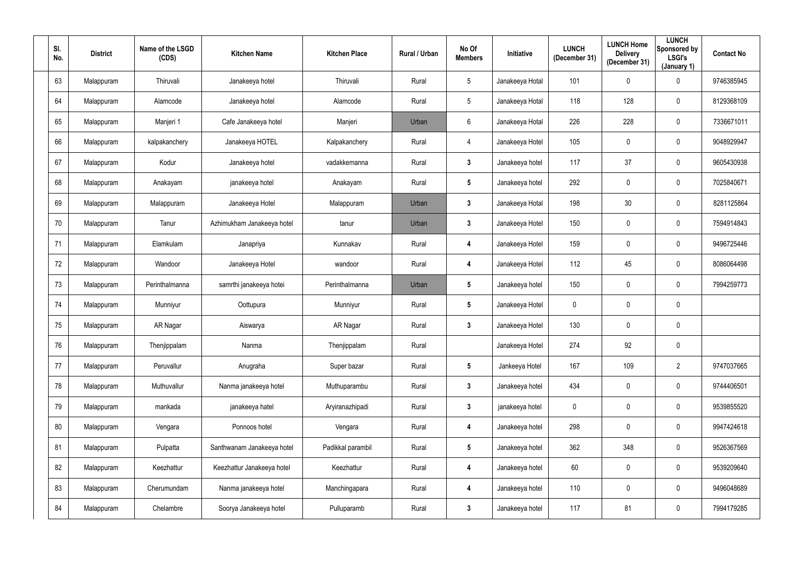| SI.<br>No. | <b>District</b> | Name of the LSGD<br>(CDS) | <b>Kitchen Name</b>        | <b>Kitchen Place</b> | Rural / Urban | No Of<br><b>Members</b> | Initiative      | <b>LUNCH</b><br>(December 31) | <b>LUNCH Home</b><br><b>Delivery</b><br>(December 31) | <b>LUNCH</b><br>Sponsored by<br>LSGI's<br>(January 1) | <b>Contact No</b> |
|------------|-----------------|---------------------------|----------------------------|----------------------|---------------|-------------------------|-----------------|-------------------------------|-------------------------------------------------------|-------------------------------------------------------|-------------------|
| 63         | Malappuram      | Thiruvali                 | Janakeeya hotel            | Thiruvali            | Rural         | $5\overline{)}$         | Janakeeya Hotal | 101                           | 0                                                     | $\mathbf 0$                                           | 9746385945        |
| 64         | Malappuram      | Alamcode                  | Janakeeya hotel            | Alamcode             | Rural         | $5\phantom{.0}$         | Janakeeya Hotal | 118                           | 128                                                   | $\overline{0}$                                        | 8129368109        |
| 65         | Malappuram      | Manjeri 1                 | Cafe Janakeeya hotel       | Manjeri              | Urban         | $6\overline{6}$         | Janakeeya Hotal | 226                           | 228                                                   | $\mathbf 0$                                           | 7336671011        |
| 66         | Malappuram      | kalpakanchery             | Janakeeya HOTEL            | Kalpakanchery        | Rural         | $\overline{4}$          | Janakeeya Hotel | 105                           | 0                                                     | $\mathbf 0$                                           | 9048929947        |
| 67         | Malappuram      | Kodur                     | Janakeeya hotel            | vadakkemanna         | Rural         | $\mathbf{3}$            | Janakeeya hotel | 117                           | 37                                                    | $\mathbf 0$                                           | 9605430938        |
| 68         | Malappuram      | Anakayam                  | janakeeya hotel            | Anakayam             | Rural         | $5\phantom{.0}$         | Janakeeya hotel | 292                           | 0                                                     | $\mathbf 0$                                           | 7025840671        |
| 69         | Malappuram      | Malappuram                | Janakeeya Hotel            | Malappuram           | Urban         | $\mathbf{3}$            | Janakeeya Hotal | 198                           | 30                                                    | $\overline{0}$                                        | 8281125864        |
| 70         | Malappuram      | Tanur                     | Azhimukham Janakeeya hotel | tanur                | Urban         | $\mathbf{3}$            | Janakeeya Hotel | 150                           | 0                                                     | $\mathbf 0$                                           | 7594914843        |
| 71         | Malappuram      | Elamkulam                 | Janapriya                  | Kunnakav             | Rural         | 4                       | Janakeeya Hotel | 159                           | 0                                                     | $\overline{0}$                                        | 9496725446        |
| 72         | Malappuram      | Wandoor                   | Janakeeya Hotel            | wandoor              | Rural         | 4                       | Janakeeya Hotel | 112                           | 45                                                    | $\mathbf 0$                                           | 8086064498        |
| 73         | Malappuram      | Perinthalmanna            | samrthi janakeeya hotei    | Perinthalmanna       | Urban         | $5\overline{)}$         | Janakeeya hotel | 150                           | 0                                                     | $\mathbf 0$                                           | 7994259773        |
| 74         | Malappuram      | Munniyur                  | Oottupura                  | Munniyur             | Rural         | $5\phantom{.0}$         | Janakeeya Hotel | $\mathbf 0$                   | 0                                                     | $\overline{0}$                                        |                   |
| 75         | Malappuram      | AR Nagar                  | Aiswarya                   | AR Nagar             | Rural         | $\mathbf{3}$            | Janakeeya Hotel | 130                           | 0                                                     | $\overline{0}$                                        |                   |
| 76         | Malappuram      | Thenjippalam              | Nanma                      | Thenjippalam         | Rural         |                         | Janakeeya Hotel | 274                           | 92                                                    | $\mathbf 0$                                           |                   |
| 77         | Malappuram      | Peruvallur                | Anugraha                   | Super bazar          | Rural         | $5\phantom{.0}$         | Jankeeya Hotel  | 167                           | 109                                                   | $\overline{2}$                                        | 9747037665        |
| 78         | Malappuram      | Muthuvallur               | Nanma janakeeya hotel      | Muthuparambu         | Rural         | $\mathbf{3}$            | Janakeeya hotel | 434                           | 0                                                     | $\mathbf 0$                                           | 9744406501        |
| 79         | Malappuram      | mankada                   | janakeeya hatel            | Aryiranazhipadi      | Rural         | $3\phantom{a}$          | janakeeya hotel | $\mathbf 0$                   | $\mathbf 0$                                           | $\mathbf 0$                                           | 9539855520        |
| 80         | Malappuram      | Vengara                   | Ponnoos hotel              | Vengara              | Rural         | 4                       | Janakeeya hotel | 298                           | 0                                                     | $\mathbf 0$                                           | 9947424618        |
| 81         | Malappuram      | Pulpatta                  | Santhwanam Janakeeya hotel | Padikkal parambil    | Rural         | $5\phantom{.0}$         | Janakeeya hotel | 362                           | 348                                                   | $\mathbf 0$                                           | 9526367569        |
| 82         | Malappuram      | Keezhattur                | Keezhattur Janakeeya hotel | Keezhattur           | Rural         | 4                       | Janakeeya hotel | 60                            | 0                                                     | $\mathbf 0$                                           | 9539209640        |
| 83         | Malappuram      | Cherumundam               | Nanma janakeeya hotel      | Manchingapara        | Rural         | 4                       | Janakeeya hotel | 110                           | 0                                                     | $\mathbf 0$                                           | 9496048689        |
| 84         | Malappuram      | Chelambre                 | Soorya Janakeeya hotel     | Pulluparamb          | Rural         | $\mathbf{3}$            | Janakeeya hotel | 117                           | 81                                                    | $\mathbf 0$                                           | 7994179285        |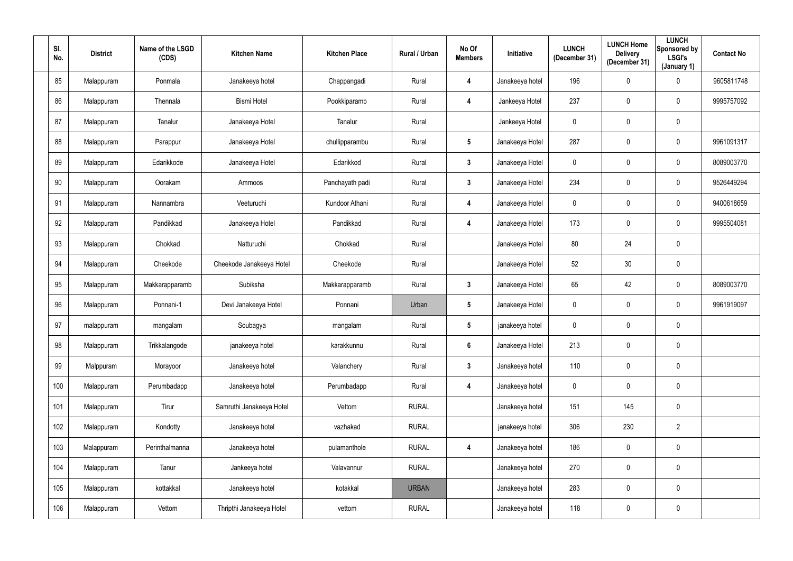| SI.<br>No. | <b>District</b> | Name of the LSGD<br>(CDS) | <b>Kitchen Name</b>      | <b>Kitchen Place</b> | Rural / Urban | No Of<br><b>Members</b> | Initiative      | <b>LUNCH</b><br>(December 31) | <b>LUNCH Home</b><br><b>Delivery</b><br>(December 31) | <b>LUNCH</b><br>Sponsored by<br>LSGI's<br>(January 1) | <b>Contact No</b> |
|------------|-----------------|---------------------------|--------------------------|----------------------|---------------|-------------------------|-----------------|-------------------------------|-------------------------------------------------------|-------------------------------------------------------|-------------------|
| 85         | Malappuram      | Ponmala                   | Janakeeya hotel          | Chappangadi          | Rural         | 4                       | Janakeeya hotel | 196                           | 0                                                     | $\mathbf 0$                                           | 9605811748        |
| 86         | Malappuram      | Thennala                  | <b>Bismi Hotel</b>       | Pookkiparamb         | Rural         | 4                       | Jankeeya Hotel  | 237                           | 0                                                     | $\overline{0}$                                        | 9995757092        |
| 87         | Malappuram      | Tanalur                   | Janakeeya Hotel          | Tanalur              | Rural         |                         | Jankeeya Hotel  | $\pmb{0}$                     | 0                                                     | $\mathbf 0$                                           |                   |
| 88         | Malappuram      | Parappur                  | Janakeeya Hotel          | chullipparambu       | Rural         | $5\phantom{.0}$         | Janakeeya Hotel | 287                           | 0                                                     | $\mathbf 0$                                           | 9961091317        |
| 89         | Malappuram      | Edarikkode                | Janakeeya Hotel          | Edarikkod            | Rural         | $\mathbf{3}$            | Janakeeya Hotel | $\mathbf 0$                   | 0                                                     | $\mathbf 0$                                           | 8089003770        |
| 90         | Malappuram      | Oorakam                   | Ammoos                   | Panchayath padi      | Rural         | $3\overline{3}$         | Janakeeya Hotel | 234                           | 0                                                     | $\mathbf 0$                                           | 9526449294        |
| 91         | Malappuram      | Nannambra                 | Veeturuchi               | Kundoor Athani       | Rural         | 4                       | Janakeeya Hotel | $\mathbf 0$                   | $\mathbf 0$                                           | $\overline{0}$                                        | 9400618659        |
| 92         | Malappuram      | Pandikkad                 | Janakeeya Hotel          | Pandikkad            | Rural         | 4                       | Janakeeya Hotel | 173                           | 0                                                     | $\overline{0}$                                        | 9995504081        |
| 93         | Malappuram      | Chokkad                   | Natturuchi               | Chokkad              | Rural         |                         | Janakeeya Hotel | 80                            | 24                                                    | $\mathbf 0$                                           |                   |
| 94         | Malappuram      | Cheekode                  | Cheekode Janakeeya Hotel | Cheekode             | Rural         |                         | Janakeeya Hotel | 52                            | 30                                                    | $\overline{0}$                                        |                   |
| 95         | Malappuram      | Makkarapparamb            | Subiksha                 | Makkarapparamb       | Rural         | $\mathbf{3}$            | Janakeeya Hotel | 65                            | 42                                                    | $\overline{0}$                                        | 8089003770        |
| 96         | Malappuram      | Ponnani-1                 | Devi Janakeeya Hotel     | Ponnani              | Urban         | $5\phantom{.0}$         | Janakeeya Hotel | $\mathbf 0$                   | 0                                                     | $\mathbf 0$                                           | 9961919097        |
| 97         | malappuram      | mangalam                  | Soubagya                 | mangalam             | Rural         | $5\phantom{.0}$         | janakeeya hotel | $\mathbf 0$                   | 0                                                     | $\mathbf 0$                                           |                   |
| 98         | Malappuram      | Trikkalangode             | janakeeya hotel          | karakkunnu           | Rural         | $6\phantom{1}$          | Janakeeya Hotel | 213                           | 0                                                     | $\mathbf 0$                                           |                   |
| 99         | Malppuram       | Morayoor                  | Janakeeya hotel          | Valanchery           | Rural         | $\mathbf{3}$            | Janakeeya hotel | 110                           | $\mathbf 0$                                           | $\overline{0}$                                        |                   |
| 100        | Malappuram      | Perumbadapp               | Janakeeya hotel          | Perumbadapp          | Rural         | 4                       | Janakeeya hotel | $\pmb{0}$                     | 0                                                     | $\mathbf 0$                                           |                   |
| 101        | Malappuram      | Tirur                     | Samruthi Janakeeya Hotel | Vettom               | <b>RURAL</b>  |                         | Janakeeya hotel | 151                           | 145                                                   | $\mathbf 0$                                           |                   |
| 102        | Malappuram      | Kondotty                  | Janakeeya hotel          | vazhakad             | <b>RURAL</b>  |                         | janakeeya hotel | 306                           | 230                                                   | $2^{\circ}$                                           |                   |
| 103        | Malappuram      | Perinthalmanna            | Janakeeya hotel          | pulamanthole         | <b>RURAL</b>  | 4                       | Janakeeya hotel | 186                           | 0                                                     | $\mathbf 0$                                           |                   |
| 104        | Malappuram      | Tanur                     | Jankeeya hotel           | Valavannur           | <b>RURAL</b>  |                         | Janakeeya hotel | 270                           | $\mathbf 0$                                           | $\mathbf 0$                                           |                   |
| 105        | Malappuram      | kottakkal                 | Janakeeya hotel          | kotakkal             | <b>URBAN</b>  |                         | Janakeeya hotel | 283                           | 0                                                     | $\mathbf 0$                                           |                   |
| 106        | Malappuram      | Vettom                    | Thripthi Janakeeya Hotel | vettom               | <b>RURAL</b>  |                         | Janakeeya hotel | 118                           | $\pmb{0}$                                             | $\mathbf 0$                                           |                   |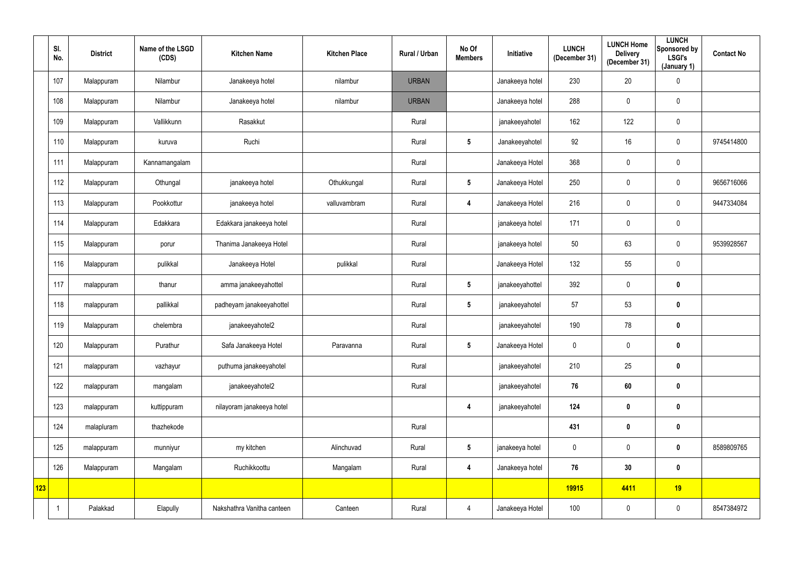|     | SI.<br>No. | <b>District</b> | Name of the LSGD<br>(CDS) | <b>Kitchen Name</b>        | <b>Kitchen Place</b> | <b>Rural / Urban</b> | No Of<br><b>Members</b> | Initiative      | <b>LUNCH</b><br>(December 31) | <b>LUNCH Home</b><br><b>Delivery</b><br>(December 31) | <b>LUNCH</b><br>Sponsored by<br><b>LSGI's</b><br>(January 1) | <b>Contact No</b> |
|-----|------------|-----------------|---------------------------|----------------------------|----------------------|----------------------|-------------------------|-----------------|-------------------------------|-------------------------------------------------------|--------------------------------------------------------------|-------------------|
|     | 107        | Malappuram      | Nilambur                  | Janakeeya hotel            | nilambur             | <b>URBAN</b>         |                         | Janakeeya hotel | 230                           | 20                                                    | $\mathbf 0$                                                  |                   |
|     | 108        | Malappuram      | Nilambur                  | Janakeeya hotel            | nilambur             | <b>URBAN</b>         |                         | Janakeeya hotel | 288                           | $\mathbf 0$                                           | $\overline{0}$                                               |                   |
|     | 109        | Malappuram      | Vallikkunn                | Rasakkut                   |                      | Rural                |                         | janakeeyahotel  | 162                           | 122                                                   | $\overline{0}$                                               |                   |
|     | 110        | Malappuram      | kuruva                    | Ruchi                      |                      | Rural                | $5\phantom{.0}$         | Janakeeyahotel  | 92                            | 16                                                    | $\mathbf 0$                                                  | 9745414800        |
|     | 111        | Malappuram      | Kannamangalam             |                            |                      | Rural                |                         | Janakeeya Hotel | 368                           | $\mathbf 0$                                           | $\overline{0}$                                               |                   |
|     | 112        | Malappuram      | Othungal                  | janakeeya hotel            | Othukkungal          | Rural                | $5\phantom{.0}$         | Janakeeya Hotel | 250                           | $\overline{0}$                                        | $\overline{0}$                                               | 9656716066        |
|     | 113        | Malappuram      | Pookkottur                | janakeeya hotel            | valluvambram         | Rural                | 4                       | Janakeeya Hotel | 216                           | $\mathbf 0$                                           | $\overline{0}$                                               | 9447334084        |
|     | 114        | Malappuram      | Edakkara                  | Edakkara janakeeya hotel   |                      | Rural                |                         | janakeeya hotel | 171                           | $\pmb{0}$                                             | $\pmb{0}$                                                    |                   |
|     | 115        | Malappuram      | porur                     | Thanima Janakeeya Hotel    |                      | Rural                |                         | janakeeya hotel | 50                            | 63                                                    | $\mathbf 0$                                                  | 9539928567        |
|     | 116        | Malappuram      | pulikkal                  | Janakeeya Hotel            | pulikkal             | Rural                |                         | Janakeeya Hotel | 132                           | 55                                                    | $\overline{0}$                                               |                   |
|     | 117        | malappuram      | thanur                    | amma janakeeyahottel       |                      | Rural                | $5\overline{)}$         | janakeeyahottel | 392                           | $\mathbf 0$                                           | $\mathbf 0$                                                  |                   |
|     | 118        | malappuram      | pallikkal                 | padheyam janakeeyahottel   |                      | Rural                | $5\overline{)}$         | janakeeyahotel  | 57                            | 53                                                    | $\mathbf 0$                                                  |                   |
|     | 119        | Malappuram      | chelembra                 | janakeeyahotel2            |                      | Rural                |                         | janakeeyahotel  | 190                           | 78                                                    | $\boldsymbol{0}$                                             |                   |
|     | 120        | Malappuram      | Purathur                  | Safa Janakeeya Hotel       | Paravanna            | Rural                | $5\phantom{.0}$         | Janakeeya Hotel | $\pmb{0}$                     | $\mathbf 0$                                           | $\mathbf 0$                                                  |                   |
|     | 121        | malappuram      | vazhayur                  | puthuma janakeeyahotel     |                      | Rural                |                         | janakeeyahotel  | 210                           | 25                                                    | $\mathbf 0$                                                  |                   |
|     | 122        | malappuram      | mangalam                  | janakeeyahotel2            |                      | Rural                |                         | janakeeyahotel  | 76                            | 60                                                    | $\mathbf 0$                                                  |                   |
|     | 123        | malappuram      | kuttippuram               | nilayoram janakeeya hotel  |                      |                      | 4                       | janakeeyahotel  | 124                           | $\pmb{0}$                                             | $\bm{0}$                                                     |                   |
|     | 124        | malapluram      | thazhekode                |                            |                      | Rural                |                         |                 | 431                           | $\pmb{0}$                                             | $\mathbf 0$                                                  |                   |
|     | 125        | malappuram      | munniyur                  | my kitchen                 | Alinchuvad           | Rural                | $5\phantom{.0}$         | janakeeya hotel | $\boldsymbol{0}$              | $\mathbf 0$                                           | $\mathbf 0$                                                  | 8589809765        |
|     | 126        | Malappuram      | Mangalam                  | Ruchikkoottu               | Mangalam             | Rural                | 4                       | Janakeeya hotel | 76                            | 30                                                    | $\mathbf 0$                                                  |                   |
| 123 |            |                 |                           |                            |                      |                      |                         |                 | 19915                         | 4411                                                  | 19                                                           |                   |
|     |            | Palakkad        | Elapully                  | Nakshathra Vanitha canteen | Canteen              | Rural                | $\overline{4}$          | Janakeeya Hotel | 100                           | $\pmb{0}$                                             | $\overline{0}$                                               | 8547384972        |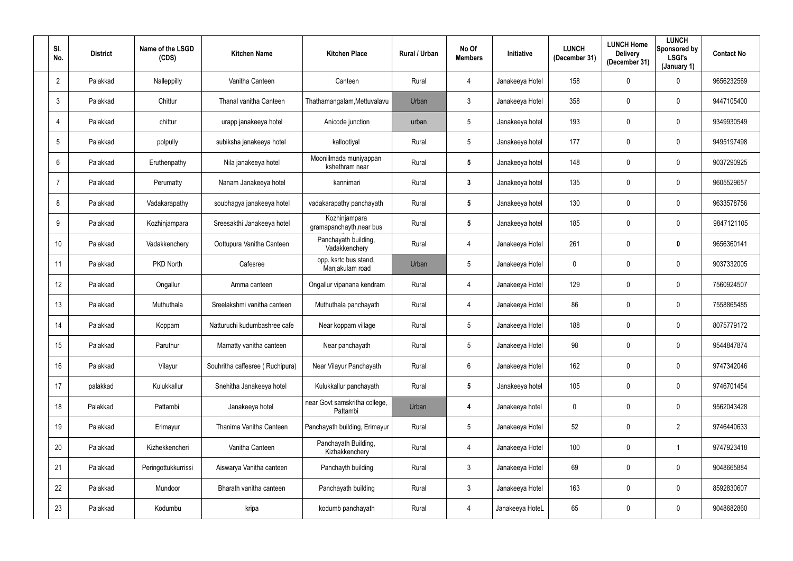| SI.<br>No.      | <b>District</b> | Name of the LSGD<br>(CDS) | <b>Kitchen Name</b>             | <b>Kitchen Place</b>                      | Rural / Urban | No Of<br><b>Members</b> | <b>Initiative</b> | <b>LUNCH</b><br>(December 31) | <b>LUNCH Home</b><br><b>Delivery</b><br>(December 31) | <b>LUNCH</b><br>Sponsored by<br><b>LSGI's</b><br>(January 1) | <b>Contact No</b> |
|-----------------|-----------------|---------------------------|---------------------------------|-------------------------------------------|---------------|-------------------------|-------------------|-------------------------------|-------------------------------------------------------|--------------------------------------------------------------|-------------------|
| $\overline{2}$  | Palakkad        | Nalleppilly               | Vanitha Canteen                 | Canteen                                   | Rural         | 4                       | Janakeeya Hotel   | 158                           | 0                                                     | $\mathbf 0$                                                  | 9656232569        |
| $\mathbf{3}$    | Palakkad        | Chittur                   | Thanal vanitha Canteen          | Thathamangalam, Mettuvalavu               | Urban         | $\mathbf{3}$            | Janakeeya Hotel   | 358                           | 0                                                     | $\overline{0}$                                               | 9447105400        |
| $\overline{4}$  | Palakkad        | chittur                   | urapp janakeeya hotel           | Anicode junction                          | urban         | $5\phantom{.0}$         | Janakeeya hotel   | 193                           | 0                                                     | $\overline{0}$                                               | 9349930549        |
| $5\phantom{.0}$ | Palakkad        | polpully                  | subiksha janakeeya hotel        | kallootiyal                               | Rural         | $5\phantom{.0}$         | Janakeeya hotel   | 177                           | 0                                                     | $\mathbf 0$                                                  | 9495197498        |
| $6\phantom{.}$  | Palakkad        | Eruthenpathy              | Nila janakeeya hotel            | Mooniilmada muniyappan<br>kshethram near  | Rural         | $5\phantom{.0}$         | Janakeeya hotel   | 148                           | 0                                                     | $\mathbf 0$                                                  | 9037290925        |
| $\overline{7}$  | Palakkad        | Perumatty                 | Nanam Janakeeya hotel           | kannimari                                 | Rural         | $\mathbf{3}$            | Janakeeya hotel   | 135                           | 0                                                     | $\mathbf 0$                                                  | 9605529657        |
| 8               | Palakkad        | Vadakarapathy             | soubhagya janakeeya hotel       | vadakarapathy panchayath                  | Rural         | $5\phantom{.0}$         | Janakeeya hotel   | 130                           | $\mathbf 0$                                           | $\overline{0}$                                               | 9633578756        |
| 9               | Palakkad        | Kozhinjampara             | Sreesakthi Janakeeya hotel      | Kozhinjampara<br>gramapanchayth, near bus | Rural         | $5\phantom{.0}$         | Janakeeya hotel   | 185                           | 0                                                     | $\mathbf 0$                                                  | 9847121105        |
| 10              | Palakkad        | Vadakkenchery             | Oottupura Vanitha Canteen       | Panchayath building,<br>Vadakkenchery     | Rural         | 4                       | Janakeeya Hotel   | 261                           | 0                                                     | $\mathbf 0$                                                  | 9656360141        |
| 11              | Palakkad        | PKD North                 | Cafesree                        | opp. ksrtc bus stand,<br>Manjakulam road  | Urban         | $5\overline{)}$         | Janakeeya Hotel   | $\mathbf 0$                   | 0                                                     | $\mathbf 0$                                                  | 9037332005        |
| 12              | Palakkad        | Ongallur                  | Amma canteen                    | Ongallur vipanana kendram                 | Rural         | 4                       | Janakeeya Hotel   | 129                           | 0                                                     | $\mathbf 0$                                                  | 7560924507        |
| 13              | Palakkad        | Muthuthala                | Sreelakshmi vanitha canteen     | Muthuthala panchayath                     | Rural         | 4                       | Janakeeya Hotel   | 86                            | 0                                                     | $\overline{0}$                                               | 7558865485        |
| 14              | Palakkad        | Koppam                    | Natturuchi kudumbashree cafe    | Near koppam village                       | Rural         | $5\phantom{.0}$         | Janakeeya Hotel   | 188                           | 0                                                     | $\mathbf 0$                                                  | 8075779172        |
| 15              | Palakkad        | Paruthur                  | Mamatty vanitha canteen         | Near panchayath                           | Rural         | $5\phantom{.0}$         | Janakeeya Hotel   | 98                            | $\mathbf 0$                                           | $\mathbf 0$                                                  | 9544847874        |
| 16              | Palakkad        | Vilayur                   | Souhritha caffesree (Ruchipura) | Near Vilayur Panchayath                   | Rural         | $6\overline{6}$         | Janakeeya Hotel   | 162                           | 0                                                     | $\mathbf 0$                                                  | 9747342046        |
| 17              | palakkad        | Kulukkallur               | Snehitha Janakeeya hotel        | Kulukkallur panchayath                    | Rural         | $5\phantom{.0}$         | Janakeeya hotel   | 105                           | 0                                                     | $\mathbf 0$                                                  | 9746701454        |
| 18              | Palakkad        | Pattambi                  | Janakeeya hotel                 | near Govt samskritha college,<br>Pattambi | Urban         | 4                       | Janakeeya hotel   | $\mathbf 0$                   | $\mathbf 0$                                           | $\mathbf 0$                                                  | 9562043428        |
| 19              | Palakkad        | Erimayur                  | Thanima Vanitha Canteen         | Panchayath building, Erimayur             | Rural         | $5\overline{)}$         | Janakeeya Hotel   | 52                            | 0                                                     | $\overline{2}$                                               | 9746440633        |
| $20\,$          | Palakkad        | Kizhekkencheri            | Vanitha Canteen                 | Panchayath Building,<br>Kizhakkenchery    | Rural         | 4                       | Janakeeya Hotel   | 100                           | 0                                                     |                                                              | 9747923418        |
| 21              | Palakkad        | Peringottukkurrissi       | Aiswarya Vanitha canteen        | Panchayth building                        | Rural         | 3                       | Janakeeya Hotel   | 69                            | 0                                                     | $\mathbf 0$                                                  | 9048665884        |
| 22              | Palakkad        | Mundoor                   | Bharath vanitha canteen         | Panchayath building                       | Rural         | $\mathbf{3}$            | Janakeeya Hotel   | 163                           | 0                                                     | $\mathbf 0$                                                  | 8592830607        |
| 23              | Palakkad        | Kodumbu                   | kripa                           | kodumb panchayath                         | Rural         | 4                       | Janakeeya HoteL   | 65                            | 0                                                     | $\mathbf 0$                                                  | 9048682860        |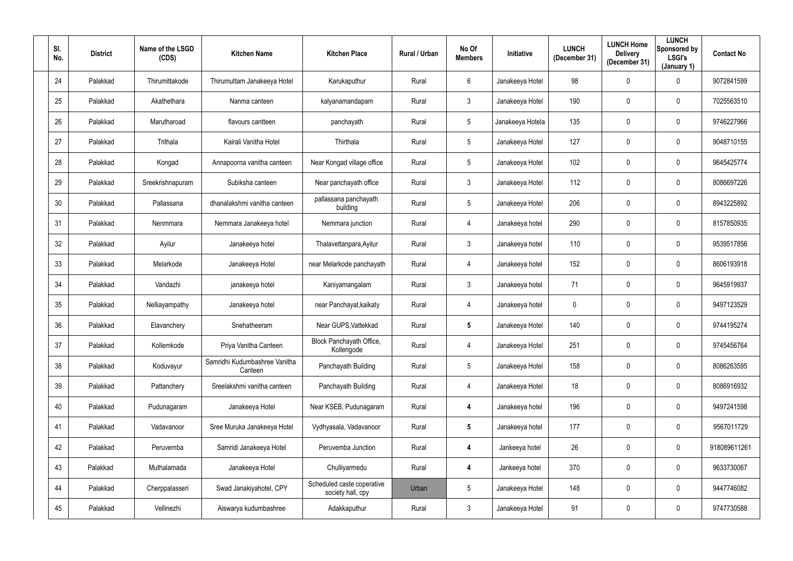| SI.<br>No. | <b>District</b> | Name of the LSGD<br>(CDS) | <b>Kitchen Name</b>                      | <b>Kitchen Place</b>                            | Rural / Urban | No Of<br><b>Members</b> | Initiative       | <b>LUNCH</b><br>(December 31) | <b>LUNCH Home</b><br><b>Delivery</b><br>(December 31) | <b>LUNCH</b><br>Sponsored by<br>LSGI's<br>(January 1) | <b>Contact No</b> |
|------------|-----------------|---------------------------|------------------------------------------|-------------------------------------------------|---------------|-------------------------|------------------|-------------------------------|-------------------------------------------------------|-------------------------------------------------------|-------------------|
| 24         | Palakkad        | Thirumittakode            | Thirumuttam Janakeeya Hotel              | Karukaputhur                                    | Rural         | 6                       | Janakeeya Hotel  | 98                            | 0                                                     | $\overline{0}$                                        | 9072841599        |
| 25         | Palakkad        | Akathethara               | Nanma canteen                            | kalyanamandapam                                 | Rural         | $\mathbf{3}$            | Janakeeya Hotel  | 190                           | 0                                                     | $\mathbf 0$                                           | 7025563510        |
| 26         | Palakkad        | Marutharoad               | flavours cantteen                        | panchayath                                      | Rural         | $5\overline{)}$         | Janakeeya Hotela | 135                           | 0                                                     | $\mathbf 0$                                           | 9746227966        |
| 27         | Palakkad        | Trithala                  | Kairali Vanitha Hotel                    | Thirthala                                       | Rural         | $5\phantom{.0}$         | Janakeeya Hotel  | 127                           | 0                                                     | $\mathbf 0$                                           | 9048710155        |
| 28         | Palakkad        | Kongad                    | Annapoorna vanitha canteen               | Near Kongad village office                      | Rural         | $5\overline{)}$         | Janakeeya Hotel  | 102                           | 0                                                     | $\mathbf 0$                                           | 9645425774        |
| 29         | Palakkad        | Sreekrishnapuram          | Subiksha canteen                         | Near panchayath office                          | Rural         | 3 <sup>1</sup>          | Janakeeya Hotel  | 112                           | 0                                                     | $\mathbf 0$                                           | 8086697226        |
| 30         | Palakkad        | Pallassana                | dhanalakshmi vanitha canteen             | pallassana panchayath<br>building               | Rural         | $5\phantom{.0}$         | Janakeeya Hotel  | 206                           | 0                                                     | $\mathbf 0$                                           | 8943225892        |
| 31         | Palakkad        | Nenmmara                  | Nemmara Janakeeya hotel                  | Nemmara junction                                | Rural         | 4                       | Janakeeya hotel  | 290                           | 0                                                     | $\mathbf 0$                                           | 8157850935        |
| 32         | Palakkad        | Ayilur                    | Janakeeya hotel                          | Thalavettanpara, Ayilur                         | Rural         | $\mathbf{3}$            | Janakeeya hotel  | 110                           | 0                                                     | $\mathbf 0$                                           | 9539517856        |
| 33         | Palakkad        | Melarkode                 | Janakeeya Hotel                          | near Melarkode panchayath                       | Rural         | 4                       | Janakeeya hotel  | 152                           | 0                                                     | $\mathbf 0$                                           | 8606193918        |
| 34         | Palakkad        | Vandazhi                  | janakeeya hotel                          | Kaniyamangalam                                  | Rural         | 3 <sup>1</sup>          | Janakeeya hotel  | 71                            | 0                                                     | $\mathbf 0$                                           | 9645919937        |
| 35         | Palakkad        | Nelliayampathy            | Janakeeya hotel                          | near Panchayat, kaikaty                         | Rural         | 4                       | Janakeeya hotel  | $\mathbf 0$                   | 0                                                     | $\mathbf 0$                                           | 9497123529        |
| 36         | Palakkad        | Elavanchery               | Snehatheeram                             | Near GUPS, Vattekkad                            | Rural         | $5\phantom{.0}$         | Janakeeya Hotel  | 140                           | 0                                                     | $\mathbf 0$                                           | 9744195274        |
| 37         | Palakkad        | Kollemkode                | Priya Vanitha Canteen                    | Block Panchayath Office,<br>Kollengode          | Rural         | $\overline{4}$          | Janakeeya Hotel  | 251                           | $\mathbf 0$                                           | $\mathbf 0$                                           | 9745456764        |
| 38         | Palakkad        | Koduvayur                 | Samridhi Kudumbashree Vanitha<br>Canteen | Panchayath Building                             | Rural         | $5\overline{)}$         | Janakeeya Hotel  | 158                           | 0                                                     | $\mathbf 0$                                           | 8086263595        |
| 39         | Palakkad        | Pattanchery               | Sreelakshmi vanitha canteen              | Panchayath Building                             | Rural         | $\overline{4}$          | Janakeeya Hotel  | 18                            | 0                                                     | $\mathbf 0$                                           | 8086916932        |
| 40         | Palakkad        | Pudunagaram               | Janakeeya Hotel                          | Near KSEB, Pudunagaram                          | Rural         | 4                       | Janakeeya hotel  | 196                           | $\mathbf 0$                                           | $\mathbf 0$                                           | 9497241598        |
| 41         | Palakkad        | Vadavanoor                | Sree Muruka Janakeeya Hotel              | Vydhyasala, Vadavanoor                          | Rural         | $5\phantom{.0}$         | Janakeeya hotel  | 177                           | 0                                                     | $\mathbf 0$                                           | 9567011729        |
| 42         | Palakkad        | Peruvemba                 | Samridi Janakeeya Hotel                  | Peruvemba Junction                              | Rural         | 4                       | Jankeeya hotel   | 26                            | 0                                                     | $\mathbf 0$                                           | 918089611261      |
| 43         | Palakkad        | Muthalamada               | Janakeeya Hotel                          | Chulliyarmedu                                   | Rural         | 4                       | Jankeeya hotel   | 370                           | 0                                                     | $\mathbf 0$                                           | 9633730067        |
| 44         | Palakkad        | Cherppalasseri            | Swad Janakiyahotel, CPY                  | Scheduled caste coperative<br>society hall, cpy | Urban         | $5\overline{)}$         | Janakeeya Hotel  | 148                           | 0                                                     | $\mathbf 0$                                           | 9447746082        |
| 45         | Palakkad        | Vellinezhi                | Aiswarya kudumbashree                    | Adakkaputhur                                    | Rural         | $\mathbf{3}$            | Janakeeya Hotel  | 91                            | 0                                                     | $\mathbf 0$                                           | 9747730588        |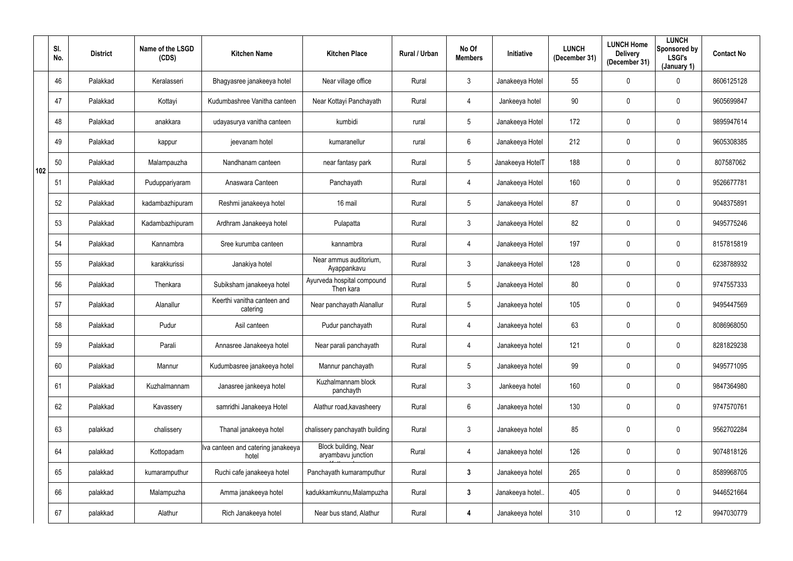|     | SI.<br>No. | <b>District</b> | Name of the LSGD<br>(CDS) | <b>Kitchen Name</b>                           | <b>Kitchen Place</b>                       | Rural / Urban | No Of<br><b>Members</b> | Initiative       | <b>LUNCH</b><br>(December 31) | <b>LUNCH Home</b><br><b>Delivery</b><br>(December 31) | <b>LUNCH</b><br>Sponsored by<br><b>LSGI's</b><br>(January 1) | <b>Contact No</b> |
|-----|------------|-----------------|---------------------------|-----------------------------------------------|--------------------------------------------|---------------|-------------------------|------------------|-------------------------------|-------------------------------------------------------|--------------------------------------------------------------|-------------------|
|     | 46         | Palakkad        | Keralasseri               | Bhagyasree janakeeya hotel                    | Near village office                        | Rural         | 3                       | Janakeeya Hotel  | 55                            | $\overline{0}$                                        | $\mathbf 0$                                                  | 8606125128        |
|     | 47         | Palakkad        | Kottayi                   | Kudumbashree Vanitha canteen                  | Near Kottayi Panchayath                    | Rural         | 4                       | Jankeeya hotel   | 90                            | $\mathbf 0$                                           | $\mathbf 0$                                                  | 9605699847        |
|     | 48         | Palakkad        | anakkara                  | udayasurya vanitha canteen                    | kumbidi                                    | rural         | 5                       | Janakeeya Hotel  | 172                           | $\mathbf 0$                                           | $\pmb{0}$                                                    | 9895947614        |
|     | 49         | Palakkad        | kappur                    | jeevanam hotel                                | kumaranellur                               | rural         | 6                       | Janakeeya Hotel  | 212                           | $\mathbf 0$                                           | $\pmb{0}$                                                    | 9605308385        |
| 102 | 50         | Palakkad        | Malampauzha               | Nandhanam canteen                             | near fantasy park                          | Rural         | $5\phantom{.0}$         | Janakeeya HotelT | 188                           | $\mathbf 0$                                           | $\overline{0}$                                               | 807587062         |
|     | 51         | Palakkad        | Puduppariyaram            | Anaswara Canteen                              | Panchayath                                 | Rural         | 4                       | Janakeeya Hotel  | 160                           | $\mathbf 0$                                           | $\mathbf 0$                                                  | 9526677781        |
|     | 52         | Palakkad        | kadambazhipuram           | Reshmi janakeeya hotel                        | 16 mail                                    | Rural         | 5                       | Janakeeya Hotel  | 87                            | $\mathbf 0$                                           | $\mathbf 0$                                                  | 9048375891        |
|     | 53         | Palakkad        | Kadambazhipuram           | Ardhram Janakeeya hotel                       | Pulapatta                                  | Rural         | $\mathbf{3}$            | Janakeeya Hotel  | 82                            | $\overline{0}$                                        | $\pmb{0}$                                                    | 9495775246        |
|     | 54         | Palakkad        | Kannambra                 | Sree kurumba canteen                          | kannambra                                  | Rural         | 4                       | Janakeeya Hotel  | 197                           | $\mathbf 0$                                           | $\pmb{0}$                                                    | 8157815819        |
|     | 55         | Palakkad        | karakkurissi              | Janakiya hotel                                | Near ammus auditorium,<br>Ayappankavu      | Rural         | $\mathbf{3}$            | Janakeeya Hotel  | 128                           | $\mathbf 0$                                           | $\pmb{0}$                                                    | 6238788932        |
|     | 56         | Palakkad        | Thenkara                  | Subiksham janakeeya hotel                     | Ayurveda hospital compound<br>Then kara    | Rural         | 5                       | Janakeeya Hotel  | 80                            | $\overline{0}$                                        | $\mathbf 0$                                                  | 9747557333        |
|     | 57         | Palakkad        | Alanallur                 | Keerthi vanitha canteen and<br>catering       | Near panchayath Alanallur                  | Rural         | $\overline{5}$          | Janakeeya hotel  | 105                           | $\overline{0}$                                        | $\mathbf 0$                                                  | 9495447569        |
|     | 58         | Palakkad        | Pudur                     | Asil canteen                                  | Pudur panchayath                           | Rural         | 4                       | Janakeeya hotel  | 63                            | $\mathbf 0$                                           | $\boldsymbol{0}$                                             | 8086968050        |
|     | 59         | Palakkad        | Parali                    | Annasree Janakeeya hotel                      | Near parali panchayath                     | Rural         | $\overline{4}$          | Janakeeya hotel  | 121                           | $\mathbf 0$                                           | $\pmb{0}$                                                    | 8281829238        |
|     | 60         | Palakkad        | Mannur                    | Kudumbasree janakeeya hotel                   | Mannur panchayath                          | Rural         | $\overline{5}$          | Janakeeya hotel  | 99                            | $\pmb{0}$                                             | $\overline{0}$                                               | 9495771095        |
|     | 61         | Palakkad        | Kuzhalmannam              | Janasree jankeeya hotel                       | Kuzhalmannam block<br>panchayth            | Rural         | $\mathbf{3}$            | Jankeeya hotel   | 160                           | $\mathbf 0$                                           | $\overline{0}$                                               | 9847364980        |
|     | 62         | Palakkad        | Kavassery                 | samridhi Janakeeya Hotel                      | Alathur road, kavasheery                   | Rural         | $6\phantom{.}$          | Janakeeya hotel  | 130                           | $\pmb{0}$                                             | $\overline{0}$                                               | 9747570761        |
|     | 63         | palakkad        | chalissery                | Thanal janakeeya hotel                        | chalissery panchayath building             | Rural         | $\mathfrak{Z}$          | Janakeeya hotel  | 85                            | $\pmb{0}$                                             | $\overline{0}$                                               | 9562702284        |
|     | 64         | palakkad        | Kottopadam                | Iva canteen and catering janakeeya  <br>hotel | Block building, Near<br>aryambavu junction | Rural         | $\overline{4}$          | Janakeeya hotel  | 126                           | $\mathbf 0$                                           | $\overline{0}$                                               | 9074818126        |
|     | 65         | palakkad        | kumaramputhur             | Ruchi cafe janakeeya hotel                    | Panchayath kumaramputhur                   | Rural         | $\mathbf{3}$            | Janakeeya hotel  | 265                           | $\pmb{0}$                                             | $\overline{0}$                                               | 8589968705        |
|     | 66         | palakkad        | Malampuzha                | Amma janakeeya hotel                          | kadukkamkunnu, Malampuzha                  | Rural         | 3 <sup>1</sup>          | Janakeeya hotel  | 405                           | $\pmb{0}$                                             | $\overline{0}$                                               | 9446521664        |
|     | 67         | palakkad        | Alathur                   | Rich Janakeeya hotel                          | Near bus stand, Alathur                    | Rural         | 4                       | Janakeeya hotel  | 310                           | $\pmb{0}$                                             | 12                                                           | 9947030779        |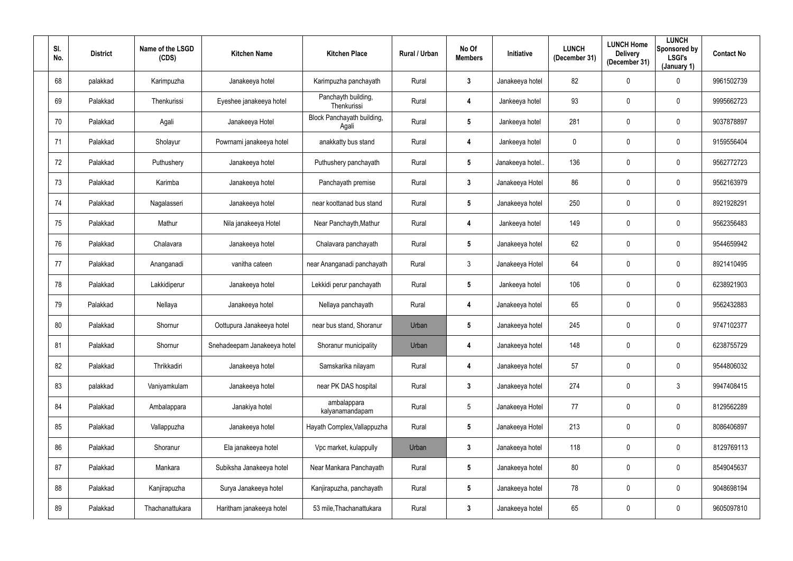| SI.<br>No. | <b>District</b> | Name of the LSGD<br>(CDS) | <b>Kitchen Name</b>         | <b>Kitchen Place</b>                | Rural / Urban | No Of<br><b>Members</b> | Initiative      | <b>LUNCH</b><br>(December 31) | <b>LUNCH Home</b><br><b>Delivery</b><br>(December 31) | <b>LUNCH</b><br>Sponsored by<br><b>LSGI's</b><br>(January 1) | <b>Contact No</b> |
|------------|-----------------|---------------------------|-----------------------------|-------------------------------------|---------------|-------------------------|-----------------|-------------------------------|-------------------------------------------------------|--------------------------------------------------------------|-------------------|
| 68         | palakkad        | Karimpuzha                | Janakeeya hotel             | Karimpuzha panchayath               | Rural         | $\mathbf{3}$            | Janakeeya hotel | 82                            | 0                                                     | $\overline{0}$                                               | 9961502739        |
| 69         | Palakkad        | Thenkurissi               | Eyeshee janakeeya hotel     | Panchayth building,<br>Thenkurissi  | Rural         | 4                       | Jankeeya hotel  | 93                            | 0                                                     | $\overline{0}$                                               | 9995662723        |
| 70         | Palakkad        | Agali                     | Janakeeya Hotel             | Block Panchayath building,<br>Agali | Rural         | $5\phantom{.0}$         | Jankeeya hotel  | 281                           | 0                                                     | $\mathbf 0$                                                  | 9037878897        |
| 71         | Palakkad        | Sholayur                  | Powrnami janakeeya hotel    | anakkatty bus stand                 | Rural         | 4                       | Jankeeya hotel  | $\mathbf 0$                   | 0                                                     | $\overline{0}$                                               | 9159556404        |
| 72         | Palakkad        | Puthushery                | Janakeeya hotel             | Puthushery panchayath               | Rural         | $5\phantom{.0}$         | Janakeeya hotel | 136                           | 0                                                     | $\mathbf 0$                                                  | 9562772723        |
| 73         | Palakkad        | Karimba                   | Janakeeya hotel             | Panchayath premise                  | Rural         | $\mathbf{3}$            | Janakeeya Hotel | 86                            | 0                                                     | $\mathbf 0$                                                  | 9562163979        |
| 74         | Palakkad        | Nagalasseri               | Janakeeya hotel             | near koottanad bus stand            | Rural         | $5\phantom{.0}$         | Janakeeya hotel | 250                           | 0                                                     | $\overline{0}$                                               | 8921928291        |
| 75         | Palakkad        | Mathur                    | Nila janakeeya Hotel        | Near Panchayth, Mathur              | Rural         | 4                       | Jankeeya hotel  | 149                           | 0                                                     | $\mathbf 0$                                                  | 9562356483        |
| 76         | Palakkad        | Chalavara                 | Janakeeya hotel             | Chalavara panchayath                | Rural         | $5\overline{)}$         | Janakeeya hotel | 62                            | 0                                                     | $\overline{0}$                                               | 9544659942        |
| 77         | Palakkad        | Ananganadi                | vanitha cateen              | near Ananganadi panchayath          | Rural         | 3 <sup>1</sup>          | Janakeeya Hotel | 64                            | 0                                                     | $\mathbf 0$                                                  | 8921410495        |
| 78         | Palakkad        | Lakkidiperur              | Janakeeya hotel             | Lekkidi perur panchayath            | Rural         | $5\overline{)}$         | Jankeeya hotel  | 106                           | $\mathbf 0$                                           | $\mathbf 0$                                                  | 6238921903        |
| 79         | Palakkad        | Nellaya                   | Janakeeya hotel             | Nellaya panchayath                  | Rural         | 4                       | Janakeeya hotel | 65                            | 0                                                     | $\mathbf 0$                                                  | 9562432883        |
| 80         | Palakkad        | Shornur                   | Oottupura Janakeeya hotel   | near bus stand, Shoranur            | Urban         | $5\phantom{.0}$         | Janakeeya hotel | 245                           | 0                                                     | $\mathbf 0$                                                  | 9747102377        |
| 81         | Palakkad        | Shornur                   | Snehadeepam Janakeeya hotel | Shoranur municipality               | Urban         | $\overline{\mathbf{4}}$ | Janakeeya hotel | 148                           | $\mathbf 0$                                           | $\mathbf 0$                                                  | 6238755729        |
| 82         | Palakkad        | Thrikkadiri               | Janakeeya hotel             | Samskarika nilayam                  | Rural         | 4                       | Janakeeya hotel | 57                            | 0                                                     | $\mathbf 0$                                                  | 9544806032        |
| 83         | palakkad        | Vaniyamkulam              | Janakeeya hotel             | near PK DAS hospital                | Rural         | $3\phantom{a}$          | Janakeeya hotel | 274                           | 0                                                     | 3                                                            | 9947408415        |
| 84         | Palakkad        | Ambalappara               | Janakiya hotel              | ambalappara<br>kalyanamandapam      | Rural         | $5\overline{)}$         | Janakeeya Hotel | 77                            | $\mathbf 0$                                           | $\mathbf 0$                                                  | 8129562289        |
| 85         | Palakkad        | Vallappuzha               | Janakeeya hotel             | Hayath Complex, Vallappuzha         | Rural         | $5\phantom{.0}$         | Janakeeya Hotel | 213                           | 0                                                     | $\mathbf 0$                                                  | 8086406897        |
| 86         | Palakkad        | Shoranur                  | Ela janakeeya hotel         | Vpc market, kulappully              | Urban         | $\mathbf{3}$            | Janakeeya hotel | 118                           | 0                                                     | $\mathbf 0$                                                  | 8129769113        |
| 87         | Palakkad        | Mankara                   | Subiksha Janakeeya hotel    | Near Mankara Panchayath             | Rural         | 5 <sub>5</sub>          | Janakeeya hotel | 80                            | $\pmb{0}$                                             | $\mathbf 0$                                                  | 8549045637        |
| 88         | Palakkad        | Kanjirapuzha              | Surya Janakeeya hotel       | Kanjirapuzha, panchayath            | Rural         | $5\phantom{.0}$         | Janakeeya hotel | 78                            | 0                                                     | $\mathbf 0$                                                  | 9048698194        |
| 89         | Palakkad        | Thachanattukara           | Haritham janakeeya hotel    | 53 mile, Thachanattukara            | Rural         | $\mathbf{3}$            | Janakeeya hotel | 65                            | 0                                                     | $\mathbf 0$                                                  | 9605097810        |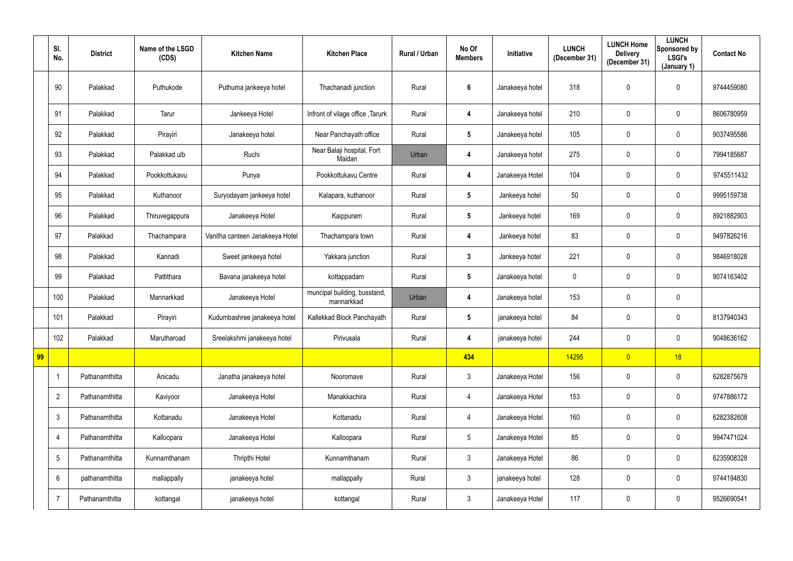|    | SI.<br>No.     | <b>District</b> | Name of the LSGD<br>(CDS) | <b>Kitchen Name</b>             | <b>Kitchen Place</b>                       | Rural / Urban | No Of<br><b>Members</b> | Initiative      | <b>LUNCH</b><br>(December 31) | <b>LUNCH Home</b><br><b>Delivery</b><br>(December 31) | <b>LUNCH</b><br>Sponsored by<br><b>LSGI's</b><br>(January 1) | <b>Contact No</b> |
|----|----------------|-----------------|---------------------------|---------------------------------|--------------------------------------------|---------------|-------------------------|-----------------|-------------------------------|-------------------------------------------------------|--------------------------------------------------------------|-------------------|
|    | 90             | Palakkad        | Puthukode                 | Puthuma jankeeya hotel          | Thachanadi junction                        | Rural         | 6                       | Janakeeya hotel | 318                           | $\mathbf{0}$                                          | $\mathbf 0$                                                  | 9744459080        |
|    | 91             | Palakkad        | Tarur                     | Jankeeya Hotel                  | Infront of vilage office, Tarurk           | Rural         | 4                       | Janakeeya hotel | 210                           | $\mathbf 0$                                           | $\pmb{0}$                                                    | 8606780959        |
|    | 92             | Palakkad        | Pirayiri                  | Janakeeya hotel                 | Near Panchayath office                     | Rural         | $5\phantom{.0}$         | Janakeeya hotel | 105                           | $\mathbf 0$                                           | $\pmb{0}$                                                    | 9037495586        |
|    | 93             | Palakkad        | Palakkad ulb              | Ruchi                           | Near Balaji hospital, Fort<br>Maidan       | Urban         | 4                       | Janakeeya hotel | 275                           | $\mathbf 0$                                           | $\overline{0}$                                               | 7994185687        |
|    | 94             | Palakkad        | Pookkottukavu             | Punya                           | Pookkottukavu Centre                       | Rural         | 4                       | Janakeeya Hotel | 104                           | $\mathbf 0$                                           | $\mathbf 0$                                                  | 9745511432        |
|    | 95             | Palakkad        | Kuthanoor                 | Suryodayam jankeeya hotel       | Kalapara, kuthanoor                        | Rural         | $5\phantom{.0}$         | Jankeeya hotel  | 50                            | $\mathbf 0$                                           | $\pmb{0}$                                                    | 9995159738        |
|    | 96             | Palakkad        | Thiruvegappura            | Janakeeya Hotel                 | Kaippuram                                  | Rural         | $5\phantom{.0}$         | Jankeeya hotel  | 169                           | $\mathbf 0$                                           | $\pmb{0}$                                                    | 8921882903        |
|    | 97             | Palakkad        | Thachampara               | Vanitha canteen Janakeeya Hotel | Thachampara town                           | Rural         | 4                       | Jankeeya hotel  | 83                            | $\mathbf 0$                                           | $\pmb{0}$                                                    | 9497826216        |
|    | 98             | Palakkad        | Kannadi                   | Sweet jankeeya hotel            | Yakkara junction                           | Rural         | $3\phantom{.0}$         | Jankeeya hotel  | 221                           | $\mathbf 0$                                           | $\mathbf 0$                                                  | 9846918028        |
|    | 99             | Palakkad        | Pattithara                | Bavana janakeeya hotel          | kottappadam                                | Rural         | $5\phantom{.0}$         | Janakeeya hotel | $\boldsymbol{0}$              | $\overline{0}$                                        | $\pmb{0}$                                                    | 9074163402        |
|    | 100            | Palakkad        | Mannarkkad                | Janakeeya Hotel                 | muncipal building, busstand,<br>mannarkkad | Urban         | 4                       | Janakeeya hotel | 153                           | $\mathbf 0$                                           | $\overline{0}$                                               |                   |
|    | 101            | Palakkad        | Pirayiri                  | Kudumbashree janakeeya hotel    | Kallekkad Block Panchayath                 | Rural         | 5                       | janakeeya hotel | 84                            | $\overline{0}$                                        | $\pmb{0}$                                                    | 8137940343        |
|    | 102            | Palakkad        | Marutharoad               | Sreelakshmi janakeeya hotel     | Pirivusala                                 | Rural         | 4                       | janakeeya hotel | 244                           | $\mathbf 0$                                           | $\pmb{0}$                                                    | 9048636162        |
| 99 |                |                 |                           |                                 |                                            |               | 434                     |                 | 14295                         | $\overline{0}$                                        | 18                                                           |                   |
|    | $\overline{1}$ | Pathanamthitta  | Anicadu                   | Janatha janakeeya hotel         | Nooromave                                  | Rural         | 3 <sup>1</sup>          | Janakeeya Hotel | 156                           | $\pmb{0}$                                             | $\overline{0}$                                               | 6282875679        |
|    | $\overline{2}$ | Pathanamthitta  | Kaviyoor                  | Janakeeya Hotel                 | Manakkachira                               | Rural         | 4                       | Janakeeya Hotel | 153                           | $\mathbf 0$                                           | $\overline{0}$                                               | 9747886172        |
|    | $\mathfrak{Z}$ | Pathanamthitta  | Kottanadu                 | Janakeeya Hotel                 | Kottanadu                                  | Rural         | 4                       | Janakeeya Hotel | 160                           | $\pmb{0}$                                             | $\overline{0}$                                               | 6282382608        |
|    | $\overline{4}$ | Pathanamthitta  | Kalloopara                | Janakeeya Hotel                 | Kalloopara                                 | Rural         | $5\phantom{.0}$         | Janakeeya Hotel | 85                            | $\pmb{0}$                                             | $\overline{0}$                                               | 9947471024        |
|    | $\overline{5}$ | Pathanamthitta  | Kunnamthanam              | Thripthi Hotel                  | Kunnamthanam                               | Rural         | 3 <sup>1</sup>          | Janakeeya Hotel | 86                            | $\pmb{0}$                                             | $\overline{0}$                                               | 6235908328        |
|    | 6              | pathanamthitta  | mallappally               | janakeeya hotel                 | mallappally                                | Rural         | $3\phantom{.0}$         | janakeeya hotel | 128                           | $\pmb{0}$                                             | $\overline{0}$                                               | 9744194830        |
|    | $\overline{7}$ | Pathanamthitta  | kottangal                 | janakeeya hotel                 | kottangal                                  | Rural         | $\mathfrak{Z}$          | Janakeeya Hotel | 117                           | $\pmb{0}$                                             | $\pmb{0}$                                                    | 9526690541        |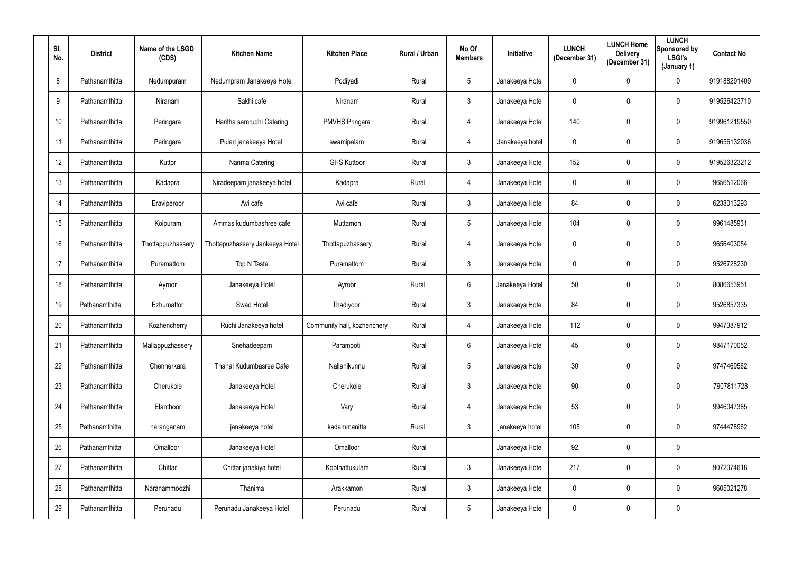| SI.<br>No. | <b>District</b> | Name of the LSGD<br>(CDS) | <b>Kitchen Name</b>             | <b>Kitchen Place</b>        | Rural / Urban | No Of<br><b>Members</b> | Initiative      | <b>LUNCH</b><br>(December 31) | <b>LUNCH Home</b><br><b>Delivery</b><br>(December 31) | <b>LUNCH</b><br>Sponsored by<br>LSGI's<br>(January 1) | <b>Contact No</b> |
|------------|-----------------|---------------------------|---------------------------------|-----------------------------|---------------|-------------------------|-----------------|-------------------------------|-------------------------------------------------------|-------------------------------------------------------|-------------------|
| 8          | Pathanamthitta  | Nedumpuram                | Nedumpram Janakeeya Hotel       | Podiyadi                    | Rural         | $5\phantom{.0}$         | Janakeeya Hotel | $\mathbf 0$                   | 0                                                     | $\mathbf 0$                                           | 919188291409      |
| $9\,$      | Pathanamthitta  | Niranam                   | Sakhi cafe                      | Niranam                     | Rural         | $\mathbf{3}$            | Janakeeya Hotel | $\overline{0}$                | 0                                                     | $\overline{0}$                                        | 919526423710      |
| 10         | Pathanamthitta  | Peringara                 | Haritha samrudhi Catering       | <b>PMVHS Pringara</b>       | Rural         | $\overline{4}$          | Janakeeya Hotel | 140                           | 0                                                     | $\overline{0}$                                        | 919961219550      |
| 11         | Pathanamthitta  | Peringara                 | Pulari janakeeya Hotel          | swamipalam                  | Rural         | $\overline{4}$          | Janakeeya hotel | $\mathbf 0$                   | 0                                                     | $\mathbf 0$                                           | 919656132036      |
| 12         | Pathanamthitta  | Kuttor                    | Nanma Catering                  | <b>GHS Kuttoor</b>          | Rural         | $\mathbf{3}$            | Janakeeya Hotel | 152                           | 0                                                     | $\mathbf 0$                                           | 919526323212      |
| 13         | Pathanamthitta  | Kadapra                   | Niradeepam janakeeya hotel      | Kadapra                     | Rural         | $\overline{4}$          | Janakeeya Hotel | $\mathbf 0$                   | 0                                                     | $\mathbf 0$                                           | 9656512066        |
| 14         | Pathanamthitta  | Eraviperoor               | Avi cafe                        | Avi cafe                    | Rural         | $\mathbf{3}$            | Janakeeya Hotel | 84                            | 0                                                     | $\overline{0}$                                        | 6238013293        |
| 15         | Pathanamthitta  | Koipuram                  | Ammas kudumbashree cafe         | Muttamon                    | Rural         | $5\phantom{.0}$         | Janakeeya Hotel | 104                           | 0                                                     | $\overline{0}$                                        | 9961485931        |
| 16         | Pathanamthitta  | Thottappuzhassery         | Thottapuzhassery Jankeeya Hotel | Thottapuzhassery            | Rural         | $\overline{4}$          | Janakeeya Hotel | $\mathbf 0$                   | 0                                                     | $\overline{0}$                                        | 9656403054        |
| 17         | Pathanamthitta  | Puramattom                | Top N Taste                     | Puramattom                  | Rural         | $\mathbf{3}$            | Janakeeya Hotel | $\mathbf 0$                   | 0                                                     | $\mathbf 0$                                           | 9526728230        |
| 18         | Pathanamthitta  | Ayroor                    | Janakeeya Hotel                 | Ayroor                      | Rural         | $6^{\circ}$             | Janakeeya Hotel | 50                            | 0                                                     | $\mathbf 0$                                           | 8086653951        |
| 19         | Pathanamthitta  | Ezhumattor                | Swad Hotel                      | Thadiyoor                   | Rural         | $\mathbf{3}$            | Janakeeya Hotel | 84                            | 0                                                     | $\overline{0}$                                        | 9526857335        |
| 20         | Pathanamthitta  | Kozhencherry              | Ruchi Janakeeya hotel           | Community hall, kozhenchery | Rural         | 4                       | Janakeeya Hotel | 112                           | 0                                                     | $\mathbf 0$                                           | 9947387912        |
| 21         | Pathanamthitta  | Mallappuzhassery          | Snehadeepam                     | Paramootil                  | Rural         | $6\overline{6}$         | Janakeeya Hotel | 45                            | $\mathbf 0$                                           | $\mathbf 0$                                           | 9847170052        |
| 22         | Pathanamthitta  | Chennerkara               | Thanal Kudumbasree Cafe         | Nallanikunnu                | Rural         | $5\overline{)}$         | Janakeeya Hotel | 30                            | 0                                                     | $\mathbf 0$                                           | 9747469562        |
| 23         | Pathanamthitta  | Cherukole                 | Janakeeya Hotel                 | Cherukole                   | Rural         | $\mathbf{3}$            | Janakeeya Hotel | 90                            | 0                                                     | $\mathbf 0$                                           | 7907811728        |
| 24         | Pathanamthitta  | Elanthoor                 | Janakeeya Hotel                 | Vary                        | Rural         | $\overline{4}$          | Janakeeya Hotel | 53                            | $\mathbf 0$                                           | $\mathbf 0$                                           | 9946047385        |
| 25         | Pathanamthitta  | naranganam                | janakeeya hotel                 | kadammanitta                | Rural         | $\mathbf{3}$            | janakeeya hotel | 105                           | 0                                                     | $\mathbf 0$                                           | 9744478962        |
| 26         | Pathanamthitta  | Omalloor                  | Janakeeya Hotel                 | Omalloor                    | Rural         |                         | Janakeeya Hotel | 92                            | 0                                                     | $\mathbf 0$                                           |                   |
| 27         | Pathanamthitta  | Chittar                   | Chittar janakiya hotel          | Koothattukulam              | Rural         | 3 <sup>1</sup>          | Janakeeya Hotel | 217                           | 0                                                     | $\mathbf 0$                                           | 9072374618        |
| 28         | Pathanamthitta  | Naranammoozhi             | Thanima                         | Arakkamon                   | Rural         | $\mathbf{3}$            | Janakeeya Hotel | $\pmb{0}$                     | 0                                                     | $\mathbf 0$                                           | 9605021278        |
| 29         | Pathanamthitta  | Perunadu                  | Perunadu Janakeeya Hotel        | Perunadu                    | Rural         | $5\phantom{.0}$         | Janakeeya Hotel | $\boldsymbol{0}$              | 0                                                     | $\overline{0}$                                        |                   |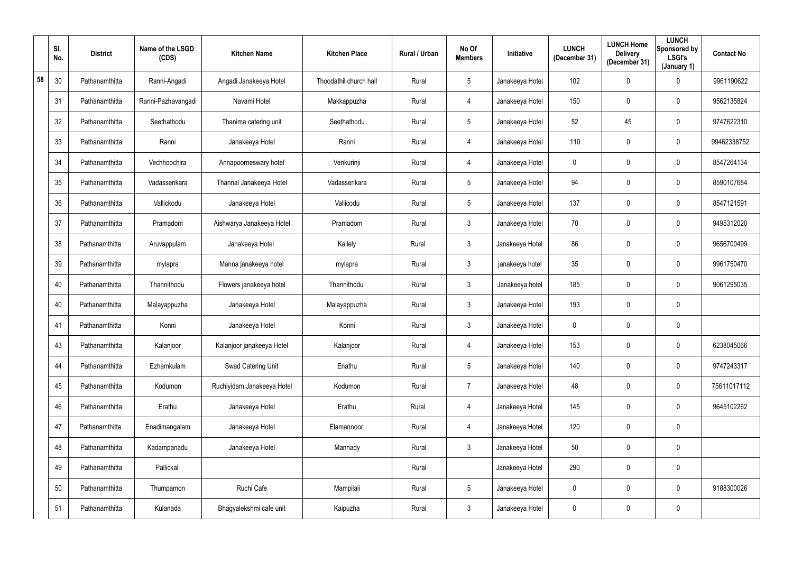|    | SI.<br>No. | <b>District</b> | Name of the LSGD<br>(CDS) | <b>Kitchen Name</b>        | <b>Kitchen Place</b>   | Rural / Urban | No Of<br><b>Members</b> | Initiative      | <b>LUNCH</b><br>(December 31) | <b>LUNCH Home</b><br><b>Delivery</b><br>(December 31) | <b>LUNCH</b><br>Sponsored by<br><b>LSGI's</b><br>(January 1) | <b>Contact No</b> |
|----|------------|-----------------|---------------------------|----------------------------|------------------------|---------------|-------------------------|-----------------|-------------------------------|-------------------------------------------------------|--------------------------------------------------------------|-------------------|
| 58 | 30         | Pathanamthitta  | Ranni-Angadi              | Angadi Janakeeya Hotel     | Thoodathil church hall | Rural         | 5                       | Janakeeya Hotel | 102                           | 0                                                     | $\overline{0}$                                               | 9961190622        |
|    | 31         | Pathanamthitta  | Ranni-Pazhavangadi        | Navami Hotel               | Makkappuzha            | Rural         | 4                       | Janakeeya Hotel | 150                           | 0                                                     | $\overline{0}$                                               | 9562135824        |
|    | 32         | Pathanamthitta  | Seethathodu               | Thanima catering unit      | Seethathodu            | Rural         | 5                       | Janakeeya Hotel | 52                            | 45                                                    | $\mathbf 0$                                                  | 9747622310        |
|    | 33         | Pathanamthitta  | Ranni                     | Janakeeya Hotel            | Ranni                  | Rural         | 4                       | Janakeeya Hotel | 110                           | 0                                                     | $\mathbf 0$                                                  | 99462338752       |
|    | 34         | Pathanamthitta  | Vechhoochira              | Annapoorneswary hotel      | Venkurinji             | Rural         | 4                       | Janakeeya Hotel | $\mathbf 0$                   | 0                                                     | $\mathbf 0$                                                  | 8547264134        |
|    | 35         | Pathanamthitta  | Vadasserikara             | Thannal Janakeeya Hotel    | Vadasserikara          | Rural         | $5\phantom{.0}$         | Janakeeya Hotel | 94                            | 0                                                     | $\mathbf 0$                                                  | 8590107684        |
|    | 36         | Pathanamthitta  | Vallickodu                | Janakeeya Hotel            | Vallicodu              | Rural         | 5                       | Janakeeya Hotel | 137                           | 0                                                     | $\mathbf 0$                                                  | 8547121591        |
|    | 37         | Pathanamthitta  | Pramadom                  | Aishwarya Janakeeya Hotel  | Pramadom               | Rural         | $\mathfrak{Z}$          | Janakeeya Hotel | 70                            | 0                                                     | $\mathbf 0$                                                  | 9495312020        |
|    | 38         | Pathanamthitta  | Aruvappulam               | Janakeeya Hotel            | Kallely                | Rural         | $\mathbf{3}$            | Janakeeya Hotel | 86                            | 0                                                     | $\mathbf 0$                                                  | 9656700499        |
|    | 39         | Pathanamthitta  | mylapra                   | Manna janakeeya hotel      | mylapra                | Rural         | $3\phantom{.0}$         | janakeeya hotel | 35                            | 0                                                     | $\mathbf 0$                                                  | 9961750470        |
|    | 40         | Pathanamthitta  | Thannithodu               | Flowers janakeeya hotel    | Thannithodu            | Rural         | $\mathbf{3}$            | Janakeeya hotel | 185                           | 0                                                     | $\mathbf 0$                                                  | 9061295035        |
|    | 40         | Pathanamthitta  | Malayappuzha              | Janakeeya Hotel            | Malayappuzha           | Rural         | $3\phantom{.0}$         | Janakeeya Hotel | 193                           | 0                                                     | $\mathbf 0$                                                  |                   |
|    | 41         | Pathanamthitta  | Konni                     | Janakeeya Hotel            | Konni                  | Rural         | $\mathfrak{Z}$          | Janakeeya Hotel | $\mathbf 0$                   | 0                                                     | $\mathbf 0$                                                  |                   |
|    | 43         | Pathanamthitta  | Kalanjoor                 | Kalanjoor janakeeya Hotel  | Kalanjoor              | Rural         | 4                       | Janakeeya Hotel | 153                           | $\pmb{0}$                                             | $\mathbf 0$                                                  | 6238045066        |
|    | 44         | Pathanamthitta  | Ezhamkulam                | Swad Catering Unit         | Enathu                 | Rural         | $5\phantom{.0}$         | Janakeeya Hotel | 140                           | $\pmb{0}$                                             | $\mathbf 0$                                                  | 9747243317        |
|    | 45         | Pathanamthitta  | Kodumon                   | Ruchiyidam Janakeeya Hotel | Kodumon                | Rural         | $\overline{7}$          | Janakeeya Hotel | 48                            | 0                                                     | $\mathbf 0$                                                  | 75611017112       |
|    | 46         | Pathanamthitta  | Erathu                    | Janakeeya Hotel            | Erathu                 | Rural         | $\overline{4}$          | Janakeeya Hotel | 145                           | $\overline{0}$                                        | $\mathbf 0$                                                  | 9645102262        |
|    | 47         | Pathanamthitta  | Enadimangalam             | Janakeeya Hotel            | Elamannoor             | Rural         | $\overline{4}$          | Janakeeya Hotel | 120                           | $\pmb{0}$                                             | $\overline{0}$                                               |                   |
|    | 48         | Pathanamthitta  | Kadampanadu               | Janakeeya Hotel            | Mannady                | Rural         | 3 <sup>1</sup>          | Janakeeya Hotel | 50                            | $\pmb{0}$                                             | $\mathbf 0$                                                  |                   |
|    | 49         | Pathanamthitta  | Pallickal                 |                            |                        | Rural         |                         | Janakeeya Hotel | 290                           | $\pmb{0}$                                             | $\mathbf 0$                                                  |                   |
|    | 50         | Pathanamthitta  | Thumpamon                 | Ruchi Cafe                 | Mampilali              | Rural         | $5\phantom{.0}$         | Janakeeya Hotel | $\mathbf 0$                   | $\pmb{0}$                                             | $\mathbf 0$                                                  | 9188300026        |
|    | 51         | Pathanamthitta  | Kulanada                  | Bhagyalekshmi cafe unit    | Kaipuzha               | Rural         | 3 <sup>1</sup>          | Janakeeya Hotel | $\mathbf 0$                   | 0                                                     | $\overline{0}$                                               |                   |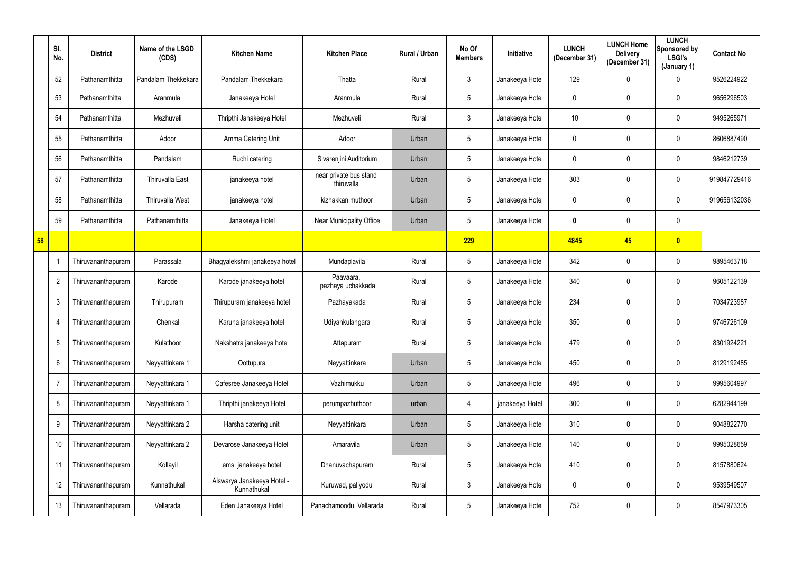|    | SI.<br>No.     | <b>District</b>    | Name of the LSGD<br>(CDS) | <b>Kitchen Name</b>                       | <b>Kitchen Place</b>                 | Rural / Urban | No Of<br><b>Members</b> | Initiative      | <b>LUNCH</b><br>(December 31) | <b>LUNCH Home</b><br><b>Delivery</b><br>(December 31) | <b>LUNCH</b><br>Sponsored by<br><b>LSGI's</b><br>(January 1) | <b>Contact No</b> |
|----|----------------|--------------------|---------------------------|-------------------------------------------|--------------------------------------|---------------|-------------------------|-----------------|-------------------------------|-------------------------------------------------------|--------------------------------------------------------------|-------------------|
|    | 52             | Pathanamthitta     | Pandalam Thekkekara       | Pandalam Thekkekara                       | Thatta                               | Rural         | $\mathfrak{Z}$          | Janakeeya Hotel | 129                           | 0                                                     | $\overline{0}$                                               | 9526224922        |
|    | 53             | Pathanamthitta     | Aranmula                  | Janakeeya Hotel                           | Aranmula                             | Rural         | $5\phantom{.0}$         | Janakeeya Hotel | $\overline{0}$                | 0                                                     | $\overline{0}$                                               | 9656296503        |
|    | 54             | Pathanamthitta     | Mezhuveli                 | Thripthi Janakeeya Hotel                  | Mezhuveli                            | Rural         | $\mathbf{3}$            | Janakeeya Hotel | 10                            | 0                                                     | $\mathbf 0$                                                  | 9495265971        |
|    | 55             | Pathanamthitta     | Adoor                     | Amma Catering Unit                        | Adoor                                | Urban         | $5\phantom{.0}$         | Janakeeya Hotel | $\mathbf 0$                   | 0                                                     | $\mathbf 0$                                                  | 8606887490        |
|    | 56             | Pathanamthitta     | Pandalam                  | Ruchi catering                            | Sivarenjini Auditorium               | Urban         | $5\phantom{.0}$         | Janakeeya Hotel | $\mathbf 0$                   | 0                                                     | $\mathbf 0$                                                  | 9846212739        |
|    | 57             | Pathanamthitta     | <b>Thiruvalla East</b>    | janakeeya hotel                           | near private bus stand<br>thiruvalla | Urban         | $5\phantom{.0}$         | Janakeeya Hotel | 303                           | 0                                                     | $\mathbf 0$                                                  | 919847729416      |
|    | 58             | Pathanamthitta     | Thiruvalla West           | janakeeya hotel                           | kizhakkan muthoor                    | Urban         | $5\phantom{.0}$         | Janakeeya Hotel | $\mathbf 0$                   | 0                                                     | $\mathbf 0$                                                  | 919656132036      |
|    | 59             | Pathanamthitta     | Pathanamthitta            | Janakeeya Hotel                           | <b>Near Municipality Office</b>      | Urban         | $5\phantom{.0}$         | Janakeeya Hotel | 0                             | 0                                                     | $\mathbf 0$                                                  |                   |
| 58 |                |                    |                           |                                           |                                      |               | 229                     |                 | 4845                          | 45                                                    | $\bullet$                                                    |                   |
|    |                | Thiruvananthapuram | Parassala                 | Bhagyalekshmi janakeeya hotel             | Mundaplavila                         | Rural         | 5                       | Janakeeya Hotel | 342                           | 0                                                     | $\overline{0}$                                               | 9895463718        |
|    | $\overline{2}$ | Thiruvananthapuram | Karode                    | Karode janakeeya hotel                    | Paavaara,<br>pazhaya uchakkada       | Rural         | 5                       | Janakeeya Hotel | 340                           | 0                                                     | $\overline{0}$                                               | 9605122139        |
|    | $\mathbf{3}$   | Thiruvananthapuram | Thirupuram                | Thirupuram janakeeya hotel                | Pazhayakada                          | Rural         | $5\phantom{.0}$         | Janakeeya Hotel | 234                           | 0                                                     | $\mathbf 0$                                                  | 7034723987        |
|    |                | Thiruvananthapuram | Chenkal                   | Karuna janakeeya hotel                    | Udiyankulangara                      | Rural         | $5\phantom{.0}$         | Janakeeya Hotel | 350                           | 0                                                     | $\mathbf 0$                                                  | 9746726109        |
|    | 5              | Thiruvananthapuram | Kulathoor                 | Nakshatra janakeeya hotel                 | Attapuram                            | Rural         | $5\phantom{.0}$         | Janakeeya Hotel | 479                           | 0                                                     | $\overline{0}$                                               | 8301924221        |
|    | 6              | Thiruvananthapuram | Neyyattinkara 1           | Oottupura                                 | Neyyattinkara                        | Urban         | $5\phantom{.0}$         | Janakeeya Hotel | 450                           | 0                                                     | $\mathbf 0$                                                  | 8129192485        |
|    |                | Thiruvananthapuram | Neyyattinkara 1           | Cafesree Janakeeya Hotel                  | Vazhimukku                           | Urban         | $5\phantom{.0}$         | Janakeeya Hotel | 496                           | 0                                                     | $\boldsymbol{0}$                                             | 9995604997        |
|    | 8              | Thiruvananthapuram | Neyyattinkara 1           | Thripthi janakeeya Hotel                  | perumpazhuthoor                      | urban         | 4                       | janakeeya Hotel | 300                           | 0                                                     | $\mathbf 0$                                                  | 6282944199        |
|    | 9              | Thiruvananthapuram | Neyyattinkara 2           | Harsha catering unit                      | Neyyattinkara                        | Urban         | $5\phantom{.0}$         | Janakeeya Hotel | 310                           | 0                                                     | $\mathbf 0$                                                  | 9048822770        |
|    | 10             | Thiruvananthapuram | Neyyattinkara 2           | Devarose Janakeeya Hotel                  | Amaravila                            | Urban         | $5\phantom{.0}$         | Janakeeya Hotel | 140                           | 0                                                     | $\mathbf 0$                                                  | 9995028659        |
|    | 11             | Thiruvananthapuram | Kollayil                  | ems janakeeya hotel                       | Dhanuvachapuram                      | Rural         | $5\phantom{.0}$         | Janakeeya Hotel | 410                           | 0                                                     | $\overline{0}$                                               | 8157880624        |
|    | 12             | Thiruvananthapuram | Kunnathukal               | Aiswarya Janakeeya Hotel -<br>Kunnathukal | Kuruwad, paliyodu                    | Rural         | $\mathbf{3}$            | Janakeeya Hotel | $\mathbf 0$                   | 0                                                     | $\mathbf 0$                                                  | 9539549507        |
|    | 13             | Thiruvananthapuram | Vellarada                 | Eden Janakeeya Hotel                      | Panachamoodu, Vellarada              | Rural         | $5\phantom{.0}$         | Janakeeya Hotel | 752                           | 0                                                     | $\overline{0}$                                               | 8547973305        |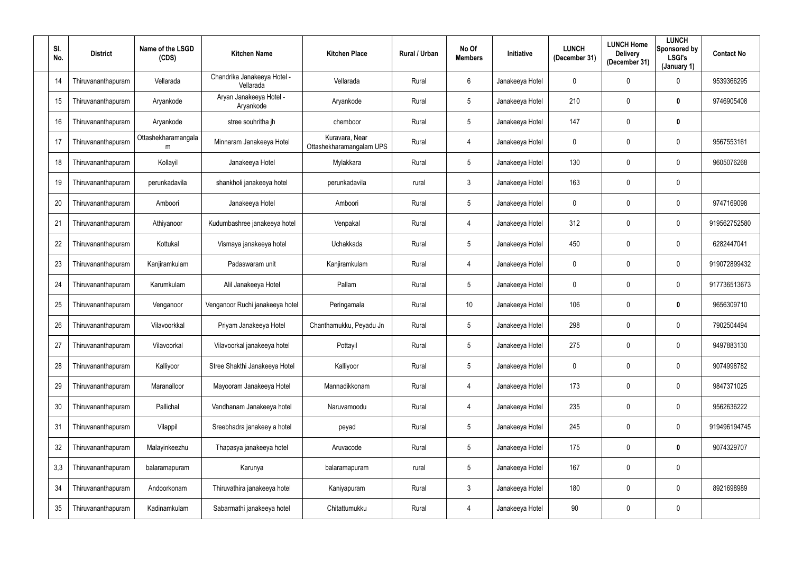| SI.<br>No. | <b>District</b>    | Name of the LSGD<br>(CDS) | <b>Kitchen Name</b>                      | <b>Kitchen Place</b>                       | Rural / Urban | No Of<br><b>Members</b> | <b>Initiative</b> | <b>LUNCH</b><br>(December 31) | <b>LUNCH Home</b><br><b>Delivery</b><br>(December 31) | <b>LUNCH</b><br>Sponsored by<br><b>LSGI's</b><br>(January 1) | <b>Contact No</b> |
|------------|--------------------|---------------------------|------------------------------------------|--------------------------------------------|---------------|-------------------------|-------------------|-------------------------------|-------------------------------------------------------|--------------------------------------------------------------|-------------------|
| 14         | Thiruvananthapuram | Vellarada                 | Chandrika Janakeeya Hotel -<br>Vellarada | Vellarada                                  | Rural         | 6                       | Janakeeya Hotel   | $\mathbf 0$                   | 0                                                     | $\overline{0}$                                               | 9539366295        |
| 15         | Thiruvananthapuram | Aryankode                 | Aryan Janakeeya Hotel -<br>Aryankode     | Aryankode                                  | Rural         | 5                       | Janakeeya Hotel   | 210                           | $\mathbf 0$                                           | $\mathbf 0$                                                  | 9746905408        |
| 16         | Thiruvananthapuram | Aryankode                 | stree souhritha jh                       | chemboor                                   | Rural         | $5\overline{)}$         | Janakeeya Hotel   | 147                           | 0                                                     | $\boldsymbol{0}$                                             |                   |
| 17         | Thiruvananthapuram | Ottashekharamangala<br>m  | Minnaram Janakeeya Hotel                 | Kuravara, Near<br>Ottashekharamangalam UPS | Rural         | $\overline{4}$          | Janakeeya Hotel   | $\overline{0}$                | 0                                                     | $\mathbf 0$                                                  | 9567553161        |
| 18         | Thiruvananthapuram | Kollayil                  | Janakeeya Hotel                          | Mylakkara                                  | Rural         | $5\overline{)}$         | Janakeeya Hotel   | 130                           | 0                                                     | $\mathbf 0$                                                  | 9605076268        |
| 19         | Thiruvananthapuram | perunkadavila             | shankholi janakeeya hotel                | perunkadavila                              | rural         | $\mathfrak{Z}$          | Janakeeya Hotel   | 163                           | 0                                                     | $\mathbf 0$                                                  |                   |
| 20         | Thiruvananthapuram | Amboori                   | Janakeeya Hotel                          | Amboori                                    | Rural         | $5\phantom{.0}$         | Janakeeya Hotel   | $\overline{0}$                | 0                                                     | $\mathbf 0$                                                  | 9747169098        |
| 21         | Thiruvananthapuram | Athiyanoor                | Kudumbashree janakeeya hotel             | Venpakal                                   | Rural         | $\overline{4}$          | Janakeeya Hotel   | 312                           | 0                                                     | $\overline{0}$                                               | 919562752580      |
| 22         | Thiruvananthapuram | Kottukal                  | Vismaya janakeeya hotel                  | Uchakkada                                  | Rural         | $5\phantom{.0}$         | Janakeeya Hotel   | 450                           | 0                                                     | $\mathbf 0$                                                  | 6282447041        |
| 23         | Thiruvananthapuram | Kanjiramkulam             | Padaswaram unit                          | Kanjiramkulam                              | Rural         | $\overline{4}$          | Janakeeya Hotel   | $\mathbf 0$                   | 0                                                     | $\mathbf 0$                                                  | 919072899432      |
| 24         | Thiruvananthapuram | Karumkulam                | Alil Janakeeya Hotel                     | Pallam                                     | Rural         | 5                       | Janakeeya Hotel   | $\mathbf 0$                   | 0                                                     | $\mathbf 0$                                                  | 917736513673      |
| 25         | Thiruvananthapuram | Venganoor                 | Venganoor Ruchi janakeeya hotel          | Peringamala                                | Rural         | 10                      | Janakeeya Hotel   | 106                           | 0                                                     | $\mathbf 0$                                                  | 9656309710        |
| 26         | Thiruvananthapuram | Vilavoorkkal              | Priyam Janakeeya Hotel                   | Chanthamukku, Peyadu Jn                    | Rural         | $5\phantom{.0}$         | Janakeeya Hotel   | 298                           | 0                                                     | 0                                                            | 7902504494        |
| 27         | Thiruvananthapuram | Vilavoorkal               | Vilavoorkal janakeeya hotel              | Pottayil                                   | Rural         | $5\phantom{.0}$         | Janakeeya Hotel   | 275                           | 0                                                     | $\overline{0}$                                               | 9497883130        |
| 28         | Thiruvananthapuram | Kalliyoor                 | Stree Shakthi Janakeeya Hotel            | Kalliyoor                                  | Rural         | $5\overline{)}$         | Janakeeya Hotel   | $\pmb{0}$                     | $\mathbf 0$                                           | $\mathbf 0$                                                  | 9074998782        |
| 29         | Thiruvananthapuram | Maranalloor               | Mayooram Janakeeya Hotel                 | Mannadikkonam                              | Rural         | $\overline{4}$          | Janakeeya Hotel   | 173                           | 0                                                     | $\mathbf 0$                                                  | 9847371025        |
| 30         | Thiruvananthapuram | Pallichal                 | Vandhanam Janakeeya hotel                | Naruvamoodu                                | Rural         | $\overline{4}$          | Janakeeya Hotel   | 235                           | 0                                                     | $\mathbf 0$                                                  | 9562636222        |
| 31         | Thiruvananthapuram | Vilappil                  | Sreebhadra janakeey a hotel              | peyad                                      | Rural         | $5\phantom{.0}$         | Janakeeya Hotel   | 245                           | 0                                                     | $\mathbf 0$                                                  | 919496194745      |
| 32         | Thiruvananthapuram | Malayinkeezhu             | Thapasya janakeeya hotel                 | Aruvacode                                  | Rural         | $5\phantom{.0}$         | Janakeeya Hotel   | 175                           | 0                                                     | $\boldsymbol{0}$                                             | 9074329707        |
| 3,3        | Thiruvananthapuram | balaramapuram             | Karunya                                  | balaramapuram                              | rural         | $5\overline{)}$         | Janakeeya Hotel   | 167                           | 0                                                     | $\mathbf 0$                                                  |                   |
| 34         | Thiruvananthapuram | Andoorkonam               | Thiruvathira janakeeya hotel             | Kaniyapuram                                | Rural         | 3 <sup>1</sup>          | Janakeeya Hotel   | 180                           | 0                                                     | $\mathbf 0$                                                  | 8921698989        |
| 35         | Thiruvananthapuram | Kadinamkulam              | Sabarmathi janakeeya hotel               | Chitattumukku                              | Rural         | $\overline{4}$          | Janakeeya Hotel   | 90                            | $\pmb{0}$                                             | $\overline{0}$                                               |                   |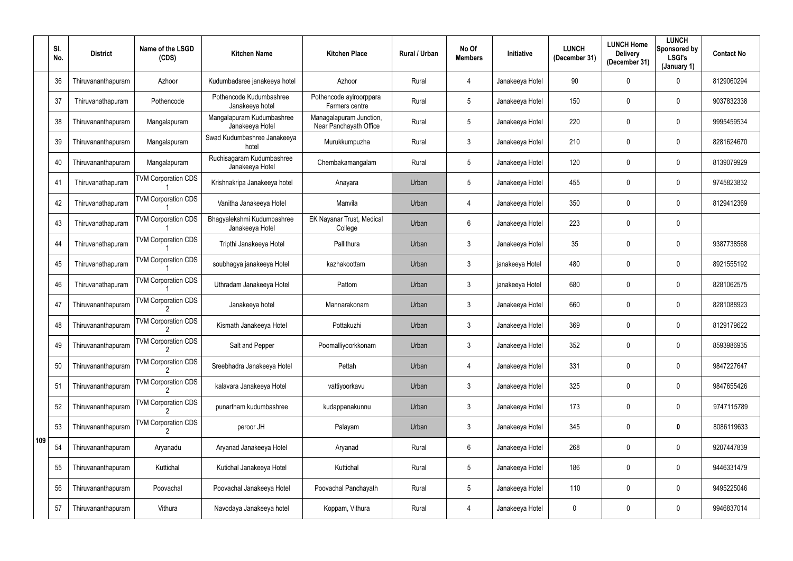|     | SI.<br>No. | <b>District</b>    | Name of the LSGD<br>(CDS)  | <b>Kitchen Name</b>                           | <b>Kitchen Place</b>                              | Rural / Urban | No Of<br><b>Members</b> | Initiative      | <b>LUNCH</b><br>(December 31) | <b>LUNCH Home</b><br><b>Delivery</b><br>(December 31) | <b>LUNCH</b><br>Sponsored by<br><b>LSGI's</b><br>(January 1) | <b>Contact No</b> |
|-----|------------|--------------------|----------------------------|-----------------------------------------------|---------------------------------------------------|---------------|-------------------------|-----------------|-------------------------------|-------------------------------------------------------|--------------------------------------------------------------|-------------------|
|     | 36         | Thiruvananthapuram | Azhoor                     | Kudumbadsree janakeeya hotel                  | Azhoor                                            | Rural         | 4                       | Janakeeya Hotel | 90                            | 0                                                     | $\mathbf 0$                                                  | 8129060294        |
|     | 37         | Thiruvanathapuram  | Pothencode                 | Pothencode Kudumbashree<br>Janakeeya hotel    | Pothencode ayiroorppara<br>Farmers centre         | Rural         | 5                       | Janakeeya Hotel | 150                           | 0                                                     | $\mathbf 0$                                                  | 9037832338        |
|     | 38         | Thiruvananthapuram | Mangalapuram               | Mangalapuram Kudumbashree<br>Janakeeya Hotel  | Managalapuram Junction,<br>Near Panchayath Office | Rural         | 5                       | Janakeeya Hotel | 220                           | 0                                                     | $\overline{0}$                                               | 9995459534        |
|     | 39         | Thiruvananthapuram | Mangalapuram               | Swad Kudumbashree Janakeeya<br>hotel          | Murukkumpuzha                                     | Rural         | 3                       | Janakeeya Hotel | 210                           | 0                                                     | $\mathbf 0$                                                  | 8281624670        |
|     | 40         | Thiruvananthapuram | Mangalapuram               | Ruchisagaram Kudumbashree<br>Janakeeya Hotel  | Chembakamangalam                                  | Rural         | 5                       | Janakeeya Hotel | 120                           | 0                                                     | $\mathbf 0$                                                  | 8139079929        |
|     | 41         | Thiruvanathapuram  | <b>TVM Corporation CDS</b> | Krishnakripa Janakeeya hotel                  | Anayara                                           | Urban         | 5                       | Janakeeya Hotel | 455                           | 0                                                     | $\mathbf 0$                                                  | 9745823832        |
|     | 42         | Thiruvanathapuram  | <b>TVM Corporation CDS</b> | Vanitha Janakeeya Hotel                       | Manvila                                           | Urban         | 4                       | Janakeeya Hotel | 350                           | 0                                                     | $\mathbf 0$                                                  | 8129412369        |
|     | 43         | Thiruvanathapuram  | <b>TVM Corporation CDS</b> | Bhagyalekshmi Kudumbashree<br>Janakeeya Hotel | EK Nayanar Trust, Medical<br>College              | Urban         | 6                       | Janakeeya Hotel | 223                           | 0                                                     | $\overline{0}$                                               |                   |
|     | 44         | Thiruvanathapuram  | <b>TVM Corporation CDS</b> | Tripthi Janakeeya Hotel                       | Pallithura                                        | Urban         | 3                       | Janakeeya Hotel | 35                            | 0                                                     | $\mathbf 0$                                                  | 9387738568        |
|     | 45         | Thiruvanathapuram  | <b>TVM Corporation CDS</b> | soubhagya janakeeya Hotel                     | kazhakoottam                                      | Urban         | 3                       | janakeeya Hotel | 480                           | 0                                                     | $\mathbf 0$                                                  | 8921555192        |
|     | 46         | Thiruvanathapuram  | <b>TVM Corporation CDS</b> | Uthradam Janakeeya Hotel                      | Pattom                                            | Urban         | 3                       | janakeeya Hotel | 680                           | 0                                                     | $\mathbf 0$                                                  | 8281062575        |
|     | 47         | Thiruvananthapuram | <b>TVM Corporation CDS</b> | Janakeeya hotel                               | Mannarakonam                                      | Urban         | 3                       | Janakeeya Hotel | 660                           | 0                                                     | $\overline{0}$                                               | 8281088923        |
|     | 48         | Thiruvananthapuram | <b>TVM Corporation CDS</b> | Kismath Janakeeya Hotel                       | Pottakuzhi                                        | Urban         | 3                       | Janakeeya Hotel | 369                           | 0                                                     | $\mathbf{0}$                                                 | 8129179622        |
|     | 49         | Thiruvananthapuram | <b>TVM Corporation CDS</b> | Salt and Pepper                               | Poomalliyoorkkonam                                | Urban         | $\mathfrak{Z}$          | Janakeeya Hotel | 352                           | 0                                                     | $\mathbf 0$                                                  | 8593986935        |
|     | 50         | Thiruvananthapuram | <b>TVM Corporation CDS</b> | Sreebhadra Janakeeya Hotel                    | Pettah                                            | Urban         | 4                       | Janakeeya Hotel | 331                           | 0                                                     | $\mathbf 0$                                                  | 9847227647        |
|     | 51         | Thiruvananthapuram | <b>TVM Corporation CDS</b> | kalavara Janakeeya Hotel                      | vattiyoorkavu                                     | Urban         | $\mathbf{3}$            | Janakeeya Hotel | 325                           | 0                                                     | $\mathbf 0$                                                  | 9847655426        |
|     | 52         | Thiruvananthapuram | <b>TVM Corporation CDS</b> | punartham kudumbashree                        | kudappanakunnu                                    | Urban         | $\mathbf{3}$            | Janakeeya Hotel | 173                           | 0                                                     | $\mathbf 0$                                                  | 9747115789        |
|     | 53         | Thiruvananthapuram | <b>TVM Corporation CDS</b> | peroor JH                                     | Palayam                                           | Urban         | $\mathbf{3}$            | Janakeeya Hotel | 345                           | 0                                                     | $\mathbf 0$                                                  | 8086119633        |
| 109 | 54         | Thiruvananthapuram | Aryanadu                   | Aryanad Janakeeya Hotel                       | Aryanad                                           | Rural         | 6                       | Janakeeya Hotel | 268                           | 0                                                     | $\mathbf 0$                                                  | 9207447839        |
|     | 55         | Thiruvananthapuram | Kuttichal                  | Kutichal Janakeeya Hotel                      | Kuttichal                                         | Rural         | $5\phantom{.0}$         | Janakeeya Hotel | 186                           | 0                                                     | $\mathbf 0$                                                  | 9446331479        |
|     | 56         | Thiruvananthapuram | Poovachal                  | Poovachal Janakeeya Hotel                     | Poovachal Panchayath                              | Rural         | 5                       | Janakeeya Hotel | 110                           | 0                                                     | $\mathbf 0$                                                  | 9495225046        |
|     | 57         | Thiruvananthapuram | Vithura                    | Navodaya Janakeeya hotel                      | Koppam, Vithura                                   | Rural         | 4                       | Janakeeya Hotel | $\overline{0}$                | 0                                                     | $\overline{0}$                                               | 9946837014        |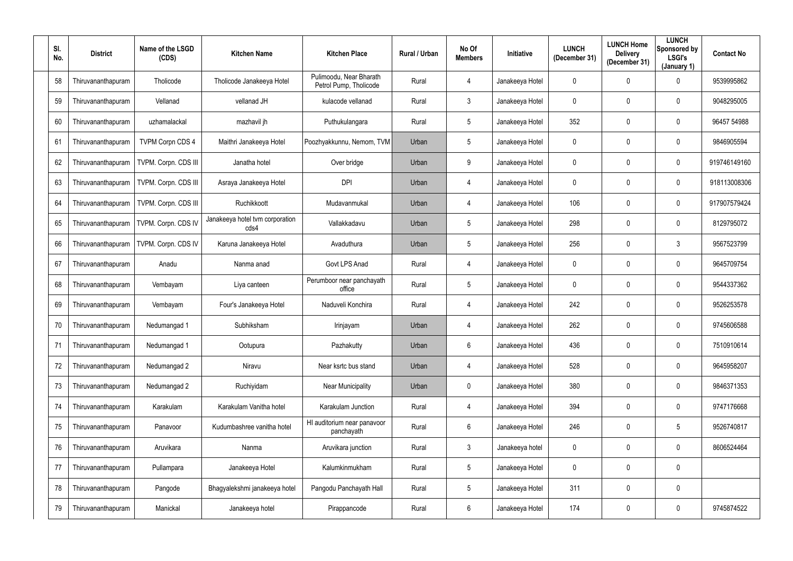| SI.<br>No. | <b>District</b>    | Name of the LSGD<br>(CDS) | <b>Kitchen Name</b>                     | <b>Kitchen Place</b>                              | Rural / Urban | No Of<br><b>Members</b> | Initiative      | <b>LUNCH</b><br>(December 31) | <b>LUNCH Home</b><br><b>Delivery</b><br>(December 31) | <b>LUNCH</b><br>Sponsored by<br>LSGI's<br>(January 1) | <b>Contact No</b> |
|------------|--------------------|---------------------------|-----------------------------------------|---------------------------------------------------|---------------|-------------------------|-----------------|-------------------------------|-------------------------------------------------------|-------------------------------------------------------|-------------------|
| 58         | Thiruvananthapuram | Tholicode                 | Tholicode Janakeeya Hotel               | Pulimoodu, Near Bharath<br>Petrol Pump, Tholicode | Rural         | $\overline{4}$          | Janakeeya Hotel | $\mathbf 0$                   | $\mathbf 0$                                           | $\mathbf 0$                                           | 9539995862        |
| 59         | Thiruvananthapuram | Vellanad                  | vellanad JH                             | kulacode vellanad                                 | Rural         | $\mathbf{3}$            | Janakeeya Hotel | $\mathbf 0$                   | $\mathbf 0$                                           | $\overline{0}$                                        | 9048295005        |
| 60         | Thiruvananthapuram | uzhamalackal              | mazhavil jh                             | Puthukulangara                                    | Rural         | $5\phantom{.0}$         | Janakeeya Hotel | 352                           | 0                                                     | $\overline{0}$                                        | 96457 54988       |
| 61         | Thiruvananthapuram | <b>TVPM Corpn CDS 4</b>   | Maithri Janakeeya Hotel                 | Poozhyakkunnu, Nemom, TVM                         | Urban         | $5\phantom{.0}$         | Janakeeya Hotel | $\mathbf 0$                   | 0                                                     | $\mathbf 0$                                           | 9846905594        |
| 62         | Thiruvananthapuram | TVPM. Corpn. CDS III      | Janatha hotel                           | Over bridge                                       | Urban         | 9                       | Janakeeya Hotel | $\mathbf 0$                   | 0                                                     | $\mathbf 0$                                           | 919746149160      |
| 63         | Thiruvananthapuram | TVPM. Corpn. CDS III      | Asraya Janakeeya Hotel                  | <b>DPI</b>                                        | Urban         | $\overline{4}$          | Janakeeya Hotel | $\mathbf 0$                   | 0                                                     | $\mathbf 0$                                           | 918113008306      |
| 64         | Thiruvananthapuram | TVPM. Corpn. CDS III      | Ruchikkoott                             | Mudavanmukal                                      | Urban         | $\overline{4}$          | Janakeeya Hotel | 106                           | 0                                                     | $\overline{0}$                                        | 917907579424      |
| 65         | Thiruvananthapuram | TVPM. Corpn. CDS IV       | Janakeeya hotel tvm corporation<br>cds4 | Vallakkadavu                                      | Urban         | $5\phantom{.0}$         | Janakeeya Hotel | 298                           | 0                                                     | $\mathbf 0$                                           | 8129795072        |
| 66         | Thiruvananthapuram | TVPM. Corpn. CDS IV       | Karuna Janakeeya Hotel                  | Avaduthura                                        | Urban         | $5\phantom{.0}$         | Janakeeya Hotel | 256                           | 0                                                     | $\mathbf{3}$                                          | 9567523799        |
| 67         | Thiruvananthapuram | Anadu                     | Nanma anad                              | Govt LPS Anad                                     | Rural         | $\overline{4}$          | Janakeeya Hotel | $\mathbf 0$                   | 0                                                     | $\overline{0}$                                        | 9645709754        |
| 68         | Thiruvananthapuram | Vembayam                  | Liya canteen                            | Perumboor near panchayath<br>office               | Rural         | $5\overline{)}$         | Janakeeya Hotel | $\overline{0}$                | 0                                                     | $\mathbf 0$                                           | 9544337362        |
| 69         | Thiruvananthapuram | Vembayam                  | Four's Janakeeya Hotel                  | Naduveli Konchira                                 | Rural         | $\overline{4}$          | Janakeeya Hotel | 242                           | 0                                                     | $\overline{0}$                                        | 9526253578        |
| 70         | Thiruvananthapuram | Nedumangad 1              | Subhiksham                              | Irinjayam                                         | Urban         | 4                       | Janakeeya Hotel | 262                           | 0                                                     | $\mathbf 0$                                           | 9745606588        |
| 71         | Thiruvananthapuram | Nedumangad 1              | Ootupura                                | Pazhakutty                                        | Urban         | $6\phantom{.0}$         | Janakeeya Hotel | 436                           | $\mathbf 0$                                           | $\mathbf 0$                                           | 7510910614        |
| 72         | Thiruvananthapuram | Nedumangad 2              | Niravu                                  | Near ksrtc bus stand                              | Urban         | $\overline{4}$          | Janakeeya Hotel | 528                           | 0                                                     | $\mathbf 0$                                           | 9645958207        |
| 73         | Thiruvananthapuram | Nedumangad 2              | Ruchiyidam                              | <b>Near Municipality</b>                          | Urban         | $\mathbf 0$             | Janakeeya Hotel | 380                           | 0                                                     | $\mathbf 0$                                           | 9846371353        |
| 74         | Thiruvananthapuram | Karakulam                 | Karakulam Vanitha hotel                 | Karakulam Junction                                | Rural         | $\overline{4}$          | Janakeeya Hotel | 394                           | $\mathbf 0$                                           | $\mathbf 0$                                           | 9747176668        |
| 75         | Thiruvananthapuram | Panavoor                  | Kudumbashree vanitha hotel              | HI auditorium near panavoor<br>panchayath         | Rural         | $6\overline{6}$         | Janakeeya Hotel | 246                           | 0                                                     | $5\overline{)}$                                       | 9526740817        |
| 76         | Thiruvananthapuram | Aruvikara                 | Nanma                                   | Aruvikara junction                                | Rural         | $\mathfrak{Z}$          | Janakeeya hotel | $\mathbf 0$                   | 0                                                     | $\overline{0}$                                        | 8606524464        |
| 77         | Thiruvananthapuram | Pullampara                | Janakeeya Hotel                         | Kalumkinmukham                                    | Rural         | $5\phantom{.0}$         | Janakeeya Hotel | $\overline{0}$                | 0                                                     | $\mathbf 0$                                           |                   |
| 78         | Thiruvananthapuram | Pangode                   | Bhagyalekshmi janakeeya hotel           | Pangodu Panchayath Hall                           | Rural         | $5\overline{)}$         | Janakeeya Hotel | 311                           | 0                                                     | $\mathbf 0$                                           |                   |
| 79         | Thiruvananthapuram | Manickal                  | Janakeeya hotel                         | Pirappancode                                      | Rural         | $6\phantom{.0}$         | Janakeeya Hotel | 174                           | 0                                                     | $\boldsymbol{0}$                                      | 9745874522        |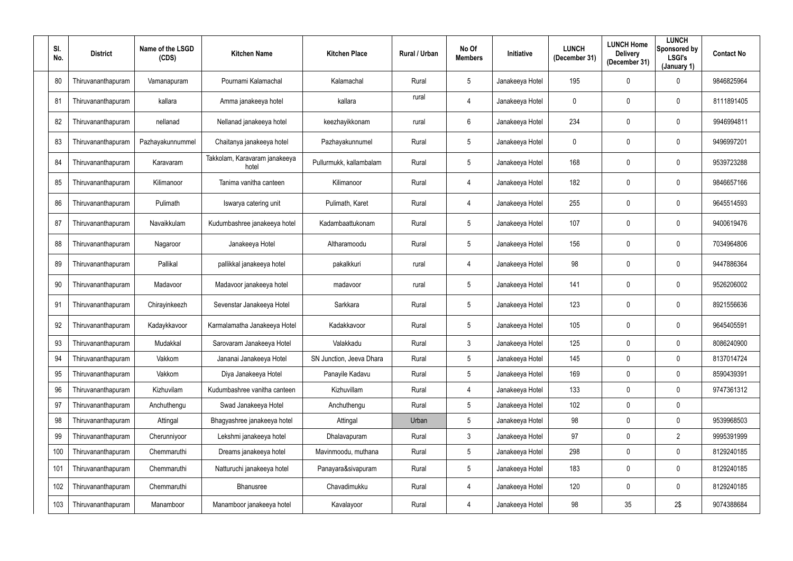| SI.<br>No. | <b>District</b>    | Name of the LSGD<br>(CDS) | <b>Kitchen Name</b>                    | <b>Kitchen Place</b>     | Rural / Urban | No Of<br><b>Members</b> | Initiative      | <b>LUNCH</b><br>(December 31) | <b>LUNCH Home</b><br><b>Delivery</b><br>(December 31) | <b>LUNCH</b><br>Sponsored by<br><b>LSGI's</b><br>(January 1) | <b>Contact No</b> |
|------------|--------------------|---------------------------|----------------------------------------|--------------------------|---------------|-------------------------|-----------------|-------------------------------|-------------------------------------------------------|--------------------------------------------------------------|-------------------|
| 80         | Thiruvananthapuram | Vamanapuram               | Pournami Kalamachal                    | Kalamachal               | Rural         | $5\phantom{.0}$         | Janakeeya Hotel | 195                           | $\mathbf 0$                                           | $\mathbf 0$                                                  | 9846825964        |
| 81         | Thiruvananthapuram | kallara                   | Amma janakeeya hotel                   | kallara                  | rural         | $\overline{4}$          | Janakeeya Hotel | $\mathbf 0$                   | $\mathbf 0$                                           | $\mathbf 0$                                                  | 8111891405        |
| 82         | Thiruvananthapuram | nellanad                  | Nellanad janakeeya hotel               | keezhayikkonam           | rural         | $6\phantom{.0}$         | Janakeeya Hotel | 234                           | 0                                                     | $\mathbf 0$                                                  | 9946994811        |
| 83         | Thiruvananthapuram | Pazhayakunnummel          | Chaitanya janakeeya hotel              | Pazhayakunnumel          | Rural         | $5\phantom{.0}$         | Janakeeya Hotel | $\mathbf 0$                   | 0                                                     | $\mathbf 0$                                                  | 9496997201        |
| 84         | Thiruvananthapuram | Karavaram                 | Takkolam, Karavaram janakeeya<br>hotel | Pullurmukk, kallambalam  | Rural         | $5\phantom{.0}$         | Janakeeya Hotel | 168                           | 0                                                     | $\mathbf 0$                                                  | 9539723288        |
| 85         | Thiruvananthapuram | Kilimanoor                | Tanima vanitha canteen                 | Kilimanoor               | Rural         | $\overline{4}$          | Janakeeya Hotel | 182                           | 0                                                     | $\mathbf 0$                                                  | 9846657166        |
| 86         | Thiruvananthapuram | Pulimath                  | Iswarya catering unit                  | Pulimath, Karet          | Rural         | $\overline{4}$          | Janakeeya Hotel | 255                           | 0                                                     | $\mathbf 0$                                                  | 9645514593        |
| 87         | Thiruvananthapuram | Navaikkulam               | Kudumbashree janakeeya hotel           | Kadambaattukonam         | Rural         | $5\phantom{.0}$         | Janakeeya Hotel | 107                           | 0                                                     | $\mathbf 0$                                                  | 9400619476        |
| 88         | Thiruvananthapuram | Nagaroor                  | Janakeeya Hotel                        | Altharamoodu             | Rural         | $5\phantom{.0}$         | Janakeeya Hotel | 156                           | 0                                                     | $\mathbf 0$                                                  | 7034964806        |
| 89         | Thiruvananthapuram | Pallikal                  | pallikkal janakeeya hotel              | pakalkkuri               | rural         | $\overline{4}$          | Janakeeya Hotel | 98                            | 0                                                     | $\mathbf 0$                                                  | 9447886364        |
| 90         | Thiruvananthapuram | Madavoor                  | Madavoor janakeeya hotel               | madavoor                 | rural         | $5\overline{)}$         | Janakeeya Hotel | 141                           | 0                                                     | $\mathbf 0$                                                  | 9526206002        |
| 91         | Thiruvananthapuram | Chirayinkeezh             | Sevenstar Janakeeya Hotel              | Sarkkara                 | Rural         | $5\phantom{.0}$         | Janakeeya Hotel | 123                           | 0                                                     | $\overline{0}$                                               | 8921556636        |
| 92         | Thiruvananthapuram | Kadaykkavoor              | Karmalamatha Janakeeya Hotel           | Kadakkavoor              | Rural         | 5                       | Janakeeya Hotel | 105                           | 0                                                     | $\mathbf 0$                                                  | 9645405591        |
| 93         | Thiruvananthapuram | Mudakkal                  | Sarovaram Janakeeya Hotel              | Valakkadu                | Rural         | $\mathfrak{Z}$          | Janakeeya Hotel | 125                           | $\mathbf 0$                                           | $\mathbf 0$                                                  | 8086240900        |
| 94         | Thiruvananthapuram | Vakkom                    | Jananai Janakeeya Hotel                | SN Junction, Jeeva Dhara | Rural         | $5\phantom{.0}$         | Janakeeya Hotel | 145                           | 0                                                     | $\mathbf 0$                                                  | 8137014724        |
| 95         | Thiruvananthapuram | Vakkom                    | Diya Janakeeya Hotel                   | Panayile Kadavu          | Rural         | 5 <sup>5</sup>          | Janakeeya Hotel | 169                           | 0                                                     | $\mathbf 0$                                                  | 8590439391        |
| 96         | Thiruvananthapuram | Kizhuvilam                | Kudumbashree vanitha canteen           | Kizhuvillam              | Rural         | $\overline{4}$          | Janakeeya Hotel | 133                           | $\mathbf 0$                                           | $\mathbf 0$                                                  | 9747361312        |
| 97         | Thiruvananthapuram | Anchuthengu               | Swad Janakeeya Hotel                   | Anchuthengu              | Rural         | $5\phantom{.0}$         | Janakeeya Hotel | 102                           | 0                                                     | $\mathbf 0$                                                  |                   |
| 98         | Thiruvananthapuram | Attingal                  | Bhagyashree janakeeya hotel            | Attingal                 | Urban         | $5\phantom{.0}$         | Janakeeya Hotel | 98                            | 0                                                     | $\mathbf 0$                                                  | 9539968503        |
| 99         | Thiruvananthapuram | Cherunniyoor              | Lekshmi janakeeya hotel                | Dhalavapuram             | Rural         | 3 <sup>1</sup>          | Janakeeya Hotel | 97                            | 0                                                     | $\overline{2}$                                               | 9995391999        |
| 100        | Thiruvananthapuram | Chemmaruthi               | Dreams janakeeya hotel                 | Mavinmoodu, muthana      | Rural         | 5 <sup>5</sup>          | Janakeeya Hotel | 298                           | 0                                                     | $\mathbf 0$                                                  | 8129240185        |
| 101        | Thiruvananthapuram | Chemmaruthi               | Natturuchi janakeeya hotel             | Panayara&sivapuram       | Rural         | $5\overline{)}$         | Janakeeya Hotel | 183                           | 0                                                     | $\mathbf 0$                                                  | 8129240185        |
| 102        | Thiruvananthapuram | Chemmaruthi               | <b>Bhanusree</b>                       | Chavadimukku             | Rural         | $\overline{4}$          | Janakeeya Hotel | 120                           | 0                                                     | $\mathbf 0$                                                  | 8129240185        |
| 103        | Thiruvananthapuram | Manamboor                 | Manamboor janakeeya hotel              | Kavalayoor               | Rural         | $\overline{4}$          | Janakeeya Hotel | 98                            | 35                                                    | 2\$                                                          | 9074388684        |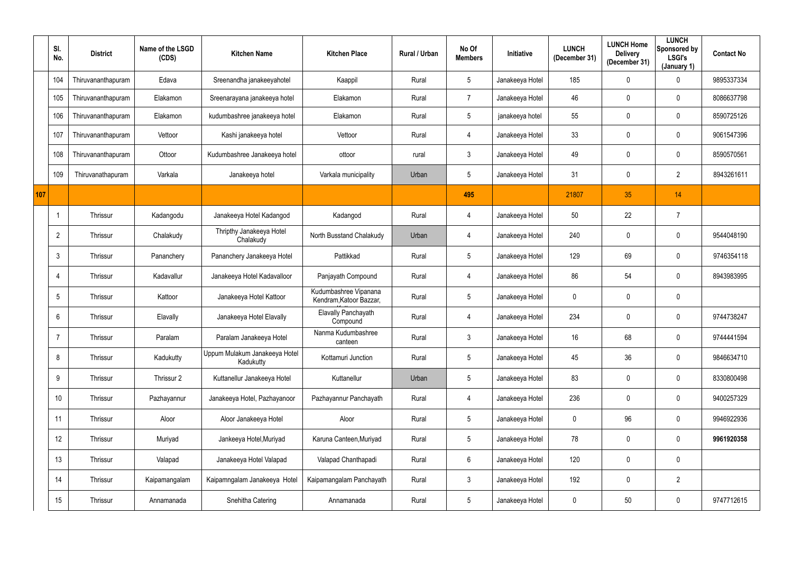|     | SI.<br>No.     | <b>District</b>    | Name of the LSGD<br>(CDS) | <b>Kitchen Name</b>                        | <b>Kitchen Place</b>                             | Rural / Urban | No Of<br><b>Members</b> | <b>Initiative</b> | <b>LUNCH</b><br>(December 31) | <b>LUNCH Home</b><br><b>Delivery</b><br>(December 31) | <b>LUNCH</b><br>Sponsored by<br><b>LSGI's</b><br>(January 1) | <b>Contact No</b> |
|-----|----------------|--------------------|---------------------------|--------------------------------------------|--------------------------------------------------|---------------|-------------------------|-------------------|-------------------------------|-------------------------------------------------------|--------------------------------------------------------------|-------------------|
|     | 104            | Thiruvananthapuram | Edava                     | Sreenandha janakeeyahotel                  | Kaappil                                          | Rural         | 5                       | Janakeeya Hotel   | 185                           | $\mathbf 0$                                           | $\mathbf 0$                                                  | 9895337334        |
|     | 105            | Thiruvananthapuram | Elakamon                  | Sreenarayana janakeeya hotel               | Elakamon                                         | Rural         | $\overline{7}$          | Janakeeya Hotel   | 46                            | 0                                                     | $\pmb{0}$                                                    | 8086637798        |
|     | 106            | Thiruvananthapuram | Elakamon                  | kudumbashree janakeeya hotel               | Elakamon                                         | Rural         | 5                       | janakeeya hotel   | 55                            | $\mathbf 0$                                           | $\mathbf 0$                                                  | 8590725126        |
|     | 107            | Thiruvananthapuram | Vettoor                   | Kashi janakeeya hotel                      | Vettoor                                          | Rural         | 4                       | Janakeeya Hotel   | 33                            | $\mathbf 0$                                           | $\mathbf 0$                                                  | 9061547396        |
|     | 108            | Thiruvananthapuram | Ottoor                    | Kudumbashree Janakeeya hotel               | ottoor                                           | rural         | $\mathfrak{Z}$          | Janakeeya Hotel   | 49                            | $\mathbf 0$                                           | $\mathbf 0$                                                  | 8590570561        |
|     | 109            | Thiruvanathapuram  | Varkala                   | Janakeeya hotel                            | Varkala municipality                             | Urban         | $5\phantom{.0}$         | Janakeeya Hotel   | 31                            | $\mathbf 0$                                           | $\overline{2}$                                               | 8943261611        |
| 107 |                |                    |                           |                                            |                                                  |               | 495                     |                   | 21807                         | 35                                                    | 14                                                           |                   |
|     |                | Thrissur           | Kadangodu                 | Janakeeya Hotel Kadangod                   | Kadangod                                         | Rural         | 4                       | Janakeeya Hotel   | 50                            | 22                                                    | 7                                                            |                   |
|     | $\overline{2}$ | Thrissur           | Chalakudy                 | Thripthy Janakeeya Hotel<br>Chalakudy      | North Busstand Chalakudy                         | Urban         | 4                       | Janakeeya Hotel   | 240                           | 0                                                     | $\pmb{0}$                                                    | 9544048190        |
|     | 3              | Thrissur           | Pananchery                | Pananchery Janakeeya Hotel                 | Pattikkad                                        | Rural         | 5                       | Janakeeya Hotel   | 129                           | 69                                                    | $\mathbf 0$                                                  | 9746354118        |
|     |                | Thrissur           | Kadavallur                | Janakeeya Hotel Kadavalloor                | Panjayath Compound                               | Rural         | 4                       | Janakeeya Hotel   | 86                            | 54                                                    | $\pmb{0}$                                                    | 8943983995        |
|     | 5              | Thrissur           | Kattoor                   | Janakeeya Hotel Kattoor                    | Kudumbashree Vipanana<br>Kendram, Katoor Bazzar, | Rural         | 5 <sub>5</sub>          | Janakeeya Hotel   | $\mathbf 0$                   | $\mathbf 0$                                           | $\mathbf 0$                                                  |                   |
|     | 6              | Thrissur           | Elavally                  | Janakeeya Hotel Elavally                   | Elavally Panchayath<br>Compound                  | Rural         | 4                       | Janakeeya Hotel   | 234                           | 0                                                     | $\mathbf 0$                                                  | 9744738247        |
|     |                | Thrissur           | Paralam                   | Paralam Janakeeya Hotel                    | Nanma Kudumbashree<br>canteen                    | Rural         | 3                       | Janakeeya Hotel   | 16                            | 68                                                    | $\mathbf 0$                                                  | 9744441594        |
|     | 8              | Thrissur           | Kadukutty                 | Uppum Mulakum Janakeeya Hotel<br>Kadukutty | Kottamuri Junction                               | Rural         | 5 <sub>5</sub>          | Janakeeya Hotel   | 45                            | 36                                                    | $\overline{0}$                                               | 9846634710        |
|     | 9              | Thrissur           | Thrissur 2                | Kuttanellur Janakeeya Hotel                | Kuttanellur                                      | Urban         | $5\phantom{.0}$         | Janakeeya Hotel   | 83                            | 0                                                     | $\overline{0}$                                               | 8330800498        |
|     | 10             | Thrissur           | Pazhayannur               | Janakeeya Hotel, Pazhayanoor               | Pazhayannur Panchayath                           | Rural         | 4                       | Janakeeya Hotel   | 236                           | 0                                                     | $\overline{0}$                                               | 9400257329        |
|     | 11             | Thrissur           | Aloor                     | Aloor Janakeeya Hotel                      | Aloor                                            | Rural         | $5\phantom{.0}$         | Janakeeya Hotel   | $\mathbf 0$                   | 96                                                    | $\overline{0}$                                               | 9946922936        |
|     | 12             | Thrissur           | Muriyad                   | Jankeeya Hotel, Muriyad                    | Karuna Canteen, Muriyad                          | Rural         | $5\phantom{.0}$         | Janakeeya Hotel   | 78                            | 0                                                     | $\overline{0}$                                               | 9961920358        |
|     | 13             | Thrissur           | Valapad                   | Janakeeya Hotel Valapad                    | Valapad Chanthapadi                              | Rural         | $6\overline{6}$         | Janakeeya Hotel   | 120                           | 0                                                     | $\pmb{0}$                                                    |                   |
|     | 14             | Thrissur           | Kaipamangalam             | Kaipamngalam Janakeeya Hotel               | Kaipamangalam Panchayath                         | Rural         | 3 <sup>1</sup>          | Janakeeya Hotel   | 192                           | 0                                                     | $\overline{2}$                                               |                   |
|     | 15             | Thrissur           | Annamanada                | Snehitha Catering                          | Annamanada                                       | Rural         | $5\phantom{.0}$         | Janakeeya Hotel   | $\mathbf 0$                   | $50\,$                                                | $\pmb{0}$                                                    | 9747712615        |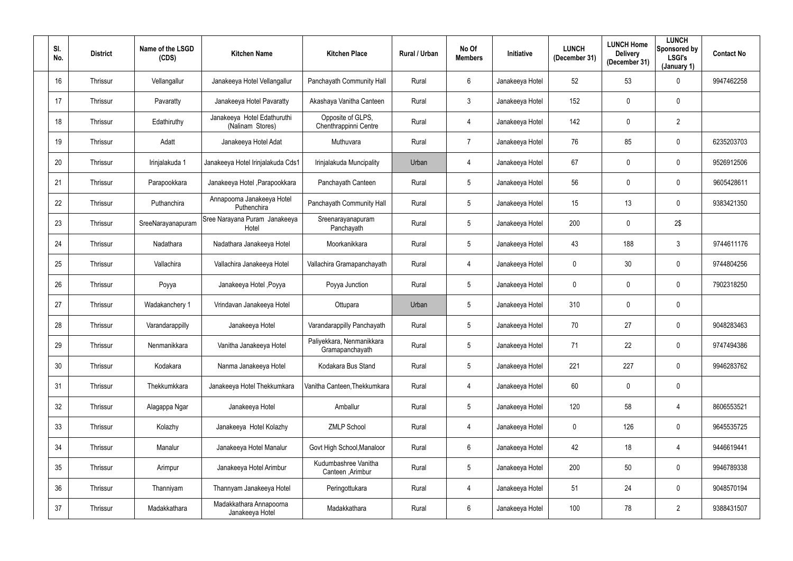| SI.<br>No. | <b>District</b> | Name of the LSGD<br>(CDS) | <b>Kitchen Name</b>                             | <b>Kitchen Place</b>                         | Rural / Urban | No Of<br><b>Members</b> | Initiative      | <b>LUNCH</b><br>(December 31) | <b>LUNCH Home</b><br><b>Delivery</b><br>(December 31) | <b>LUNCH</b><br>Sponsored by<br><b>LSGI's</b><br>(January 1) | <b>Contact No</b> |
|------------|-----------------|---------------------------|-------------------------------------------------|----------------------------------------------|---------------|-------------------------|-----------------|-------------------------------|-------------------------------------------------------|--------------------------------------------------------------|-------------------|
| 16         | Thrissur        | Vellangallur              | Janakeeya Hotel Vellangallur                    | Panchayath Community Hall                    | Rural         | 6                       | Janakeeya Hotel | 52                            | 53                                                    | $\mathbf 0$                                                  | 9947462258        |
| 17         | Thrissur        | Pavaratty                 | Janakeeya Hotel Pavaratty                       | Akashaya Vanitha Canteen                     | Rural         | 3                       | Janakeeya Hotel | 152                           | 0                                                     | $\overline{0}$                                               |                   |
| 18         | Thrissur        | Edathiruthy               | Janakeeya Hotel Edathuruthi<br>(Nalinam Stores) | Opposite of GLPS,<br>Chenthrappinni Centre   | Rural         | 4                       | Janakeeya Hotel | 142                           | 0                                                     | $\overline{2}$                                               |                   |
| 19         | Thrissur        | Adatt                     | Janakeeya Hotel Adat                            | Muthuvara                                    | Rural         | $\overline{7}$          | Janakeeya Hotel | 76                            | 85                                                    | $\mathbf 0$                                                  | 6235203703        |
| 20         | Thrissur        | Irinjalakuda 1            | Janakeeya Hotel Irinjalakuda Cds1               | Irinjalakuda Muncipality                     | Urban         | 4                       | Janakeeya Hotel | 67                            | 0                                                     | $\mathbf 0$                                                  | 9526912506        |
| 21         | Thrissur        | Parapookkara              | Janakeeya Hotel , Parapookkara                  | Panchayath Canteen                           | Rural         | 5 <sup>5</sup>          | Janakeeya Hotel | 56                            | 0                                                     | $\mathbf 0$                                                  | 9605428611        |
| 22         | Thrissur        | Puthanchira               | Annapoorna Janakeeya Hotel<br>Puthenchira       | Panchayath Community Hall                    | Rural         | 5 <sub>5</sub>          | Janakeeya Hotel | 15                            | 13                                                    | $\overline{0}$                                               | 9383421350        |
| 23         | Thrissur        | SreeNarayanapuram         | Sree Narayana Puram Janakeeya<br>Hotel          | Sreenarayanapuram<br>Panchayath              | Rural         | 5 <sub>5</sub>          | Janakeeya Hotel | 200                           | 0                                                     | 2\$                                                          |                   |
| 24         | Thrissur        | Nadathara                 | Nadathara Janakeeya Hotel                       | Moorkanikkara                                | Rural         | 5 <sup>5</sup>          | Janakeeya Hotel | 43                            | 188                                                   | $\mathbf{3}$                                                 | 9744611176        |
| 25         | Thrissur        | Vallachira                | Vallachira Janakeeya Hotel                      | Vallachira Gramapanchayath                   | Rural         | 4                       | Janakeeya Hotel | $\mathbf 0$                   | 30                                                    | $\mathbf 0$                                                  | 9744804256        |
| 26         | Thrissur        | Poyya                     | Janakeeya Hotel, Poyya                          | Poyya Junction                               | Rural         | 5 <sup>5</sup>          | Janakeeya Hotel | $\overline{0}$                | $\mathbf 0$                                           | $\mathbf 0$                                                  | 7902318250        |
| 27         | Thrissur        | Wadakanchery 1            | Vrindavan Janakeeya Hotel                       | Ottupara                                     | Urban         | $5\phantom{.0}$         | Janakeeya Hotel | 310                           | 0                                                     | $\overline{0}$                                               |                   |
| 28         | Thrissur        | Varandarappilly           | Janakeeya Hotel                                 | Varandarappilly Panchayath                   | Rural         | 5                       | Janakeeya Hotel | 70                            | 27                                                    | $\mathbf 0$                                                  | 9048283463        |
| 29         | Thrissur        | Nenmanikkara              | Vanitha Janakeeya Hotel                         | Paliyekkara, Nenmanikkara<br>Gramapanchayath | Rural         | 5 <sup>5</sup>          | Janakeeya Hotel | 71                            | 22                                                    | $\mathbf 0$                                                  | 9747494386        |
| 30         | Thrissur        | Kodakara                  | Nanma Janakeeya Hotel                           | Kodakara Bus Stand                           | Rural         | $5\overline{)}$         | Janakeeya Hotel | 221                           | 227                                                   | $\mathbf 0$                                                  | 9946283762        |
| 31         | Thrissur        | Thekkumkkara              | Janakeeya Hotel Thekkumkara                     | Vanitha Canteen, Thekkumkara                 | Rural         | $\overline{4}$          | Janakeeya Hotel | 60                            | 0                                                     | $\mathbf 0$                                                  |                   |
| 32         | Thrissur        | Alagappa Ngar             | Janakeeya Hotel                                 | Amballur                                     | Rural         | $5\overline{)}$         | Janakeeya Hotel | 120                           | 58                                                    | $\overline{4}$                                               | 8606553521        |
| 33         | Thrissur        | Kolazhy                   | Janakeeya Hotel Kolazhy                         | <b>ZMLP School</b>                           | Rural         | $\overline{4}$          | Janakeeya Hotel | $\mathbf 0$                   | 126                                                   | $\mathbf 0$                                                  | 9645535725        |
| 34         | Thrissur        | Manalur                   | Janakeeya Hotel Manalur                         | Govt High School, Manaloor                   | Rural         | $6\overline{6}$         | Janakeeya Hotel | 42                            | 18                                                    | $\overline{4}$                                               | 9446619441        |
| 35         | Thrissur        | Arimpur                   | Janakeeya Hotel Arimbur                         | Kudumbashree Vanitha<br>Canteen , Arimbur    | Rural         | 5 <sub>5</sub>          | Janakeeya Hotel | 200                           | 50                                                    | $\mathbf 0$                                                  | 9946789338        |
| 36         | Thrissur        | Thanniyam                 | Thannyam Janakeeya Hotel                        | Peringottukara                               | Rural         | $\overline{4}$          | Janakeeya Hotel | 51                            | 24                                                    | $\mathbf 0$                                                  | 9048570194        |
| 37         | Thrissur        | Madakkathara              | Madakkathara Annapoorna<br>Janakeeya Hotel      | Madakkathara                                 | Rural         | $6\overline{6}$         | Janakeeya Hotel | 100                           | 78                                                    | $2^{\circ}$                                                  | 9388431507        |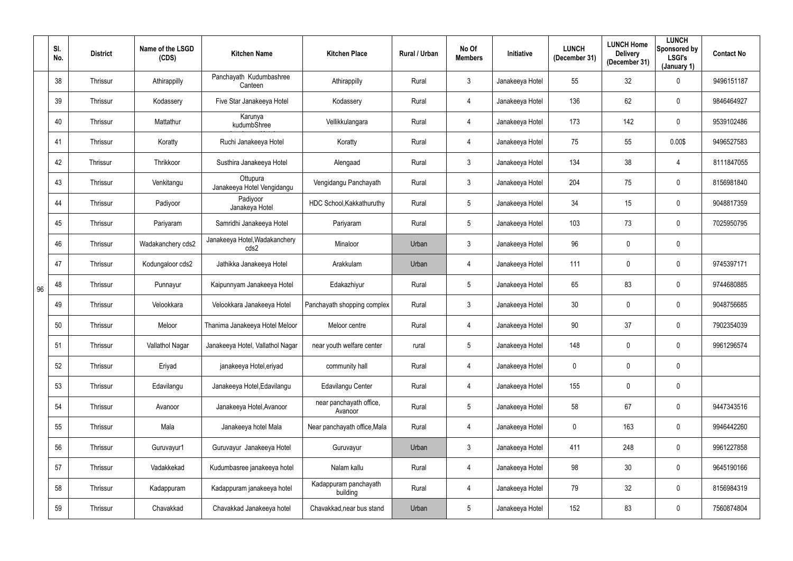|    | SI.<br>No. | <b>District</b> | Name of the LSGD<br>(CDS) | <b>Kitchen Name</b>                    | <b>Kitchen Place</b>               | Rural / Urban | No Of<br><b>Members</b> | Initiative      | <b>LUNCH</b><br>(December 31) | <b>LUNCH Home</b><br><b>Delivery</b><br>(December 31) | <b>LUNCH</b><br>Sponsored by<br><b>LSGI's</b><br>(January 1) | <b>Contact No</b> |
|----|------------|-----------------|---------------------------|----------------------------------------|------------------------------------|---------------|-------------------------|-----------------|-------------------------------|-------------------------------------------------------|--------------------------------------------------------------|-------------------|
|    | 38         | Thrissur        | Athirappilly              | Panchayath Kudumbashree<br>Canteen     | Athirappilly                       | Rural         | $3\phantom{.0}$         | Janakeeya Hotel | 55                            | 32                                                    | $\mathbf 0$                                                  | 9496151187        |
|    | 39         | Thrissur        | Kodassery                 | Five Star Janakeeya Hotel              | Kodassery                          | Rural         | 4                       | Janakeeya Hotel | 136                           | 62                                                    | $\mathbf 0$                                                  | 9846464927        |
|    | 40         | Thrissur        | Mattathur                 | Karunya<br>kudumbShree                 | Vellikkulangara                    | Rural         | 4                       | Janakeeya Hotel | 173                           | 142                                                   | $\mathbf 0$                                                  | 9539102486        |
|    | 41         | Thrissur        | Koratty                   | Ruchi Janakeeya Hotel                  | Koratty                            | Rural         | 4                       | Janakeeya Hotel | 75                            | 55                                                    | 0.00\$                                                       | 9496527583        |
|    | 42         | Thrissur        | Thrikkoor                 | Susthira Janakeeya Hotel               | Alengaad                           | Rural         | $3\phantom{.0}$         | Janakeeya Hotel | 134                           | 38                                                    | $\overline{4}$                                               | 8111847055        |
|    | 43         | Thrissur        | Venkitangu                | Ottupura<br>Janakeeya Hotel Vengidangu | Vengidangu Panchayath              | Rural         | $\mathbf{3}$            | Janakeeya Hotel | 204                           | 75                                                    | $\mathbf 0$                                                  | 8156981840        |
|    | 44         | Thrissur        | Padiyoor                  | Padiyoor<br>Janakeya Hotel             | HDC School, Kakkathuruthy          | Rural         | $5\phantom{.0}$         | Janakeeya Hotel | 34                            | 15                                                    | $\mathbf 0$                                                  | 9048817359        |
|    | 45         | Thrissur        | Pariyaram                 | Samridhi Janakeeya Hotel               | Pariyaram                          | Rural         | $5\phantom{.0}$         | Janakeeya Hotel | 103                           | 73                                                    | $\mathbf 0$                                                  | 7025950795        |
|    | 46         | Thrissur        | Wadakanchery cds2         | Janakeeya Hotel, Wadakanchery<br>cds2  | Minaloor                           | Urban         | $\mathbf{3}$            | Janakeeya Hotel | 96                            | 0                                                     | $\mathbf 0$                                                  |                   |
|    | 47         | Thrissur        | Kodungaloor cds2          | Jathikka Janakeeya Hotel               | Arakkulam                          | Urban         | 4                       | Janakeeya Hotel | 111                           | 0                                                     | $\mathbf 0$                                                  | 9745397171        |
| 96 | 48         | Thrissur        | Punnayur                  | Kaipunnyam Janakeeya Hotel             | Edakazhiyur                        | Rural         | $5\phantom{.0}$         | Janakeeya Hotel | 65                            | 83                                                    | $\mathbf 0$                                                  | 9744680885        |
|    | 49         | Thrissur        | Velookkara                | Velookkara Janakeeya Hotel             | Panchayath shopping complex        | Rural         | $3\phantom{.0}$         | Janakeeya Hotel | 30                            | 0                                                     | $\mathbf 0$                                                  | 9048756685        |
|    | 50         | Thrissur        | Meloor                    | Thanima Janakeeya Hotel Meloor         | Meloor centre                      | Rural         | 4                       | Janakeeya Hotel | $90\,$                        | 37                                                    | $\mathbf 0$                                                  | 7902354039        |
|    | 51         | Thrissur        | Vallathol Nagar           | Janakeeya Hotel, Vallathol Nagar       | near youth welfare center          | rural         | $5\phantom{.0}$         | Janakeeya Hotel | 148                           | $\mathbf 0$                                           | $\mathbf 0$                                                  | 9961296574        |
|    | 52         | Thrissur        | Eriyad                    | janakeeya Hotel, eriyad                | community hall                     | Rural         | $\overline{4}$          | Janakeeya Hotel | $\mathbf 0$                   | $\pmb{0}$                                             | $\mathbf 0$                                                  |                   |
|    | 53         | Thrissur        | Edavilangu                | Janakeeya Hotel, Edavilangu            | Edavilangu Center                  | Rural         | $\overline{4}$          | Janakeeya Hotel | 155                           | 0                                                     | $\mathbf 0$                                                  |                   |
|    | 54         | Thrissur        | Avanoor                   | Janakeeya Hotel, Avanoor               | near panchayath office,<br>Avanoor | Rural         | $5\phantom{.0}$         | Janakeeya Hotel | 58                            | 67                                                    | $\mathbf 0$                                                  | 9447343516        |
|    | 55         | Thrissur        | Mala                      | Janakeeya hotel Mala                   | Near panchayath office, Mala       | Rural         | $\overline{4}$          | Janakeeya Hotel | $\mathbf 0$                   | 163                                                   | $\mathbf 0$                                                  | 9946442260        |
|    | 56         | Thrissur        | Guruvayur1                | Guruvayur Janakeeya Hotel              | Guruvayur                          | Urban         | 3 <sup>1</sup>          | Janakeeya Hotel | 411                           | 248                                                   | $\mathbf 0$                                                  | 9961227858        |
|    | 57         | Thrissur        | Vadakkekad                | Kudumbasree janakeeya hotel            | Nalam kallu                        | Rural         | $\overline{4}$          | Janakeeya Hotel | 98                            | 30 <sup>°</sup>                                       | $\mathbf 0$                                                  | 9645190166        |
|    | 58         | Thrissur        | Kadappuram                | Kadappuram janakeeya hotel             | Kadappuram panchayath<br>building  | Rural         | $\overline{4}$          | Janakeeya Hotel | 79                            | 32                                                    | $\mathbf 0$                                                  | 8156984319        |
|    | 59         | Thrissur        | Chavakkad                 | Chavakkad Janakeeya hotel              | Chavakkad, near bus stand          | Urban         | $5\phantom{.0}$         | Janakeeya Hotel | 152                           | 83                                                    | $\overline{0}$                                               | 7560874804        |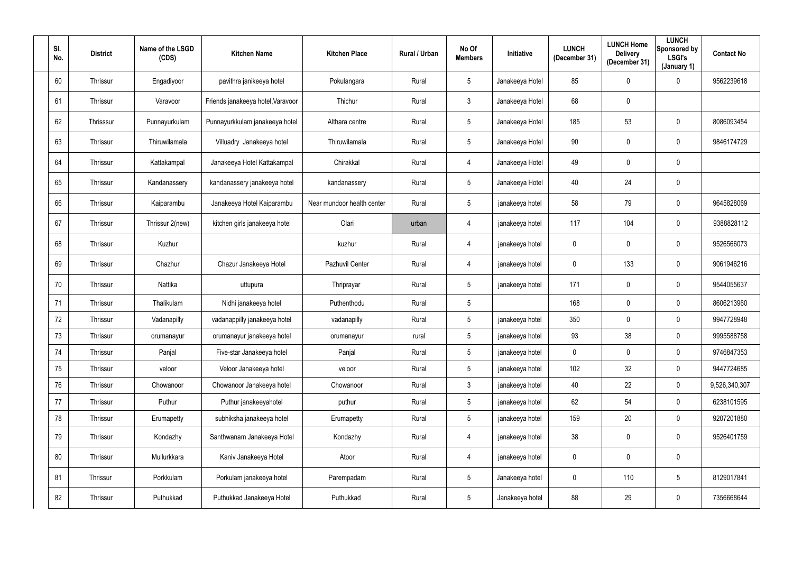| SI.<br>No. | <b>District</b> | Name of the LSGD<br>(CDS) | <b>Kitchen Name</b>               | <b>Kitchen Place</b>       | Rural / Urban | No Of<br><b>Members</b> | Initiative      | <b>LUNCH</b><br>(December 31) | <b>LUNCH Home</b><br><b>Delivery</b><br>(December 31) | <b>LUNCH</b><br>Sponsored by<br><b>LSGI's</b><br>(January 1) | <b>Contact No</b> |
|------------|-----------------|---------------------------|-----------------------------------|----------------------------|---------------|-------------------------|-----------------|-------------------------------|-------------------------------------------------------|--------------------------------------------------------------|-------------------|
| 60         | Thrissur        | Engadiyoor                | pavithra janikeeya hotel          | Pokulangara                | Rural         | 5                       | Janakeeya Hotel | 85                            | $\mathbf 0$                                           | $\mathbf 0$                                                  | 9562239618        |
| 61         | Thrissur        | Varavoor                  | Friends janakeeya hotel, Varavoor | Thichur                    | Rural         | $\mathbf{3}$            | Janakeeya Hotel | 68                            | 0                                                     |                                                              |                   |
| 62         | Thrisssur       | Punnayurkulam             | Punnayurkkulam janakeeya hotel    | Althara centre             | Rural         | 5                       | Janakeeya Hotel | 185                           | 53                                                    | $\mathbf 0$                                                  | 8086093454        |
| 63         | Thrissur        | Thiruwilamala             | Villuadry Janakeeya hotel         | Thiruwilamala              | Rural         | 5                       | Janakeeya Hotel | 90                            | $\mathbf 0$                                           | $\mathbf 0$                                                  | 9846174729        |
| 64         | Thrissur        | Kattakampal               | Janakeeya Hotel Kattakampal       | Chirakkal                  | Rural         | 4                       | Janakeeya Hotel | 49                            | 0                                                     | $\mathbf 0$                                                  |                   |
| 65         | Thrissur        | Kandanassery              | kandanassery janakeeya hotel      | kandanassery               | Rural         | $5\phantom{.0}$         | Janakeeya Hotel | 40                            | 24                                                    | $\mathbf 0$                                                  |                   |
| 66         | Thrissur        | Kaiparambu                | Janakeeya Hotel Kaiparambu        | Near mundoor health center | Rural         | 5                       | janakeeya hotel | 58                            | 79                                                    | $\mathbf 0$                                                  | 9645828069        |
| 67         | Thrissur        | Thrissur 2(new)           | kitchen girls janakeeya hotel     | Olari                      | urban         | 4                       | janakeeya hotel | 117                           | 104                                                   | $\mathbf 0$                                                  | 9388828112        |
| 68         | Thrissur        | Kuzhur                    |                                   | kuzhur                     | Rural         | 4                       | janakeeya hotel | $\mathbf 0$                   | $\mathbf 0$                                           | $\mathbf 0$                                                  | 9526566073        |
| 69         | Thrissur        | Chazhur                   | Chazur Janakeeya Hotel            | Pazhuvil Center            | Rural         | 4                       | janakeeya hotel | $\mathbf 0$                   | 133                                                   | $\mathbf 0$                                                  | 9061946216        |
| 70         | Thrissur        | Nattika                   | uttupura                          | Thriprayar                 | Rural         | 5                       | janakeeya hotel | 171                           | $\mathbf 0$                                           | $\mathbf 0$                                                  | 9544055637        |
| 71         | Thrissur        | Thalikulam                | Nidhi janakeeya hotel             | Puthenthodu                | Rural         | 5                       |                 | 168                           | $\mathbf 0$                                           | $\mathbf 0$                                                  | 8606213960        |
| 72         | Thrissur        | Vadanapilly               | vadanappilly janakeeya hotel      | vadanapilly                | Rural         | 5                       | janakeeya hotel | 350                           | $\mathbf 0$                                           | $\mathbf 0$                                                  | 9947728948        |
| 73         | Thrissur        | orumanayur                | orumanayur janakeeya hotel        | orumanayur                 | rural         | 5                       | janakeeya hotel | 93                            | 38                                                    | $\mathbf 0$                                                  | 9995588758        |
| 74         | Thrissur        | Panjal                    | Five-star Janakeeya hotel         | Panjal                     | Rural         | $5\phantom{.0}$         | janakeeya hotel | $\mathbf 0$                   | $\overline{0}$                                        | $\mathbf 0$                                                  | 9746847353        |
| 75         | Thrissur        | veloor                    | Veloor Janakeeya hotel            | veloor                     | Rural         | 5 <sup>5</sup>          | janakeeya hotel | 102                           | 32                                                    | $\mathbf 0$                                                  | 9447724685        |
| 76         | Thrissur        | Chowanoor                 | Chowanoor Janakeeya hotel         | Chowanoor                  | Rural         | 3 <sup>1</sup>          | janakeeya hotel | 40                            | 22                                                    | $\overline{0}$                                               | 9,526,340,307     |
| 77         | Thrissur        | Puthur                    | Puthur janakeeyahotel             | puthur                     | Rural         | 5 <sup>5</sup>          | janakeeya hotel | 62                            | 54                                                    | $\mathbf 0$                                                  | 6238101595        |
| 78         | Thrissur        | Erumapetty                | subhiksha janakeeya hotel         | Erumapetty                 | Rural         | 5 <sup>5</sup>          | janakeeya hotel | 159                           | 20                                                    | $\mathbf 0$                                                  | 9207201880        |
| 79         | Thrissur        | Kondazhy                  | Santhwanam Janakeeya Hotel        | Kondazhy                   | Rural         | $\overline{4}$          | janakeeya hotel | 38                            | $\mathbf 0$                                           | $\mathbf 0$                                                  | 9526401759        |
| 80         | Thrissur        | Mullurkkara               | Kaniv Janakeeya Hotel             | Atoor                      | Rural         | 4                       | janakeeya hotel | $\mathbf 0$                   | $\mathbf 0$                                           | $\overline{0}$                                               |                   |
| 81         | Thrissur        | Porkkulam                 | Porkulam janakeeya hotel          | Parempadam                 | Rural         | $5\phantom{.0}$         | Janakeeya hotel | $\mathbf 0$                   | 110                                                   | $5\overline{)}$                                              | 8129017841        |
| 82         | Thrissur        | Puthukkad                 | Puthukkad Janakeeya Hotel         | Puthukkad                  | Rural         | $5\phantom{.0}$         | Janakeeya hotel | 88                            | 29                                                    | $\mathbf 0$                                                  | 7356668644        |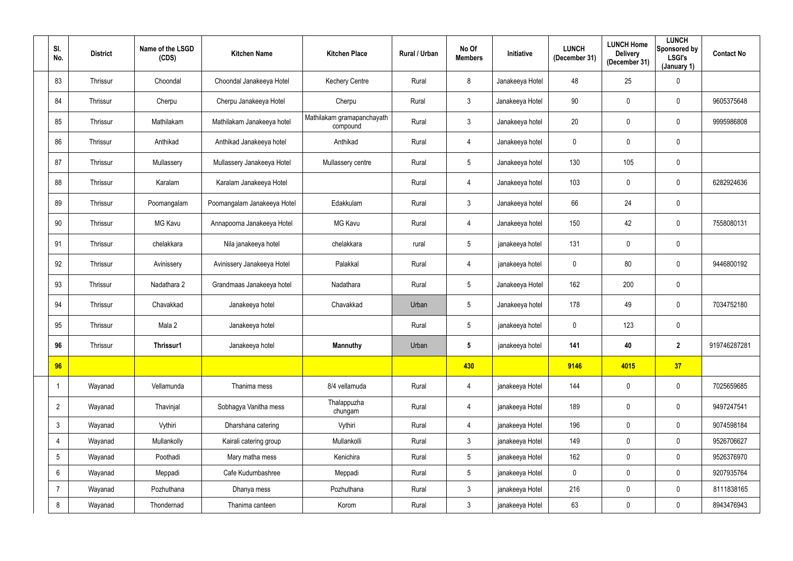| SI.<br>No.      | <b>District</b> | Name of the LSGD<br>(CDS) | <b>Kitchen Name</b>         | <b>Kitchen Place</b>                   | Rural / Urban | No Of<br><b>Members</b> | <b>Initiative</b> | <b>LUNCH</b><br>(December 31) | <b>LUNCH Home</b><br><b>Delivery</b><br>(December 31) | <b>LUNCH</b><br>Sponsored by<br><b>LSGI's</b><br>(January 1) | <b>Contact No</b> |
|-----------------|-----------------|---------------------------|-----------------------------|----------------------------------------|---------------|-------------------------|-------------------|-------------------------------|-------------------------------------------------------|--------------------------------------------------------------|-------------------|
| 83              | Thrissur        | Choondal                  | Choondal Janakeeya Hotel    | <b>Kechery Centre</b>                  | Rural         | 8                       | Janakeeya Hotel   | 48                            | 25                                                    | $\pmb{0}$                                                    |                   |
| 84              | Thrissur        | Cherpu                    | Cherpu Janakeeya Hotel      | Cherpu                                 | Rural         | $\mathfrak{Z}$          | Janakeeya Hotel   | 90                            | 0                                                     | $\mathbf 0$                                                  | 9605375648        |
| 85              | Thrissur        | Mathilakam                | Mathilakam Janakeeya hotel  | Mathilakam gramapanchayath<br>compound | Rural         | $\mathfrak{Z}$          | Janakeeya hotel   | 20                            | 0                                                     | $\mathbf 0$                                                  | 9995986808        |
| 86              | Thrissur        | Anthikad                  | Anthikad Janakeeya hotel    | Anthikad                               | Rural         | 4                       | Janakeeya hotel   | $\mathbf 0$                   | 0                                                     | $\mathbf 0$                                                  |                   |
| 87              | Thrissur        | Mullassery                | Mullassery Janakeeya Hotel  | Mullassery centre                      | Rural         | $5\phantom{.0}$         | Janakeeya hotel   | 130                           | 105                                                   | $\mathbf 0$                                                  |                   |
| 88              | Thrissur        | Karalam                   | Karalam Janakeeya Hotel     |                                        | Rural         | 4                       | Janakeeya hotel   | 103                           | $\mathbf 0$                                           | $\overline{0}$                                               | 6282924636        |
| 89              | Thrissur        | Poomangalam               | Poomangalam Janakeeya Hotel | Edakkulam                              | Rural         | $\mathfrak{Z}$          | Janakeeya hotel   | 66                            | 24                                                    | $\mathbf 0$                                                  |                   |
| 90              | Thrissur        | <b>MG Kavu</b>            | Annapoorna Janakeeya Hotel  | <b>MG Kavu</b>                         | Rural         | 4                       | Janakeeya hotel   | 150                           | 42                                                    | $\overline{0}$                                               | 7558080131        |
| 91              | Thrissur        | chelakkara                | Nila janakeeya hotel        | chelakkara                             | rural         | 5                       | janakeeya hotel   | 131                           | 0                                                     | $\mathbf 0$                                                  |                   |
| 92              | Thrissur        | Avinissery                | Avinissery Janakeeya Hotel  | Palakkal                               | Rural         | 4                       | janakeeya hotel   | $\mathbf 0$                   | 80                                                    | $\mathbf 0$                                                  | 9446800192        |
| 93              | Thrissur        | Nadathara 2               | Grandmaas Janakeeya hotel   | Nadathara                              | Rural         | 5 <sup>5</sup>          | Janakeeya Hotel   | 162                           | 200                                                   | $\overline{0}$                                               |                   |
| 94              | Thrissur        | Chavakkad                 | Janakeeya hotel             | Chavakkad                              | Urban         | $5\phantom{.0}$         | Janakeeya hotel   | 178                           | 49                                                    | $\mathbf 0$                                                  | 7034752180        |
| 95              | Thrissur        | Mala 2                    | Janakeeya hotel             |                                        | Rural         | 5                       | janakeeya hotel   | $\mathbf 0$                   | 123                                                   | $\mathbf 0$                                                  |                   |
| 96              | Thrissur        | Thrissur1                 | Janakeeya hotel             | <b>Mannuthy</b>                        | Urban         | $5\phantom{.0}$         | janakeeya hotel   | 141                           | 40                                                    | $\overline{2}$                                               | 919746287281      |
| 96              |                 |                           |                             |                                        |               | 430                     |                   | 9146                          | 4015                                                  | 37                                                           |                   |
| -1              | Wayanad         | Vellamunda                | Thanima mess                | 8/4 vellamuda                          | Rural         | 4                       | janakeeya Hotel   | 144                           | $\pmb{0}$                                             | $\overline{0}$                                               | 7025659685        |
| $\overline{2}$  | Wayanad         | Thavinjal                 | Sobhagya Vanitha mess       | Thalappuzha<br>chungam                 | Rural         | 4                       | janakeeya Hotel   | 189                           | 0                                                     | $\overline{0}$                                               | 9497247541        |
| $\mathbf{3}$    | Wayanad         | Vythiri                   | Dharshana catering          | Vythiri                                | Rural         | 4                       | janakeeya Hotel   | 196                           | $\mathbf 0$                                           | $\overline{0}$                                               | 9074598184        |
| $\overline{4}$  | Wayanad         | Mullankolly               | Kairali catering group      | Mullankolli                            | Rural         | 3 <sup>1</sup>          | janakeeya Hotel   | 149                           | $\mathbf 0$                                           | $\overline{0}$                                               | 9526706627        |
| $5\overline{)}$ | Wayanad         | Poothadi                  | Mary matha mess             | Kenichira                              | Rural         | 5 <sub>5</sub>          | janakeeya Hotel   | 162                           | $\mathbf 0$                                           | $\overline{0}$                                               | 9526376970        |
| $6\overline{6}$ | Wayanad         | Meppadi                   | Cafe Kudumbashree           | Meppadi                                | Rural         | 5 <sub>5</sub>          | janakeeya Hotel   | $\mathbf 0$                   | $\mathbf 0$                                           | $\overline{0}$                                               | 9207935764        |
| $\overline{7}$  | Wayanad         | Pozhuthana                | Dhanya mess                 | Pozhuthana                             | Rural         | 3 <sup>1</sup>          | janakeeya Hotel   | 216                           | $\mathbf 0$                                           | $\overline{0}$                                               | 8111838165        |
| 8               | Wayanad         | Thondernad                | Thanima canteen             | Korom                                  | Rural         | 3 <sup>1</sup>          | janakeeya Hotel   | 63                            | $\pmb{0}$                                             | $\overline{0}$                                               | 8943476943        |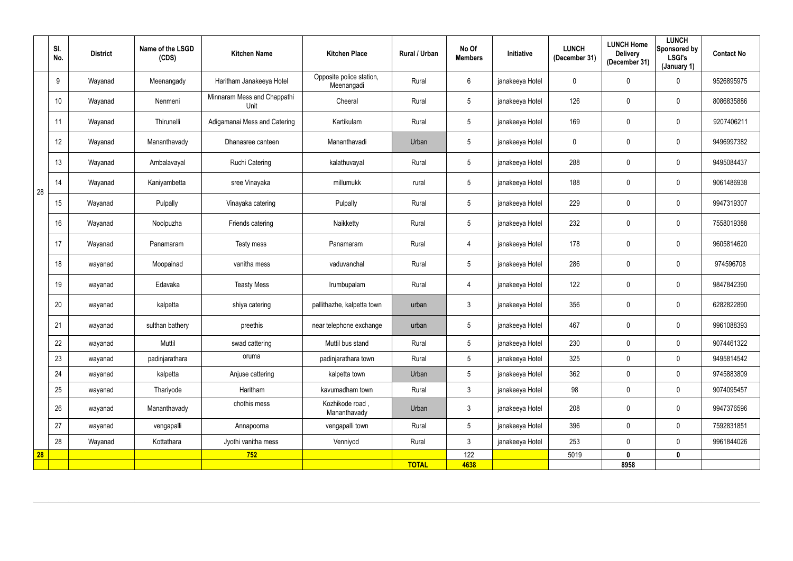|                 | SI.<br>No. | <b>District</b> | Name of the LSGD<br>(CDS) | <b>Kitchen Name</b>                 | <b>Kitchen Place</b>                   | Rural / Urban | No Of<br><b>Members</b> | Initiative      | <b>LUNCH</b><br>(December 31) | <b>LUNCH Home</b><br><b>Delivery</b><br>(December 31) | <b>LUNCH</b><br>Sponsored by<br><b>LSGI's</b><br>(January 1) | <b>Contact No</b> |
|-----------------|------------|-----------------|---------------------------|-------------------------------------|----------------------------------------|---------------|-------------------------|-----------------|-------------------------------|-------------------------------------------------------|--------------------------------------------------------------|-------------------|
|                 | 9          | Wayanad         | Meenangady                | Haritham Janakeeya Hotel            | Opposite police station,<br>Meenangadi | Rural         | 6                       | janakeeya Hotel | $\mathbf 0$                   | $\overline{0}$                                        | $\mathbf 0$                                                  | 9526895975        |
|                 | 10         | Wayanad         | Nenmeni                   | Minnaram Mess and Chappathi<br>Unit | Cheeral                                | Rural         | $5\overline{)}$         | janakeeya Hotel | 126                           | $\overline{0}$                                        | $\mathbf 0$                                                  | 8086835886        |
|                 | 11         | Wayanad         | Thirunelli                | Adigamanai Mess and Catering        | Kartikulam                             | Rural         | $\overline{5}$          | janakeeya Hotel | 169                           | $\mathbf 0$                                           | $\pmb{0}$                                                    | 9207406211        |
|                 | 12         | Wayanad         | Mananthavady              | Dhanasree canteen                   | Mananthavadi                           | Urban         | 5                       | janakeeya Hotel | $\boldsymbol{0}$              | 0                                                     | $\pmb{0}$                                                    | 9496997382        |
|                 | 13         | Wayanad         | Ambalavayal               | Ruchi Catering                      | kalathuvayal                           | Rural         | $5\phantom{.0}$         | janakeeya Hotel | 288                           | $\mathbf 0$                                           | $\mathbf 0$                                                  | 9495084437        |
| 28              | 14         | Wayanad         | Kaniyambetta              | sree Vinayaka                       | millumukk                              | rural         | $5\overline{)}$         | janakeeya Hotel | 188                           | $\overline{0}$                                        | $\overline{0}$                                               | 9061486938        |
|                 | 15         | Wayanad         | Pulpally                  | Vinayaka catering                   | Pulpally                               | Rural         | $5\phantom{.0}$         | janakeeya Hotel | 229                           | $\mathbf 0$                                           | $\mathbf 0$                                                  | 9947319307        |
|                 | 16         | Wayanad         | Noolpuzha                 | Friends catering                    | Naikketty                              | Rural         | $5\overline{)}$         | janakeeya Hotel | 232                           | $\mathbf 0$                                           | $\overline{0}$                                               | 7558019388        |
|                 | 17         | Wayanad         | Panamaram                 | Testy mess                          | Panamaram                              | Rural         | 4                       | janakeeya Hotel | 178                           | 0                                                     | $\pmb{0}$                                                    | 9605814620        |
|                 | 18         | wayanad         | Moopainad                 | vanitha mess                        | vaduvanchal                            | Rural         | $5\phantom{.0}$         | janakeeya Hotel | 286                           | $\mathbf 0$                                           | $\pmb{0}$                                                    | 974596708         |
|                 | 19         | wayanad         | Edavaka                   | <b>Teasty Mess</b>                  | Irumbupalam                            | Rural         | 4                       | janakeeya Hotel | 122                           | $\overline{0}$                                        | $\overline{0}$                                               | 9847842390        |
|                 | 20         | wayanad         | kalpetta                  | shiya catering                      | pallithazhe, kalpetta town             | urban         | $\mathbf{3}$            | janakeeya Hotel | 356                           | $\overline{0}$                                        | $\mathbf 0$                                                  | 6282822890        |
|                 | 21         | wayanad         | sulthan bathery           | preethis                            | near telephone exchange                | urban         | $5\phantom{.0}$         | janakeeya Hotel | 467                           | $\overline{0}$                                        | $\mathbf 0$                                                  | 9961088393        |
|                 | 22         | wayanad         | Muttil                    | swad cattering                      | Muttil bus stand                       | Rural         | $5\phantom{.0}$         | janakeeya Hotel | 230                           | $\mathbf 0$                                           | $\overline{0}$                                               | 9074461322        |
|                 | 23         | wayanad         | padinjarathara            | oruma                               | padinjarathara town                    | Rural         | 5 <sup>5</sup>          | janakeeya Hotel | 325                           | $\mathbf 0$                                           | $\overline{0}$                                               | 9495814542        |
|                 | 24         | wayanad         | kalpetta                  | Anjuse cattering                    | kalpetta town                          | Urban         | 5 <sup>5</sup>          | janakeeya Hotel | 362                           | $\mathbf 0$                                           | $\mathbf 0$                                                  | 9745883809        |
|                 | 25         | wayanad         | Thariyode                 | Haritham                            | kavumadham town                        | Rural         | 3 <sup>1</sup>          | janakeeya Hotel | 98                            | $\mathbf 0$                                           | $\overline{0}$                                               | 9074095457        |
|                 | 26         | wayanad         | Mananthavady              | chothis mess                        | Kozhikode road,<br>Mananthavady        | Urban         | 3 <sup>1</sup>          | janakeeya Hotel | 208                           | $\mathbf 0$                                           | $\overline{0}$                                               | 9947376596        |
|                 | 27         | wayanad         | vengapalli                | Annapoorna                          | vengapalli town                        | Rural         | 5 <sup>5</sup>          | janakeeya Hotel | 396                           | $\mathbf 0$                                           | $\mathbf 0$                                                  | 7592831851        |
|                 | 28         | Wayanad         | Kottathara                | Jyothi vanitha mess                 | Venniyod                               | Rural         | 3 <sup>1</sup>          | janakeeya Hotel | 253                           | $\mathbf 0$                                           | $\overline{0}$                                               | 9961844026        |
| $\overline{28}$ |            |                 |                           | 752                                 |                                        |               | 122                     |                 | 5019                          | $\mathbf 0$                                           | $\mathbf 0$                                                  |                   |
|                 |            |                 |                           |                                     |                                        | <b>TOTAL</b>  | 4638                    |                 |                               | 8958                                                  |                                                              |                   |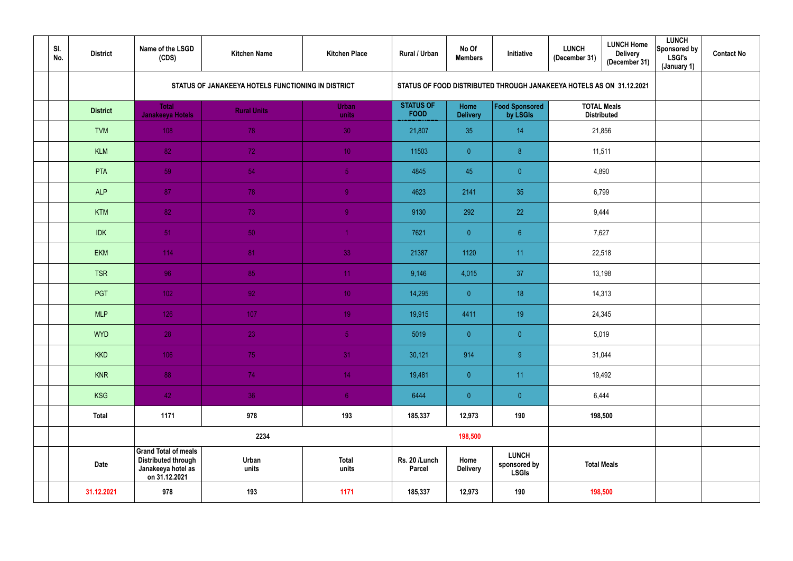| SI.<br>No. | <b>District</b> | Name of the LSGD<br>(CDS)                                                                        | <b>Kitchen Name</b>                                | <b>Kitchen Place</b>  | Rural / Urban                   | No Of<br><b>Members</b> | Initiative                                                           | <b>LUNCH</b><br>(December 31) | <b>LUNCH Home</b><br><b>Delivery</b><br>(December 31) | <b>LUNCH</b><br>Sponsored by<br><b>LSGI's</b><br>(January 1) | <b>Contact No</b> |
|------------|-----------------|--------------------------------------------------------------------------------------------------|----------------------------------------------------|-----------------------|---------------------------------|-------------------------|----------------------------------------------------------------------|-------------------------------|-------------------------------------------------------|--------------------------------------------------------------|-------------------|
|            |                 |                                                                                                  | STATUS OF JANAKEEYA HOTELS FUNCTIONING IN DISTRICT |                       |                                 |                         | STATUS OF FOOD DISTRIBUTED THROUGH JANAKEEYA HOTELS AS ON 31.12.2021 |                               |                                                       |                                                              |                   |
|            | <b>District</b> | <b>Total</b><br>Janakeeya Hotels                                                                 | <b>Rural Units</b>                                 | <b>Urban</b><br>units | <b>STATUS OF</b><br><b>FOOD</b> | Home<br><b>Delivery</b> | <b>Food Sponsored</b><br>by LSGIs                                    |                               | <b>TOTAL Meals</b><br><b>Distributed</b>              |                                                              |                   |
|            | <b>TVM</b>      | 108                                                                                              | 78                                                 | 30                    | 21,807                          | 35                      | 14                                                                   |                               | 21,856                                                |                                                              |                   |
|            | <b>KLM</b>      | 82                                                                                               | 72                                                 | 10 <sup>°</sup>       | 11503                           | $\overline{0}$          | $\boldsymbol{8}$                                                     | 11,511                        |                                                       |                                                              |                   |
|            | PTA             | 59                                                                                               | 54                                                 | 5 <sub>1</sub>        | 4845                            | 45                      | $\pmb{0}$                                                            | 4,890                         |                                                       |                                                              |                   |
|            | <b>ALP</b>      | 87                                                                                               | 78                                                 | 9 <sup>°</sup>        | 4623                            | 2141                    | 35                                                                   | 6,799                         |                                                       |                                                              |                   |
|            | <b>KTM</b>      | 82                                                                                               | 73                                                 | 9                     | 9130                            | 292                     | 22                                                                   | 9,444                         |                                                       |                                                              |                   |
|            | <b>IDK</b>      | 51                                                                                               | 50                                                 |                       | 7621                            | $\overline{0}$          | $6\phantom{.}6$                                                      | 7,627                         |                                                       |                                                              |                   |
|            | <b>EKM</b>      | 114                                                                                              | 81                                                 | 33                    | 21387                           | 1120                    | 11                                                                   | 22,518                        |                                                       |                                                              |                   |
|            | <b>TSR</b>      | 96                                                                                               | 85                                                 | 11                    | 9,146                           | 4,015                   | 37                                                                   |                               | 13,198                                                |                                                              |                   |
|            | PGT             | 102                                                                                              | 92                                                 | 10 <sub>1</sub>       | 14,295                          | $\overline{0}$          | 18                                                                   |                               | 14,313                                                |                                                              |                   |
|            | <b>MLP</b>      | 126                                                                                              | 107                                                | 19 <sup>°</sup>       | 19,915                          | 4411                    | 19                                                                   |                               | 24,345                                                |                                                              |                   |
|            | <b>WYD</b>      | 28                                                                                               | <b>23</b>                                          | 5 <sub>1</sub>        | 5019                            | $\overline{0}$          | $\pmb{0}$                                                            | 5,019                         |                                                       |                                                              |                   |
|            | <b>KKD</b>      | 106                                                                                              | 75                                                 | 31                    | 30,121                          | 914                     | 9                                                                    |                               | 31,044                                                |                                                              |                   |
|            | <b>KNR</b>      | 88                                                                                               | 74                                                 | 14 <sub>1</sub>       | 19,481                          | $\overline{0}$          | 11                                                                   |                               | 19,492                                                |                                                              |                   |
|            | <b>KSG</b>      | 42                                                                                               | 36                                                 | 6 <sub>1</sub>        | 6444                            | $\overline{0}$          | $\overline{0}$                                                       | 6,444                         |                                                       |                                                              |                   |
|            | <b>Total</b>    | 1171                                                                                             | 978                                                | 193                   | 185,337                         | 12,973                  | 190                                                                  |                               | 198,500                                               |                                                              |                   |
|            |                 |                                                                                                  | 2234                                               |                       |                                 | 198,500                 |                                                                      |                               |                                                       |                                                              |                   |
|            | Date            | <b>Grand Total of meals</b><br><b>Distributed through</b><br>Janakeeya hotel as<br>on 31.12.2021 | Urban<br>units                                     | <b>Total</b><br>units | Rs. 20 /Lunch<br><b>Parcel</b>  | Home<br><b>Delivery</b> | <b>LUNCH</b><br>sponsored by<br><b>LSGIs</b>                         | <b>Total Meals</b>            |                                                       |                                                              |                   |
|            | 31.12.2021      | 978                                                                                              | 193                                                | 1171                  | 185,337                         | 12,973                  | 190                                                                  | 198,500                       |                                                       |                                                              |                   |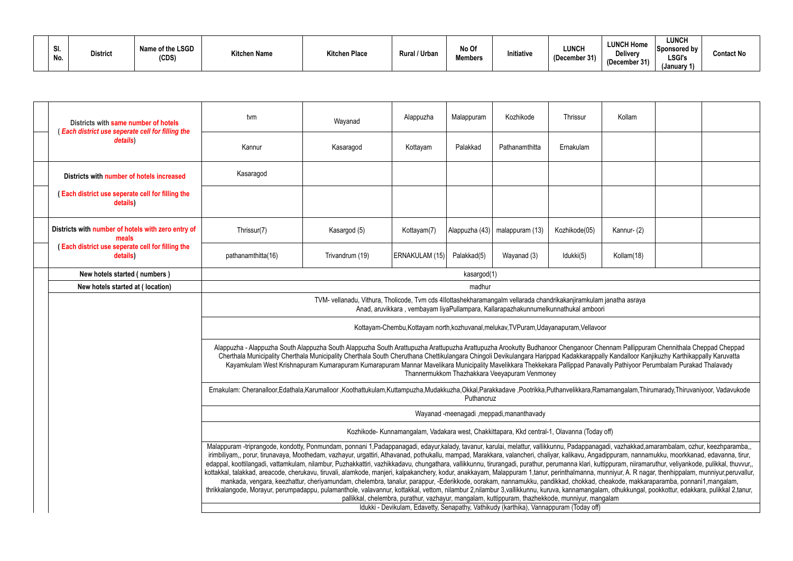| <b>C</b><br>.JI<br>No. | <b>District</b> | Name of the LSGD<br>(CDS) | <b>Kitchen Name</b> | <b>Kitchen Place</b> | Rural / Urban | No Of<br><b>Members</b> | Initiative | <b>LUNCH</b><br>(December 31) | <b>LUNCH Home</b><br><b>Delivery</b><br>(December 31) | <b>LUNCH</b><br>Sponsored by<br><b>LSGI's</b><br>(January 1) | Contact No |
|------------------------|-----------------|---------------------------|---------------------|----------------------|---------------|-------------------------|------------|-------------------------------|-------------------------------------------------------|--------------------------------------------------------------|------------|
|------------------------|-----------------|---------------------------|---------------------|----------------------|---------------|-------------------------|------------|-------------------------------|-------------------------------------------------------|--------------------------------------------------------------|------------|

| Districts with same number of hotels<br>(Each district use seperate cell for filling the    | tvm                                                                                                                                                                                                                                                                                                                                                                                                                                                                                                                                                                                                                                                                                                                                                                                                                                                                                                                                                                                                                                                                                                                                                                                                                                                                                                              | Wayanad                                                                                                                                                                                                                                                                                                                                                          | Alappuzha      | Malappuram  | Kozhikode                                     | Thrissur      | Kollam     |  |  |  |  |  |  |
|---------------------------------------------------------------------------------------------|------------------------------------------------------------------------------------------------------------------------------------------------------------------------------------------------------------------------------------------------------------------------------------------------------------------------------------------------------------------------------------------------------------------------------------------------------------------------------------------------------------------------------------------------------------------------------------------------------------------------------------------------------------------------------------------------------------------------------------------------------------------------------------------------------------------------------------------------------------------------------------------------------------------------------------------------------------------------------------------------------------------------------------------------------------------------------------------------------------------------------------------------------------------------------------------------------------------------------------------------------------------------------------------------------------------|------------------------------------------------------------------------------------------------------------------------------------------------------------------------------------------------------------------------------------------------------------------------------------------------------------------------------------------------------------------|----------------|-------------|-----------------------------------------------|---------------|------------|--|--|--|--|--|--|
| details)                                                                                    | Kannur                                                                                                                                                                                                                                                                                                                                                                                                                                                                                                                                                                                                                                                                                                                                                                                                                                                                                                                                                                                                                                                                                                                                                                                                                                                                                                           | Kasaragod                                                                                                                                                                                                                                                                                                                                                        | Kottayam       | Palakkad    | Pathanamthitta                                | Ernakulam     |            |  |  |  |  |  |  |
| Districts with number of hotels increased                                                   | Kasaragod                                                                                                                                                                                                                                                                                                                                                                                                                                                                                                                                                                                                                                                                                                                                                                                                                                                                                                                                                                                                                                                                                                                                                                                                                                                                                                        |                                                                                                                                                                                                                                                                                                                                                                  |                |             |                                               |               |            |  |  |  |  |  |  |
| (Each district use seperate cell for filling the<br>details)                                |                                                                                                                                                                                                                                                                                                                                                                                                                                                                                                                                                                                                                                                                                                                                                                                                                                                                                                                                                                                                                                                                                                                                                                                                                                                                                                                  |                                                                                                                                                                                                                                                                                                                                                                  |                |             |                                               |               |            |  |  |  |  |  |  |
| Districts with number of hotels with zero entry of<br>meals                                 | Thrissur(7)                                                                                                                                                                                                                                                                                                                                                                                                                                                                                                                                                                                                                                                                                                                                                                                                                                                                                                                                                                                                                                                                                                                                                                                                                                                                                                      | Kasargod (5)                                                                                                                                                                                                                                                                                                                                                     | Kottayam(7)    |             | Alappuzha (43)   malappuram (13)              | Kozhikode(05) | Kannur-(2) |  |  |  |  |  |  |
| (Each district use seperate cell for filling the<br>details)                                | pathanamthitta(16)                                                                                                                                                                                                                                                                                                                                                                                                                                                                                                                                                                                                                                                                                                                                                                                                                                                                                                                                                                                                                                                                                                                                                                                                                                                                                               | Trivandrum (19)                                                                                                                                                                                                                                                                                                                                                  | ERNAKULAM (15) | Palakkad(5) | Wayanad (3)                                   | Idukki(5)     | Kollam(18) |  |  |  |  |  |  |
| New hotels started (numbers)                                                                | kasargod(1)                                                                                                                                                                                                                                                                                                                                                                                                                                                                                                                                                                                                                                                                                                                                                                                                                                                                                                                                                                                                                                                                                                                                                                                                                                                                                                      |                                                                                                                                                                                                                                                                                                                                                                  |                |             |                                               |               |            |  |  |  |  |  |  |
| New hotels started at (location)                                                            | madhur                                                                                                                                                                                                                                                                                                                                                                                                                                                                                                                                                                                                                                                                                                                                                                                                                                                                                                                                                                                                                                                                                                                                                                                                                                                                                                           |                                                                                                                                                                                                                                                                                                                                                                  |                |             |                                               |               |            |  |  |  |  |  |  |
|                                                                                             |                                                                                                                                                                                                                                                                                                                                                                                                                                                                                                                                                                                                                                                                                                                                                                                                                                                                                                                                                                                                                                                                                                                                                                                                                                                                                                                  | TVM- vellanadu, Vithura, Tholicode, Tvm cds 4Ilottashekharamangalm vellarada chandrikakanjiramkulam janatha asraya<br>Anad, aruvikkara, vembayam liyaPullampara, Kallarapazhakunnumelkunnathukal amboori                                                                                                                                                         |                |             |                                               |               |            |  |  |  |  |  |  |
|                                                                                             | Kottayam-Chembu, Kottayam north, kozhuvanal, melukav, TVPuram, Udayanapuram, Vellavoor                                                                                                                                                                                                                                                                                                                                                                                                                                                                                                                                                                                                                                                                                                                                                                                                                                                                                                                                                                                                                                                                                                                                                                                                                           |                                                                                                                                                                                                                                                                                                                                                                  |                |             |                                               |               |            |  |  |  |  |  |  |
|                                                                                             | Alappuzha - Alappuzha South Alappuzha South Alappuzha South Arattupuzha Arattupuzha Arookuty Budhanoor Chenganoor Chennam Pallippuram Chennithala Cheppad Cheppad                                                                                                                                                                                                                                                                                                                                                                                                                                                                                                                                                                                                                                                                                                                                                                                                                                                                                                                                                                                                                                                                                                                                                | Cherthala Municipality Cherthala Municipality Cherthala South Cheruthana Chettikulangara Chingoli Devikulangara Harippad Kadakkarappally Kandalloor Kanjikuzhy Karthikappally Karuvatta<br>Kayamkulam West Krishnapuram Kumarapuram Kumarapuram Mannar Mavelikara Municipality Mavelikkara Thekkekara Pallippad Panavally Pathiyoor Perumbalam Purakad Thalavady |                |             | Thannermukkom Thazhakkara Veeyapuram Venmoney |               |            |  |  |  |  |  |  |
|                                                                                             | Ernakulam: Cheranalloor,Edathala,Karumalloor ,Koothattukulam,Kuttampuzha,Mudakkuzha,Okkal,Parakkadave ,Pootrikka,Puthanvelikkara,Ramamangalam,Thirumarady,Thiruvaniyoor, Vadavukode                                                                                                                                                                                                                                                                                                                                                                                                                                                                                                                                                                                                                                                                                                                                                                                                                                                                                                                                                                                                                                                                                                                              |                                                                                                                                                                                                                                                                                                                                                                  |                | Puthancruz  |                                               |               |            |  |  |  |  |  |  |
|                                                                                             |                                                                                                                                                                                                                                                                                                                                                                                                                                                                                                                                                                                                                                                                                                                                                                                                                                                                                                                                                                                                                                                                                                                                                                                                                                                                                                                  |                                                                                                                                                                                                                                                                                                                                                                  |                |             | Wayanad -meenagadi, meppadi, mananthavady     |               |            |  |  |  |  |  |  |
| Kozhikode- Kunnamangalam, Vadakara west, Chakkittapara, Kkd central-1, Olavanna (Today off) |                                                                                                                                                                                                                                                                                                                                                                                                                                                                                                                                                                                                                                                                                                                                                                                                                                                                                                                                                                                                                                                                                                                                                                                                                                                                                                                  |                                                                                                                                                                                                                                                                                                                                                                  |                |             |                                               |               |            |  |  |  |  |  |  |
|                                                                                             | Malappuram -triprangode, kondotty, Ponmundam, ponnani 1,Padappanagadi, edayur,kalady, tavanur, karulai, melattur, vallikkunnu, Padappanagadi, vazhakkad,amarambalam, ozhur, keezhparamba,,<br>irimbiliyam,, porur, tirunavaya, Moothedam, vazhayur, urgattiri, Athavanad, pothukallu, mampad, Marakkara, valancheri, chaliyar, kalikavu, Angadippuram, nannamukku, moorkkanad, edavanna, tirur,<br>edappal, koottilangadi, vattamkulam, nilambur, Puzhakkattiri, vazhikkadavu, chungathara, vallikkunnu, tirurangadi, purathur, perumanna klari, kuttippuram, niiramaruthur, veliyankode, pulikkal, thuvvur,,<br>kottakkal, talakkad, areacode, cherukavu, tiruvali, alamkode, manjeri, kalpakanchery, kodur, anakkayam, Malappuram 1,tanur, perinthalmanna, munniyur, A. R nagar, thenhippalam, munniyur,peruvallur,<br>mankada, vengara, keezhattur, cheriyamundam, chelembra, tanalur, parappur, -Ederikkode, oorakam, nannamukku, pandikkad, chokkad, cheakode, makkaraparamba, ponnani1,mangalam,<br>thrikkalangode, Morayur, perumpadappu, pulamanthole, valavannur, kottakkal, vettom, nilambur 2,nilambur 3,vallikkunnu, kuruva, kannamangalam, othukkungal, pookkottur, edakkara, pulikkal 2,tanur,<br>pallikkal, chelembra, purathur, vazhayur, mangalam, kuttippuram, thazhekkode, munniyur, mangalam |                                                                                                                                                                                                                                                                                                                                                                  |                |             |                                               |               |            |  |  |  |  |  |  |
| Idukki - Devikulam, Edavetty, Senapathy, Vathikudy (karthika), Vannappuram (Today off)      |                                                                                                                                                                                                                                                                                                                                                                                                                                                                                                                                                                                                                                                                                                                                                                                                                                                                                                                                                                                                                                                                                                                                                                                                                                                                                                                  |                                                                                                                                                                                                                                                                                                                                                                  |                |             |                                               |               |            |  |  |  |  |  |  |